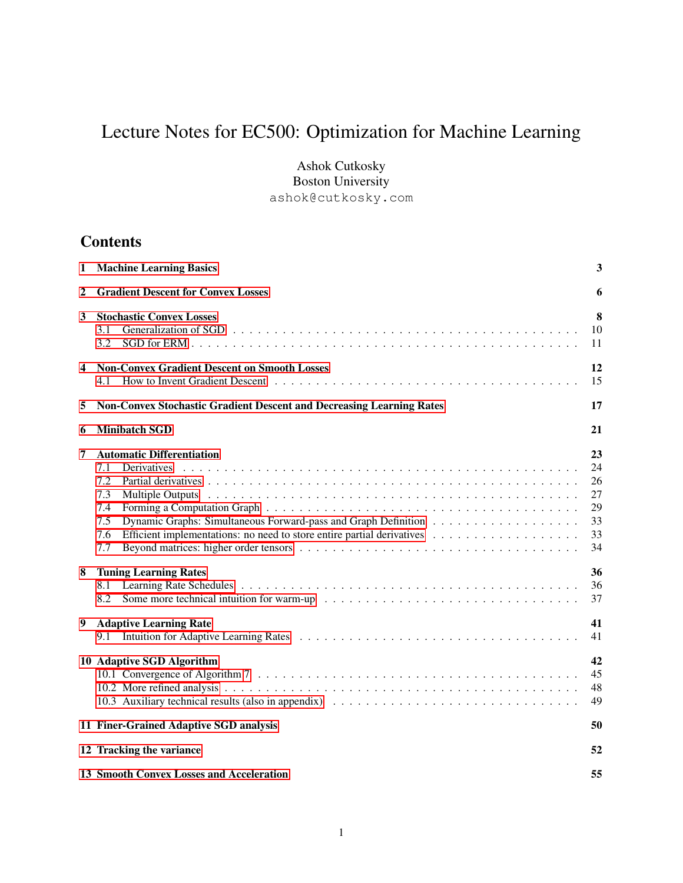# Lecture Notes for EC500: Optimization for Machine Learning

Ashok Cutkosky Boston University ashok@cutkosky.com

## **Contents**

| <b>Machine Learning Basics</b><br>1 |                                                                                                         |                                              |  |
|-------------------------------------|---------------------------------------------------------------------------------------------------------|----------------------------------------------|--|
| 2                                   | <b>Gradient Descent for Convex Losses</b>                                                               |                                              |  |
| 3                                   | <b>Stochastic Convex Losses</b><br>3.1<br>3.2                                                           | 8<br>10<br>11                                |  |
| 4                                   | <b>Non-Convex Gradient Descent on Smooth Losses</b><br>4.1                                              | 12<br>15                                     |  |
| 5                                   | <b>Non-Convex Stochastic Gradient Descent and Decreasing Learning Rates</b>                             | 17                                           |  |
| 6                                   | <b>Minibatch SGD</b>                                                                                    | 21                                           |  |
| 7                                   | <b>Automatic Differentiation</b><br><b>Derivatives</b><br>7.1<br>7.2<br>7.3<br>7.4<br>7.5<br>7.6<br>7.7 | 23<br>24<br>26<br>27<br>29<br>33<br>33<br>34 |  |
| 8                                   | <b>Tuning Learning Rates</b><br>8.1<br>8.2                                                              | 36<br>36<br>37                               |  |
| 9                                   | <b>Adaptive Learning Rate</b><br>9.1                                                                    | 41<br>41                                     |  |
|                                     | 10 Adaptive SGD Algorithm<br>10.3 Auxiliary technical results (also in appendix)                        | 42<br>45<br>48<br>49                         |  |
|                                     | 11 Finer-Grained Adaptive SGD analysis                                                                  | 50                                           |  |
|                                     | 12 Tracking the variance                                                                                | 52                                           |  |
|                                     | <b>13 Smooth Convex Losses and Acceleration</b>                                                         | 55                                           |  |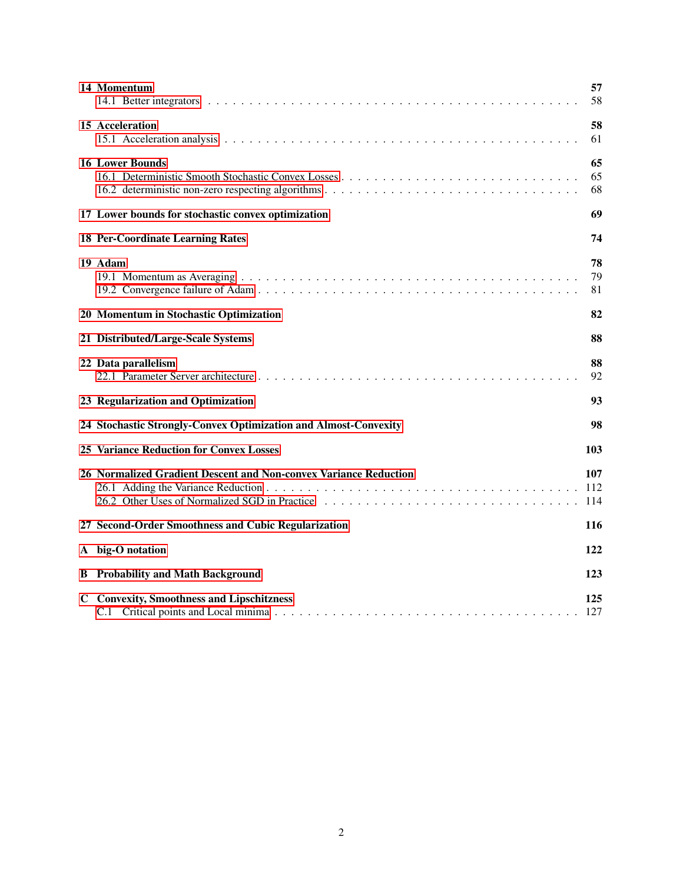|   | 14 Momentum                                                                                                       | 57<br>58          |
|---|-------------------------------------------------------------------------------------------------------------------|-------------------|
|   | 15 Acceleration                                                                                                   | 58<br>61          |
|   | <b>16 Lower Bounds</b>                                                                                            | 65<br>65<br>68    |
|   | 17 Lower bounds for stochastic convex optimization                                                                | 69                |
|   | <b>18 Per-Coordinate Learning Rates</b>                                                                           | 74                |
|   | 19 Adam                                                                                                           | 78<br>79<br>81    |
|   | 20 Momentum in Stochastic Optimization                                                                            | 82                |
|   | 21 Distributed/Large-Scale Systems                                                                                | 88                |
|   | 22 Data parallelism                                                                                               | 88<br>92          |
|   | 23 Regularization and Optimization                                                                                | 93                |
|   | 24 Stochastic Strongly-Convex Optimization and Almost-Convexity                                                   | 98                |
|   | <b>25 Variance Reduction for Convex Losses</b>                                                                    | 103               |
|   | 26 Normalized Gradient Descent and Non-convex Variance Reduction<br>26.2 Other Uses of Normalized SGD in Practice | 107<br>112<br>114 |
|   | 27 Second-Order Smoothness and Cubic Regularization                                                               | 116               |
|   | A big-O notation                                                                                                  | 122               |
| B | <b>Probability and Math Background</b>                                                                            | 123               |
|   | <b>C</b> Convexity, Smoothness and Lipschitzness                                                                  | 125<br>127        |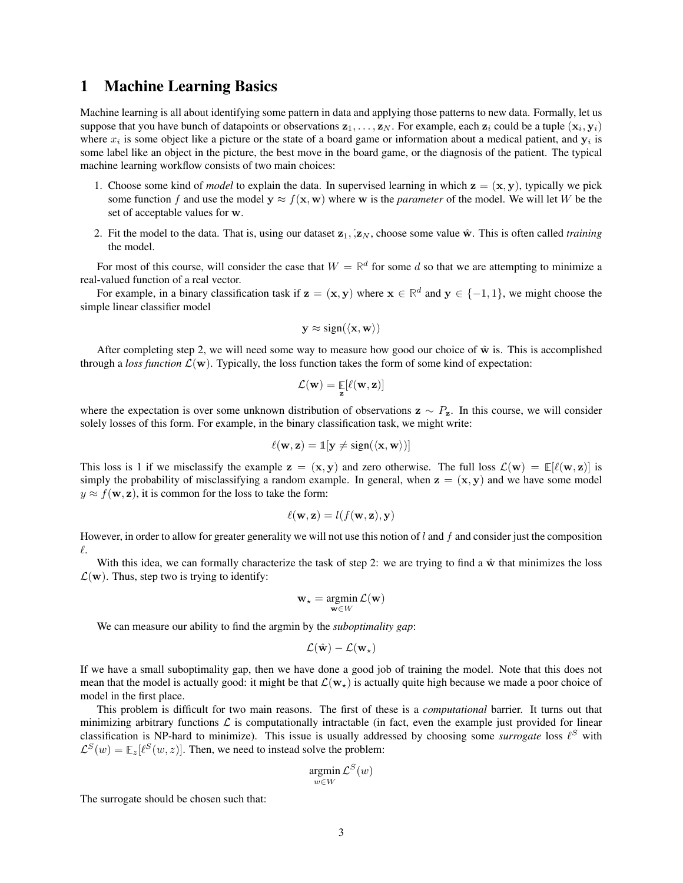## <span id="page-2-0"></span>1 Machine Learning Basics

Machine learning is all about identifying some pattern in data and applying those patterns to new data. Formally, let us suppose that you have bunch of datapoints or observations  $z_1, \ldots, z_N$ . For example, each  $z_i$  could be a tuple  $(x_i, y_i)$ where  $x_i$  is some object like a picture or the state of a board game or information about a medical patient, and  $y_i$  is some label like an object in the picture, the best move in the board game, or the diagnosis of the patient. The typical machine learning workflow consists of two main choices:

- 1. Choose some kind of *model* to explain the data. In supervised learning in which  $z = (x, y)$ , typically we pick some function f and use the model  $y \approx f(x, w)$  where w is the *parameter* of the model. We will let W be the set of acceptable values for w.
- 2. Fit the model to the data. That is, using our dataset  $z_1$ ,  $z_N$ , choose some value  $\hat{w}$ . This is often called *training* the model.

For most of this course, will consider the case that  $W = \mathbb{R}^d$  for some d so that we are attempting to minimize a real-valued function of a real vector.

For example, in a binary classification task if  $z = (x, y)$  where  $x \in \mathbb{R}^d$  and  $y \in \{-1, 1\}$ , we might choose the simple linear classifier model

$$
\mathbf{y} \approx \text{sign}(\langle \mathbf{x}, \mathbf{w} \rangle)
$$

After completing step 2, we will need some way to measure how good our choice of  $\hat{w}$  is. This is accomplished through a *loss function*  $\mathcal{L}(\mathbf{w})$ . Typically, the loss function takes the form of some kind of expectation:

$$
\mathcal{L}(\mathbf{w}) = \mathop{\mathbb{E}}_{\mathbf{z}}[\ell(\mathbf{w}, \mathbf{z})]
$$

where the expectation is over some unknown distribution of observations  $z \sim P_z$ . In this course, we will consider solely losses of this form. For example, in the binary classification task, we might write:

$$
\ell(\mathbf{w}, \mathbf{z}) = \mathbb{1}[\mathbf{y} \neq \text{sign}(\langle \mathbf{x}, \mathbf{w} \rangle)]
$$

This loss is 1 if we misclassify the example  $z = (x, y)$  and zero otherwise. The full loss  $\mathcal{L}(w) = \mathbb{E}[\ell(w, z)]$  is simply the probability of misclassifying a random example. In general, when  $z = (x, y)$  and we have some model  $y \approx f(\mathbf{w}, \mathbf{z})$ , it is common for the loss to take the form:

$$
\ell(\mathbf{w}, \mathbf{z}) = l(f(\mathbf{w}, \mathbf{z}), \mathbf{y})
$$

However, in order to allow for greater generality we will not use this notion of  $l$  and  $f$  and consider just the composition  $\ell$ .

With this idea, we can formally characterize the task of step 2: we are trying to find a  $\hat{w}$  that minimizes the loss  $\mathcal{L}(\mathbf{w})$ . Thus, step two is trying to identify:

$$
\mathbf{w}_{\star} = \operatorname*{argmin}_{\mathbf{w} \in W} \mathcal{L}(\mathbf{w})
$$

We can measure our ability to find the argmin by the *suboptimality gap*:

$$
\mathcal{L}(\hat{\mathbf{w}}) - \mathcal{L}(\mathbf{w}_\star)
$$

If we have a small suboptimality gap, then we have done a good job of training the model. Note that this does not mean that the model is actually good: it might be that  $\mathcal{L}(\mathbf{w}_*)$  is actually quite high because we made a poor choice of model in the first place.

This problem is difficult for two main reasons. The first of these is a *computational* barrier. It turns out that minimizing arbitrary functions  $\mathcal L$  is computationally intractable (in fact, even the example just provided for linear classification is NP-hard to minimize). This issue is usually addressed by choosing some *surrogate* loss  $\ell^S$  with  $\mathcal{L}^{S}(w) = \mathbb{E}_{z}[\ell^{S}(w, z)]$ . Then, we need to instead solve the problem:

$$
\mathop{\mathrm{argmin}}_{w \in W} \mathcal{L}^S(w)
$$

The surrogate should be chosen such that: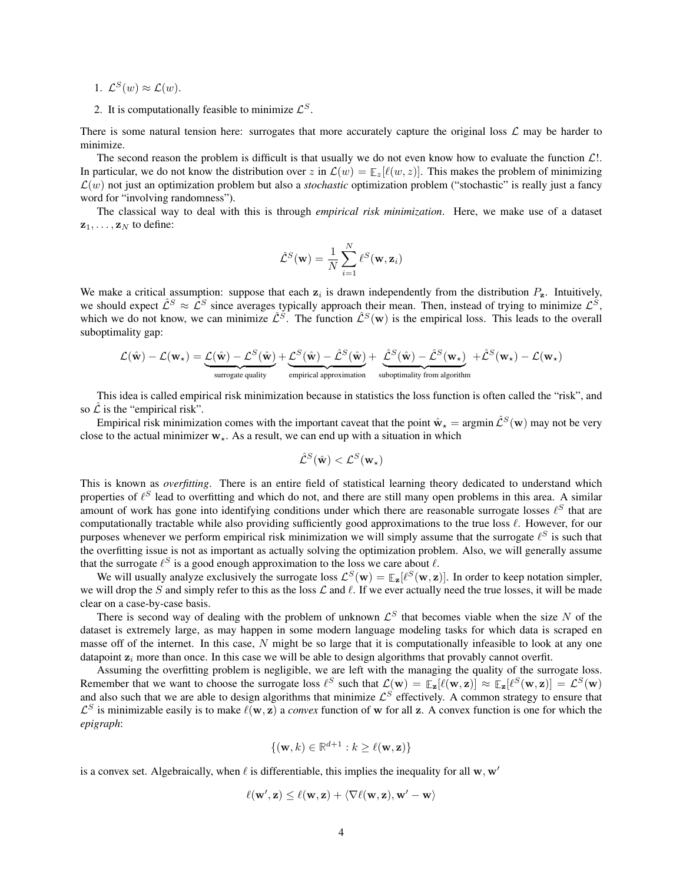- 1.  $\mathcal{L}^{S}(w) \approx \mathcal{L}(w)$ .
- 2. It is computationally feasible to minimize  $\mathcal{L}^{S}$ .

There is some natural tension here: surrogates that more accurately capture the original loss  $\mathcal L$  may be harder to minimize.

The second reason the problem is difficult is that usually we do not even know how to evaluate the function  $\mathcal{L}!$ . In particular, we do not know the distribution over  $z$  in  $\mathcal{L}(w) = \mathbb{E}_z[\ell(w, z)]$ . This makes the problem of minimizing  $\mathcal{L}(w)$  not just an optimization problem but also a *stochastic* optimization problem ("stochastic" is really just a fancy word for "involving randomness").

The classical way to deal with this is through *empirical risk minimization*. Here, we make use of a dataset  $z_1, \ldots, z_N$  to define:

$$
\hat{\mathcal{L}}^S(\mathbf{w}) = \frac{1}{N} \sum_{i=1}^N \ell^S(\mathbf{w}, \mathbf{z}_i)
$$

We make a critical assumption: suppose that each  $z_i$  is drawn independently from the distribution  $P_z$ . Intuitively, we should expect  $\hat{L}^S \approx \hat{L}^S$  since averages typically approach their mean. Then, instead of trying to minimize  $\hat{L}^S$ , which we do not know, we can minimize  $\hat{\mathcal{L}}^S$ . The function  $\hat{\mathcal{L}}^S(\mathbf{w})$  is the empirical loss. This leads to the overall suboptimality gap:

$$
\mathcal{L}(\hat{\mathbf{w}}) - \mathcal{L}(\mathbf{w}_{\star}) = \underbrace{\mathcal{L}(\hat{\mathbf{w}}) - \mathcal{L}^{S}(\hat{\mathbf{w}})}_{\text{surrogate quality}} + \underbrace{\mathcal{L}^{S}(\hat{\mathbf{w}}) - \hat{\mathcal{L}}^{S}(\hat{\mathbf{w}})}_{\text{empirical approximation}} + \underbrace{\hat{\mathcal{L}}^{S}(\hat{\mathbf{w}}) - \hat{\mathcal{L}}^{S}(\mathbf{w}_{\star})}_{\text{suboptimality from algorithm}} + \hat{\mathcal{L}}^{S}(\mathbf{w}_{\star}) - \mathcal{L}(\mathbf{w}_{\star})
$$

This idea is called empirical risk minimization because in statistics the loss function is often called the "risk", and so  $\mathcal{\hat{L}}$  is the "empirical risk".

Empirical risk minimization comes with the important caveat that the point  $\hat{\mathbf{w}}_{\star} = \arg\min \hat{\mathcal{L}}^S(\mathbf{w})$  may not be very close to the actual minimizer  $w_{\star}$ . As a result, we can end up with a situation in which

$$
\hat{\mathcal{L}}^S(\hat{\mathbf{w}}) < \mathcal{L}^S(\mathbf{w}_\star)
$$

This is known as *overfitting*. There is an entire field of statistical learning theory dedicated to understand which properties of  $\ell^S$  lead to overfitting and which do not, and there are still many open problems in this area. A similar amount of work has gone into identifying conditions under which there are reasonable surrogate losses  $\ell^S$  that are computationally tractable while also providing sufficiently good approximations to the true loss  $\ell$ . However, for our purposes whenever we perform empirical risk minimization we will simply assume that the surrogate  $\ell^S$  is such that the overfitting issue is not as important as actually solving the optimization problem. Also, we will generally assume that the surrogate  $\ell^S$  is a good enough approximation to the loss we care about  $\ell$ .

We will usually analyze exclusively the surrogate loss  $\mathcal{L}^S(w) = \mathbb{E}_z[\ell^S(w, z)]$ . In order to keep notation simpler, we will drop the S and simply refer to this as the loss  $\mathcal L$  and  $\ell$ . If we ever actually need the true losses, it will be made clear on a case-by-case basis.

There is second way of dealing with the problem of unknown  $\mathcal{L}^S$  that becomes viable when the size N of the dataset is extremely large, as may happen in some modern language modeling tasks for which data is scraped en masse off of the internet. In this case, N might be so large that it is computationally infeasible to look at any one datapoint  $z_i$  more than once. In this case we will be able to design algorithms that provably cannot overfit.

Assuming the overfitting problem is negligible, we are left with the managing the quality of the surrogate loss. Remember that we want to choose the surrogate loss  $\ell^S$  such that  $\mathcal{L}(\mathbf{w}) = \mathbb{E}_{\mathbf{z}}[\ell(\mathbf{w}, \mathbf{z})] \approx \mathbb{E}_{\mathbf{z}}[\ell^S(\mathbf{w}, \mathbf{z})] = \mathcal{L}^S(\mathbf{w})$ and also such that we are able to design algorithms that minimize  $\mathcal{L}^S$  effectively. A common strategy to ensure that  $\mathcal{L}^S$  is minimizable easily is to make  $\ell(\mathbf{w}, \mathbf{z})$  a *convex* function of w for all z. A convex function is one for which the *epigraph*:

$$
\{(\mathbf{w},k) \in \mathbb{R}^{d+1} : k \ge \ell(\mathbf{w},\mathbf{z})\}
$$

is a convex set. Algebraically, when  $\ell$  is differentiable, this implies the inequality for all w, w'

$$
\ell(\mathbf{w}',\mathbf{z}) \leq \ell(\mathbf{w},\mathbf{z}) + \langle \nabla \ell(\mathbf{w},\mathbf{z}), \mathbf{w}' - \mathbf{w} \rangle
$$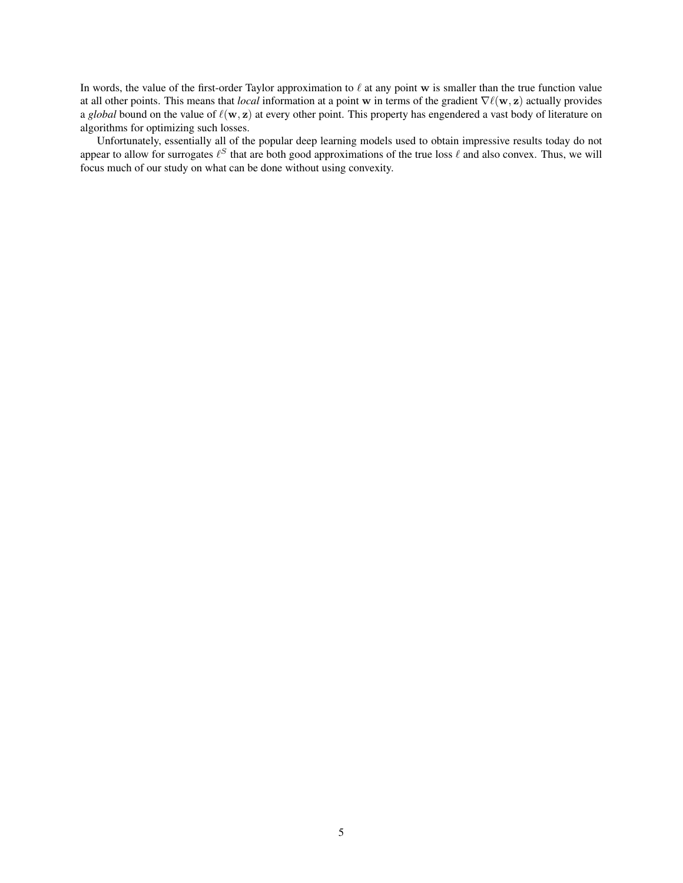In words, the value of the first-order Taylor approximation to  $\ell$  at any point w is smaller than the true function value at all other points. This means that *local* information at a point w in terms of the gradient ∇`(w, z) actually provides a *global* bound on the value of  $\ell(w, z)$  at every other point. This property has engendered a vast body of literature on algorithms for optimizing such losses.

Unfortunately, essentially all of the popular deep learning models used to obtain impressive results today do not appear to allow for surrogates  $\ell^S$  that are both good approximations of the true loss  $\ell$  and also convex. Thus, we will focus much of our study on what can be done without using convexity.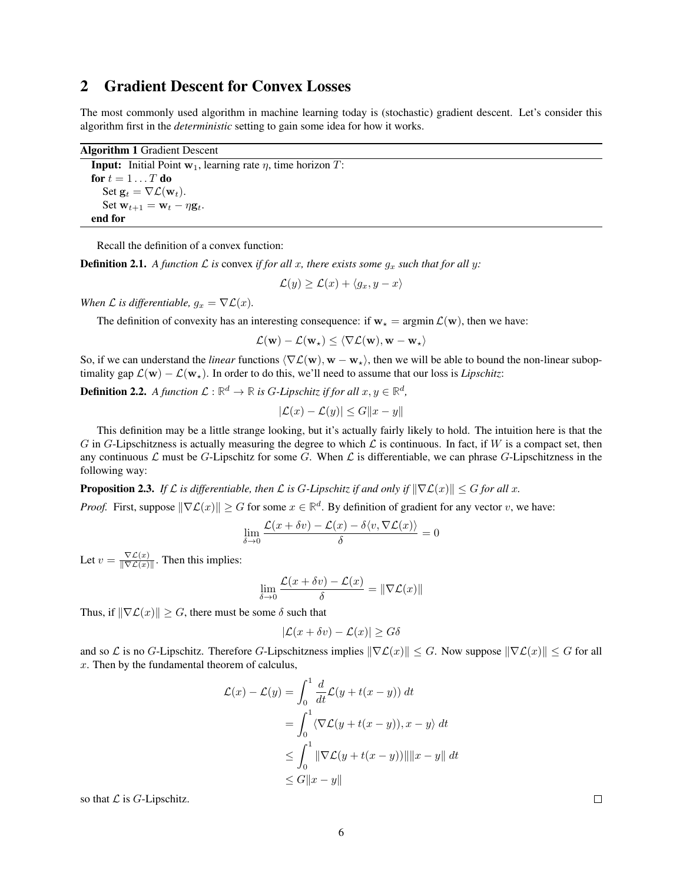## <span id="page-5-0"></span>2 Gradient Descent for Convex Losses

The most commonly used algorithm in machine learning today is (stochastic) gradient descent. Let's consider this algorithm first in the *deterministic* setting to gain some idea for how it works.

| <b>Algorithm 1 Gradient Descent</b>                                        |  |  |  |  |  |
|----------------------------------------------------------------------------|--|--|--|--|--|
| <b>Input:</b> Initial Point $w_1$ , learning rate $\eta$ , time horizon T: |  |  |  |  |  |
| for $t=1T$ do                                                              |  |  |  |  |  |
| Set $\mathbf{g}_t = \nabla \mathcal{L}(\mathbf{w}_t)$ .                    |  |  |  |  |  |
| Set $\mathbf{w}_{t+1} = \mathbf{w}_t - \eta \mathbf{g}_t$ .                |  |  |  |  |  |
| end for                                                                    |  |  |  |  |  |

<span id="page-5-1"></span>Recall the definition of a convex function:

**Definition 2.1.** A function  $\mathcal L$  is convex *if for all x, there exists some*  $g_x$  *such that for all y:* 

 $\mathcal{L}(y) \geq \mathcal{L}(x) + \langle q_x, y - x \rangle$ 

*When*  $\mathcal L$  *is differentiable,*  $g_x = \nabla \mathcal L(x)$ *.* 

The definition of convexity has an interesting consequence: if  $w_* = \argmin \mathcal{L}(w)$ , then we have:

$$
\mathcal{L}(\mathbf{w}) - \mathcal{L}(\mathbf{w}_\star) \leq \langle \nabla \mathcal{L}(\mathbf{w}), \mathbf{w} - \mathbf{w}_\star \rangle
$$

So, if we can understand the *linear* functions  $\langle \nabla \mathcal{L}(\mathbf{w}), \mathbf{w} - \mathbf{w}_{\star} \rangle$ , then we will be able to bound the non-linear suboptimality gap  $\mathcal{L}(\mathbf{w}) - \mathcal{L}(\mathbf{w}_*)$ . In order to do this, we'll need to assume that our loss is *Lipschitz*:

**Definition 2.2.** A function  $\mathcal{L}: \mathbb{R}^d \to \mathbb{R}$  is G-Lipschitz if for all  $x, y \in \mathbb{R}^d$ ,

$$
|\mathcal{L}(x) - \mathcal{L}(y)| \le G||x - y||
$$

This definition may be a little strange looking, but it's actually fairly likely to hold. The intuition here is that the G in G-Lipschitzness is actually measuring the degree to which  $\mathcal L$  is continuous. In fact, if W is a compact set, then any continuous  $\mathcal L$  must be G-Lipschitz for some G. When  $\mathcal L$  is differentiable, we can phrase G-Lipschitzness in the following way:

**Proposition 2.3.** *If*  $\mathcal L$  *is differentiable, then*  $\mathcal L$  *is G-Lipschitz if and only if*  $\|\nabla \mathcal L(x)\| \leq G$  *for all* x.

*Proof.* First, suppose  $\|\nabla \mathcal{L}(x)\| \geq G$  for some  $x \in \mathbb{R}^d$ . By definition of gradient for any vector v, we have:

$$
\lim_{\delta \to 0} \frac{\mathcal{L}(x + \delta v) - \mathcal{L}(x) - \delta \langle v, \nabla \mathcal{L}(x) \rangle}{\delta} = 0
$$

Let  $v = \frac{\nabla \mathcal{L}(x)}{\|\nabla \mathcal{L}(x)\|}$  $\frac{\nabla L(x)}{\|\nabla L(x)\|}$ . Then this implies:

$$
\lim_{\delta \to 0} \frac{\mathcal{L}(x + \delta v) - \mathcal{L}(x)}{\delta} = \|\nabla \mathcal{L}(x)\|
$$

Thus, if  $\|\nabla \mathcal{L}(x)\| \geq G$ , there must be some  $\delta$  such that

$$
|\mathcal{L}(x+\delta v) - \mathcal{L}(x)| \ge G\delta
$$

and so L is no G-Lipschitz. Therefore G-Lipschitzness implies  $\|\nabla \mathcal{L}(x)\| \leq G$ . Now suppose  $\|\nabla \mathcal{L}(x)\| \leq G$  for all  $x$ . Then by the fundamental theorem of calculus,

$$
\mathcal{L}(x) - \mathcal{L}(y) = \int_0^1 \frac{d}{dt} \mathcal{L}(y + t(x - y)) dt
$$
  
= 
$$
\int_0^1 \langle \nabla \mathcal{L}(y + t(x - y)), x - y \rangle dt
$$
  

$$
\leq \int_0^1 \|\nabla \mathcal{L}(y + t(x - y))\| \|x - y\| dt
$$
  

$$
\leq G \|x - y\|
$$

so that  ${\mathcal L}$  is  $G\text{-Lipschitz}.$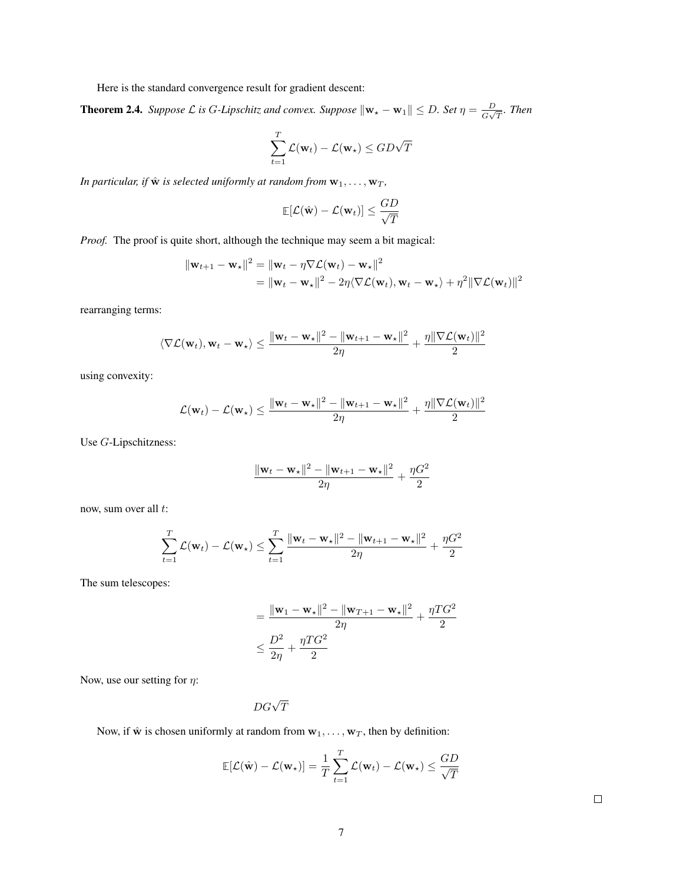Here is the standard convergence result for gradient descent:

<span id="page-6-0"></span>**Theorem 2.4.** *Suppose*  $\mathcal L$  *is* G-Lipschitz and convex. Suppose  $\|\mathbf{w}_\star - \mathbf{w}_1\| \leq D$ . Set  $\eta = \frac{D}{C}$  $\frac{D}{G\sqrt{T}}$ *.* Then

$$
\sum_{t=1}^{T} \mathcal{L}(\mathbf{w}_t) - \mathcal{L}(\mathbf{w}_\star) \le GD\sqrt{T}
$$

*In particular, if*  $\hat{\mathbf{w}}$  *is selected uniformly at random from*  $\mathbf{w}_1, \ldots, \mathbf{w}_T$ *,* 

$$
\mathop{\mathbb{E}}[\mathcal{L}(\hat{\mathbf{w}}) - \mathcal{L}(\mathbf{w}_t)] \leq \frac{GD}{\sqrt{T}}
$$

*Proof.* The proof is quite short, although the technique may seem a bit magical:

$$
\|\mathbf{w}_{t+1} - \mathbf{w}_{\star}\|^2 = \|\mathbf{w}_t - \eta \nabla \mathcal{L}(\mathbf{w}_t) - \mathbf{w}_{\star}\|^2
$$
  
= 
$$
\|\mathbf{w}_t - \mathbf{w}_{\star}\|^2 - 2\eta \langle \nabla \mathcal{L}(\mathbf{w}_t), \mathbf{w}_t - \mathbf{w}_{\star} \rangle + \eta^2 \|\nabla \mathcal{L}(\mathbf{w}_t)\|^2
$$

rearranging terms:

$$
\langle \nabla \mathcal{L}(\mathbf{w}_t), \mathbf{w}_t - \mathbf{w}_\star \rangle \leq \frac{\|\mathbf{w}_t - \mathbf{w}_\star\|^2 - \|\mathbf{w}_{t+1} - \mathbf{w}_\star\|^2}{2\eta} + \frac{\eta\|\nabla \mathcal{L}(\mathbf{w}_t)\|^2}{2}
$$

using convexity:

$$
\mathcal{L}(\mathbf{w}_t) - \mathcal{L}(\mathbf{w}_\star) \le \frac{\|\mathbf{w}_t - \mathbf{w}_\star\|^2 - \|\mathbf{w}_{t+1} - \mathbf{w}_\star\|^2}{2\eta} + \frac{\eta\|\nabla\mathcal{L}(\mathbf{w}_t)\|^2}{2}
$$

Use G-Lipschitzness:

$$
\frac{\|\mathbf{w}_t - \mathbf{w}_\star\|^2 - \|\mathbf{w}_{t+1} - \mathbf{w}_\star\|^2}{2\eta} + \frac{\eta G^2}{2}
$$

now, sum over all t:

$$
\sum_{t=1}^{T} \mathcal{L}(\mathbf{w}_t) - \mathcal{L}(\mathbf{w}_\star) \le \sum_{t=1}^{T} \frac{\|\mathbf{w}_t - \mathbf{w}_\star\|^2 - \|\mathbf{w}_{t+1} - \mathbf{w}_\star\|^2}{2\eta} + \frac{\eta G^2}{2}
$$

The sum telescopes:

$$
= \frac{\|\mathbf{w}_1 - \mathbf{w}_\star\|^2 - \|\mathbf{w}_{T+1} - \mathbf{w}_\star\|^2}{2\eta} + \frac{\eta T G^2}{2}
$$

$$
\leq \frac{D^2}{2\eta} + \frac{\eta T G^2}{2}
$$

Now, use our setting for  $\eta$ :

$$
DG\sqrt{T}
$$

Now, if  $\hat{\mathbf{w}}$  is chosen uniformly at random from  $\mathbf{w}_1, \dots, \mathbf{w}_T$ , then by definition:

$$
\mathbb{E}[\mathcal{L}(\hat{\mathbf{w}}) - \mathcal{L}(\mathbf{w}_{\star})] = \frac{1}{T} \sum_{t=1}^{T} \mathcal{L}(\mathbf{w}_t) - \mathcal{L}(\mathbf{w}_{\star}) \le \frac{GD}{\sqrt{T}}
$$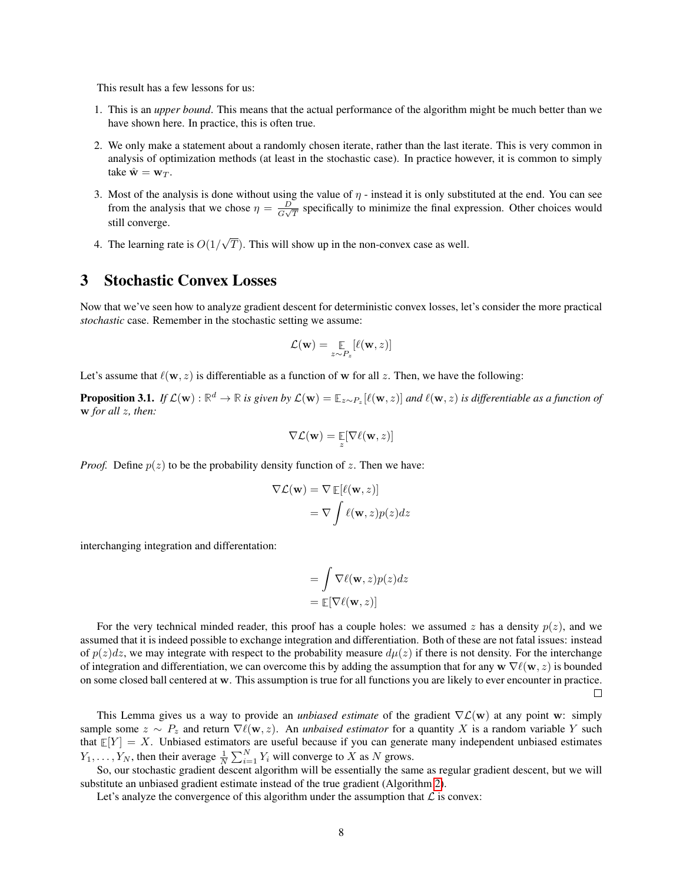This result has a few lessons for us:

- 1. This is an *upper bound*. This means that the actual performance of the algorithm might be much better than we have shown here. In practice, this is often true.
- 2. We only make a statement about a randomly chosen iterate, rather than the last iterate. This is very common in analysis of optimization methods (at least in the stochastic case). In practice however, it is common to simply take  $\hat{\mathbf{w}} = \mathbf{w}_T$ .
- 3. Most of the analysis is done without using the value of  $\eta$  instead it is only substituted at the end. You can see from the analysis that we chose  $\eta = \frac{D}{C}$  $\frac{D}{G\sqrt{T}}$  specifically to minimize the final expression. Other choices would still converge.
- 4. The learning rate is  $O(1)$ √  $T$ ). This will show up in the non-convex case as well.

## <span id="page-7-0"></span>3 Stochastic Convex Losses

Now that we've seen how to analyze gradient descent for deterministic convex losses, let's consider the more practical *stochastic* case. Remember in the stochastic setting we assume:

$$
\mathcal{L}(\mathbf{w}) = \mathop{\mathbb{E}}_{z \sim P_z} [\ell(\mathbf{w}, z)]
$$

Let's assume that  $\ell(\mathbf{w}, z)$  is differentiable as a function of w for all z. Then, we have the following:

**Proposition 3.1.** If  $\mathcal{L}(\mathbf{w}) : \mathbb{R}^d \to \mathbb{R}$  is given by  $\mathcal{L}(\mathbf{w}) = \mathbb{E}_{z \sim P_z}[\ell(\mathbf{w}, z)]$  and  $\ell(\mathbf{w}, z)$  is differentiable as a function of w *for all* z*, then:*

$$
\nabla \mathcal{L}(\mathbf{w}) = \mathop{\mathbb{E}}_{z}[\nabla \ell(\mathbf{w}, z)]
$$

*Proof.* Define  $p(z)$  to be the probability density function of z. Then we have:

$$
\nabla \mathcal{L}(\mathbf{w}) = \nabla \mathbb{E}[\ell(\mathbf{w}, z)]
$$

$$
= \nabla \int \ell(\mathbf{w}, z) p(z) dz
$$

interchanging integration and differentation:

$$
= \int \nabla \ell(\mathbf{w}, z) p(z) dz
$$

$$
= \mathbb{E}[\nabla \ell(\mathbf{w}, z)]
$$

For the very technical minded reader, this proof has a couple holes: we assumed z has a density  $p(z)$ , and we assumed that it is indeed possible to exchange integration and differentiation. Both of these are not fatal issues: instead of  $p(z)dz$ , we may integrate with respect to the probability measure  $d\mu(z)$  if there is not density. For the interchange of integration and differentiation, we can overcome this by adding the assumption that for any  $\mathbf{w} \nabla \ell(\mathbf{w}, z)$  is bounded on some closed ball centered at w. This assumption is true for all functions you are likely to ever encounter in practice.  $\Box$ 

This Lemma gives us a way to provide an *unbiased estimate* of the gradient ∇L(w) at any point w: simply sample some  $z \sim P_z$  and return  $\nabla \ell(\mathbf{w}, z)$ . An *unbaised estimator* for a quantity X is a random variable Y such that  $\mathbb{E}[Y] = X$ . Unbiased estimators are useful because if you can generate many independent unbiased estimates  $Y_1, \ldots, Y_N$ , then their average  $\frac{1}{N} \sum_{i=1}^N Y_i$  will converge to X as N grows.

So, our stochastic gradient descent algorithm will be essentially the same as regular gradient descent, but we will substitute an unbiased gradient estimate instead of the true gradient (Algorithm [2\)](#page-8-0).

Let's analyze the convergence of this algorithm under the assumption that  $\mathcal L$  is convex: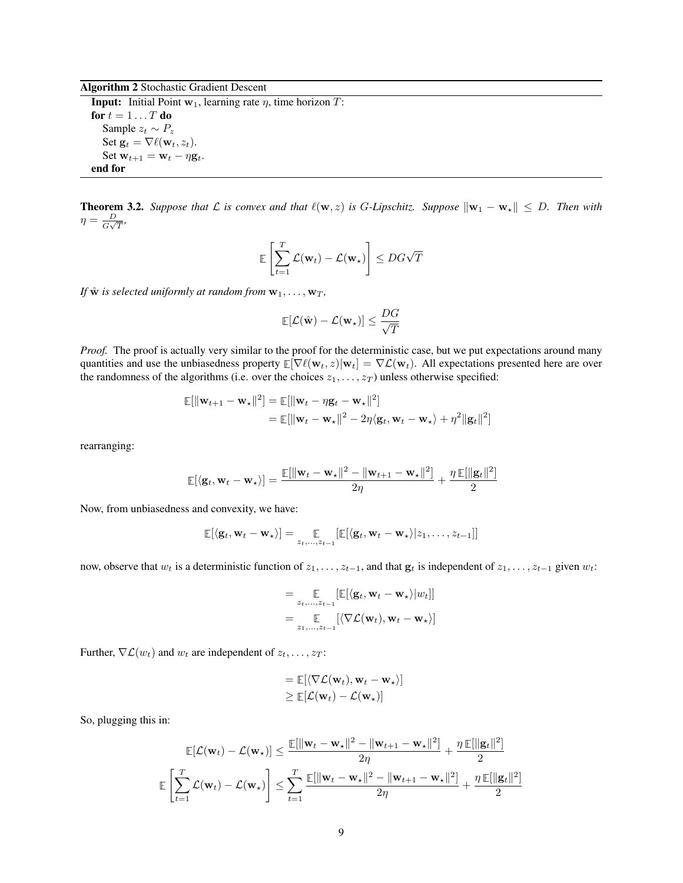#### Algorithm 2 Stochastic Gradient Descent

**Input:** Initial Point  $w_1$ , learning rate  $\eta$ , time horizon  $T$ : for  $t = 1 \dots T$  do Sample  $z_t \sim P_z$ Set  $\mathbf{g}_t = \nabla \ell(\mathbf{w}_t, z_t)$ . Set  $\mathbf{w}_{t+1} = \mathbf{w}_t - \eta \mathbf{g}_t$ . end for

<span id="page-8-1"></span><span id="page-8-0"></span>**Theorem 3.2.** *Suppose that*  $\mathcal L$  *is convex and that*  $\ell(\mathbf w, z)$  *is* G-Lipschitz. Suppose  $\|\mathbf w_1 - \mathbf w_*\|$  ≤ D. Then with  $\eta = \frac{D}{C}$  $\frac{D}{G\sqrt{T}},$ 

$$
\mathbb{E}\left[\sum_{t=1}^T \mathcal{L}(\mathbf{w}_t) - \mathcal{L}(\mathbf{w}_\star)\right] \le DG\sqrt{T}
$$

*If*  $\hat{\mathbf{w}}$  *is selected uniformly at random from*  $\mathbf{w}_1, \dots, \mathbf{w}_T$ *,* 

$$
\mathop{\mathbb{E}}[\mathcal{L}(\hat{\mathbf{w}}) - \mathcal{L}(\mathbf{w}_\star)] \leq \frac{DG}{\sqrt{T}}
$$

*Proof.* The proof is actually very similar to the proof for the deterministic case, but we put expectations around many quantities and use the unbiasedness property  $\mathbb{E}[\nabla \ell(\mathbf{w}_t, z)|\mathbf{w}_t] = \nabla \mathcal{L}(\mathbf{w}_t)$ . All expectations presented here are over the randomness of the algorithms (i.e. over the choices  $z_1, \ldots, z_T$ ) unless otherwise specified:

$$
\mathbb{E}[\|\mathbf{w}_{t+1} - \mathbf{w}_{\star}\|^2] = \mathbb{E}[\|\mathbf{w}_t - \eta \mathbf{g}_t - \mathbf{w}_{\star}\|^2]
$$
  
= 
$$
\mathbb{E}[\|\mathbf{w}_t - \mathbf{w}_{\star}\|^2 - 2\eta \langle \mathbf{g}_t, \mathbf{w}_t - \mathbf{w}_{\star} \rangle + \eta^2 \|\mathbf{g}_t\|^2]
$$

rearranging:

$$
\mathbb{E}[\langle \mathbf{g}_t, \mathbf{w}_t - \mathbf{w}_\star \rangle] = \frac{\mathbb{E}[\|\mathbf{w}_t - \mathbf{w}_\star\|^2 - \|\mathbf{w}_{t+1} - \mathbf{w}_\star\|^2]}{2\eta} + \frac{\eta \mathbb{E}[\|\mathbf{g}_t\|^2]}{2}
$$

Now, from unbiasedness and convexity, we have:

$$
\mathbb{E}[\langle \mathbf{g}_t, \mathbf{w}_t - \mathbf{w}_\star \rangle] = \mathop{\mathbb{E}}_{z_t, ..., z_{t-1}}[\mathbb{E}[\langle \mathbf{g}_t, \mathbf{w}_t - \mathbf{w}_\star \rangle | z_1, ..., z_{t-1}]]
$$

now, observe that  $w_t$  is a deterministic function of  $z_1, \ldots, z_{t-1}$ , and that  $\mathbf{g}_t$  is independent of  $z_1, \ldots, z_{t-1}$  given  $w_t$ :

$$
= \underset{z_1,\ldots,z_{t-1}}{\mathbb{E}} [\mathbb{E}[\langle \mathbf{g}_t, \mathbf{w}_t - \mathbf{w}_\star \rangle | w_t]]
$$

$$
= \underset{z_1,\ldots,z_{t-1}}{\mathbb{E}} [\langle \nabla \mathcal{L}(\mathbf{w}_t), \mathbf{w}_t - \mathbf{w}_\star \rangle]
$$

Further,  $\nabla \mathcal{L}(w_t)$  and  $w_t$  are independent of  $z_t, \ldots, z_T$ :

$$
= \mathbb{E}[\langle \nabla \mathcal{L}(\mathbf{w}_t), \mathbf{w}_t - \mathbf{w}_\star \rangle] \geq \mathbb{E}[\mathcal{L}(\mathbf{w}_t) - \mathcal{L}(\mathbf{w}_\star)]
$$

So, plugging this in:

$$
\mathbb{E}[\mathcal{L}(\mathbf{w}_t) - \mathcal{L}(\mathbf{w}_\star)] \le \frac{\mathbb{E}[\|\mathbf{w}_t - \mathbf{w}_\star\|^2 - \|\mathbf{w}_{t+1} - \mathbf{w}_\star\|^2]}{2\eta} + \frac{\eta \mathbb{E}[\|\mathbf{g}_t\|^2]}{2}
$$

$$
\mathbb{E}\left[\sum_{t=1}^T \mathcal{L}(\mathbf{w}_t) - \mathcal{L}(\mathbf{w}_\star)\right] \le \sum_{t=1}^T \frac{\mathbb{E}[\|\mathbf{w}_t - \mathbf{w}_\star\|^2 - \|\mathbf{w}_{t+1} - \mathbf{w}_\star\|^2]}{2\eta} + \frac{\eta \mathbb{E}[\|\mathbf{g}_t\|^2]}{2}
$$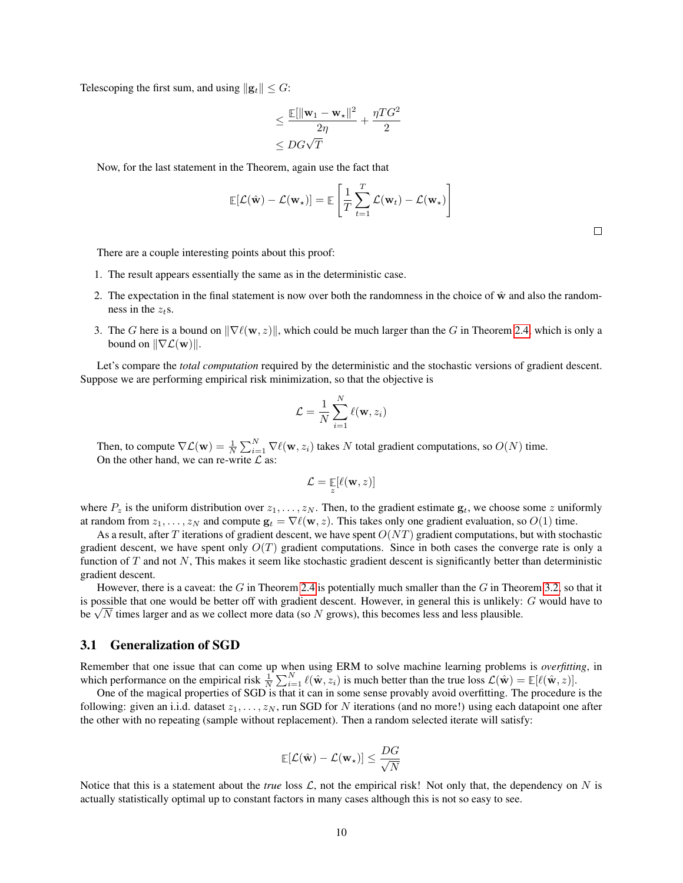Telescoping the first sum, and using  $||\mathbf{g}_t|| \leq G$ :

$$
\leq \frac{\mathbb{E}[\|\mathbf{w}_1 - \mathbf{w}_\star\|^2}{2\eta} + \frac{\eta T G^2}{2}
$$

$$
\leq DG\sqrt{T}
$$

Now, for the last statement in the Theorem, again use the fact that

$$
\mathbb{E}[\mathcal{L}(\hat{\mathbf{w}}) - \mathcal{L}(\mathbf{w}_*)] = \mathbb{E}\left[\frac{1}{T}\sum_{t=1}^T \mathcal{L}(\mathbf{w}_t) - \mathcal{L}(\mathbf{w}_*)\right]
$$

There are a couple interesting points about this proof:

- 1. The result appears essentially the same as in the deterministic case.
- 2. The expectation in the final statement is now over both the randomness in the choice of  $\hat{w}$  and also the randomness in the  $z_+$ s.
- 3. The G here is a bound on  $\|\nabla \ell(w, z)\|$ , which could be much larger than the G in Theorem [2.4,](#page-6-0) which is only a bound on  $\|\nabla \mathcal{L}(\mathbf{w})\|$ .

Let's compare the *total computation* required by the deterministic and the stochastic versions of gradient descent. Suppose we are performing empirical risk minimization, so that the objective is

$$
\mathcal{L} = \frac{1}{N} \sum_{i=1}^{N} \ell(\mathbf{w}, z_i)
$$

Then, to compute  $\nabla \mathcal{L}(\mathbf{w}) = \frac{1}{N} \sum_{i=1}^{N} \nabla \ell(\mathbf{w}, z_i)$  takes N total gradient computations, so  $O(N)$  time. On the other hand, we can re-write  $\mathcal L$  as:

$$
\mathcal{L} = \mathop{\mathbb{E}}_z[\ell(\mathbf{w},z)]
$$

where  $P_z$  is the uniform distribution over  $z_1, \ldots, z_N$ . Then, to the gradient estimate  $g_t$ , we choose some z uniformly at random from  $z_1, \ldots, z_N$  and compute  $\mathbf{g}_t = \nabla \ell(\mathbf{w}, z)$ . This takes only one gradient evaluation, so  $O(1)$  time.

As a result, after T iterations of gradient descent, we have spent  $O(NT)$  gradient computations, but with stochastic gradient descent, we have spent only  $O(T)$  gradient computations. Since in both cases the converge rate is only a function of  $T$  and not  $N$ , This makes it seem like stochastic gradient descent is significantly better than deterministic gradient descent.

However, there is a caveat: the G in Theorem [2.4](#page-6-0) is potentially much smaller than the G in Theorem [3.2,](#page-8-1) so that it is possible that one would be better off with gradient descent. However, in general this is unlikely: G would have to is possible that one would be better off with gradient descent. However, in general this is unlikely:<br>be  $\sqrt{N}$  times larger and as we collect more data (so N grows), this becomes less and less plausible.

#### <span id="page-9-0"></span>3.1 Generalization of SGD

Remember that one issue that can come up when using ERM to solve machine learning problems is *overfitting*, in which performance on the empirical risk  $\frac{1}{N} \sum_{i=1}^{N} \ell(\hat{\mathbf{w}}, z_i)$  is much better than the true loss  $\mathcal{L}(\hat{\mathbf{w}}) = \mathbb{E}[\ell(\hat{\mathbf{w}}, z)].$ 

One of the magical properties of SGD is that it can in some sense provably avoid overfitting. The procedure is the following: given an i.i.d. dataset  $z_1, \ldots, z_N$ , run SGD for N iterations (and no more!) using each datapoint one after the other with no repeating (sample without replacement). Then a random selected iterate will satisfy:

$$
\mathop{\mathbb{E}}[\mathcal{L}(\hat{\mathbf{w}}) - \mathcal{L}(\mathbf{w}_\star)] \leq \frac{DG}{\sqrt{N}}
$$

Notice that this is a statement about the *true* loss  $\mathcal{L}$ , not the empirical risk! Not only that, the dependency on N is actually statistically optimal up to constant factors in many cases although this is not so easy to see.

 $\Box$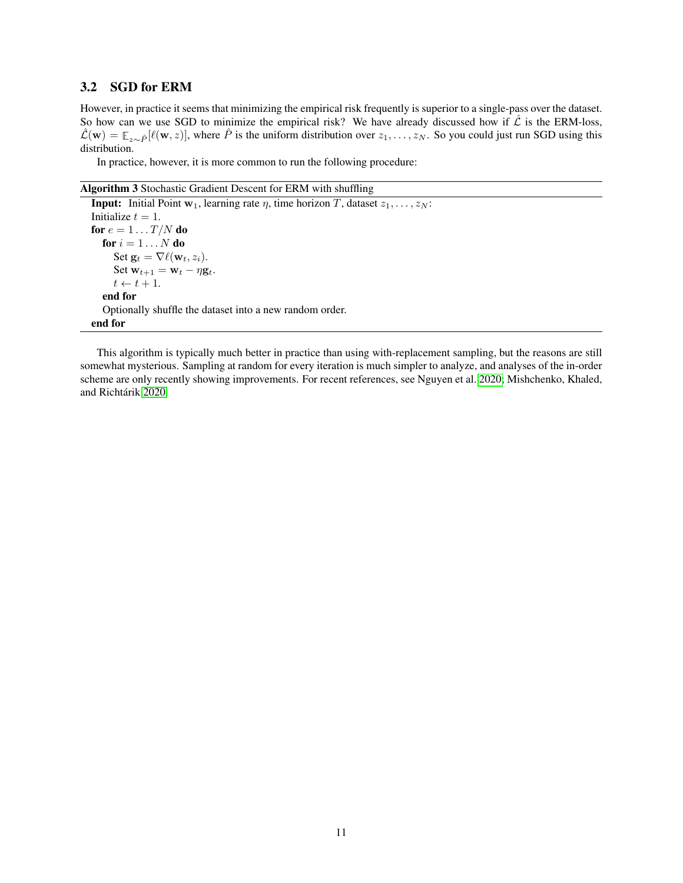#### <span id="page-10-0"></span>3.2 SGD for ERM

However, in practice it seems that minimizing the empirical risk frequently is superior to a single-pass over the dataset. So how can we use SGD to minimize the empirical risk? We have already discussed how if  $\hat{\mathcal{L}}$  is the ERM-loss,  $\hat{\mathcal{L}}(\mathbf{w}) = \mathbb{E}_{z \sim \hat{P}}[\ell(\mathbf{w}, z)]$ , where  $\hat{P}$  is the uniform distribution over  $z_1, \ldots, z_N$ . So you could just run SGD using this distribution.

In practice, however, it is more common to run the following procedure:

Algorithm 3 Stochastic Gradient Descent for ERM with shuffling

**Input:** Initial Point  $w_1$ , learning rate  $\eta$ , time horizon T, dataset  $z_1, \ldots, z_N$ : Initialize  $t = 1$ . for  $e = 1 \ldots T/N$  do for  $i = 1 \ldots N$  do Set  $\mathbf{g}_t = \nabla \ell(\mathbf{w}_t, z_i)$ . Set  $\mathbf{w}_{t+1} = \mathbf{w}_t - \eta \mathbf{g}_t$ .  $t \leftarrow t + 1.$ end for Optionally shuffle the dataset into a new random order. end for

This algorithm is typically much better in practice than using with-replacement sampling, but the reasons are still somewhat mysterious. Sampling at random for every iteration is much simpler to analyze, and analyses of the in-order scheme are only recently showing improvements. For recent references, see Nguyen et al. [2020;](#page-120-0) Mishchenko, Khaled, and Richtárik [2020.](#page-120-1)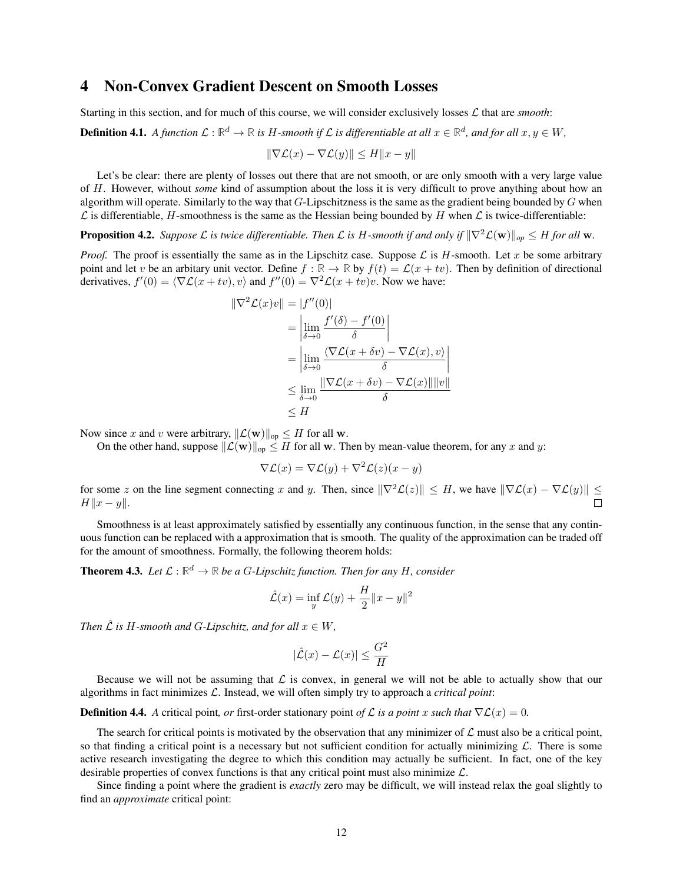## <span id="page-11-0"></span>4 Non-Convex Gradient Descent on Smooth Losses

Starting in this section, and for much of this course, we will consider exclusively losses  $\mathcal L$  that are *smooth*:

**Definition 4.1.** A function  $\mathcal{L} : \mathbb{R}^d \to \mathbb{R}$  is H-smooth if  $\mathcal{L}$  is differentiable at all  $x \in \mathbb{R}^d$ , and for all  $x, y \in W$ ,

$$
\|\nabla \mathcal{L}(x) - \nabla \mathcal{L}(y)\| \le H\|x - y\|
$$

Let's be clear: there are plenty of losses out there that are not smooth, or are only smooth with a very large value of H. However, without *some* kind of assumption about the loss it is very difficult to prove anything about how an algorithm will operate. Similarly to the way that  $G$ -Lipschitzness is the same as the gradient being bounded by  $G$  when  $\mathcal L$  is differentiable, H-smoothness is the same as the Hessian being bounded by H when  $\mathcal L$  is twice-differentiable:

**Proposition 4.2.** *Suppose*  $\mathcal L$  *is twice differentiable. Then*  $\mathcal L$  *is* H-smooth *if and only if*  $\|\nabla^2 \mathcal L(\mathbf w)\|_{op} \leq H$  *for all* w.

*Proof.* The proof is essentially the same as in the Lipschitz case. Suppose  $\mathcal L$  is H-smooth. Let x be some arbitrary point and let v be an arbitary unit vector. Define  $f : \mathbb{R} \to \mathbb{R}$  by  $f(t) = \mathcal{L}(x + tv)$ . Then by definition of directional derivatives,  $f'(0) = \langle \nabla \mathcal{L}(x + tv), v \rangle$  and  $f''(0) = \nabla^2 \mathcal{L}(x + tv)v$ . Now we have:

$$
\|\nabla^2 \mathcal{L}(x)v\| = |f''(0)|
$$
  
=  $\left| \lim_{\delta \to 0} \frac{f'(\delta) - f'(0)}{\delta} \right|$   
=  $\left| \lim_{\delta \to 0} \frac{\langle \nabla \mathcal{L}(x + \delta v) - \nabla \mathcal{L}(x), v \rangle}{\delta} \right|$   
 $\leq \lim_{\delta \to 0} \frac{\|\nabla \mathcal{L}(x + \delta v) - \nabla \mathcal{L}(x)\| \|v\|}{\delta}$   
 $\leq H$ 

Now since x and v were arbitrary,  $\|\mathcal{L}(\mathbf{w})\|_{op} \leq H$  for all w.

On the other hand, suppose  $\|\mathcal{L}(\mathbf{w})\|_{op} \leq H$  for all w. Then by mean-value theorem, for any x and y:

$$
\nabla \mathcal{L}(x) = \nabla \mathcal{L}(y) + \nabla^2 \mathcal{L}(z)(x - y)
$$

for some z on the line segment connecting x and y. Then, since  $\|\nabla^2 \mathcal{L}(z)\| \leq H$ , we have  $\|\nabla \mathcal{L}(x) - \nabla \mathcal{L}(y)\| \leq$  $H||x - y||$ .

Smoothness is at least approximately satisfied by essentially any continuous function, in the sense that any continuous function can be replaced with a approximation that is smooth. The quality of the approximation can be traded off for the amount of smoothness. Formally, the following theorem holds:

**Theorem 4.3.** Let  $\mathcal{L} : \mathbb{R}^d \to \mathbb{R}$  be a G-Lipschitz function. Then for any H, consider

$$
\hat{\mathcal{L}}(x) = \inf_{y} \mathcal{L}(y) + \frac{H}{2} ||x - y||^2
$$

*Then*  $\hat{\mathcal{L}}$  *is H*-smooth and *G*-Lipschitz, and for all  $x \in W$ ,

$$
|\hat{\mathcal{L}}(x) - \mathcal{L}(x)| \le \frac{G^2}{H}
$$

Because we will not be assuming that  $\mathcal L$  is convex, in general we will not be able to actually show that our algorithms in fact minimizes  $\mathcal{L}$ . Instead, we will often simply try to approach a *critical point*:

**Definition 4.4.** *A* critical point, *or* first-order stationary point *of*  $\mathcal L$  *is a point* x *such that*  $\nabla \mathcal L(x) = 0$ *.* 

The search for critical points is motivated by the observation that any minimizer of  $\mathcal L$  must also be a critical point, so that finding a critical point is a necessary but not sufficient condition for actually minimizing  $\mathcal{L}$ . There is some active research investigating the degree to which this condition may actually be sufficient. In fact, one of the key desirable properties of convex functions is that any critical point must also minimize L.

Since finding a point where the gradient is *exactly* zero may be difficult, we will instead relax the goal slightly to find an *approximate* critical point: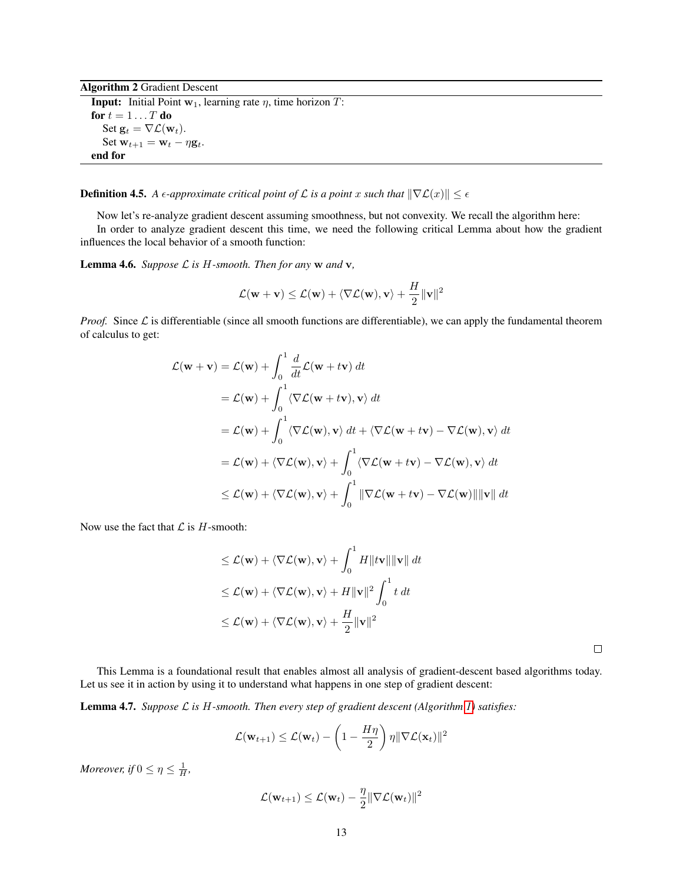Algorithm 2 Gradient Descent **Input:** Initial Point  $w_1$ , learning rate  $\eta$ , time horizon  $T$ : for  $t = 1 \dots T$  do Set  $\mathbf{g}_t = \nabla \mathcal{L}(\mathbf{w}_t)$ . Set  $\mathbf{w}_{t+1} = \mathbf{w}_t - \eta \mathbf{g}_t$ . end for

**Definition 4.5.** *A*  $\epsilon$ -approximate critical point of  $\mathcal{L}$  is a point x such that  $\|\nabla \mathcal{L}(x)\| \leq \epsilon$ 

Now let's re-analyze gradient descent assuming smoothness, but not convexity. We recall the algorithm here: In order to analyze gradient descent this time, we need the following critical Lemma about how the gradient influences the local behavior of a smooth function:

<span id="page-12-0"></span>**Lemma 4.6.** *Suppose*  $\mathcal{L}$  *is*  $H$ -smooth. Then for any  $w$  and  $v$ ,

$$
\mathcal{L}(\mathbf{w}+\mathbf{v}) \leq \mathcal{L}(\mathbf{w}) + \langle \nabla \mathcal{L}(\mathbf{w}), \mathbf{v} \rangle + \frac{H}{2} ||\mathbf{v}||^2
$$

*Proof.* Since  $\mathcal{L}$  is differentiable (since all smooth functions are differentiable), we can apply the fundamental theorem of calculus to get:

$$
\mathcal{L}(\mathbf{w} + \mathbf{v}) = \mathcal{L}(\mathbf{w}) + \int_0^1 \frac{d}{dt} \mathcal{L}(\mathbf{w} + t\mathbf{v}) dt
$$
  
\n
$$
= \mathcal{L}(\mathbf{w}) + \int_0^1 \langle \nabla \mathcal{L}(\mathbf{w} + t\mathbf{v}), \mathbf{v} \rangle dt
$$
  
\n
$$
= \mathcal{L}(\mathbf{w}) + \int_0^1 \langle \nabla \mathcal{L}(\mathbf{w}), \mathbf{v} \rangle dt + \langle \nabla \mathcal{L}(\mathbf{w} + t\mathbf{v}) - \nabla \mathcal{L}(\mathbf{w}), \mathbf{v} \rangle dt
$$
  
\n
$$
= \mathcal{L}(\mathbf{w}) + \langle \nabla \mathcal{L}(\mathbf{w}), \mathbf{v} \rangle + \int_0^1 \langle \nabla \mathcal{L}(\mathbf{w} + t\mathbf{v}) - \nabla \mathcal{L}(\mathbf{w}), \mathbf{v} \rangle dt
$$
  
\n
$$
\leq \mathcal{L}(\mathbf{w}) + \langle \nabla \mathcal{L}(\mathbf{w}), \mathbf{v} \rangle + \int_0^1 \|\nabla \mathcal{L}(\mathbf{w} + t\mathbf{v}) - \nabla \mathcal{L}(\mathbf{w})\| \|\mathbf{v}\| dt
$$

Now use the fact that  $\mathcal L$  is  $H$ -smooth:

$$
\leq \mathcal{L}(\mathbf{w}) + \langle \nabla \mathcal{L}(\mathbf{w}), \mathbf{v} \rangle + \int_0^1 H \| \mathbf{t} \mathbf{v} \| \| \mathbf{v} \| dt
$$
  
\n
$$
\leq \mathcal{L}(\mathbf{w}) + \langle \nabla \mathcal{L}(\mathbf{w}), \mathbf{v} \rangle + H \| \mathbf{v} \|^2 \int_0^1 t dt
$$
  
\n
$$
\leq \mathcal{L}(\mathbf{w}) + \langle \nabla \mathcal{L}(\mathbf{w}), \mathbf{v} \rangle + \frac{H}{2} \| \mathbf{v} \|^2
$$

 $\Box$ 

This Lemma is a foundational result that enables almost all analysis of gradient-descent based algorithms today. Let us see it in action by using it to understand what happens in one step of gradient descent:

<span id="page-12-1"></span>Lemma 4.7. *Suppose* L *is* H*-smooth. Then every step of gradient descent (Algorithm [1\)](#page-5-1) satisfies:*

$$
\mathcal{L}(\mathbf{w}_{t+1}) \leq \mathcal{L}(\mathbf{w}_t) - \left(1 - \frac{H\eta}{2}\right)\eta \|\nabla \mathcal{L}(\mathbf{x}_t)\|^2
$$

*Moreover, if*  $0 \leq \eta \leq \frac{1}{H}$ ,

$$
\mathcal{L}(\mathbf{w}_{t+1}) \leq \mathcal{L}(\mathbf{w}_t) - \frac{\eta}{2} \|\nabla \mathcal{L}(\mathbf{w}_t)\|^2
$$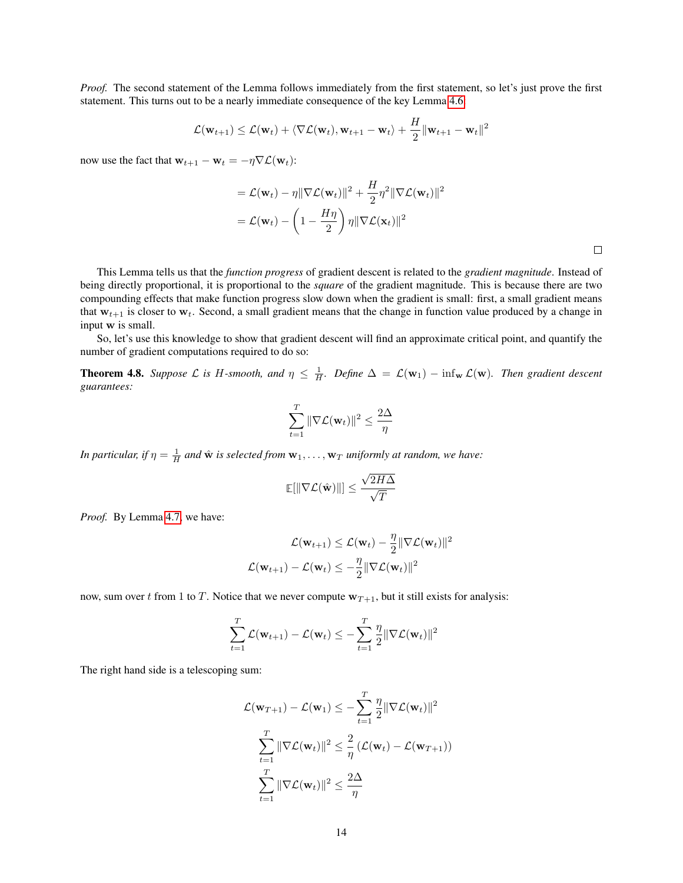*Proof.* The second statement of the Lemma follows immediately from the first statement, so let's just prove the first statement. This turns out to be a nearly immediate consequence of the key Lemma [4.6:](#page-12-0)

$$
\mathcal{L}(\mathbf{w}_{t+1}) \leq \mathcal{L}(\mathbf{w}_t) + \langle \nabla \mathcal{L}(\mathbf{w}_t), \mathbf{w}_{t+1} - \mathbf{w}_t \rangle + \frac{H}{2} ||\mathbf{w}_{t+1} - \mathbf{w}_t||^2
$$

now use the fact that  $\mathbf{w}_{t+1} - \mathbf{w}_t = -\eta \nabla \mathcal{L}(\mathbf{w}_t)$ :

$$
= \mathcal{L}(\mathbf{w}_t) - \eta \|\nabla \mathcal{L}(\mathbf{w}_t)\|^2 + \frac{H}{2} \eta^2 \|\nabla \mathcal{L}(\mathbf{w}_t)\|^2
$$

$$
= \mathcal{L}(\mathbf{w}_t) - \left(1 - \frac{H\eta}{2}\right) \eta \|\nabla \mathcal{L}(\mathbf{x}_t)\|^2
$$

 $\Box$ 

This Lemma tells us that the *function progress* of gradient descent is related to the *gradient magnitude*. Instead of being directly proportional, it is proportional to the *square* of the gradient magnitude. This is because there are two compounding effects that make function progress slow down when the gradient is small: first, a small gradient means that  $w_{t+1}$  is closer to  $w_t$ . Second, a small gradient means that the change in function value produced by a change in input w is small.

So, let's use this knowledge to show that gradient descent will find an approximate critical point, and quantify the number of gradient computations required to do so:

**Theorem 4.8.** Suppose  $\mathcal L$  is H-smooth, and  $\eta \leq \frac{1}{H}$ . Define  $\Delta = \mathcal L(\mathbf w_1) - \inf_{\mathbf w} \mathcal L(\mathbf w)$ . Then gradient descent *guarantees:*

$$
\sum_{t=1}^T \|\nabla \mathcal{L}(\mathbf{w}_t)\|^2 \leq \frac{2\Delta}{\eta}
$$

*In particular, if*  $\eta = \frac{1}{H}$  *and*  $\hat{\mathbf{w}}$  *is selected from*  $\mathbf{w}_1, \ldots, \mathbf{w}_T$  *uniformly at random, we have:* 

$$
\mathbb{E}[\|\nabla \mathcal{L}(\hat{\mathbf{w}})\|] \leq \frac{\sqrt{2H\Delta}}{\sqrt{T}}
$$

*Proof.* By Lemma [4.7,](#page-12-1) we have:

$$
\mathcal{L}(\mathbf{w}_{t+1}) \leq \mathcal{L}(\mathbf{w}_{t}) - \frac{\eta}{2} \|\nabla \mathcal{L}(\mathbf{w}_{t})\|^2
$$
  

$$
\mathcal{L}(\mathbf{w}_{t+1}) - \mathcal{L}(\mathbf{w}_{t}) \leq -\frac{\eta}{2} \|\nabla \mathcal{L}(\mathbf{w}_{t})\|^2
$$

now, sum over t from 1 to T. Notice that we never compute  $w_{T+1}$ , but it still exists for analysis:

$$
\sum_{t=1}^{T} \mathcal{L}(\mathbf{w}_{t+1}) - \mathcal{L}(\mathbf{w}_{t}) \leq -\sum_{t=1}^{T} \frac{\eta}{2} \|\nabla \mathcal{L}(\mathbf{w}_{t})\|^{2}
$$

The right hand side is a telescoping sum:

$$
\mathcal{L}(\mathbf{w}_{T+1}) - \mathcal{L}(\mathbf{w}_1) \leq -\sum_{t=1}^T \frac{\eta}{2} \|\nabla \mathcal{L}(\mathbf{w}_t)\|^2
$$

$$
\sum_{t=1}^T \|\nabla \mathcal{L}(\mathbf{w}_t)\|^2 \leq \frac{2}{\eta} \left(\mathcal{L}(\mathbf{w}_t) - \mathcal{L}(\mathbf{w}_{T+1})\right)
$$

$$
\sum_{t=1}^T \|\nabla \mathcal{L}(\mathbf{w}_t)\|^2 \leq \frac{2\Delta}{\eta}
$$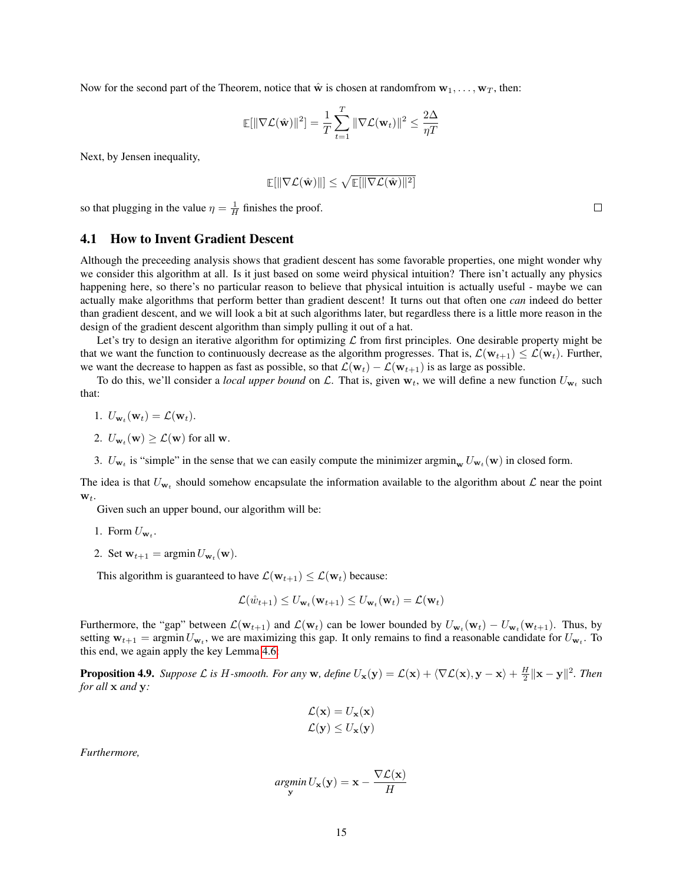Now for the second part of the Theorem, notice that  $\hat{\mathbf{w}}$  is chosen at randomfrom  $\mathbf{w}_1, \dots, \mathbf{w}_T$ , then:

$$
\mathbb{E}[\|\nabla \mathcal{L}(\hat{\mathbf{w}})\|^2] = \frac{1}{T} \sum_{t=1}^T \|\nabla \mathcal{L}(\mathbf{w}_t)\|^2 \le \frac{2\Delta}{\eta T}
$$

Next, by Jensen inequality,

$$
\mathop{\mathbb{E}}[\|\nabla \mathcal{L}(\hat{\mathbf{w}})\|] \leq \sqrt{\mathop{\mathbb{E}}[\|\nabla \mathcal{L}(\hat{\mathbf{w}})\|^2]}
$$

so that plugging in the value  $\eta = \frac{1}{H}$  finishes the proof.

#### <span id="page-14-0"></span>4.1 How to Invent Gradient Descent

Although the preceeding analysis shows that gradient descent has some favorable properties, one might wonder why we consider this algorithm at all. Is it just based on some weird physical intuition? There isn't actually any physics happening here, so there's no particular reason to believe that physical intuition is actually useful - maybe we can actually make algorithms that perform better than gradient descent! It turns out that often one *can* indeed do better than gradient descent, and we will look a bit at such algorithms later, but regardless there is a little more reason in the design of the gradient descent algorithm than simply pulling it out of a hat.

Let's try to design an iterative algorithm for optimizing  $\mathcal L$  from first principles. One desirable property might be that we want the function to continuously decrease as the algorithm progresses. That is,  $\mathcal{L}(\mathbf{w}_{t+1}) \leq \mathcal{L}(\mathbf{w}_t)$ . Further, we want the decrease to happen as fast as possible, so that  $\mathcal{L}(\mathbf{w}_t) - \mathcal{L}(\mathbf{w}_{t+1})$  is as large as possible.

To do this, we'll consider a *local upper bound* on L. That is, given  $w_t$ , we will define a new function  $U_{w_t}$  such that:

- 1.  $U_{\mathbf{w}_t}(\mathbf{w}_t) = \mathcal{L}(\mathbf{w}_t)$ .
- 2.  $U_{\mathbf{w}_t}(\mathbf{w}) \geq \mathcal{L}(\mathbf{w})$  for all  $\mathbf{w}$ .
- 3.  $U_{w_t}$  is "simple" in the sense that we can easily compute the minimizer argmin<sub>w</sub>  $U_{w_t}(w)$  in closed form.

The idea is that  $U_{w_t}$  should somehow encapsulate the information available to the algorithm about  $\mathcal L$  near the point  $\mathbf{w}_t$ .

Given such an upper bound, our algorithm will be:

- 1. Form  $U_{\mathbf{w}_t}$ .
- 2. Set  $\mathbf{w}_{t+1} = \operatorname{argmin} U_{\mathbf{w}_t}(\mathbf{w})$ .

This algorithm is guaranteed to have  $\mathcal{L}(\mathbf{w}_{t+1}) \leq \mathcal{L}(\mathbf{w}_t)$  because:

$$
\mathcal{L}(\mathring{w}_{t+1}) \leq U_{\mathbf{w}_t}(\mathbf{w}_{t+1}) \leq U_{\mathbf{w}_t}(\mathbf{w}_t) = \mathcal{L}(\mathbf{w}_t)
$$

Furthermore, the "gap" between  $\mathcal{L}(\mathbf{w}_{t+1})$  and  $\mathcal{L}(\mathbf{w}_t)$  can be lower bounded by  $U_{\mathbf{w}_t}(\mathbf{w}_t) - U_{\mathbf{w}_t}(\mathbf{w}_{t+1})$ . Thus, by setting  $w_{t+1} = \text{argmin} U_{w_t}$ , we are maximizing this gap. It only remains to find a reasonable candidate for  $U_{w_t}$ . To this end, we again apply the key Lemma [4.6:](#page-12-0)

**Proposition 4.9.** Suppose L is H-smooth. For any **w**, define  $U_x(y) = \mathcal{L}(x) + \langle \nabla \mathcal{L}(x), y - x \rangle + \frac{H}{2} ||x - y||^2$ . Then *for all* x *and* y*:*

$$
\mathcal{L}(\mathbf{x}) = U_{\mathbf{x}}(\mathbf{x})
$$
  

$$
\mathcal{L}(\mathbf{y}) \le U_{\mathbf{x}}(\mathbf{y})
$$

*Furthermore,*

$$
\underset{\mathbf{y}}{argmin} U_{\mathbf{x}}(\mathbf{y}) = \mathbf{x} - \frac{\nabla \mathcal{L}(\mathbf{x})}{H}
$$

 $\Box$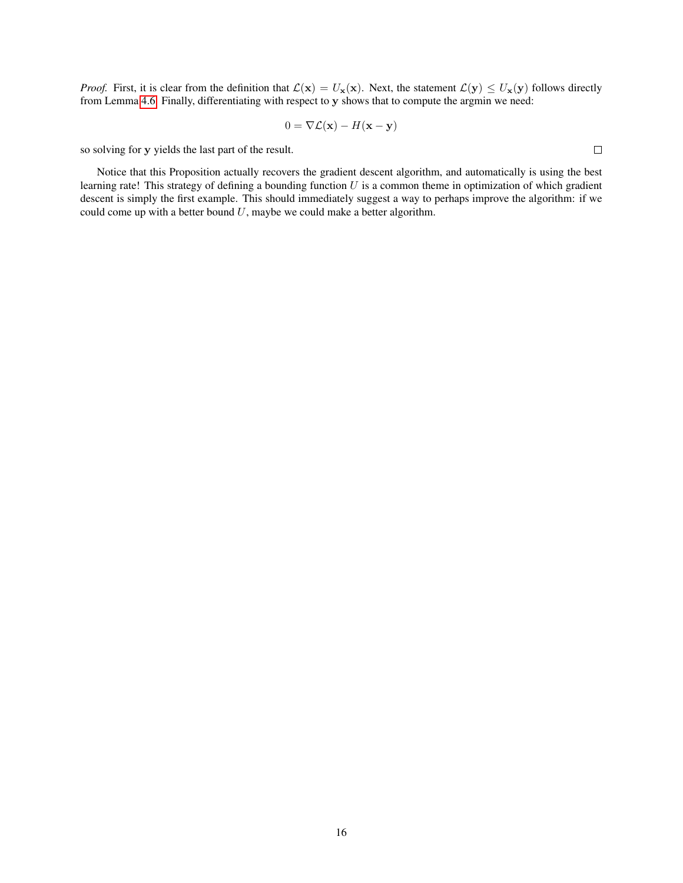*Proof.* First, it is clear from the definition that  $\mathcal{L}(\mathbf{x}) = U_{\mathbf{x}}(\mathbf{x})$ . Next, the statement  $\mathcal{L}(\mathbf{y}) \leq U_{\mathbf{x}}(\mathbf{y})$  follows directly from Lemma [4.6.](#page-12-0) Finally, differentiating with respect to y shows that to compute the argmin we need:

$$
0 = \nabla \mathcal{L}(\mathbf{x}) - H(\mathbf{x} - \mathbf{y})
$$

so solving for y yields the last part of the result.

Notice that this Proposition actually recovers the gradient descent algorithm, and automatically is using the best learning rate! This strategy of defining a bounding function  $U$  is a common theme in optimization of which gradient descent is simply the first example. This should immediately suggest a way to perhaps improve the algorithm: if we could come up with a better bound  $U$ , maybe we could make a better algorithm.

 $\Box$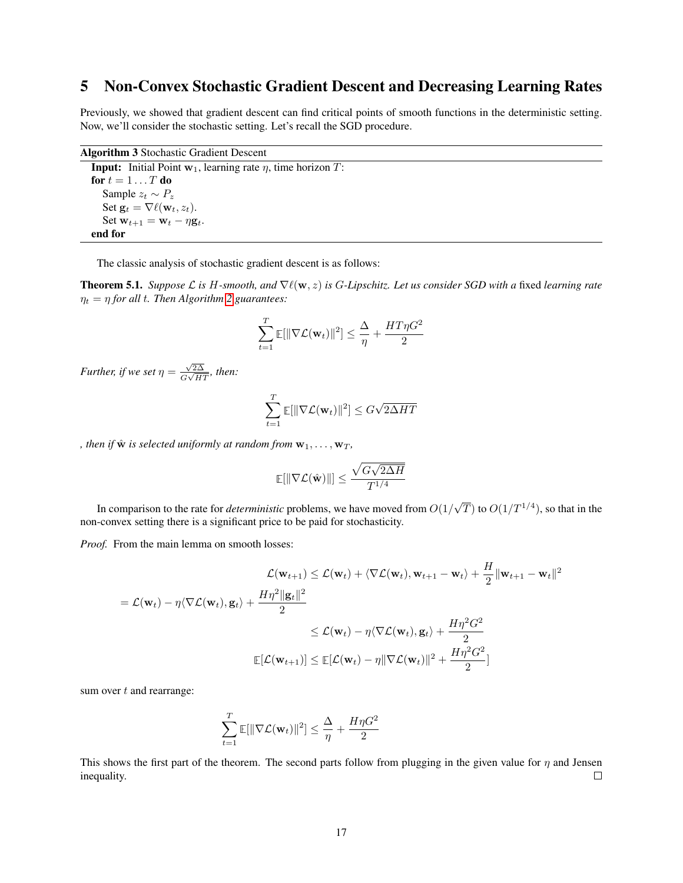## <span id="page-16-0"></span>5 Non-Convex Stochastic Gradient Descent and Decreasing Learning Rates

Previously, we showed that gradient descent can find critical points of smooth functions in the deterministic setting. Now, we'll consider the stochastic setting. Let's recall the SGD procedure.

Algorithm 3 Stochastic Gradient Descent **Input:** Initial Point  $w_1$ , learning rate  $\eta$ , time horizon  $T$ : for  $t = 1 \ldots T$  do Sample  $z_t \sim P_z$ Set  $\mathbf{g}_t = \nabla \ell(\mathbf{w}_t, z_t)$ . Set  $\mathbf{w}_{t+1} = \mathbf{w}_t - \eta \mathbf{g}_t$ . end for

The classic analysis of stochastic gradient descent is as follows:

**Theorem 5.1.** *Suppose*  $\mathcal{L}$  *is* H-smooth, and  $\nabla \ell(\mathbf{w}, z)$  *is* G-Lipschitz. Let us consider SGD with a fixed learning rate  $\eta_t = \eta$  for all t. Then Algorithm [2](#page-8-0) guarantees:

$$
\sum_{t=1}^T \mathop{\mathbb{E}}[\|\nabla \mathcal{L}(\mathbf{w}_t)\|^2] \leq \frac{\Delta}{\eta} + \frac{HT\eta G^2}{2}
$$

*Further, if we set*  $\eta = \frac{\sqrt{2\Delta}}{C\sqrt{W}}$  $\frac{\sqrt{2\Delta}}{G\sqrt{HT}}$ , then:

$$
\sum_{t=1}^{T} \mathbb{E}[\|\nabla \mathcal{L}(\mathbf{w}_t)\|^2] \leq G\sqrt{2\Delta HT}
$$

*, then if*  $\hat{\mathbf{w}}$  *is selected uniformly at random from*  $\mathbf{w}_1, \ldots, \mathbf{w}_T$ *,* 

$$
\mathbb{E}[\|\nabla \mathcal{L}(\hat{\mathbf{w}})\|] \leq \frac{\sqrt{G\sqrt{2\Delta H}}}{T^{1/4}}
$$

In comparison to the rate for *deterministic* problems, we have moved from O(1/  $\sqrt{T}$ ) to  $O(1/T^{1/4})$ , so that in the non-convex setting there is a significant price to be paid for stochasticity.

*Proof.* From the main lemma on smooth losses:

$$
\mathcal{L}(\mathbf{w}_{t+1}) \leq \mathcal{L}(\mathbf{w}_{t}) + \langle \nabla \mathcal{L}(\mathbf{w}_{t}), \mathbf{w}_{t+1} - \mathbf{w}_{t} \rangle + \frac{H}{2} ||\mathbf{w}_{t+1} - \mathbf{w}_{t}||^{2}
$$
  
\n
$$
= \mathcal{L}(\mathbf{w}_{t}) - \eta \langle \nabla \mathcal{L}(\mathbf{w}_{t}), \mathbf{g}_{t} \rangle + \frac{H\eta^{2} ||\mathbf{g}_{t}||^{2}}{2}
$$
  
\n
$$
\leq \mathcal{L}(\mathbf{w}_{t}) - \eta \langle \nabla \mathcal{L}(\mathbf{w}_{t}), \mathbf{g}_{t} \rangle + \frac{H\eta^{2} G^{2}}{2}
$$
  
\n
$$
\mathbb{E}[\mathcal{L}(\mathbf{w}_{t+1})] \leq \mathbb{E}[\mathcal{L}(\mathbf{w}_{t}) - \eta ||\nabla \mathcal{L}(\mathbf{w}_{t})||^{2} + \frac{H\eta^{2} G^{2}}{2}]
$$

sum over  $t$  and rearrange:

$$
\sum_{t=1}^{T} \mathbb{E}[\|\nabla \mathcal{L}(\mathbf{w}_t)\|^2] \leq \frac{\Delta}{\eta} + \frac{H\eta G^2}{2}
$$

This shows the first part of the theorem. The second parts follow from plugging in the given value for  $\eta$  and Jensen inequality.  $\Box$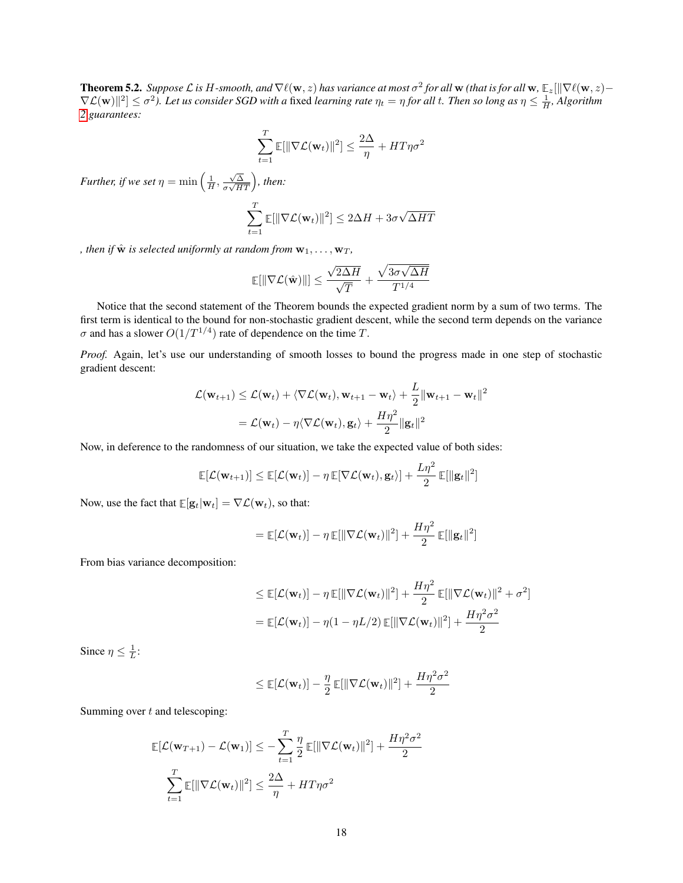<span id="page-17-0"></span>**Theorem 5.2.** Suppose L is H-smooth, and  $\nabla\ell(w,z)$  has variance at most  $\sigma^2$  for all  $w$  (that is for all  $w$ ,  $\mathbb{E}_z[\|\nabla\ell(w,z) \nabla L(w)||^2] \leq \sigma^2$ ). Let us consider SGD with a fixed learning rate  $\eta_t = \eta$  for all t. Then so long as  $\eta \leq \frac{1}{H}$ , Algorithm *[2](#page-8-0) guarantees:*

$$
\sum_{t=1}^{T} \mathbb{E}[\|\nabla \mathcal{L}(\mathbf{w}_t)\|^2] \le \frac{2\Delta}{\eta} + HT\eta\sigma^2
$$

*Further, if we set*  $\eta = \min\left(\frac{1}{H}, \frac{\sqrt{\Delta}}{\sigma\sqrt{H}}\right)$  $\frac{\sqrt{\Delta}}{\sigma\sqrt{HT}}\Big)$ , then:

$$
\sum_{t=1}^{T} \mathbb{E}[\|\nabla \mathcal{L}(\mathbf{w}_t)\|^2] \le 2\Delta H + 3\sigma \sqrt{\Delta HT}
$$

*, then if*  $\hat{\mathbf{w}}$  *is selected uniformly at random from*  $\mathbf{w}_1, \ldots, \mathbf{w}_T$ *,* 

$$
\mathbb{E}[\|\nabla \mathcal{L}(\hat{\mathbf{w}})\|] \le \frac{\sqrt{2\Delta H}}{\sqrt{T}} + \frac{\sqrt{3\sigma\sqrt{\Delta H}}}{T^{1/4}}
$$

Notice that the second statement of the Theorem bounds the expected gradient norm by a sum of two terms. The first term is identical to the bound for non-stochastic gradient descent, while the second term depends on the variance  $\sigma$  and has a slower  $O(1/T^{1/4})$  rate of dependence on the time T.

*Proof.* Again, let's use our understanding of smooth losses to bound the progress made in one step of stochastic gradient descent:

$$
\mathcal{L}(\mathbf{w}_{t+1}) \leq \mathcal{L}(\mathbf{w}_t) + \langle \nabla \mathcal{L}(\mathbf{w}_t), \mathbf{w}_{t+1} - \mathbf{w}_t \rangle + \frac{L}{2} ||\mathbf{w}_{t+1} - \mathbf{w}_t||^2
$$
  
=  $\mathcal{L}(\mathbf{w}_t) - \eta \langle \nabla \mathcal{L}(\mathbf{w}_t), \mathbf{g}_t \rangle + \frac{H\eta^2}{2} ||\mathbf{g}_t||^2$ 

Now, in deference to the randomness of our situation, we take the expected value of both sides:

$$
\mathbb{E}[\mathcal{L}(\mathbf{w}_{t+1})] \leq \mathbb{E}[\mathcal{L}(\mathbf{w}_t)] - \eta \mathbb{E}[\nabla \mathcal{L}(\mathbf{w}_t), \mathbf{g}_t]\ + \frac{L\eta^2}{2} \mathbb{E}[\|\mathbf{g}_t\|^2]
$$

Now, use the fact that  $\mathbb{E}[\mathbf{g}_t|\mathbf{w}_t] = \nabla \mathcal{L}(\mathbf{w}_t)$ , so that:

$$
= \mathbb{E}[\mathcal{L}(\mathbf{w}_t)] - \eta \mathbb{E}[\|\nabla \mathcal{L}(\mathbf{w}_t)\|^2] + \frac{H\eta^2}{2} \mathbb{E}[\|\mathbf{g}_t\|^2]
$$

From bias variance decomposition:

$$
\leq \mathbb{E}[\mathcal{L}(\mathbf{w}_t)] - \eta \mathbb{E}[\|\nabla \mathcal{L}(\mathbf{w}_t)\|^2] + \frac{H\eta^2}{2} \mathbb{E}[\|\nabla \mathcal{L}(\mathbf{w}_t)\|^2 + \sigma^2]
$$

$$
= \mathbb{E}[\mathcal{L}(\mathbf{w}_t)] - \eta(1 - \eta L/2) \mathbb{E}[\|\nabla \mathcal{L}(\mathbf{w}_t)\|^2] + \frac{H\eta^2 \sigma^2}{2}
$$

Since  $\eta \leq \frac{1}{L}$ :

$$
\leq \mathop{\mathbb{E}}[\mathcal{L}(\mathbf{w}_t)] - \frac{\eta}{2} \mathop{\mathbb{E}}[\|\nabla \mathcal{L}(\mathbf{w}_t)\|^2] + \frac{H\eta^2 \sigma^2}{2}
$$

Summing over  $t$  and telescoping:

$$
\mathbb{E}[\mathcal{L}(\mathbf{w}_{T+1}) - \mathcal{L}(\mathbf{w}_1)] \le -\sum_{t=1}^T \frac{\eta}{2} \mathbb{E}[\|\nabla \mathcal{L}(\mathbf{w}_t)\|^2] + \frac{H\eta^2 \sigma^2}{2}
$$

$$
\sum_{t=1}^T \mathbb{E}[\|\nabla \mathcal{L}(\mathbf{w}_t)\|^2] \le \frac{2\Delta}{\eta} + HT\eta \sigma^2
$$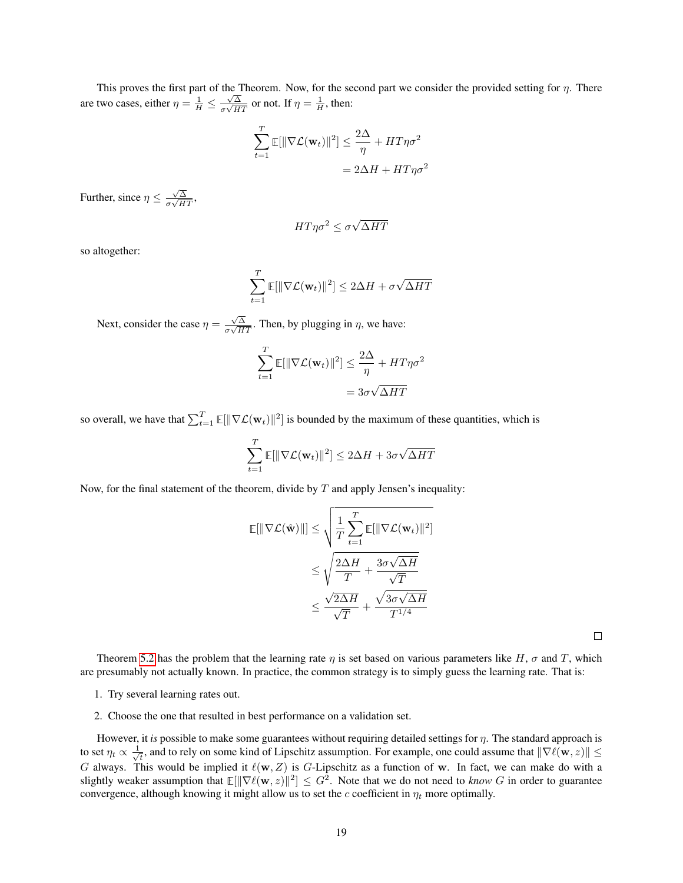This proves the first part of the Theorem. Now, for the second part we consider the provided setting for  $\eta$ . There are two cases, either  $\eta = \frac{1}{H} \leq \frac{\sqrt{\Delta}}{\sigma \sqrt{H}}$  $\frac{\sqrt{\Delta}}{\sigma\sqrt{HT}}$  or not. If  $\eta = \frac{1}{H}$ , then:

$$
\sum_{t=1}^{T} \mathbb{E}[\|\nabla \mathcal{L}(\mathbf{w}_t)\|^2] \le \frac{2\Delta}{\eta} + HT\eta\sigma^2
$$

$$
= 2\Delta H + HT\eta\sigma^2
$$

Further, since  $\eta \leq \frac{\sqrt{\Delta}}{\sqrt{U}}$  $\frac{\sqrt{\Delta}}{\sigma\sqrt{HT}},$ 

$$
HT\eta\sigma^2 \leq \sigma\sqrt{\Delta HT}
$$

so altogether:

$$
\sum_{t=1}^{T} \mathbb{E}[\|\nabla \mathcal{L}(\mathbf{w}_t)\|^2] \le 2\Delta H + \sigma \sqrt{\Delta HT}
$$

Next, consider the case  $\eta = \frac{\sqrt{\Delta}}{\pi \sqrt{\mu}}$  $\frac{\sqrt{\Delta}}{\sigma\sqrt{HT}}$ . Then, by plugging in  $\eta$ , we have:

$$
\sum_{t=1}^{T} \mathbb{E}[\|\nabla \mathcal{L}(\mathbf{w}_t)\|^2] \le \frac{2\Delta}{\eta} + HT\eta\sigma^2
$$

$$
= 3\sigma\sqrt{\Delta HT}
$$

so overall, we have that  $\sum_{t=1}^{T} \mathbb{E}[\|\nabla \mathcal{L}(\mathbf{w}_t)\|^2]$  is bounded by the maximum of these quantities, which is

$$
\sum_{t=1}^{T} \mathbb{E}[\|\nabla \mathcal{L}(\mathbf{w}_t)\|^2] \le 2\Delta H + 3\sigma \sqrt{\Delta HT}
$$

Now, for the final statement of the theorem, divide by  $T$  and apply Jensen's inequality:

$$
\mathbb{E}[\|\nabla \mathcal{L}(\hat{\mathbf{w}})\|] \leq \sqrt{\frac{1}{T} \sum_{t=1}^{T} \mathbb{E}[\|\nabla \mathcal{L}(\mathbf{w}_t)\|^2]}
$$
  

$$
\leq \sqrt{\frac{2\Delta H}{T} + \frac{3\sigma\sqrt{\Delta H}}{\sqrt{T}}}
$$
  

$$
\leq \frac{\sqrt{2\Delta H}}{\sqrt{T}} + \frac{\sqrt{3\sigma\sqrt{\Delta H}}}{T^{1/4}}
$$

 $\Box$ 

Theorem [5.2](#page-17-0) has the problem that the learning rate  $\eta$  is set based on various parameters like H,  $\sigma$  and T, which are presumably not actually known. In practice, the common strategy is to simply guess the learning rate. That is:

- 1. Try several learning rates out.
- 2. Choose the one that resulted in best performance on a validation set.

However, it *is* possible to make some guarantees without requiring detailed settings for η. The standard approach is to set  $\eta_t \propto \frac{1}{\sqrt{2}}$  $\frac{1}{\tau}$ , and to rely on some kind of Lipschitz assumption. For example, one could assume that  $\|\nabla\ell(\mathbf{w},z)\|\leq\tau$ G always. This would be implied it  $\ell(w, Z)$  is G-Lipschitz as a function of w. In fact, we can make do with a slightly weaker assumption that  $\mathbb{E}[\|\nabla \ell(w, z)\|^2] \leq G^2$ . Note that we do not need to *know* G in order to guarantee convergence, although knowing it might allow us to set the c coefficient in  $\eta_t$  more optimally.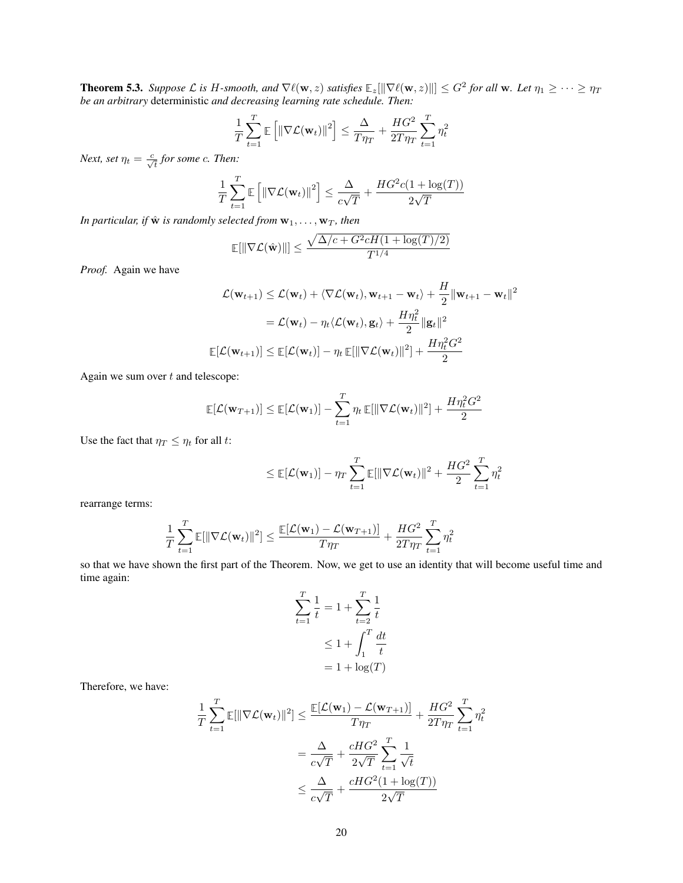**Theorem 5.3.** Suppose L is H-smooth, and  $\nabla \ell(\mathbf{w}, z)$  satisfies  $\mathbb{E}_z[\|\nabla \ell(\mathbf{w}, z)\|] \leq G^2$  for all  $\mathbf{w}$ . Let  $\eta_1 \geq \cdots \geq \eta_T$ *be an arbitrary* deterministic *and decreasing learning rate schedule. Then:*

$$
\frac{1}{T} \sum_{t=1}^{T} \mathbb{E} \left[ \left\| \nabla \mathcal{L}(\mathbf{w}_t) \right\|^2 \right] \le \frac{\Delta}{T \eta_T} + \frac{HG^2}{2T \eta_T} \sum_{t=1}^{T} \eta_t^2
$$

*Next, set*  $\eta_t = \frac{c}{\sqrt{t}}$  for some *c*. Then:

$$
\frac{1}{T} \sum_{t=1}^{T} \mathbb{E}\left[\left\|\nabla \mathcal{L}(\mathbf{w}_t)\right\|^2\right] \le \frac{\Delta}{c\sqrt{T}} + \frac{HG^2c(1+\log(T))}{2\sqrt{T}}
$$

*In particular, if*  $\hat{\mathbf{w}}$  *is randomly selected from*  $\mathbf{w}_1, \ldots, \mathbf{w}_T$ *, then* 

$$
\mathbb{E}[\|\nabla \mathcal{L}(\hat{\mathbf{w}})\|] \le \frac{\sqrt{\Delta/c + G^2 c H (1 + \log(T)/2)}}{T^{1/4}}
$$

*Proof.* Again we have

$$
\mathcal{L}(\mathbf{w}_{t+1}) \leq \mathcal{L}(\mathbf{w}_t) + \langle \nabla \mathcal{L}(\mathbf{w}_t), \mathbf{w}_{t+1} - \mathbf{w}_t \rangle + \frac{H}{2} ||\mathbf{w}_{t+1} - \mathbf{w}_t||^2
$$
  
=  $\mathcal{L}(\mathbf{w}_t) - \eta_t \langle \mathcal{L}(\mathbf{w}_t), \mathbf{g}_t \rangle + \frac{H\eta_t^2}{2} ||\mathbf{g}_t||^2$   

$$
\mathbb{E}[\mathcal{L}(\mathbf{w}_{t+1})] \leq \mathbb{E}[\mathcal{L}(\mathbf{w}_t)] - \eta_t \mathbb{E}[\|\nabla \mathcal{L}(\mathbf{w}_t)\|^2] + \frac{H\eta_t^2 G^2}{2}
$$

Again we sum over  $t$  and telescope:

$$
\mathbb{E}[\mathcal{L}(\mathbf{w}_{T+1})] \leq \mathbb{E}[\mathcal{L}(\mathbf{w}_1)] - \sum_{t=1}^T \eta_t \mathbb{E}[\|\nabla \mathcal{L}(\mathbf{w}_t)\|^2] + \frac{H\eta_t^2 G^2}{2}
$$

Use the fact that  $\eta_T \leq \eta_t$  for all t:

$$
\leq \mathop{\mathbb{E}}[\mathcal{L}(\mathbf{w}_1)] - \eta_T \sum_{t=1}^T \mathop{\mathbb{E}}[\|\nabla \mathcal{L}(\mathbf{w}_t)\|^2 + \frac{HG^2}{2} \sum_{t=1}^T \eta_t^2]
$$

rearrange terms:

$$
\frac{1}{T}\sum_{t=1}^T \mathbb{E}[\|\nabla \mathcal{L}(\mathbf{w}_t)\|^2] \le \frac{\mathbb{E}[\mathcal{L}(\mathbf{w}_1) - \mathcal{L}(\mathbf{w}_{T+1})]}{T\eta_T} + \frac{HG^2}{2T\eta_T}\sum_{t=1}^T \eta_t^2
$$

so that we have shown the first part of the Theorem. Now, we get to use an identity that will become useful time and time again:

$$
\sum_{t=1}^{T} \frac{1}{t} = 1 + \sum_{t=2}^{T} \frac{1}{t}
$$

$$
\leq 1 + \int_{1}^{T} \frac{dt}{t}
$$

$$
= 1 + \log(T)
$$

Therefore, we have:

$$
\frac{1}{T} \sum_{t=1}^{T} \mathbb{E}[\|\nabla \mathcal{L}(\mathbf{w}_t)\|^2] \le \frac{\mathbb{E}[\mathcal{L}(\mathbf{w}_1) - \mathcal{L}(\mathbf{w}_{T+1})]}{T\eta_T} + \frac{HG^2}{2T\eta_T} \sum_{t=1}^{T} \eta_t^2
$$
\n
$$
= \frac{\Delta}{c\sqrt{T}} + \frac{cHG^2}{2\sqrt{T}} \sum_{t=1}^{T} \frac{1}{\sqrt{t}}
$$
\n
$$
\le \frac{\Delta}{c\sqrt{T}} + \frac{cHG^2(1 + \log(T))}{2\sqrt{T}}
$$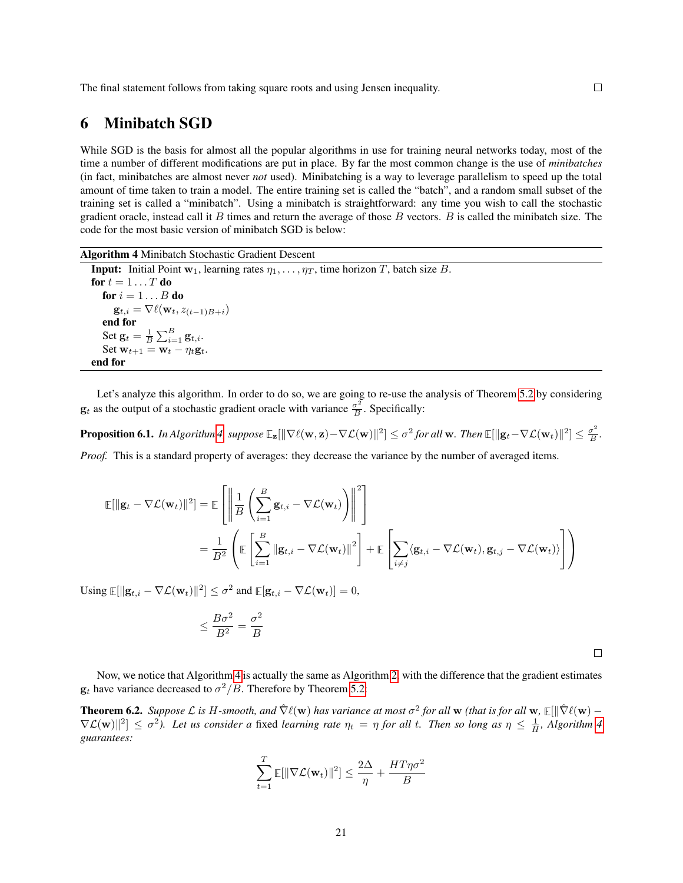The final statement follows from taking square roots and using Jensen inequality.

## <span id="page-20-0"></span>6 Minibatch SGD

While SGD is the basis for almost all the popular algorithms in use for training neural networks today, most of the time a number of different modifications are put in place. By far the most common change is the use of *minibatches* (in fact, minibatches are almost never *not* used). Minibatching is a way to leverage parallelism to speed up the total amount of time taken to train a model. The entire training set is called the "batch", and a random small subset of the training set is called a "minibatch". Using a minibatch is straightforward: any time you wish to call the stochastic gradient oracle, instead call it  $B$  times and return the average of those  $B$  vectors.  $B$  is called the minibatch size. The code for the most basic version of minibatch SGD is below:

Algorithm 4 Minibatch Stochastic Gradient Descent

<span id="page-20-1"></span>**Input:** Initial Point  $w_1$ , learning rates  $\eta_1, \ldots, \eta_T$ , time horizon T, batch size B. for  $t = 1 \ldots T$  do for  $i = 1 \dots B$  do  $\mathbf{g}_{t,i} = \nabla \ell(\mathbf{w}_t, z_{(t-1)B+i})$ end for Set  $\mathbf{g}_t = \frac{1}{B}\sum_{i=1}^B \mathbf{g}_{t,i}.$ Set  $\mathbf{w}_{t+1} = \mathbf{w}_t - \eta_t \mathbf{g}_t$ . end for

Let's analyze this algorithm. In order to do so, we are going to re-use the analysis of Theorem [5.2](#page-17-0) by considering  $\mathbf{g}_t$  as the output of a stochastic gradient oracle with variance  $\frac{\sigma^2}{B}$  $\frac{\sigma^2}{B}$ . Specifically:

 $\bf{Proposition 6.1.}$  In Algorithm [4,](#page-20-1) suppose  $\mathbb{E}_{{\bf z}}[\|\nabla \ell({\bf w},{\bf z}) - \nabla \mathcal{L}({\bf w})\|^2] \leq \sigma^2$  for all  ${\bf w}.$  Then  $\mathbb{E}[\|{\bf g}_t - \nabla \mathcal{L}({\bf w}_t)\|^2] \leq \frac{\sigma^2}{B}$  $\frac{\sigma^2}{B}$ .

*Proof.* This is a standard property of averages: they decrease the variance by the number of averaged items.

$$
\mathbb{E}[\|\mathbf{g}_t - \nabla \mathcal{L}(\mathbf{w}_t)\|^2] = \mathbb{E}\left[\left\|\frac{1}{B}\left(\sum_{i=1}^B \mathbf{g}_{t,i} - \nabla \mathcal{L}(\mathbf{w}_t)\right)\right\|^2\right]
$$
  

$$
= \frac{1}{B^2}\left(\mathbb{E}\left[\sum_{i=1}^B \|\mathbf{g}_{t,i} - \nabla \mathcal{L}(\mathbf{w}_t)\|^2\right] + \mathbb{E}\left[\sum_{i \neq j} \langle \mathbf{g}_{t,i} - \nabla \mathcal{L}(\mathbf{w}_t), \mathbf{g}_{t,j} - \nabla \mathcal{L}(\mathbf{w}_t)\rangle\right]\right)
$$

Using  $\mathbb{E}[\|\mathbf{g}_{t,i} - \nabla \mathcal{L}(\mathbf{w}_t)\|^2] \leq \sigma^2$  and  $\mathbb{E}[\mathbf{g}_{t,i} - \nabla \mathcal{L}(\mathbf{w}_t)] = 0$ ,

$$
\leq \frac{B \sigma^2}{B^2} = \frac{\sigma^2}{B}
$$

 $\Box$ 

Now, we notice that Algorithm [4](#page-20-1) is actually the same as Algorithm [2,](#page-8-0) with the difference that the gradient estimates  $\mathbf{g}_t$  have variance decreased to  $\sigma^2/B$ . Therefore by Theorem [5.2:](#page-17-0)

**Theorem 6.2.** Suppose L is H-smooth, and  $\hat{\nabla} \ell(w)$  has variance at most  $\sigma^2$  for all w (that is for all w,  $\mathbb{E}[\|\hat{\nabla}\ell(w) \nabla \mathcal{L}(\mathbf{w})^2 \leq \sigma^2$ ). Let us consider a fixed *learning rate*  $\eta_t = \eta$  for all t. Then so long as  $\eta \leq \frac{1}{H}$ , Algorithm [4](#page-20-1) *guarantees:*

$$
\sum_{t=1}^{T} \mathbb{E}[\|\nabla \mathcal{L}(\mathbf{w}_t)\|^2] \le \frac{2\Delta}{\eta} + \frac{HT\eta\sigma^2}{B}
$$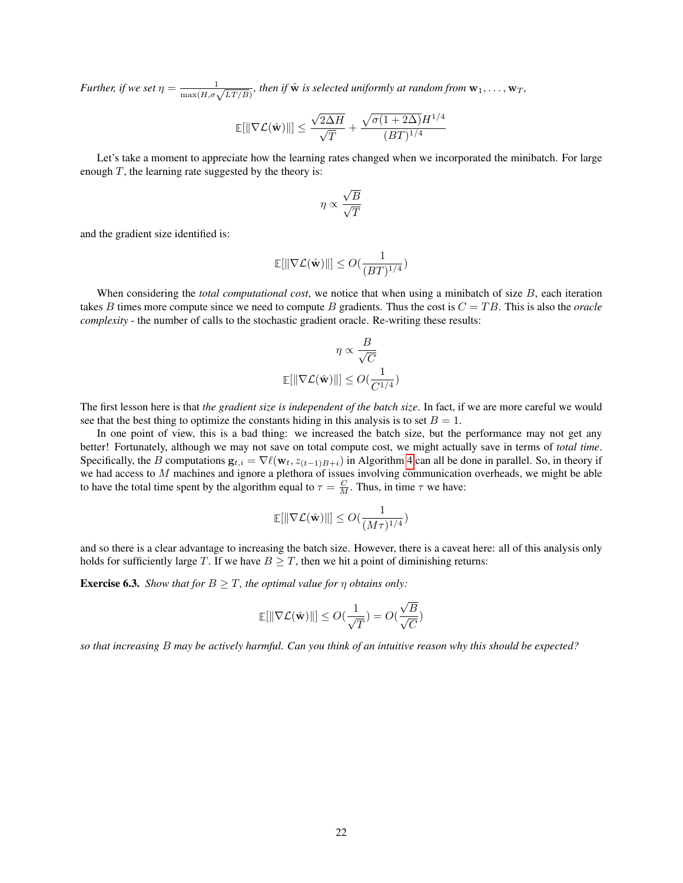*Further, if we set*  $\eta = \frac{1}{\max(H, \sigma \sqrt{LT/B})}$ , then if  $\hat{w}$  is selected uniformly at random from  $w_1, \ldots, w_T$ ,

$$
\mathbb{E}[\|\nabla \mathcal{L}(\hat{\mathbf{w}})\|] \le \frac{\sqrt{2\Delta H}}{\sqrt{T}} + \frac{\sqrt{\sigma(1+2\Delta)}H^{1/4}}{(BT)^{1/4}}
$$

Let's take a moment to appreciate how the learning rates changed when we incorporated the minibatch. For large enough  $T$ , the learning rate suggested by the theory is:

$$
\eta \propto \frac{\sqrt{B}}{\sqrt{T}}
$$

and the gradient size identified is:

$$
\mathbb{E}[\|\nabla \mathcal{L}(\hat{\mathbf{w}})\|] \leq O(\frac{1}{(BT)^{1/4}})
$$

When considering the *total computational cost*, we notice that when using a minibatch of size B, each iteration takes B times more compute since we need to compute B gradients. Thus the cost is  $C = TB$ . This is also the *oracle complexity* - the number of calls to the stochastic gradient oracle. Re-writing these results:

$$
\eta \propto \frac{B}{\sqrt{C}}
$$

$$
\mathbb{E}[\|\nabla \mathcal{L}(\hat{\mathbf{w}})\|] \le O(\frac{1}{C^{1/4}})
$$

The first lesson here is that *the gradient size is independent of the batch size*. In fact, if we are more careful we would see that the best thing to optimize the constants hiding in this analysis is to set  $B = 1$ .

In one point of view, this is a bad thing: we increased the batch size, but the performance may not get any better! Fortunately, although we may not save on total compute cost, we might actually save in terms of *total time*. Specifically, the B computations  $\mathbf{g}_{t,i} = \nabla \ell(\mathbf{w}_t, z_{(t-1)B+i})$  in Algorithm [4](#page-20-1) can all be done in parallel. So, in theory if we had access to M machines and ignore a plethora of issues involving communication overheads, we might be able to have the total time spent by the algorithm equal to  $\tau = \frac{C}{M}$ . Thus, in time  $\tau$  we have:

$$
\mathbb{E}[\|\nabla \mathcal{L}(\hat{\mathbf{w}})\|] \leq O(\frac{1}{(M\tau)^{1/4}})
$$

and so there is a clear advantage to increasing the batch size. However, there is a caveat here: all of this analysis only holds for sufficiently large T. If we have  $B \geq T$ , then we hit a point of diminishing returns:

**Exercise 6.3.** *Show that for*  $B \geq T$ *, the optimal value for*  $\eta$  *obtains only:* 

$$
\mathbb{E}[\|\nabla \mathcal{L}(\hat{\mathbf{w}})\|] \leq O(\frac{1}{\sqrt{T}}) = O(\frac{\sqrt{B}}{\sqrt{C}})
$$

*so that increasing* B *may be actively harmful. Can you think of an intuitive reason why this should be expected?*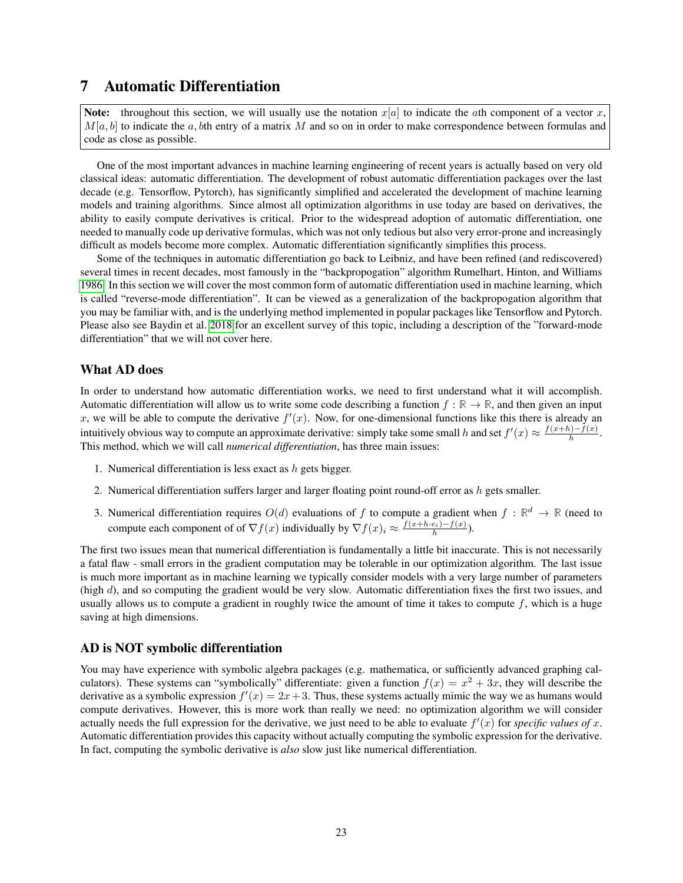## <span id="page-22-0"></span>7 Automatic Differentiation

Note: throughout this section, we will usually use the notation  $x[a]$  to indicate the ath component of a vector x,  $M[a, b]$  to indicate the a, bth entry of a matrix M and so on in order to make correspondence between formulas and code as close as possible.

One of the most important advances in machine learning engineering of recent years is actually based on very old classical ideas: automatic differentiation. The development of robust automatic differentiation packages over the last decade (e.g. Tensorflow, Pytorch), has significantly simplified and accelerated the development of machine learning models and training algorithms. Since almost all optimization algorithms in use today are based on derivatives, the ability to easily compute derivatives is critical. Prior to the widespread adoption of automatic differentiation, one needed to manually code up derivative formulas, which was not only tedious but also very error-prone and increasingly difficult as models become more complex. Automatic differentiation significantly simplifies this process.

Some of the techniques in automatic differentiation go back to Leibniz, and have been refined (and rediscovered) several times in recent decades, most famously in the "backpropogation" algorithm Rumelhart, Hinton, and Williams [1986.](#page-120-2) In this section we will cover the most common form of automatic differentiation used in machine learning, which is called "reverse-mode differentiation". It can be viewed as a generalization of the backpropogation algorithm that you may be familiar with, and is the underlying method implemented in popular packages like Tensorflow and Pytorch. Please also see Baydin et al. [2018](#page-120-3) for an excellent survey of this topic, including a description of the "forward-mode differentiation" that we will not cover here.

#### What AD does

In order to understand how automatic differentiation works, we need to first understand what it will accomplish. Automatic differentiation will allow us to write some code describing a function  $f : \mathbb{R} \to \mathbb{R}$ , and then given an input x, we will be able to compute the derivative  $f'(x)$ . Now, for one-dimensional functions like this there is already an intuitively obvious way to compute an approximate derivative: simply take some small h and set  $f'(x) \approx \frac{f(x+h)-f(x)}{h}$  $\frac{a_{j-1}(x)}{h}$ . This method, which we will call *numerical differentiation*, has three main issues:

- 1. Numerical differentiation is less exact as  $h$  gets bigger.
- 2. Numerical differentiation suffers larger and larger floating point round-off error as  $h$  gets smaller.
- 3. Numerical differentiation requires  $O(d)$  evaluations of f to compute a gradient when  $f : \mathbb{R}^d \to \mathbb{R}$  (need to compute each component of of  $\nabla f(x)$  individually by  $\nabla f(x)_i \approx \frac{f(x+h \cdot e_i) - f(x)}{h}$ .

The first two issues mean that numerical differentiation is fundamentally a little bit inaccurate. This is not necessarily a fatal flaw - small errors in the gradient computation may be tolerable in our optimization algorithm. The last issue is much more important as in machine learning we typically consider models with a very large number of parameters (high d), and so computing the gradient would be very slow. Automatic differentiation fixes the first two issues, and usually allows us to compute a gradient in roughly twice the amount of time it takes to compute  $f$ , which is a huge saving at high dimensions.

### AD is NOT symbolic differentiation

You may have experience with symbolic algebra packages (e.g. mathematica, or sufficiently advanced graphing calculators). These systems can "symbolically" differentiate: given a function  $f(x) = x^2 + 3x$ , they will describe the derivative as a symbolic expression  $f'(x) = 2x + 3$ . Thus, these systems actually mimic the way we as humans would compute derivatives. However, this is more work than really we need: no optimization algorithm we will consider actually needs the full expression for the derivative, we just need to be able to evaluate  $f'(x)$  for *specific values of* x. Automatic differentiation provides this capacity without actually computing the symbolic expression for the derivative. In fact, computing the symbolic derivative is *also* slow just like numerical differentiation.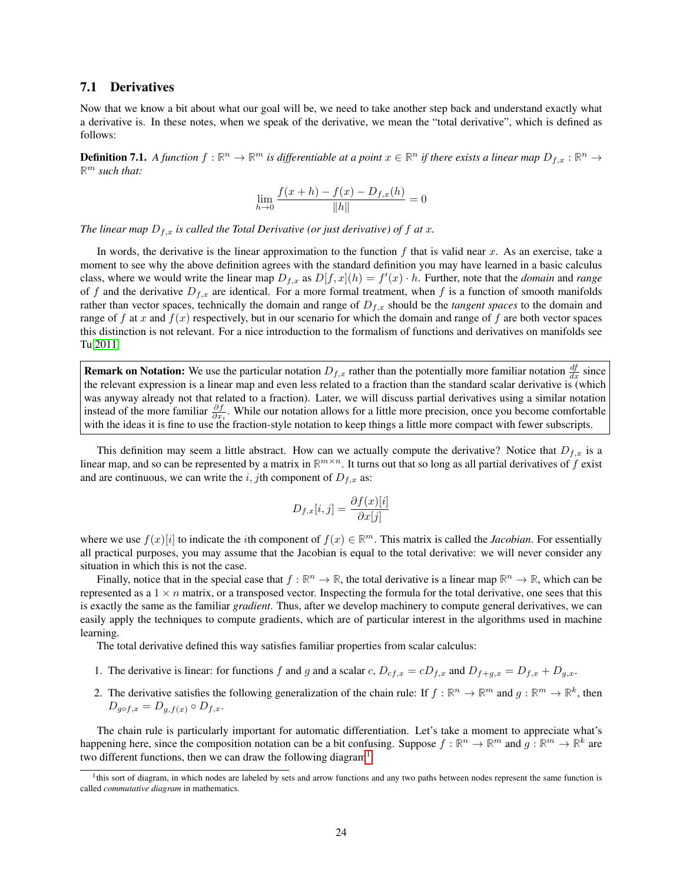#### <span id="page-23-0"></span>7.1 Derivatives

Now that we know a bit about what our goal will be, we need to take another step back and understand exactly what a derivative is. In these notes, when we speak of the derivative, we mean the "total derivative", which is defined as follows:

**Definition 7.1.** A function  $f:\mathbb{R}^n\to\mathbb{R}^m$  is differentiable at a point  $x\in\mathbb{R}^n$  if there exists a linear map  $D_{f,x}:\mathbb{R}^n\to$ **R** <sup>m</sup> *such that:*

$$
\lim_{h \to 0} \frac{f(x+h) - f(x) - D_{f,x}(h)}{\|h\|} = 0
$$

*The linear map*  $D_{f,x}$  *is called the Total Derivative (or just derivative) of f at x.* 

In words, the derivative is the linear approximation to the function  $f$  that is valid near  $x$ . As an exercise, take a moment to see why the above definition agrees with the standard definition you may have learned in a basic calculus class, where we would write the linear map  $D_{f,x}$  as  $D[f,x](h) = f'(x) \cdot h$ . Further, note that the *domain* and *range* of f and the derivative  $D_{f,x}$  are identical. For a more formal treatment, when f is a function of smooth manifolds rather than vector spaces, technically the domain and range of  $D_{f,x}$  should be the *tangent spaces* to the domain and range of f at x and  $f(x)$  respectively, but in our scenario for which the domain and range of f are both vector spaces this distinction is not relevant. For a nice introduction to the formalism of functions and derivatives on manifolds see Tu [2011.](#page-120-4)

**Remark on Notation:** We use the particular notation  $D_{f,x}$  rather than the potentially more familiar notation  $\frac{df}{dx}$  since the relevant expression is a linear map and even less related to a fraction than the standard scalar derivative is (which was anyway already not that related to a fraction). Later, we will discuss partial derivatives using a similar notation instead of the more familiar  $\frac{\partial f}{\partial x_i}$ . While our notation allows for a little more precision, once you become comfortable with the ideas it is fine to use the fraction-style notation to keep things a little more compact with fewer subscripts.

This definition may seem a little abstract. How can we actually compute the derivative? Notice that  $D_{f,x}$  is a linear map, and so can be represented by a matrix in  $\mathbb{R}^{m \times n}$ . It turns out that so long as all partial derivatives of f exist and are continuous, we can write the i, jth component of  $D_{f,x}$  as:

$$
D_{f,x}[i,j] = \frac{\partial f(x)[i]}{\partial x[j]}
$$

where we use  $f(x)[i]$  to indicate the *i*th component of  $f(x) \in \mathbb{R}^m$ . This matrix is called the *Jacobian*. For essentially all practical purposes, you may assume that the Jacobian is equal to the total derivative: we will never consider any situation in which this is not the case.

Finally, notice that in the special case that  $f : \mathbb{R}^n \to \mathbb{R}$ , the total derivative is a linear map  $\mathbb{R}^n \to \mathbb{R}$ , which can be represented as a  $1 \times n$  matrix, or a transposed vector. Inspecting the formula for the total derivative, one sees that this is exactly the same as the familiar *gradient*. Thus, after we develop machinery to compute general derivatives, we can easily apply the techniques to compute gradients, which are of particular interest in the algorithms used in machine learning.

The total derivative defined this way satisfies familiar properties from scalar calculus:

- 1. The derivative is linear: for functions f and g and a scalar c,  $D_{cf,x} = cD_{f,x}$  and  $D_{f+g,x} = D_{f,x} + D_{g,x}$ .
- 2. The derivative satisfies the following generalization of the chain rule: If  $f : \mathbb{R}^n \to \mathbb{R}^m$  and  $g : \mathbb{R}^m \to \mathbb{R}^k$ , then  $D_{q\circ f,x} = D_{q,f(x)} \circ D_{f,x}.$

The chain rule is particularly important for automatic differentiation. Let's take a moment to appreciate what's happening here, since the composition notation can be a bit confusing. Suppose  $f : \mathbb{R}^n \to \mathbb{R}^m$  and  $g : \mathbb{R}^m \to \mathbb{R}^k$  are two different functions, then we can draw the following diagram<sup>[1](#page-23-1)</sup>:

<span id="page-23-1"></span><sup>&</sup>lt;sup>1</sup>this sort of diagram, in which nodes are labeled by sets and arrow functions and any two paths between nodes represent the same function is called *commutative diagram* in mathematics.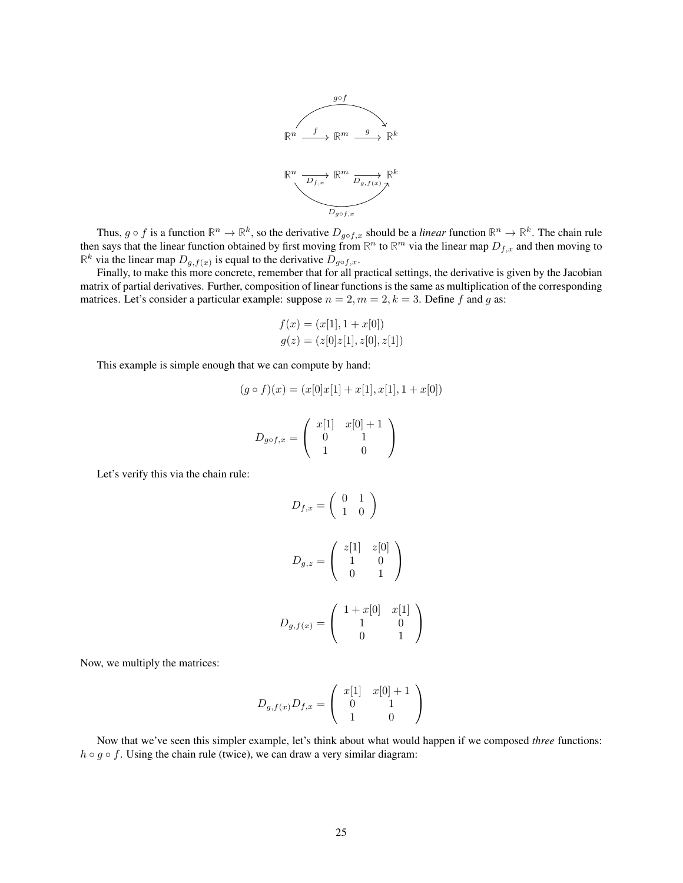

Thus,  $g \circ f$  is a function  $\mathbb{R}^n \to \mathbb{R}^k$ , so the derivative  $D_{g \circ f,x}$  should be a *linear* function  $\mathbb{R}^n \to \mathbb{R}^k$ . The chain rule then says that the linear function obtained by first moving from  $\mathbb{R}^n$  to  $\mathbb{R}^m$  via the linear map  $D_{f,x}$  and then moving to  $\mathbb{R}^k$  via the linear map  $D_{g,f(x)}$  is equal to the derivative  $D_{g \circ f,x}$ .

Finally, to make this more concrete, remember that for all practical settings, the derivative is given by the Jacobian matrix of partial derivatives. Further, composition of linear functions is the same as multiplication of the corresponding matrices. Let's consider a particular example: suppose  $n = 2, m = 2, k = 3$ . Define f and g as:

$$
f(x) = (x[1], 1 + x[0])
$$
  

$$
g(z) = (z[0]z[1], z[0], z[1])
$$

This example is simple enough that we can compute by hand:

$$
(g \circ f)(x) = (x[0]x[1] + x[1], x[1], 1 + x[0])
$$

$$
D_{g \circ f, x} = \begin{pmatrix} x[1] & x[0] + 1 \\ 0 & 1 \\ 1 & 0 \end{pmatrix}
$$

Let's verify this via the chain rule:

$$
D_{f,x} = \begin{pmatrix} 0 & 1 \\ 1 & 0 \end{pmatrix}
$$

$$
D_{g,z} = \begin{pmatrix} z[1] & z[0] \\ 1 & 0 \\ 0 & 1 \end{pmatrix}
$$

$$
D_{g,f(x)} = \begin{pmatrix} 1 + x[0] & x[1] \\ 1 & 0 \\ 0 & 1 \end{pmatrix}
$$

 $\setminus$  $\overline{1}$ 

Now, we multiply the matrices:

$$
D_{g,f(x)}D_{f,x} = \left(\begin{array}{cc} x[1] & x[0]+1 \\ 0 & 1 \\ 1 & 0 \end{array}\right)
$$

Now that we've seen this simpler example, let's think about what would happen if we composed *three* functions:  $h \circ g \circ f$ . Using the chain rule (twice), we can draw a very similar diagram: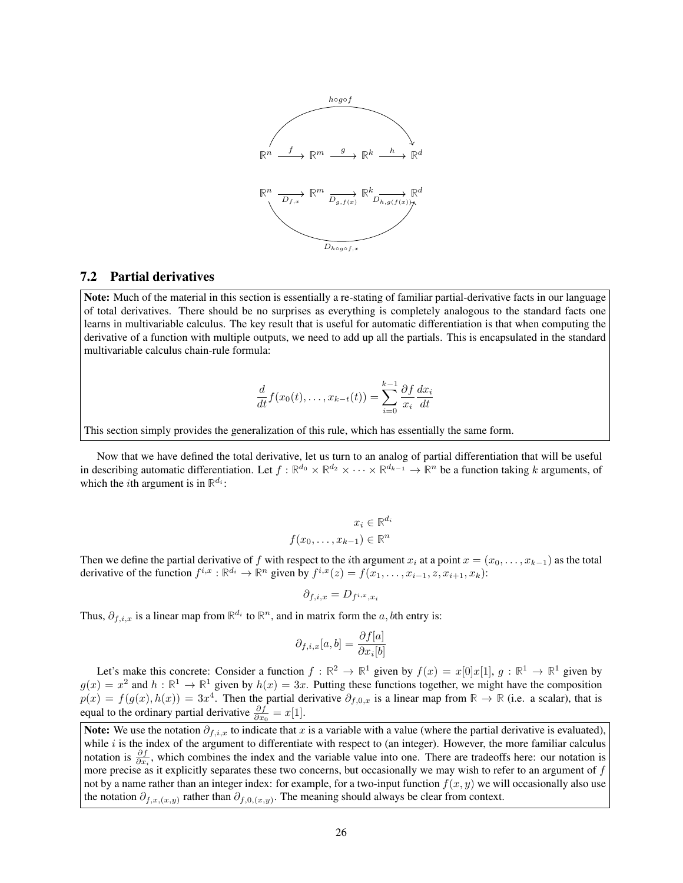

#### <span id="page-25-0"></span>7.2 Partial derivatives

Note: Much of the material in this section is essentially a re-stating of familiar partial-derivative facts in our language of total derivatives. There should be no surprises as everything is completely analogous to the standard facts one learns in multivariable calculus. The key result that is useful for automatic differentiation is that when computing the derivative of a function with multiple outputs, we need to add up all the partials. This is encapsulated in the standard multivariable calculus chain-rule formula:

$$
\frac{d}{dt}f(x_0(t),\ldots,x_{k-t}(t)) = \sum_{i=0}^{k-1} \frac{\partial f}{x_i} \frac{dx_i}{dt}
$$

This section simply provides the generalization of this rule, which has essentially the same form.

Now that we have defined the total derivative, let us turn to an analog of partial differentiation that will be useful in describing automatic differentiation. Let  $f : \mathbb{R}^{d_0} \times \mathbb{R}^{d_2} \times \cdots \times \mathbb{R}^{d_{k-1}} \to \mathbb{R}^n$  be a function taking k arguments, of which the *i*th argument is in  $\mathbb{R}^{d_i}$ :

$$
x_i \in \mathbb{R}^{d_i}
$$

$$
f(x_0, \dots, x_{k-1}) \in \mathbb{R}^n
$$

Then we define the partial derivative of f with respect to the *i*th argument  $x_i$  at a point  $x = (x_0, \ldots, x_{k-1})$  as the total derivative of the function  $f^{i,x}: \mathbb{R}^{d_i} \to \mathbb{R}^n$  given by  $f^{i,x}(z) = f(x_1, \ldots, x_{i-1}, z, x_{i+1}, x_k)$ :

$$
\partial_{f,i,x}=D_{f^{i,x},x_i}
$$

Thus,  $\partial_{f,i,x}$  is a linear map from  $\mathbb{R}^{d_i}$  to  $\mathbb{R}^n$ , and in matrix form the a, bth entry is:

$$
\partial_{f,i,x}[a,b] = \frac{\partial f[a]}{\partial x_i[b]}
$$

Let's make this concrete: Consider a function  $f : \mathbb{R}^2 \to \mathbb{R}^1$  given by  $f(x) = x[0]x[1], g : \mathbb{R}^1 \to \mathbb{R}^1$  given by  $g(x) = x^2$  and  $h : \mathbb{R}^1 \to \mathbb{R}^1$  given by  $h(x) = 3x$ . Putting these functions together, we might have the composition  $p(x) = f(g(x), h(x)) = 3x^4$ . Then the partial derivative  $\partial_{f,0,x}$  is a linear map from  $\mathbb{R} \to \mathbb{R}$  (i.e. a scalar), that is equal to the ordinary partial derivative  $\frac{\partial f}{\partial x_0} = x[1]$ .

Note: We use the notation  $\partial_{f,i,x}$  to indicate that x is a variable with a value (where the partial derivative is evaluated), while  $i$  is the index of the argument to differentiate with respect to (an integer). However, the more familiar calculus notation is  $\frac{\partial f}{\partial x_i}$ , which combines the index and the variable value into one. There are tradeoffs here: our notation is more precise as it explicitly separates these two concerns, but occasionally we may wish to refer to an argument of f not by a name rather than an integer index: for example, for a two-input function  $f(x, y)$  we will occasionally also use the notation  $\partial_{f,x,(x,y)}$  rather than  $\partial_{f,0,(x,y)}$ . The meaning should always be clear from context.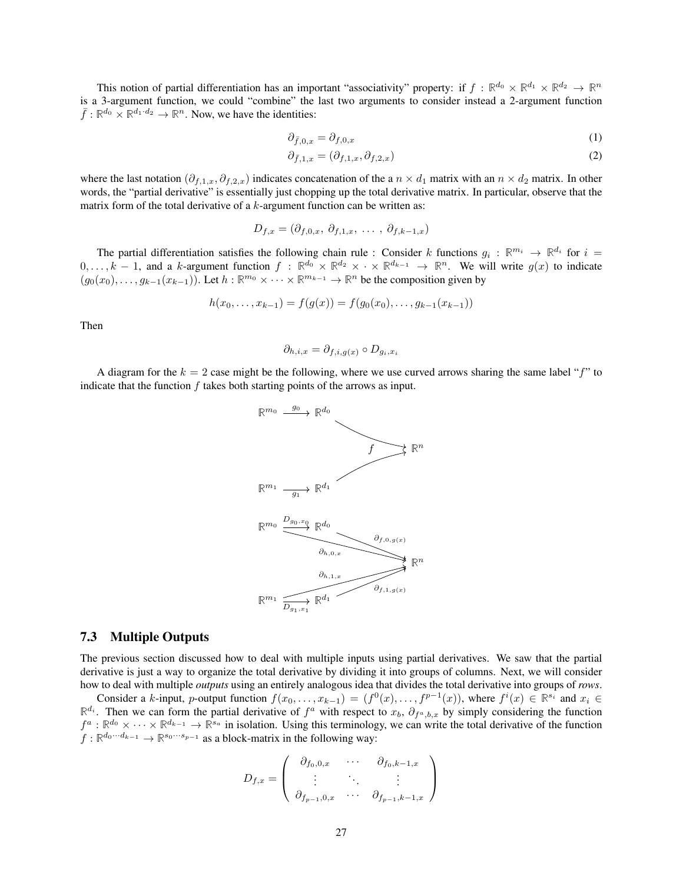This notion of partial differentiation has an important "associativity" property: if  $f : \mathbb{R}^{d_0} \times \mathbb{R}^{d_1} \times \mathbb{R}^{d_2} \to \mathbb{R}^n$ is a 3-argument function, we could "combine" the last two arguments to consider instead a 2-argument function  $\overline{f}$ :  $\mathbb{R}^{d_0} \times \mathbb{R}^{d_1 \cdot d_2} \to \mathbb{R}^n$ . Now, we have the identities:

$$
\partial_{\bar{f},0,x} = \partial_{f,0,x} \tag{1}
$$

$$
\partial_{\bar{f},1,x} = (\partial_{f,1,x}, \partial_{f,2,x}) \tag{2}
$$

where the last notation  $(\partial_{f,1,x}, \partial_{f,2,x})$  indicates concatenation of the a  $n \times d_1$  matrix with an  $n \times d_2$  matrix. In other words, the "partial derivative" is essentially just chopping up the total derivative matrix. In particular, observe that the matrix form of the total derivative of a  $k$ -argument function can be written as:

$$
D_{f,x} = (\partial_{f,0,x}, \, \partial_{f,1,x}, \, \ldots, \, \partial_{f,k-1,x})
$$

The partial differentiation satisfies the following chain rule : Consider k functions  $g_i : \mathbb{R}^{m_i} \to \mathbb{R}^{d_i}$  for  $i =$ 0, ..., k − 1, and a k-argument function  $f : \mathbb{R}^{d_0} \times \mathbb{R}^{d_2} \times \cdots \times \mathbb{R}^{d_{k-1}} \to \mathbb{R}^n$ . We will write  $g(x)$  to indicate  $(g_0(x_0), \ldots, g_{k-1}(x_{k-1}))$ . Let  $h : \mathbb{R}^{m_0} \times \cdots \times \mathbb{R}^{m_{k-1}} \to \mathbb{R}^n$  be the composition given by

$$
h(x_0, \ldots, x_{k-1}) = f(g(x)) = f(g_0(x_0), \ldots, g_{k-1}(x_{k-1}))
$$

Then

$$
\partial_{h,i,x} = \partial_{f,i,g(x)} \circ D_{g_i,x_i}
$$

A diagram for the  $k = 2$  case might be the following, where we use curved arrows sharing the same label "f" to indicate that the function  $f$  takes both starting points of the arrows as input.



#### <span id="page-26-0"></span>7.3 Multiple Outputs

The previous section discussed how to deal with multiple inputs using partial derivatives. We saw that the partial derivative is just a way to organize the total derivative by dividing it into groups of columns. Next, we will consider how to deal with multiple *outputs* using an entirely analogous idea that divides the total derivative into groups of *rows*.

Consider a k-input, p-output function  $f(x_0, \ldots, x_{k-1}) = (f^0(x), \ldots, f^{p-1}(x))$ , where  $f^i(x) \in \mathbb{R}^{s_i}$  and  $x_i \in$  $\mathbb{R}^{d_i}$ . Then we can form the partial derivative of  $f^a$  with respect to  $x_b$ ,  $\partial_{f^a,b,x}$  by simply considering the function  $f^a: \mathbb{R}^{d_0} \times \cdots \times \mathbb{R}^{d_{k-1}} \to \mathbb{R}^{s_a}$  in isolation. Using this terminology, we can write the total derivative of the function  $f: \mathbb{R}^{d_0 \cdots d_{k-1}} \to \mathbb{R}^{s_0 \cdots s_{p-1}}$  as a block-matrix in the following way:

$$
D_{f,x} = \left(\begin{array}{cccc} \partial_{f_0,0,x} & \cdots & \partial_{f_0,k-1,x} \\ \vdots & \ddots & \vdots \\ \partial_{f_{p-1},0,x} & \cdots & \partial_{f_{p-1},k-1,x} \end{array}\right)
$$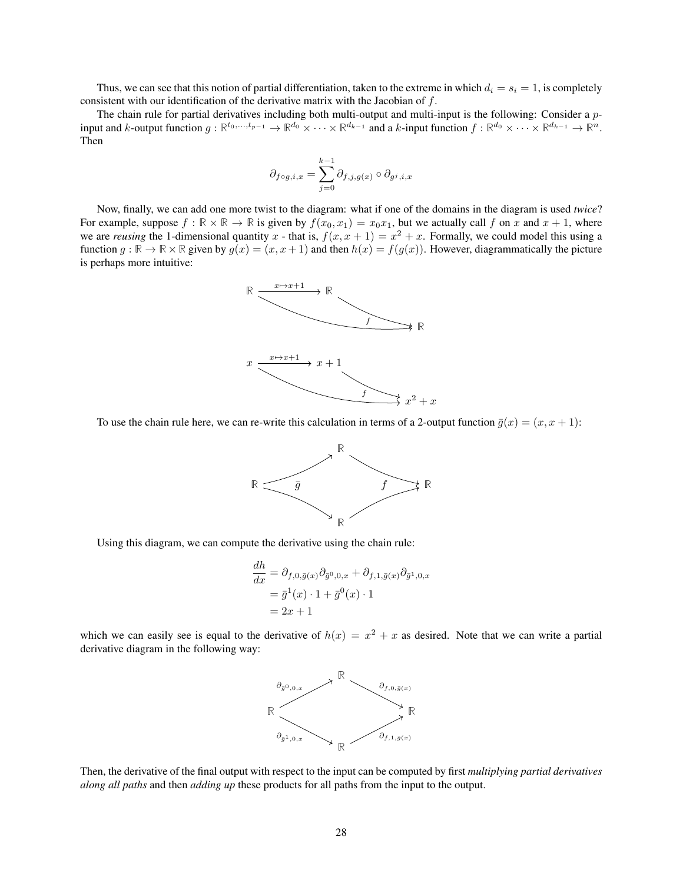Thus, we can see that this notion of partial differentiation, taken to the extreme in which  $d_i = s_i = 1$ , is completely consistent with our identification of the derivative matrix with the Jacobian of f.

The chain rule for partial derivatives including both multi-output and multi-input is the following: Consider a  $p$ input and k-output function  $g: \mathbb{R}^{t_0,\dots,t_{p-1}} \to \mathbb{R}^{d_0} \times \cdots \times \mathbb{R}^{d_{k-1}}$  and a k-input function  $f: \mathbb{R}^{d_0} \times \cdots \times \mathbb{R}^{d_{k-1}} \to \mathbb{R}^n$ . Then

$$
\partial_{f\circ g,i,x}=\sum_{j=0}^{k-1}\partial_{f,j,g(x)}\circ\partial_{g^j,i,x}
$$

Now, finally, we can add one more twist to the diagram: what if one of the domains in the diagram is used *twice*? For example, suppose  $f : \mathbb{R} \times \mathbb{R} \to \mathbb{R}$  is given by  $f(x_0, x_1) = x_0 x_1$ , but we actually call f on x and  $x + 1$ , where we are *reusing* the 1-dimensional quantity x - that is,  $f(x, x + 1) = x^2 + x$ . Formally, we could model this using a function  $g : \mathbb{R} \to \mathbb{R} \times \mathbb{R}$  given by  $g(x) = (x, x + 1)$  and then  $h(x) = f(g(x))$ . However, diagrammatically the picture is perhaps more intuitive:



To use the chain rule here, we can re-write this calculation in terms of a 2-output function  $\bar{g}(x) = (x, x + 1)$ :



Using this diagram, we can compute the derivative using the chain rule:

$$
\frac{dh}{dx} = \partial_{f,0,\bar{g}(x)} \partial_{\bar{g}^0,0,x} + \partial_{f,1,\bar{g}(x)} \partial_{\bar{g}^1,0,x} \n= \bar{g}^1(x) \cdot 1 + \bar{g}^0(x) \cdot 1 \n= 2x + 1
$$

which we can easily see is equal to the derivative of  $h(x) = x^2 + x$  as desired. Note that we can write a partial derivative diagram in the following way:



Then, the derivative of the final output with respect to the input can be computed by first *multiplying partial derivatives along all paths* and then *adding up* these products for all paths from the input to the output.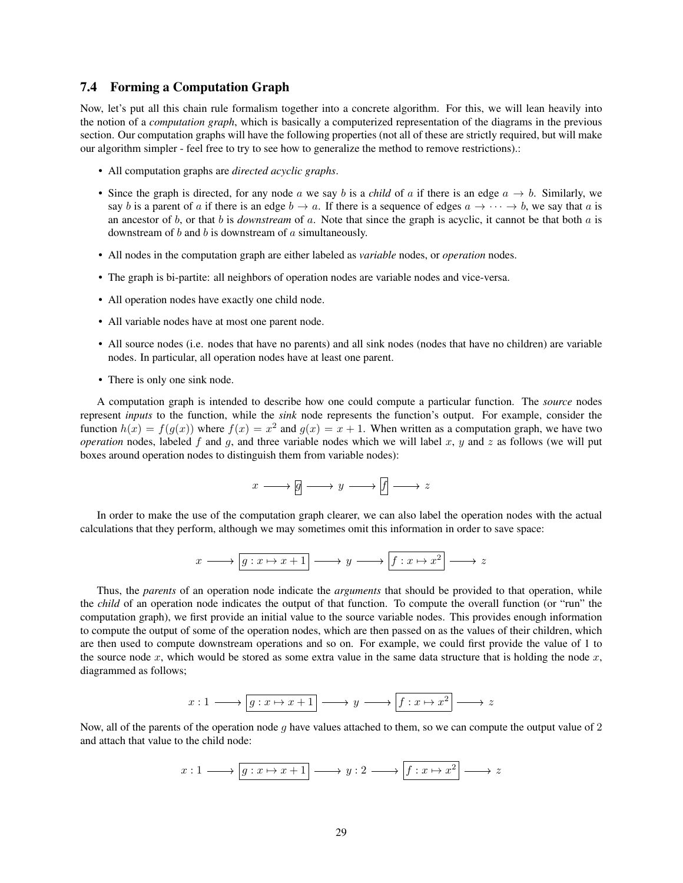#### <span id="page-28-0"></span>7.4 Forming a Computation Graph

Now, let's put all this chain rule formalism together into a concrete algorithm. For this, we will lean heavily into the notion of a *computation graph*, which is basically a computerized representation of the diagrams in the previous section. Our computation graphs will have the following properties (not all of these are strictly required, but will make our algorithm simpler - feel free to try to see how to generalize the method to remove restrictions).:

- All computation graphs are *directed acyclic graphs*.
- Since the graph is directed, for any node a we say b is a *child* of a if there is an edge  $a \rightarrow b$ . Similarly, we say b is a parent of a if there is an edge  $b \to a$ . If there is a sequence of edges  $a \to \cdots \to b$ , we say that a is an ancestor of b, or that b is *downstream* of a. Note that since the graph is acyclic, it cannot be that both a is downstream of  $b$  and  $b$  is downstream of  $a$  simultaneously.
- All nodes in the computation graph are either labeled as *variable* nodes, or *operation* nodes.
- The graph is bi-partite: all neighbors of operation nodes are variable nodes and vice-versa.
- All operation nodes have exactly one child node.
- All variable nodes have at most one parent node.
- All source nodes (i.e. nodes that have no parents) and all sink nodes (nodes that have no children) are variable nodes. In particular, all operation nodes have at least one parent.
- There is only one sink node.

A computation graph is intended to describe how one could compute a particular function. The *source* nodes represent *inputs* to the function, while the *sink* node represents the function's output. For example, consider the function  $h(x) = f(g(x))$  where  $f(x) = x^2$  and  $g(x) = x + 1$ . When written as a computation graph, we have two *operation* nodes, labeled f and g, and three variable nodes which we will label x, y and z as follows (we will put boxes around operation nodes to distinguish them from variable nodes):

$$
x \longrightarrow g \longrightarrow y \longrightarrow f \longrightarrow z
$$

In order to make the use of the computation graph clearer, we can also label the operation nodes with the actual calculations that they perform, although we may sometimes omit this information in order to save space:

$$
x \longrightarrow \boxed{g: x \mapsto x+1} \longrightarrow y \longrightarrow \boxed{f: x \mapsto x^2} \longrightarrow z
$$

Thus, the *parents* of an operation node indicate the *arguments* that should be provided to that operation, while the *child* of an operation node indicates the output of that function. To compute the overall function (or "run" the computation graph), we first provide an initial value to the source variable nodes. This provides enough information to compute the output of some of the operation nodes, which are then passed on as the values of their children, which are then used to compute downstream operations and so on. For example, we could first provide the value of 1 to the source node  $x$ , which would be stored as some extra value in the same data structure that is holding the node  $x$ , diagrammed as follows;

$$
x: 1 \longrightarrow \boxed{g: x \mapsto x+1} \longrightarrow y \longrightarrow \boxed{f: x \mapsto x^2} \longrightarrow z
$$

Now, all of the parents of the operation node q have values attached to them, so we can compute the output value of 2 and attach that value to the child node:

$$
x: 1 \longrightarrow \boxed{g: x \mapsto x+1} \longrightarrow y: 2 \longrightarrow \boxed{f: x \mapsto x^2} \longrightarrow z
$$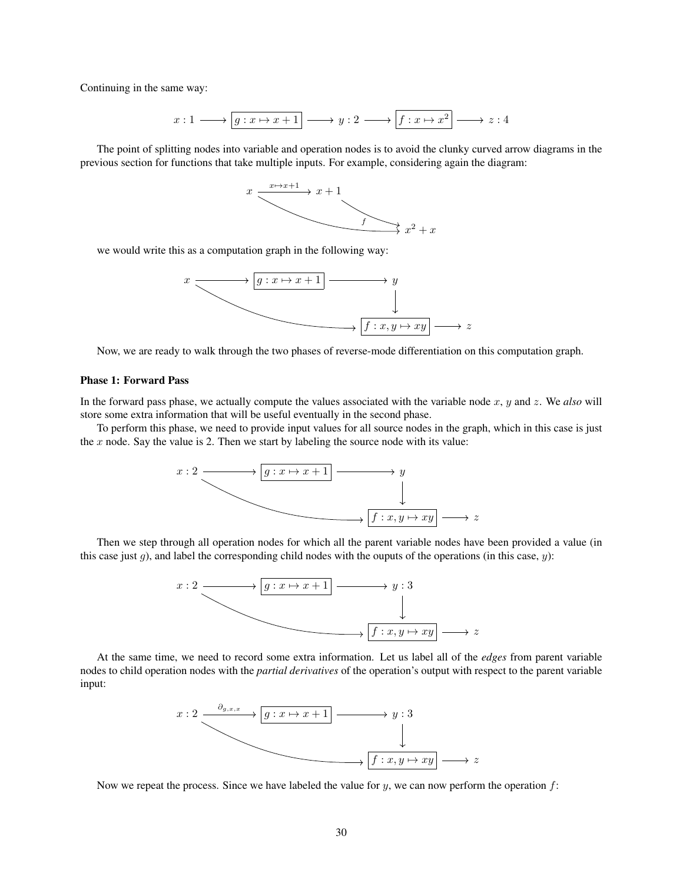Continuing in the same way:

$$
x: 1 \longrightarrow \boxed{g: x \mapsto x+1} \longrightarrow y: 2 \longrightarrow \boxed{f: x \mapsto x^2} \longrightarrow z: 4
$$

The point of splitting nodes into variable and operation nodes is to avoid the clunky curved arrow diagrams in the previous section for functions that take multiple inputs. For example, considering again the diagram:



we would write this as a computation graph in the following way:



Now, we are ready to walk through the two phases of reverse-mode differentiation on this computation graph.

#### Phase 1: Forward Pass

In the forward pass phase, we actually compute the values associated with the variable node x, y and z. We *also* will store some extra information that will be useful eventually in the second phase.

To perform this phase, we need to provide input values for all source nodes in the graph, which in this case is just the  $x$  node. Say the value is 2. Then we start by labeling the source node with its value:



Then we step through all operation nodes for which all the parent variable nodes have been provided a value (in this case just q), and label the corresponding child nodes with the ouputs of the operations (in this case,  $y$ ):



At the same time, we need to record some extra information. Let us label all of the *edges* from parent variable nodes to child operation nodes with the *partial derivatives* of the operation's output with respect to the parent variable input:



Now we repeat the process. Since we have labeled the value for  $y$ , we can now perform the operation  $f$ :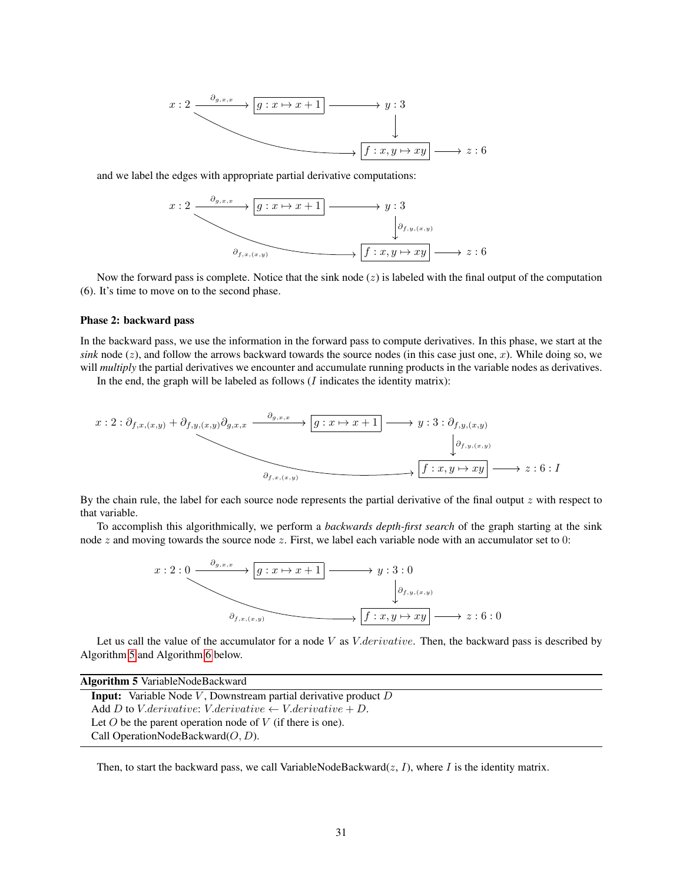

and we label the edges with appropriate partial derivative computations:



Now the forward pass is complete. Notice that the sink node  $(z)$  is labeled with the final output of the computation (6). It's time to move on to the second phase.

#### Phase 2: backward pass

In the backward pass, we use the information in the forward pass to compute derivatives. In this phase, we start at the *sink* node  $(z)$ , and follow the arrows backward towards the source nodes (in this case just one, x). While doing so, we will *multiply* the partial derivatives we encounter and accumulate running products in the variable nodes as derivatives.

In the end, the graph will be labeled as follows  $(I$  indicates the identity matrix):

$$
x: 2: \partial_{f,x,(x,y)} + \partial_{f,y,(x,y)} \partial_{g,x,x} \xrightarrow{\partial_{g,x,x}} \boxed{g: x \mapsto x+1} \longrightarrow y: 3: \partial_{f,y,(x,y)} \xrightarrow{\partial_{f,y,(x,y)}} \Box
$$

By the chain rule, the label for each source node represents the partial derivative of the final output  $z$  with respect to that variable.

To accomplish this algorithmically, we perform a *backwards depth-first search* of the graph starting at the sink node  $z$  and moving towards the source node  $z$ . First, we label each variable node with an accumulator set to 0:



Let us call the value of the accumulator for a node V as  $V.derivative$ . Then, the backward pass is described by Algorithm [5](#page-30-0) and Algorithm [6](#page-31-0) below.

Algorithm 5 VariableNodeBackward **Input:** Variable Node  $V$ , Downstream partial derivative product  $D$ Add D to V.derivative: V.derivative  $\leftarrow$  V.derivative  $+$  D. Let  $O$  be the parent operation node of  $V$  (if there is one). Call OperationNodeBackward $(O, D)$ .

<span id="page-30-0"></span>Then, to start the backward pass, we call VariableNodeBackward $(z, I)$ , where I is the identity matrix.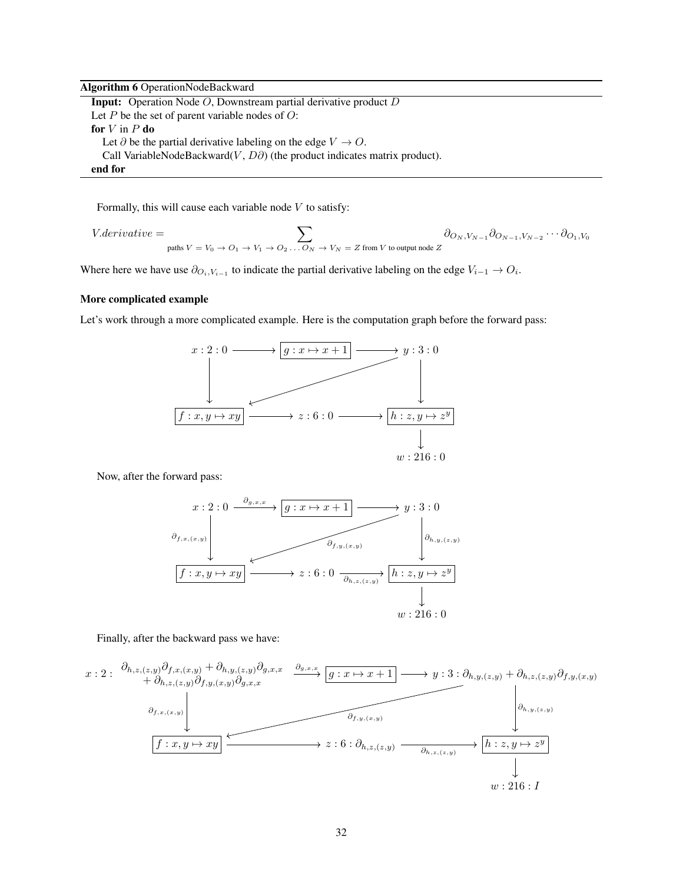#### Algorithm 6 OperationNodeBackward

Input: Operation Node O, Downstream partial derivative product D Let  $P$  be the set of parent variable nodes of  $O$ : for  $V$  in  $P$  do Let  $\partial$  be the partial derivative labeling on the edge  $V \to O$ . Call VariableNodeBackward(V,  $D\partial$ ) (the product indicates matrix product). end for

<span id="page-31-0"></span>Formally, this will cause each variable node  $V$  to satisfy:

$$
V. derivative = \sum_{\text{paths } V = V_0 \to O_1 \to V_1 \to O_2 \dots O_N \to V_N = Z \text{ from } V \text{ to output node } Z} \partial_{O_N, V_{N-1}} \partial_{O_{N-1}, V_{N-2}} \cdots \partial_{O_1, V_0}
$$

Where here we have use  $\partial_{O_i,V_{i-1}}$  to indicate the partial derivative labeling on the edge  $V_{i-1} \to O_i$ .

#### More complicated example

Let's work through a more complicated example. Here is the computation graph before the forward pass:



Now, after the forward pass:



#### Finally, after the backward pass we have:

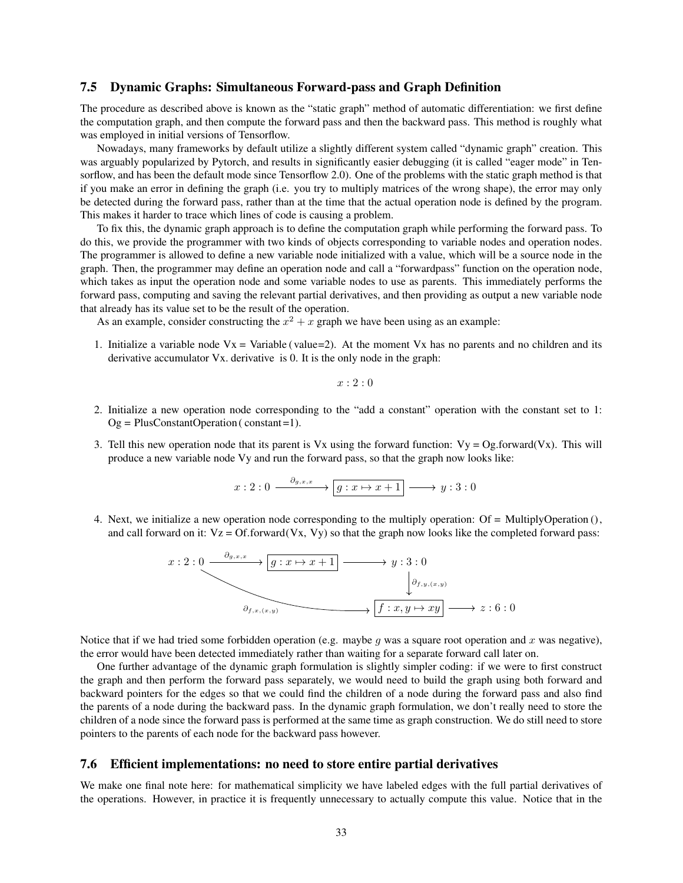#### <span id="page-32-0"></span>7.5 Dynamic Graphs: Simultaneous Forward-pass and Graph Definition

The procedure as described above is known as the "static graph" method of automatic differentiation: we first define the computation graph, and then compute the forward pass and then the backward pass. This method is roughly what was employed in initial versions of Tensorflow.

Nowadays, many frameworks by default utilize a slightly different system called "dynamic graph" creation. This was arguably popularized by Pytorch, and results in significantly easier debugging (it is called "eager mode" in Tensorflow, and has been the default mode since Tensorflow 2.0). One of the problems with the static graph method is that if you make an error in defining the graph (i.e. you try to multiply matrices of the wrong shape), the error may only be detected during the forward pass, rather than at the time that the actual operation node is defined by the program. This makes it harder to trace which lines of code is causing a problem.

To fix this, the dynamic graph approach is to define the computation graph while performing the forward pass. To do this, we provide the programmer with two kinds of objects corresponding to variable nodes and operation nodes. The programmer is allowed to define a new variable node initialized with a value, which will be a source node in the graph. Then, the programmer may define an operation node and call a "forwardpass" function on the operation node, which takes as input the operation node and some variable nodes to use as parents. This immediately performs the forward pass, computing and saving the relevant partial derivatives, and then providing as output a new variable node that already has its value set to be the result of the operation.

As an example, consider constructing the  $x^2 + x$  graph we have been using as an example:

1. Initialize a variable node  $Vx = Variable$  (value=2). At the moment Vx has no parents and no children and its derivative accumulator Vx. derivative is 0. It is the only node in the graph:

 $x: 2: 0$ 

- 2. Initialize a new operation node corresponding to the "add a constant" operation with the constant set to 1:  $Og = PlusConstantOperation (constant=1).$
- 3. Tell this new operation node that its parent is Vx using the forward function:  $Vy = Og$  forward(Vx). This will produce a new variable node Vy and run the forward pass, so that the graph now looks like:

$$
x: 2: 0 \xrightarrow{\partial_{g,x,x}} \boxed{g: x \mapsto x+1} \longrightarrow y: 3: 0
$$

4. Next, we initialize a new operation node corresponding to the multiply operation: Of = MultiplyOperation (), and call forward on it:  $Vz = Of.$  forward $(Vx, Vy)$  so that the graph now looks like the completed forward pass:



Notice that if we had tried some forbidden operation (e.g. maybe  $g$  was a square root operation and  $x$  was negative), the error would have been detected immediately rather than waiting for a separate forward call later on.

One further advantage of the dynamic graph formulation is slightly simpler coding: if we were to first construct the graph and then perform the forward pass separately, we would need to build the graph using both forward and backward pointers for the edges so that we could find the children of a node during the forward pass and also find the parents of a node during the backward pass. In the dynamic graph formulation, we don't really need to store the children of a node since the forward pass is performed at the same time as graph construction. We do still need to store pointers to the parents of each node for the backward pass however.

#### <span id="page-32-1"></span>7.6 Efficient implementations: no need to store entire partial derivatives

We make one final note here: for mathematical simplicity we have labeled edges with the full partial derivatives of the operations. However, in practice it is frequently unnecessary to actually compute this value. Notice that in the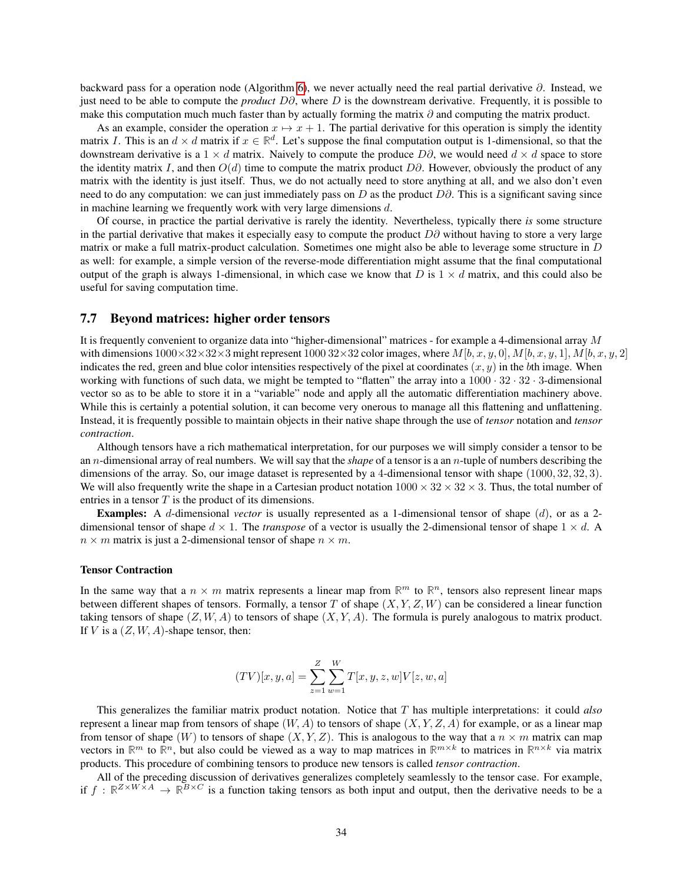backward pass for a operation node (Algorithm [6\)](#page-31-0), we never actually need the real partial derivative  $\partial$ . Instead, we just need to be able to compute the *product* D∂, where D is the downstream derivative. Frequently, it is possible to make this computation much much faster than by actually forming the matrix ∂ and computing the matrix product.

As an example, consider the operation  $x \mapsto x + 1$ . The partial derivative for this operation is simply the identity matrix I. This is an  $d \times d$  matrix if  $x \in \mathbb{R}^d$ . Let's suppose the final computation output is 1-dimensional, so that the downstream derivative is a 1  $\times$  d matrix. Naively to compute the produce  $D\partial$ , we would need  $d \times d$  space to store the identity matrix I, and then  $O(d)$  time to compute the matrix product D $\partial$ . However, obviously the product of any matrix with the identity is just itself. Thus, we do not actually need to store anything at all, and we also don't even need to do any computation: we can just immediately pass on D as the product  $D\partial$ . This is a significant saving since in machine learning we frequently work with very large dimensions d.

Of course, in practice the partial derivative is rarely the identity. Nevertheless, typically there *is* some structure in the partial derivative that makes it especially easy to compute the product  $D\partial$  without having to store a very large matrix or make a full matrix-product calculation. Sometimes one might also be able to leverage some structure in D as well: for example, a simple version of the reverse-mode differentiation might assume that the final computational output of the graph is always 1-dimensional, in which case we know that D is  $1 \times d$  matrix, and this could also be useful for saving computation time.

#### <span id="page-33-0"></span>7.7 Beyond matrices: higher order tensors

It is frequently convenient to organize data into "higher-dimensional" matrices - for example a 4-dimensional array M with dimensions  $1000\times32\times32\times3$  might represent  $1000\,32\times32$  color images, where  $M[b, x, y, 0], M[b, x, y, 1], M[b, x, y, 2]$ indicates the red, green and blue color intensities respectively of the pixel at coordinates  $(x, y)$  in the bth image. When working with functions of such data, we might be tempted to "flatten" the array into a  $1000 \cdot 32 \cdot 32 \cdot 3$ -dimensional vector so as to be able to store it in a "variable" node and apply all the automatic differentiation machinery above. While this is certainly a potential solution, it can become very onerous to manage all this flattening and unflattening. Instead, it is frequently possible to maintain objects in their native shape through the use of *tensor* notation and *tensor contraction*.

Although tensors have a rich mathematical interpretation, for our purposes we will simply consider a tensor to be an n-dimensional array of real numbers. We will say that the *shape* of a tensor is a an n-tuple of numbers describing the dimensions of the array. So, our image dataset is represented by a 4-dimensional tensor with shape (1000, 32, 32, 3). We will also frequently write the shape in a Cartesian product notation  $1000 \times 32 \times 32 \times 3$ . Thus, the total number of entries in a tensor  $T$  is the product of its dimensions.

Examples: A d-dimensional *vector* is usually represented as a 1-dimensional tensor of shape (d), or as a 2 dimensional tensor of shape  $d \times 1$ . The *transpose* of a vector is usually the 2-dimensional tensor of shape  $1 \times d$ . A  $n \times m$  matrix is just a 2-dimensional tensor of shape  $n \times m$ .

#### Tensor Contraction

In the same way that a  $n \times m$  matrix represents a linear map from  $\mathbb{R}^m$  to  $\mathbb{R}^n$ , tensors also represent linear maps between different shapes of tensors. Formally, a tensor T of shape  $(X, Y, Z, W)$  can be considered a linear function taking tensors of shape  $(Z, W, A)$  to tensors of shape  $(X, Y, A)$ . The formula is purely analogous to matrix product. If V is a  $(Z, W, A)$ -shape tensor, then:

$$
(TV)[x, y, a] = \sum_{z=1}^{Z} \sum_{w=1}^{W} T[x, y, z, w] V[z, w, a]
$$

This generalizes the familiar matrix product notation. Notice that T has multiple interpretations: it could *also* represent a linear map from tensors of shape  $(W, A)$  to tensors of shape  $(X, Y, Z, A)$  for example, or as a linear map from tensor of shape (W) to tensors of shape  $(X, Y, Z)$ . This is analogous to the way that a  $n \times m$  matrix can map vectors in  $\mathbb{R}^m$  to  $\mathbb{R}^n$ , but also could be viewed as a way to map matrices in  $\mathbb{R}^{m \times k}$  to matrices in  $\mathbb{R}^{n \times k}$  via matrix products. This procedure of combining tensors to produce new tensors is called *tensor contraction*.

All of the preceding discussion of derivatives generalizes completely seamlessly to the tensor case. For example, if  $f : \mathbb{R}^{Z \times W \times A} \to \mathbb{R}^{B \times C}$  is a function taking tensors as both input and output, then the derivative needs to be a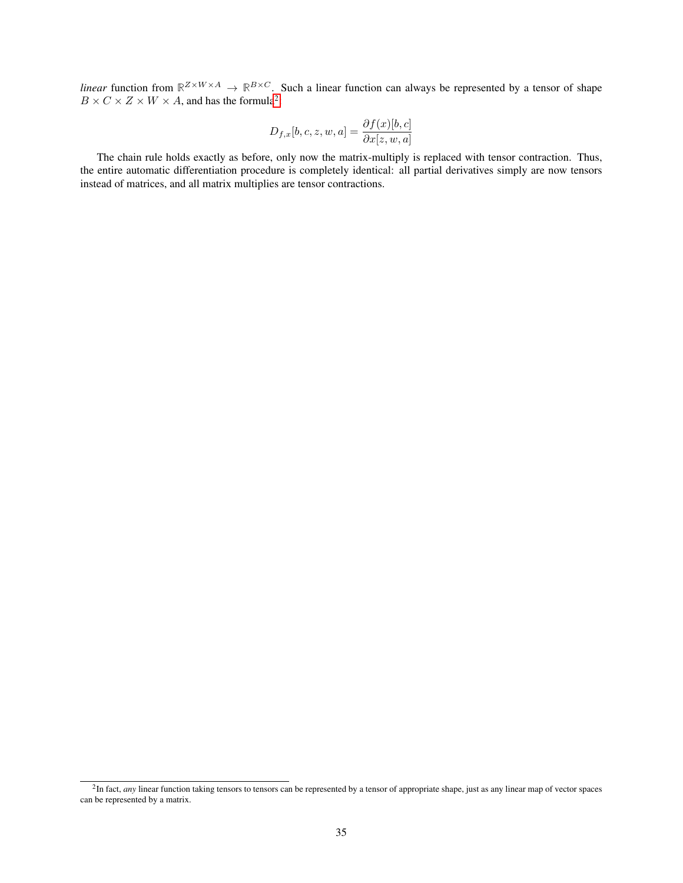*linear* function from  $\mathbb{R}^{Z \times W \times A} \to \mathbb{R}^{B \times C}$ . Such a linear function can always be represented by a tensor of shape  $B \times C \times Z \times W \times A$ , and has the formula<sup>[2](#page-34-0)</sup>:

$$
D_{f,x}[b,c,z,w,a] = \frac{\partial f(x)[b,c]}{\partial x[z,w,a]}
$$

The chain rule holds exactly as before, only now the matrix-multiply is replaced with tensor contraction. Thus, the entire automatic differentiation procedure is completely identical: all partial derivatives simply are now tensors instead of matrices, and all matrix multiplies are tensor contractions.

<span id="page-34-0"></span><sup>&</sup>lt;sup>2</sup>In fact, *any* linear function taking tensors to tensors can be represented by a tensor of appropriate shape, just as any linear map of vector spaces can be represented by a matrix.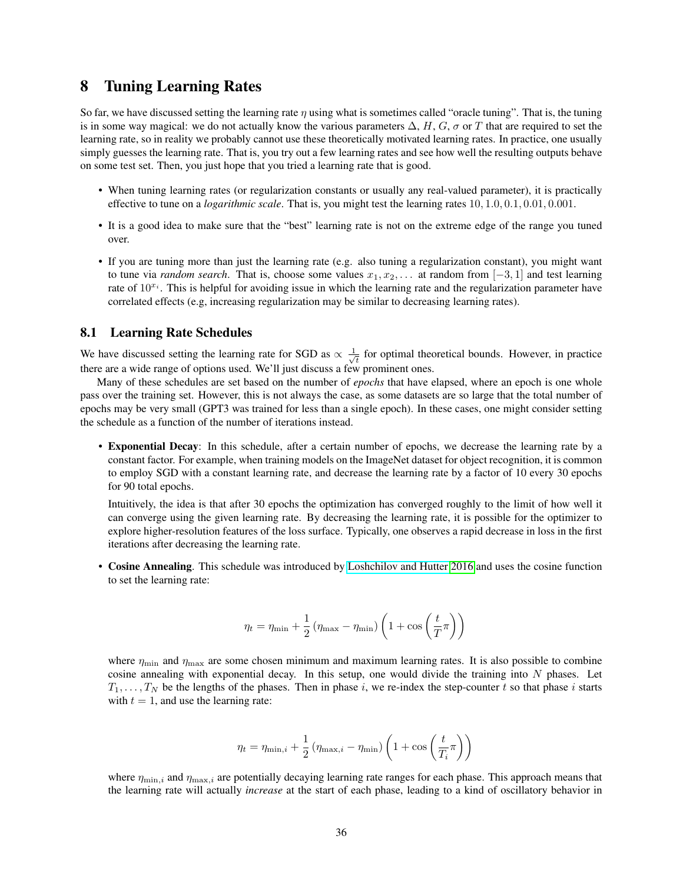## <span id="page-35-0"></span>8 Tuning Learning Rates

So far, we have discussed setting the learning rate  $\eta$  using what is sometimes called "oracle tuning". That is, the tuning is in some way magical: we do not actually know the various parameters  $\Delta$ , H, G,  $\sigma$  or T that are required to set the learning rate, so in reality we probably cannot use these theoretically motivated learning rates. In practice, one usually simply guesses the learning rate. That is, you try out a few learning rates and see how well the resulting outputs behave on some test set. Then, you just hope that you tried a learning rate that is good.

- When tuning learning rates (or regularization constants or usually any real-valued parameter), it is practically effective to tune on a *logarithmic scale*. That is, you might test the learning rates 10, 1.0, 0.1, 0.01, 0.001.
- It is a good idea to make sure that the "best" learning rate is not on the extreme edge of the range you tuned over.
- If you are tuning more than just the learning rate (e.g. also tuning a regularization constant), you might want to tune via *random search*. That is, choose some values  $x_1, x_2, \ldots$  at random from  $[-3, 1]$  and test learning rate of  $10^{x_i}$ . This is helpful for avoiding issue in which the learning rate and the regularization parameter have correlated effects (e.g, increasing regularization may be similar to decreasing learning rates).

#### <span id="page-35-1"></span>8.1 Learning Rate Schedules

We have discussed setting the learning rate for SGD as  $\propto \frac{1}{\sqrt{2}}$  $\overline{t}$  for optimal theoretical bounds. However, in practice there are a wide range of options used. We'll just discuss a few prominent ones.

Many of these schedules are set based on the number of *epochs* that have elapsed, where an epoch is one whole pass over the training set. However, this is not always the case, as some datasets are so large that the total number of epochs may be very small (GPT3 was trained for less than a single epoch). In these cases, one might consider setting the schedule as a function of the number of iterations instead.

• Exponential Decay: In this schedule, after a certain number of epochs, we decrease the learning rate by a constant factor. For example, when training models on the ImageNet dataset for object recognition, it is common to employ SGD with a constant learning rate, and decrease the learning rate by a factor of 10 every 30 epochs for 90 total epochs.

Intuitively, the idea is that after 30 epochs the optimization has converged roughly to the limit of how well it can converge using the given learning rate. By decreasing the learning rate, it is possible for the optimizer to explore higher-resolution features of the loss surface. Typically, one observes a rapid decrease in loss in the first iterations after decreasing the learning rate.

• Cosine Annealing. This schedule was introduced by [Loshchilov and Hutter 2016](https://arxiv.org/pdf/1608.03983v5.pdf) and uses the cosine function to set the learning rate:

$$
\eta_t = \eta_{\min} + \frac{1}{2} \left( \eta_{\max} - \eta_{\min} \right) \left( 1 + \cos \left( \frac{t}{T} \pi \right) \right)
$$

where  $\eta_{\text{min}}$  and  $\eta_{\text{max}}$  are some chosen minimum and maximum learning rates. It is also possible to combine cosine annealing with exponential decay. In this setup, one would divide the training into  $N$  phases. Let  $T_1, \ldots, T_N$  be the lengths of the phases. Then in phase i, we re-index the step-counter t so that phase i starts with  $t = 1$ , and use the learning rate:

$$
\eta_t = \eta_{\min,i} + \frac{1}{2} \left( \eta_{\max,i} - \eta_{\min} \right) \left( 1 + \cos \left( \frac{t}{T_i} \pi \right) \right)
$$

where  $\eta_{\min,i}$  and  $\eta_{\max,i}$  are potentially decaying learning rate ranges for each phase. This approach means that the learning rate will actually *increase* at the start of each phase, leading to a kind of oscillatory behavior in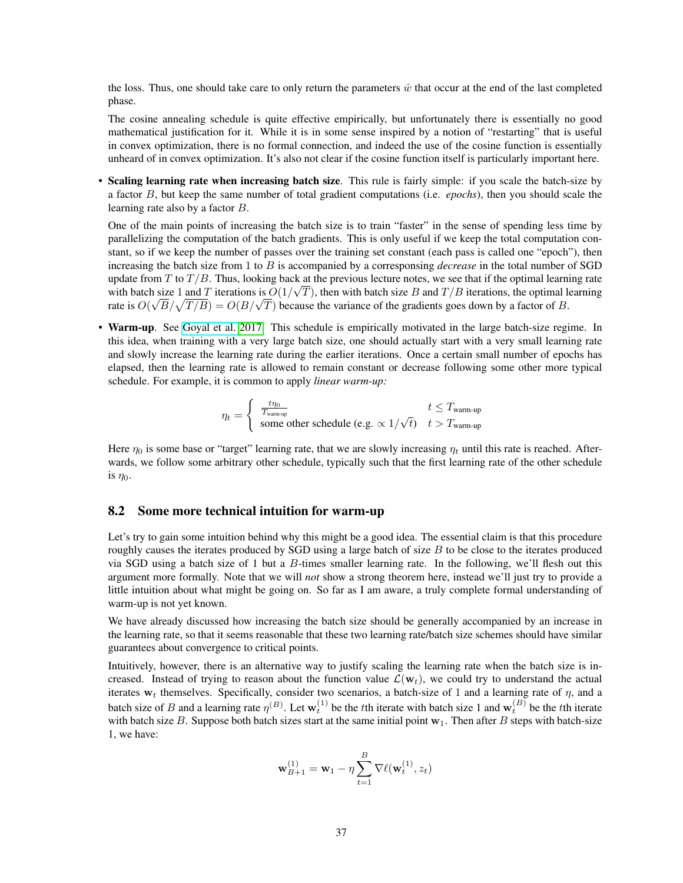the loss. Thus, one should take care to only return the parameters  $\hat{w}$  that occur at the end of the last completed phase.

The cosine annealing schedule is quite effective empirically, but unfortunately there is essentially no good mathematical justification for it. While it is in some sense inspired by a notion of "restarting" that is useful in convex optimization, there is no formal connection, and indeed the use of the cosine function is essentially unheard of in convex optimization. It's also not clear if the cosine function itself is particularly important here.

• Scaling learning rate when increasing batch size. This rule is fairly simple: if you scale the batch-size by a factor B, but keep the same number of total gradient computations (i.e. *epochs*), then you should scale the learning rate also by a factor B.

One of the main points of increasing the batch size is to train "faster" in the sense of spending less time by parallelizing the computation of the batch gradients. This is only useful if we keep the total computation constant, so if we keep the number of passes over the training set constant (each pass is called one "epoch"), then increasing the batch size from 1 to B is accompanied by a corresponsing *decrease* in the total number of SGD update from T to  $T/B$ . Thus, looking back at the previous lecture notes, we see that if the optimal learning rate with batch size 1 and T iterations is  $O(1/\sqrt{T})$ , then with batch size B and  $T/B$  iterations, the optimal learning with batch size 1 and T iterations is  $O(1/\sqrt{T})$ , then with batch size B and  $T/B$  iterations, the optimal let are is  $O(\sqrt{B}/\sqrt{T/B}) = O(B/\sqrt{T})$  because the variance of the gradients goes down by a factor of B.

• Warm-up. See [Goyal et al. 2017.](https://arxiv.org/pdf/1706.02677.pdf) This schedule is empirically motivated in the large batch-size regime. In this idea, when training with a very large batch size, one should actually start with a very small learning rate and slowly increase the learning rate during the earlier iterations. Once a certain small number of epochs has elapsed, then the learning rate is allowed to remain constant or decrease following some other more typical schedule. For example, it is common to apply *linear warm-up:*

$$
\eta_t = \left\{ \begin{array}{ll} \frac{t\eta_0}{T_{\text{warm-up}}} & t \leq T_{\text{warm-up}}\\ \text{some other schedule (e.g.} \propto 1/\sqrt{t}) & t > T_{\text{warm-up}} \end{array} \right.
$$

Here  $\eta_0$  is some base or "target" learning rate, that we are slowly increasing  $\eta_t$  until this rate is reached. Afterwards, we follow some arbitrary other schedule, typically such that the first learning rate of the other schedule is  $\eta_0$ .

### 8.2 Some more technical intuition for warm-up

Let's try to gain some intuition behind why this might be a good idea. The essential claim is that this procedure roughly causes the iterates produced by SGD using a large batch of size  $B$  to be close to the iterates produced via SGD using a batch size of 1 but a B-times smaller learning rate. In the following, we'll flesh out this argument more formally. Note that we will *not* show a strong theorem here, instead we'll just try to provide a little intuition about what might be going on. So far as I am aware, a truly complete formal understanding of warm-up is not yet known.

We have already discussed how increasing the batch size should be generally accompanied by an increase in the learning rate, so that it seems reasonable that these two learning rate/batch size schemes should have similar guarantees about convergence to critical points.

Intuitively, however, there is an alternative way to justify scaling the learning rate when the batch size is increased. Instead of trying to reason about the function value  $\mathcal{L}(\mathbf{w}_t)$ , we could try to understand the actual iterates  $w_t$  themselves. Specifically, consider two scenarios, a batch-size of 1 and a learning rate of  $\eta$ , and a batch size of B and a learning rate  $\eta^{(B)}$ . Let  $w_t^{(1)}$  be the tth iterate with batch size 1 and  $w_t^{(B)}$  be the tth iterate with batch size B. Suppose both batch sizes start at the same initial point  $w_1$ . Then after B steps with batch-size 1, we have:

$$
\mathbf{w}_{B+1}^{(1)} = \mathbf{w}_1 - \eta \sum_{t=1}^{B} \nabla \ell(\mathbf{w}_t^{(1)}, z_t)
$$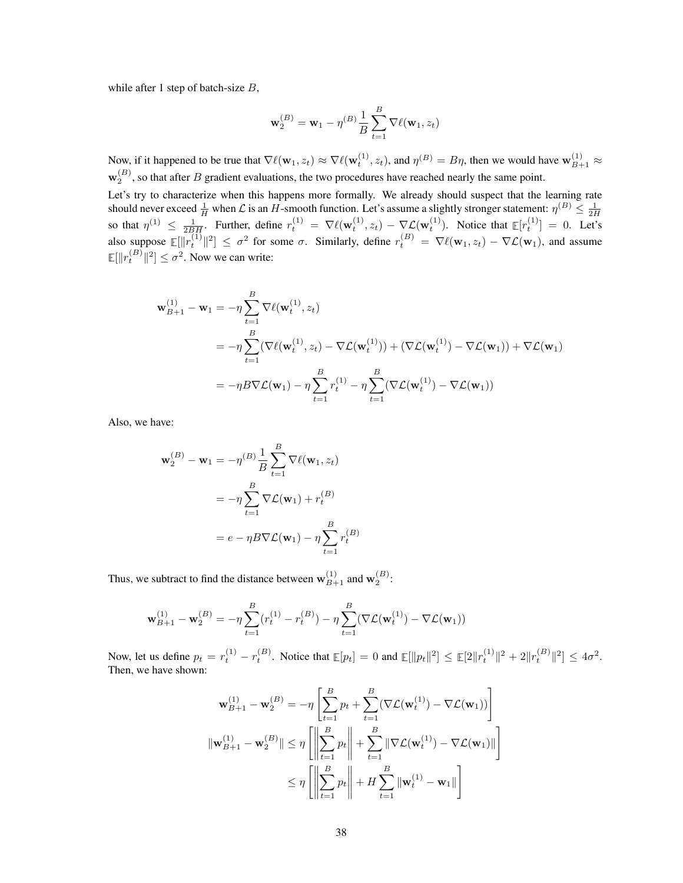while after 1 step of batch-size  $B$ ,

$$
\mathbf{w}_{2}^{(B)} = \mathbf{w}_{1} - \eta^{(B)} \frac{1}{B} \sum_{t=1}^{B} \nabla \ell(\mathbf{w}_{1}, z_{t})
$$

Now, if it happened to be true that  $\nabla \ell(\mathbf{w}_1, z_t) \approx \nabla \ell(\mathbf{w}_t^{(1)}, z_t)$ , and  $\eta^{(B)} = B\eta$ , then we would have  $\mathbf{w}_{B+1}^{(1)} \approx \eta$  $\mathbf{w}_2^{(B)}$ , so that after B gradient evaluations, the two procedures have reached nearly the same point.

Let's try to characterize when this happens more formally. We already should suspect that the learning rate should never exceed  $\frac{1}{H}$  when  $\mathcal L$  is an  $H$ -smooth function. Let's assume a slightly stronger statement:  $\eta^{(B)} \le \frac{1}{2H}$ so that  $\eta^{(1)} \leq \frac{1}{2BH}$ . Further, define  $r_t^{(1)} = \nabla \ell(\mathbf{w}_t^{(1)}, z_t) - \nabla \mathcal{L}(\mathbf{w}_t^{(1)})$ . Notice that  $\mathbb{E}[r_t^{(1)}] = 0$ . Let's also suppose  $\mathbb{E}[\|r_t^{(1)}\|^2] \leq \sigma^2$  for some  $\sigma$ . Similarly, define  $r_t^{(B)} = \nabla \ell(\mathbf{w}_1, z_t) - \nabla \mathcal{L}(\mathbf{w}_1)$ , and assume  $\mathbb{E}[\Vert r_t^{(B)} \Vert^2] \leq \sigma^2$ . Now we can write:

$$
\mathbf{w}_{B+1}^{(1)} - \mathbf{w}_1 = -\eta \sum_{t=1}^{B} \nabla \ell(\mathbf{w}_t^{(1)}, z_t)
$$
  
=  $-\eta \sum_{t=1}^{B} (\nabla \ell(\mathbf{w}_t^{(1)}, z_t) - \nabla \mathcal{L}(\mathbf{w}_t^{(1)})) + (\nabla \mathcal{L}(\mathbf{w}_t^{(1)}) - \nabla \mathcal{L}(\mathbf{w}_1)) + \nabla \mathcal{L}(\mathbf{w}_1)$   
=  $-\eta B \nabla \mathcal{L}(\mathbf{w}_1) - \eta \sum_{t=1}^{B} r_t^{(1)} - \eta \sum_{t=1}^{B} (\nabla \mathcal{L}(\mathbf{w}_t^{(1)}) - \nabla \mathcal{L}(\mathbf{w}_1))$ 

Also, we have:

$$
\mathbf{w}_2^{(B)} - \mathbf{w}_1 = -\eta^{(B)} \frac{1}{B} \sum_{t=1}^B \nabla \ell(\mathbf{w}_1, z_t)
$$

$$
= -\eta \sum_{t=1}^B \nabla \mathcal{L}(\mathbf{w}_1) + r_t^{(B)}
$$

$$
= e - \eta B \nabla \mathcal{L}(\mathbf{w}_1) - \eta \sum_{t=1}^B r_t^{(B)}
$$

Thus, we subtract to find the distance between  $\mathbf{w}_{B+1}^{(1)}$  and  $\mathbf{w}_2^{(B)}$ :

$$
\mathbf{w}_{B+1}^{(1)} - \mathbf{w}_2^{(B)} = -\eta \sum_{t=1}^{B} (r_t^{(1)} - r_t^{(B)}) - \eta \sum_{t=1}^{B} (\nabla \mathcal{L}(\mathbf{w}_t^{(1)}) - \nabla \mathcal{L}(\mathbf{w}_1))
$$

Now, let us define  $p_t = r_t^{(1)} - r_t^{(B)}$ . Notice that  $\mathbb{E}[p_t] = 0$  and  $\mathbb{E}[\|p_t\|^2] \le \mathbb{E}[2\|r_t^{(1)}\|^2 + 2\|r_t^{(B)}\|^2] \le 4\sigma^2$ . Then, we have shown:

$$
\mathbf{w}_{B+1}^{(1)} - \mathbf{w}_2^{(B)} = -\eta \left[ \sum_{t=1}^B p_t + \sum_{t=1}^B (\nabla \mathcal{L}(\mathbf{w}_t^{(1)}) - \nabla \mathcal{L}(\mathbf{w}_1)) \right]
$$
  

$$
\|\mathbf{w}_{B+1}^{(1)} - \mathbf{w}_2^{(B)}\| \le \eta \left[ \left\| \sum_{t=1}^B p_t \right\| + \sum_{t=1}^B \|\nabla \mathcal{L}(\mathbf{w}_t^{(1)}) - \nabla \mathcal{L}(\mathbf{w}_1)\| \right]
$$
  

$$
\le \eta \left[ \left\| \sum_{t=1}^B p_t \right\| + H \sum_{t=1}^B \|\mathbf{w}_t^{(1)} - \mathbf{w}_1\| \right]
$$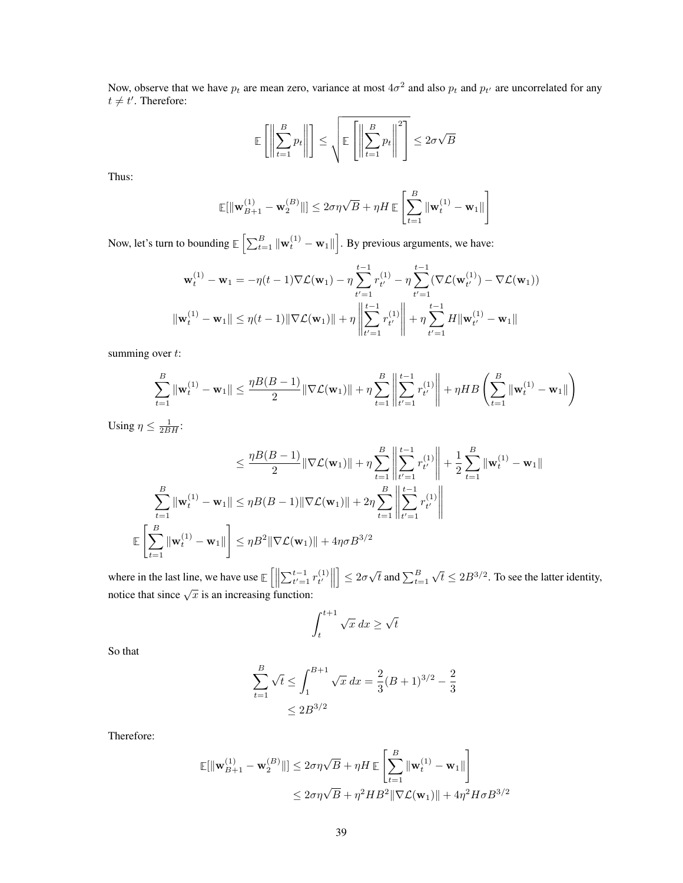Now, observe that we have  $p_t$  are mean zero, variance at most  $4\sigma^2$  and also  $p_t$  and  $p_{t'}$  are uncorrelated for any  $t \neq t'$ . Therefore:

$$
\mathbb{E}\left[\left\|\sum_{t=1}^{B} p_t\right\|\right] \le \sqrt{\mathbb{E}\left[\left\|\sum_{t=1}^{B} p_t\right\|^2\right]} \le 2\sigma\sqrt{B}
$$

Thus:

$$
\mathbb{E}[\|\mathbf{w}_{B+1}^{(1)} - \mathbf{w}_2^{(B)}\|] \le 2\sigma\eta\sqrt{B} + \eta H \mathbb{E}\left[\sum_{t=1}^B \|\mathbf{w}_t^{(1)} - \mathbf{w}_1\|\right]
$$

Now, let's turn to bounding  $\mathbb{E}\left[\sum_{t=1}^B \|\mathbf{w}_t^{(1)} - \mathbf{w}_1\|\right]$ . By previous arguments, we have:

$$
\mathbf{w}_{t}^{(1)} - \mathbf{w}_{1} = -\eta(t-1)\nabla\mathcal{L}(\mathbf{w}_{1}) - \eta \sum_{t'=1}^{t-1} r_{t'}^{(1)} - \eta \sum_{t'=1}^{t-1} (\nabla\mathcal{L}(\mathbf{w}_{t'}^{(1)}) - \nabla\mathcal{L}(\mathbf{w}_{1}))
$$

$$
\|\mathbf{w}_{t}^{(1)} - \mathbf{w}_{1}\| \leq \eta(t-1) \|\nabla\mathcal{L}(\mathbf{w}_{1})\| + \eta \left\|\sum_{t'=1}^{t-1} r_{t'}^{(1)}\right\| + \eta \sum_{t'=1}^{t-1} H \|\mathbf{w}_{t'}^{(1)} - \mathbf{w}_{1}\|
$$

summing over  $t$ :

$$
\sum_{t=1}^B \|\mathbf{w}_t^{(1)} - \mathbf{w}_1\| \le \frac{\eta B(B-1)}{2} \|\nabla \mathcal{L}(\mathbf{w}_1)\| + \eta \sum_{t=1}^B \left\|\sum_{t'=1}^{t-1} r_{t'}^{(1)}\right\| + \eta HB \left(\sum_{t=1}^B \|\mathbf{w}_t^{(1)} - \mathbf{w}_1\|\right)
$$

Using  $\eta \leq \frac{1}{2BH}$ :

$$
\leq \frac{\eta B(B-1)}{2} \|\nabla \mathcal{L}(\mathbf{w}_1)\| + \eta \sum_{t=1}^{B} \left\| \sum_{t'=1}^{t-1} r_{t'}^{(1)} \right\| + \frac{1}{2} \sum_{t=1}^{B} \|\mathbf{w}_t^{(1)} - \mathbf{w}_1\|
$$
  

$$
\sum_{t=1}^{B} \|\mathbf{w}_t^{(1)} - \mathbf{w}_1\| \leq \eta B(B-1) \|\nabla \mathcal{L}(\mathbf{w}_1)\| + 2\eta \sum_{t=1}^{B} \left\| \sum_{t'=1}^{t-1} r_{t'}^{(1)} \right\|
$$
  

$$
\mathbb{E} \left[ \sum_{t=1}^{B} \|\mathbf{w}_t^{(1)} - \mathbf{w}_1\| \right] \leq \eta B^2 \|\nabla \mathcal{L}(\mathbf{w}_1)\| + 4\eta \sigma B^{3/2}
$$

where in the last line, we have use  $\mathbb{E}\left[\left\|\sum_{t'=1}^{t-1} r_t^{(1)}\right\| \right]$  $\begin{bmatrix} 1 \\ t' \end{bmatrix}$  $\Big] \leq 2\sigma$  $\sqrt{t}$  and  $\sum_{t=1}^B$ where in the last line, we have use  $\mathbb{E}\left[\left\|\sum_{t'=1}^{t-1} r_{t'}^{(1)}\right\|\right] \leq 2\sigma\sqrt{t}$  and  $\sum_{t=1}^{B} \sqrt{t} \leq 2B^{3/2}$ . To see the latter identity, notice that since  $\sqrt{x}$  is an increasing function:

$$
\int_{t}^{t+1} \sqrt{x} \, dx \ge \sqrt{t}
$$

So that

$$
\sum_{t=1}^{B} \sqrt{t} \le \int_{1}^{B+1} \sqrt{x} \, dx = \frac{2}{3} (B+1)^{3/2} - \frac{2}{3}
$$

$$
\le 2B^{3/2}
$$

Therefore:

$$
\mathbb{E}[\|\mathbf{w}_{B+1}^{(1)} - \mathbf{w}_2^{(B)}\|] \le 2\sigma\eta\sqrt{B} + \eta H \mathbb{E}\left[\sum_{t=1}^B \|\mathbf{w}_t^{(1)} - \mathbf{w}_1\|\right] \le 2\sigma\eta\sqrt{B} + \eta^2 H B^2 \|\nabla\mathcal{L}(\mathbf{w}_1)\| + 4\eta^2 H \sigma B^{3/2}
$$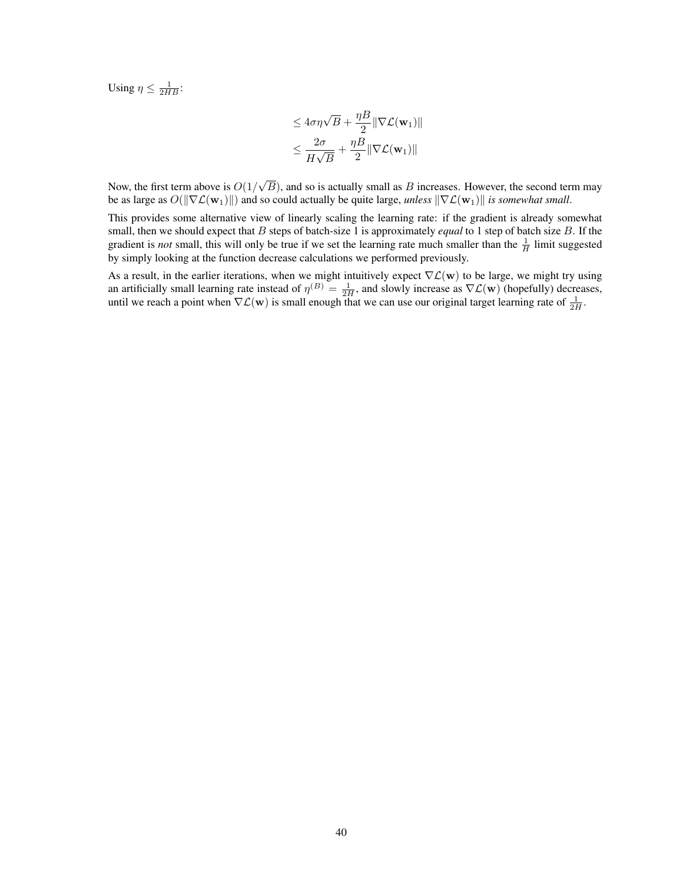Using  $\eta \leq \frac{1}{2HB}$ :

$$
\leq 4\sigma\eta\sqrt{B} + \frac{\eta B}{2} \|\nabla \mathcal{L}(\mathbf{w}_1)\|
$$
  

$$
\leq \frac{2\sigma}{H\sqrt{B}} + \frac{\eta B}{2} \|\nabla \mathcal{L}(\mathbf{w}_1)\|
$$

Now, the first term above is  $O(1)$ √  $B$ ), and so is actually small as  $B$  increases. However, the second term may be as large as  $O(||\nabla \mathcal{L}(\mathbf{w}_1)||)$  and so could actually be quite large, *unless*  $||\nabla \mathcal{L}(\mathbf{w}_1)||$  *is somewhat small*.

This provides some alternative view of linearly scaling the learning rate: if the gradient is already somewhat small, then we should expect that B steps of batch-size 1 is approximately *equal* to 1 step of batch size B. If the gradient is *not* small, this will only be true if we set the learning rate much smaller than the  $\frac{1}{H}$  limit suggested by simply looking at the function decrease calculations we performed previously.

As a result, in the earlier iterations, when we might intuitively expect  $\nabla \mathcal{L}(\mathbf{w})$  to be large, we might try using an artificially small learning rate instead of  $\eta^{(B)} = \frac{1}{2H}$ , and slowly increase as  $\nabla \mathcal{L}(\mathbf{w})$  (hopefully) decreases, until we reach a point when  $\nabla \mathcal{L}(\mathbf{w})$  is small enough that we can use our original target learning rate of  $\frac{1}{2H}$ .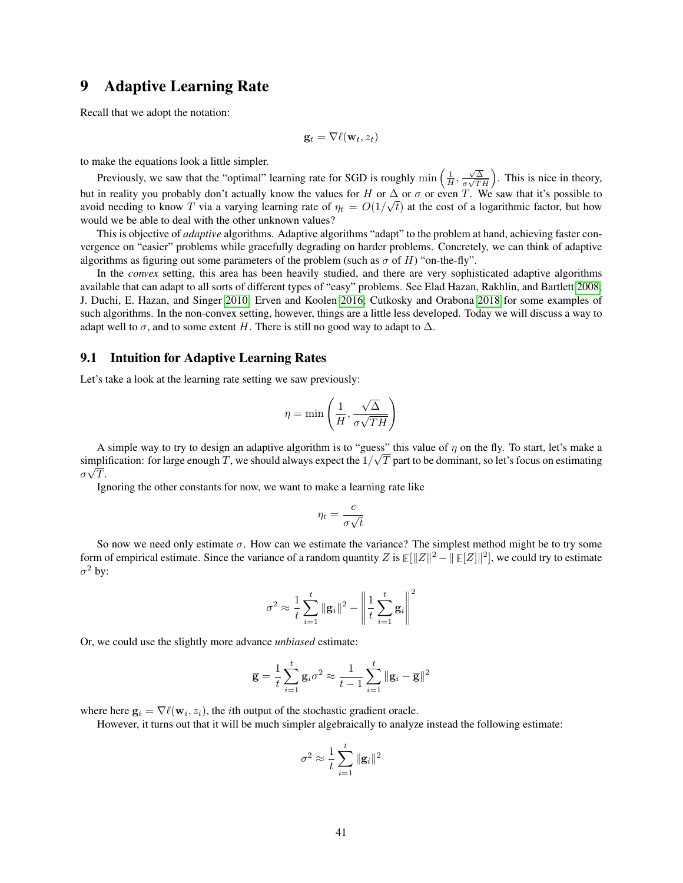# 9 Adaptive Learning Rate

Recall that we adopt the notation:

$$
\mathbf{g}_t = \nabla \ell(\mathbf{w}_t, z_t)
$$

to make the equations look a little simpler.

Previously, we saw that the "optimal" learning rate for SGD is roughly  $\min\left(\frac{1}{H}, \frac{\sqrt{\Delta}}{\sigma\sqrt{T}}\right)$  $\left(\frac{\sqrt{\Delta}}{\sigma\sqrt{TH}}\right)$ . This is nice in theory, but in reality you probably don't actually know the values for H or  $\Delta$  or  $\sigma$  or even T. We saw that it's possible to avoid needing to know T via a varying learning rate of  $\eta_t = O(1/\sqrt{t})$  at the cost of a logarithmic factor, but how would we be able to deal with the other unknown values?

This is objective of *adaptive* algorithms. Adaptive algorithms "adapt" to the problem at hand, achieving faster convergence on "easier" problems while gracefully degrading on harder problems. Concretely, we can think of adaptive algorithms as figuring out some parameters of the problem (such as  $\sigma$  of H) "on-the-fly".

In the *convex* setting, this area has been heavily studied, and there are very sophisticated adaptive algorithms available that can adapt to all sorts of different types of "easy" problems. See Elad Hazan, Rakhlin, and Bartlett [2008;](#page-120-1) J. Duchi, E. Hazan, and Singer [2010;](#page-120-2) Erven and Koolen [2016;](#page-120-3) Cutkosky and Orabona [2018](#page-120-4) for some examples of such algorithms. In the non-convex setting, however, things are a little less developed. Today we will discuss a way to adapt well to  $\sigma$ , and to some extent H. There is still no good way to adapt to  $\Delta$ .

### 9.1 Intuition for Adaptive Learning Rates

Let's take a look at the learning rate setting we saw previously:

$$
\eta = \min\left(\frac{1}{H}, \frac{\sqrt{\Delta}}{\sigma\sqrt{TH}}\right)
$$

A simple way to try to design an adaptive algorithm is to "guess" this value of  $\eta$  on the fly. To start, let's make a simplification: for large enough T, we should always expect the  $1/\sqrt{T}$  part to be dominant, so let's focus on estimating  $\sigma \sqrt{T}.$ 

Ignoring the other constants for now, we want to make a learning rate like

$$
\eta_t = \frac{c}{\sigma \sqrt{t}}
$$

So now we need only estimate  $\sigma$ . How can we estimate the variance? The simplest method might be to try some form of empirical estimate. Since the variance of a random quantity Z is  $\mathbb{E}[\|Z\|^2 - \|\mathbb{E}[Z]\|^2]$ , we could try to estimate  $\sigma^2$  by:

$$
\sigma^{2} \approx \frac{1}{t} \sum_{i=1}^{t} \|\mathbf{g}_{i}\|^{2} - \left\| \frac{1}{t} \sum_{i=1}^{t} \mathbf{g}_{i} \right\|^{2}
$$

Or, we could use the slightly more advance *unbiased* estimate:

$$
\overline{\mathbf{g}} = \frac{1}{t} \sum_{i=1}^{t} \mathbf{g}_i \sigma^2 \approx \frac{1}{t-1} \sum_{i=1}^{t} ||\mathbf{g}_i - \overline{\mathbf{g}}||^2
$$

where here  $\mathbf{g}_i = \nabla \ell(\mathbf{w}_i, z_i)$ , the *i*th output of the stochastic gradient oracle.

However, it turns out that it will be much simpler algebraically to analyze instead the following estimate:

$$
\sigma^2 \approx \frac{1}{t}\sum_{i=1}^t \|\mathbf{g}_i\|^2
$$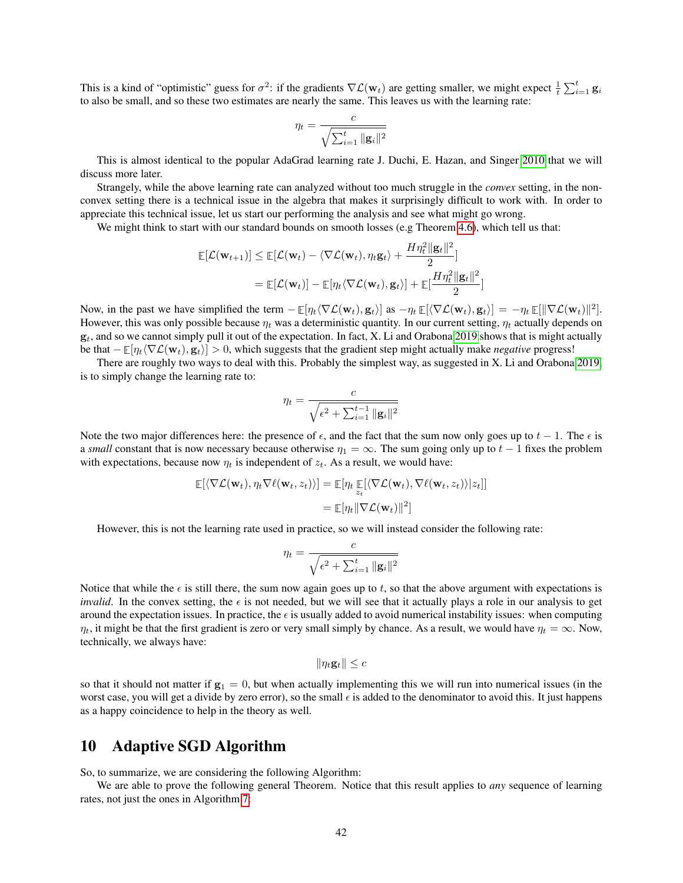This is a kind of "optimistic" guess for  $\sigma^2$ : if the gradients  $\nabla \mathcal{L}(\mathbf{w}_t)$  are getting smaller, we might expect  $\frac{1}{t} \sum_{i=1}^t \mathbf{g}_i$ to also be small, and so these two estimates are nearly the same. This leaves us with the learning rate:

$$
\eta_t = \frac{c}{\sqrt{\sum_{i=1}^t ||\mathbf{g}_i||^2}}
$$

This is almost identical to the popular AdaGrad learning rate J. Duchi, E. Hazan, and Singer [2010](#page-120-2) that we will discuss more later.

Strangely, while the above learning rate can analyzed without too much struggle in the *convex* setting, in the nonconvex setting there is a technical issue in the algebra that makes it surprisingly difficult to work with. In order to appreciate this technical issue, let us start our performing the analysis and see what might go wrong.

We might think to start with our standard bounds on smooth losses (e.g Theorem [4.6\)](#page-12-0), which tell us that:

$$
\mathbb{E}[\mathcal{L}(\mathbf{w}_{t+1})] \leq \mathbb{E}[\mathcal{L}(\mathbf{w}_t) - \langle \nabla \mathcal{L}(\mathbf{w}_t), \eta_t \mathbf{g}_t \rangle + \frac{H\eta_t^2 \|\mathbf{g}_t\|^2}{2}]
$$
  
= 
$$
\mathbb{E}[\mathcal{L}(\mathbf{w}_t)] - \mathbb{E}[\eta_t \langle \nabla \mathcal{L}(\mathbf{w}_t), \mathbf{g}_t \rangle] + \mathbb{E}[\frac{H\eta_t^2 \|\mathbf{g}_t\|^2}{2}]
$$

Now, in the past we have simplified the term  $-\mathbb{E}[\eta_t \langle \nabla \mathcal{L}(\mathbf{w}_t), \mathbf{g}_t \rangle]$  as  $-\eta_t \mathbb{E}[\langle \nabla \mathcal{L}(\mathbf{w}_t), \mathbf{g}_t \rangle] = -\eta_t \mathbb{E}[\|\nabla \mathcal{L}(\mathbf{w}_t)\|^2]$ . However, this was only possible because  $\eta_t$  was a deterministic quantity. In our current setting,  $\eta_t$  actually depends on  $g_t$ , and so we cannot simply pull it out of the expectation. In fact, X. Li and Orabona [2019](#page-120-5) shows that is might actually be that  $-\mathbb{E}[\eta_t\langle \nabla \mathcal{L}(\mathbf{w}_t), \mathbf{g}_t \rangle] > 0$ , which suggests that the gradient step might actually make *negative* progress!

There are roughly two ways to deal with this. Probably the simplest way, as suggested in X. Li and Orabona [2019,](#page-120-5) is to simply change the learning rate to:

$$
\eta_t = \frac{c}{\sqrt{\epsilon^2 + \sum_{i=1}^{t-1} ||\mathbf{g}_i||^2}}
$$

Note the two major differences here: the presence of  $\epsilon$ , and the fact that the sum now only goes up to  $t - 1$ . The  $\epsilon$  is a *small* constant that is now necessary because otherwise  $\eta_1 = \infty$ . The sum going only up to  $t - 1$  fixes the problem with expectations, because now  $\eta_t$  is independent of  $z_t$ . As a result, we would have:

$$
\mathbb{E}[\langle \nabla \mathcal{L}(\mathbf{w}_t), \eta_t \nabla \ell(\mathbf{w}_t, z_t) \rangle] = \mathbb{E}[\eta_t \mathbb{E}[\langle \nabla \mathcal{L}(\mathbf{w}_t), \nabla \ell(\mathbf{w}_t, z_t) \rangle | z_t]]
$$
  
= 
$$
\mathbb{E}[\eta_t || \nabla \mathcal{L}(\mathbf{w}_t) ||^2]
$$

However, this is not the learning rate used in practice, so we will instead consider the following rate:

$$
\eta_t = \frac{c}{\sqrt{\epsilon^2 + \sum_{i=1}^t ||\mathbf{g}_i||^2}}
$$

Notice that while the  $\epsilon$  is still there, the sum now again goes up to t, so that the above argument with expectations is *invalid*. In the convex setting, the  $\epsilon$  is not needed, but we will see that it actually plays a role in our analysis to get around the expectation issues. In practice, the  $\epsilon$  is usually added to avoid numerical instability issues: when computing  $\eta_t$ , it might be that the first gradient is zero or very small simply by chance. As a result, we would have  $\eta_t = \infty$ . Now, technically, we always have:

$$
\|\eta_t \mathbf{g}_t\| \leq c
$$

so that it should not matter if  $g_1 = 0$ , but when actually implementing this we will run into numerical issues (in the worst case, you will get a divide by zero error), so the small  $\epsilon$  is added to the denominator to avoid this. It just happens as a happy coincidence to help in the theory as well.

# 10 Adaptive SGD Algorithm

So, to summarize, we are considering the following Algorithm:

We are able to prove the following general Theorem. Notice that this result applies to *any* sequence of learning rates, not just the ones in Algorithm [7:](#page-42-0)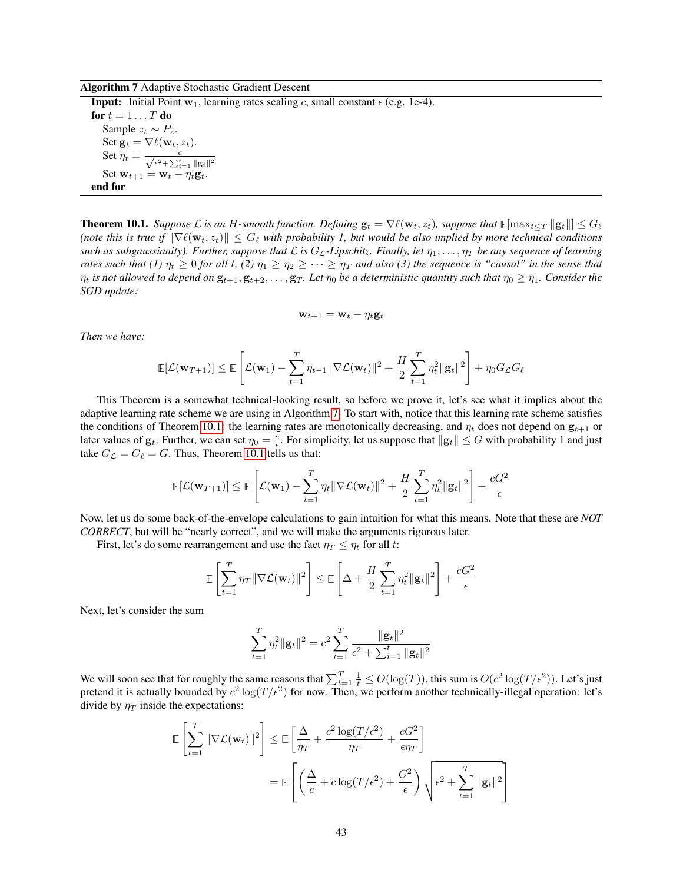Algorithm 7 Adaptive Stochastic Gradient Descent

<span id="page-42-0"></span>**Input:** Initial Point  $w_1$ , learning rates scaling c, small constant  $\epsilon$  (e.g. 1e-4). for  $t = 1 \dots T$  do Sample  $z_t \sim P_z$ . Set  $\mathbf{g}_t = \nabla \ell(\mathbf{w}_t, z_t)$ . Set  $\eta_t = \frac{c}{\sqrt{\epsilon^2 + \sum_{i=1}^t \| \mathbf{g}_i \|^2}}$ Set  $\mathbf{w}_{t+1} = \mathbf{w}_t - \eta_t \mathbf{g}_t$ . end for

<span id="page-42-1"></span>**Theorem 10.1.** *Suppose*  $\mathcal L$  *is an* H-smooth function. Defining  $\mathbf{g}_t = \nabla \ell(\mathbf{w}_t, z_t)$ , suppose that  $\mathbb E[\max_{t \le T} ||\mathbf{g}_t||] \le G_\ell$ (note this is true if  $\|\nabla \ell(\mathbf{w}_t, z_t)\| \leq G_\ell$  with probability 1, but would be also implied by more technical conditions *such as subgaussianity). Further, suppose that*  $\mathcal L$  *is*  $G_{\mathcal L}$ -Lipschitz. Finally, let  $\eta_1, \ldots, \eta_T$  be any sequence of learning *rates such that (1)*  $\eta_t \geq 0$  *for all t, (2)*  $\eta_1 \geq \eta_2 \geq \cdots \geq \eta_T$  *and also (3) the sequence is "causal" in the sense that*  $\eta_t$  is not allowed to depend on  $\mathbf{g}_{t+1}, \mathbf{g}_{t+2}, \ldots, \mathbf{g}_T$ . Let  $\eta_0$  be a deterministic quantity such that  $\eta_0 \geq \eta_1$ . Consider the *SGD update:*

$$
\mathbf{w}_{t+1} = \mathbf{w}_t - \eta_t \mathbf{g}_t
$$

*Then we have:*

$$
\mathbb{E}[\mathcal{L}(\mathbf{w}_{T+1})] \leq \mathbb{E}\left[\mathcal{L}(\mathbf{w}_1) - \sum_{t=1}^T \eta_{t-1} \|\nabla \mathcal{L}(\mathbf{w}_t)\|^2 + \frac{H}{2} \sum_{t=1}^T \eta_t^2 \|\mathbf{g}_t\|^2\right] + \eta_0 G_{\mathcal{L}} G_{\ell}
$$

This Theorem is a somewhat technical-looking result, so before we prove it, let's see what it implies about the adaptive learning rate scheme we are using in Algorithm [7.](#page-42-0) To start with, notice that this learning rate scheme satisfies the conditions of Theorem [10.1:](#page-42-1) the learning rates are monotonically decreasing, and  $\eta_t$  does not depend on  $\mathbf{g}_{t+1}$  or later values of  $g_t$ . Further, we can set  $\eta_0 = \frac{c}{\epsilon}$ . For simplicity, let us suppose that  $||g_t|| \le G$  with probability 1 and just take  $G_{\mathcal{L}} = G_{\ell} = G$ . Thus, Theorem [10.1](#page-42-1) tells us that:

$$
\mathbb{E}[\mathcal{L}(\mathbf{w}_{T+1})] \leq \mathbb{E}\left[\mathcal{L}(\mathbf{w}_1) - \sum_{t=1}^T \eta_t \|\nabla \mathcal{L}(\mathbf{w}_t)\|^2 + \frac{H}{2} \sum_{t=1}^T \eta_t^2 \|\mathbf{g}_t\|^2\right] + \frac{cG^2}{\epsilon}
$$

Now, let us do some back-of-the-envelope calculations to gain intuition for what this means. Note that these are *NOT CORRECT*, but will be "nearly correct", and we will make the arguments rigorous later.

First, let's do some rearrangement and use the fact  $\eta_T \leq \eta_t$  for all t:

$$
\mathbb{E}\left[\sum_{t=1}^T \eta_T \|\nabla \mathcal{L}(\mathbf{w}_t)\|^2\right] \le \mathbb{E}\left[\Delta + \frac{H}{2}\sum_{t=1}^T \eta_t^2 \|\mathbf{g}_t\|^2\right] + \frac{cG^2}{\epsilon}
$$

Next, let's consider the sum

$$
\sum_{t=1}^{T} \eta_t^2 \|\mathbf{g}_t\|^2 = c^2 \sum_{t=1}^{T} \frac{\|\mathbf{g}_t\|^2}{\epsilon^2 + \sum_{i=1}^{t} \|\mathbf{g}_t\|^2}
$$

We will soon see that for roughly the same reasons that  $\sum_{t=1}^{T} \frac{1}{t} \leq O(\log(T))$ , this sum is  $O(c^2 \log(T/\epsilon^2))$ . Let's just pretend it is actually bounded by  $c^2 \log(T/\epsilon^2)$  for now. Then, we perform another technically-illegal operation: let's divide by  $\eta_T$  inside the expectations:

$$
\mathbb{E}\left[\sum_{t=1}^{T} \|\nabla \mathcal{L}(\mathbf{w}_{t})\|^{2}\right] \leq \mathbb{E}\left[\frac{\Delta}{\eta_{T}} + \frac{c^{2}\log(T/\epsilon^{2})}{\eta_{T}} + \frac{cG^{2}}{\epsilon\eta_{T}}\right]
$$

$$
= \mathbb{E}\left[\left(\frac{\Delta}{c} + c\log(T/\epsilon^{2}) + \frac{G^{2}}{\epsilon}\right)\sqrt{\epsilon^{2} + \sum_{t=1}^{T} \|\mathbf{g}_{t}\|^{2}}\right]
$$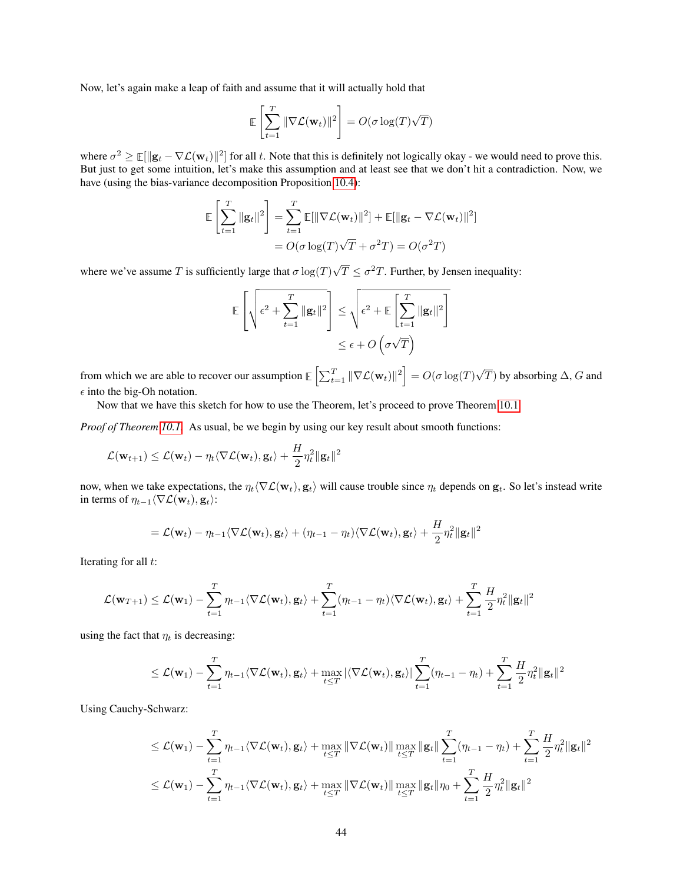Now, let's again make a leap of faith and assume that it will actually hold that

$$
\mathbb{E}\left[\sum_{t=1}^T \|\nabla \mathcal{L}(\mathbf{w}_t)\|^2\right] = O(\sigma \log(T)\sqrt{T})
$$

where  $\sigma^2 \geq \mathbb{E}[\|\mathbf{g}_t - \nabla \mathcal{L}(\mathbf{w}_t)\|^2]$  for all t. Note that this is definitely not logically okay - we would need to prove this. But just to get some intuition, let's make this assumption and at least see that we don't hit a contradiction. Now, we have (using the bias-variance decomposition Proposition [10.4\)](#page-48-0):

$$
\mathbb{E}\left[\sum_{t=1}^T \|\mathbf{g}_t\|^2\right] = \sum_{t=1}^T \mathbb{E}[\|\nabla \mathcal{L}(\mathbf{w}_t)\|^2] + \mathbb{E}[\|\mathbf{g}_t - \nabla \mathcal{L}(\mathbf{w}_t)\|^2]
$$

$$
= O(\sigma \log(T)\sqrt{T} + \sigma^2 T) = O(\sigma^2 T)
$$

where we've assume T is sufficiently large that  $\sigma \log(T)$ √  $\overline{T} \leq \sigma^2 T$ . Further, by Jensen inequality:

$$
\mathbb{E}\left[\sqrt{\epsilon^2 + \sum_{t=1}^T \|\mathbf{g}_t\|^2}\right] \leq \sqrt{\epsilon^2 + \mathbb{E}\left[\sum_{t=1}^T \|\mathbf{g}_t\|^2\right]}
$$

$$
\leq \epsilon + O\left(\sigma\sqrt{T}\right)
$$

from which we are able to recover our assumption  $\mathbb{E}\left[\sum_{t=1}^T \|\nabla \mathcal{L}(\mathbf{w}_t)\|^2\right] = O(\sigma \log(T))$ √ T) by absorbing  $\Delta$ , G and  $\epsilon$  into the big-Oh notation.

Now that we have this sketch for how to use the Theorem, let's proceed to prove Theorem [10.1.](#page-42-1)

*Proof of Theorem [10.1.](#page-42-1)* As usual, be we begin by using our key result about smooth functions:

$$
\mathcal{L}(\mathbf{w}_{t+1}) \leq \mathcal{L}(\mathbf{w}_t) - \eta_t \langle \nabla \mathcal{L}(\mathbf{w}_t), \mathbf{g}_t \rangle + \frac{H}{2} \eta_t^2 ||\mathbf{g}_t||^2
$$

now, when we take expectations, the  $\eta_t \langle \nabla \mathcal{L}(\mathbf{w}_t), \mathbf{g}_t \rangle$  will cause trouble since  $\eta_t$  depends on  $\mathbf{g}_t$ . So let's instead write in terms of  $\eta_{t-1}\langle\nabla\mathcal{L}(\mathbf{w}_t), \mathbf{g}_t\rangle$ :

$$
= \mathcal{L}(\mathbf{w}_t) - \eta_{t-1} \langle \nabla \mathcal{L}(\mathbf{w}_t), \mathbf{g}_t \rangle + (\eta_{t-1} - \eta_t) \langle \nabla \mathcal{L}(\mathbf{w}_t), \mathbf{g}_t \rangle + \frac{H}{2} \eta_t^2 ||\mathbf{g}_t||^2
$$

Iterating for all  $t$ :

$$
\mathcal{L}(\mathbf{w}_{T+1}) \leq \mathcal{L}(\mathbf{w}_1) - \sum_{t=1}^T \eta_{t-1} \langle \nabla \mathcal{L}(\mathbf{w}_t), \mathbf{g}_t \rangle + \sum_{t=1}^T (\eta_{t-1} - \eta_t) \langle \nabla \mathcal{L}(\mathbf{w}_t), \mathbf{g}_t \rangle + \sum_{t=1}^T \frac{H}{2} \eta_t^2 ||\mathbf{g}_t||^2
$$

using the fact that  $\eta_t$  is decreasing:

$$
\leq \mathcal{L}(\mathbf{w}_1) - \sum_{t=1}^T \eta_{t-1} \langle \nabla \mathcal{L}(\mathbf{w}_t), \mathbf{g}_t \rangle + \max_{t \leq T} |\langle \nabla \mathcal{L}(\mathbf{w}_t), \mathbf{g}_t \rangle| \sum_{t=1}^T (\eta_{t-1} - \eta_t) + \sum_{t=1}^T \frac{H}{2} \eta_t^2 ||\mathbf{g}_t||^2
$$

Using Cauchy-Schwarz:

$$
\leq \mathcal{L}(\mathbf{w}_1) - \sum_{t=1}^T \eta_{t-1} \langle \nabla \mathcal{L}(\mathbf{w}_t), \mathbf{g}_t \rangle + \max_{t \leq T} \|\nabla \mathcal{L}(\mathbf{w}_t)\| \max_{t \leq T} \|\mathbf{g}_t\| \sum_{t=1}^T (\eta_{t-1} - \eta_t) + \sum_{t=1}^T \frac{H}{2} \eta_t^2 \|\mathbf{g}_t\|^2
$$
  

$$
\leq \mathcal{L}(\mathbf{w}_1) - \sum_{t=1}^T \eta_{t-1} \langle \nabla \mathcal{L}(\mathbf{w}_t), \mathbf{g}_t \rangle + \max_{t \leq T} \|\nabla \mathcal{L}(\mathbf{w}_t)\| \max_{t \leq T} \|\mathbf{g}_t\| \eta_0 + \sum_{t=1}^T \frac{H}{2} \eta_t^2 \|\mathbf{g}_t\|^2
$$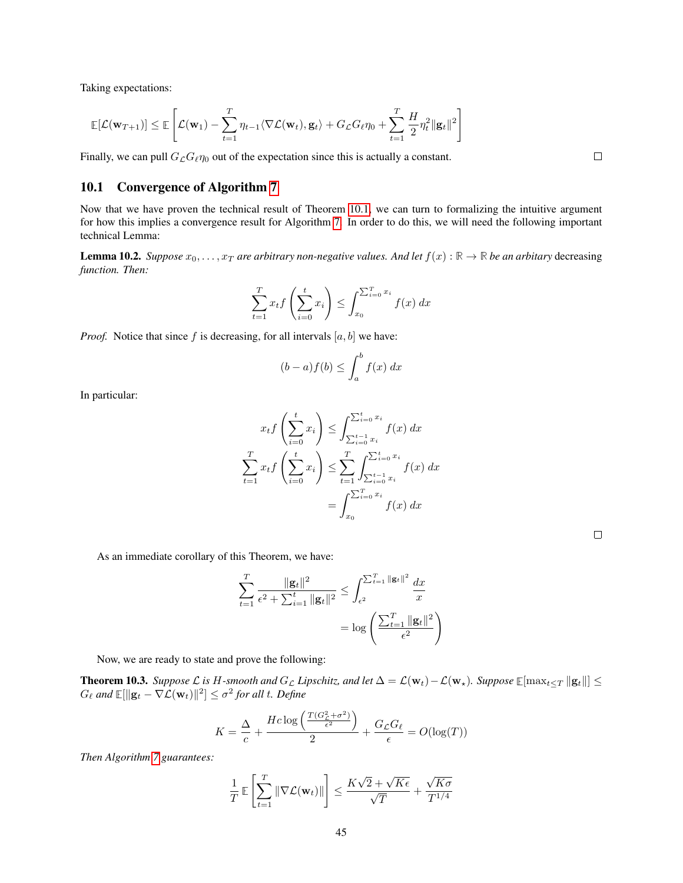Taking expectations:

$$
\mathbb{E}[\mathcal{L}(\mathbf{w}_{T+1})] \leq \mathbb{E}\left[\mathcal{L}(\mathbf{w}_1) - \sum_{t=1}^T \eta_{t-1} \langle \nabla \mathcal{L}(\mathbf{w}_t), \mathbf{g}_t \rangle + G_{\mathcal{L}} G_{\ell} \eta_0 + \sum_{t=1}^T \frac{H}{2} \eta_t^2 \|\mathbf{g}_t\|^2\right]
$$

Finally, we can pull  $G_{\mathcal{L}}G_{\ell}\eta_0$  out of the expectation since this is actually a constant.

### 10.1 Convergence of Algorithm [7](#page-42-0)

Now that we have proven the technical result of Theorem [10.1,](#page-42-1) we can turn to formalizing the intuitive argument for how this implies a convergence result for Algorithm [7.](#page-42-0) In order to do this, we will need the following important technical Lemma:

<span id="page-44-0"></span>**Lemma 10.2.** *Suppose*  $x_0, \ldots, x_T$  *are arbitrary non-negative values. And let*  $f(x): \mathbb{R} \to \mathbb{R}$  *be an arbitary* decreasing *function. Then:*

$$
\sum_{t=1}^{T} x_t f\left(\sum_{i=0}^{t} x_i\right) \le \int_{x_0}^{\sum_{i=0}^{T} x_i} f(x) \, dx
$$

*Proof.* Notice that since f is decreasing, for all intervals  $[a, b]$  we have:

$$
(b-a)f(b) \le \int_a^b f(x) \, dx
$$

In particular:

$$
x_t f\left(\sum_{i=0}^t x_i\right) \le \int_{\sum_{i=0}^{t-1} x_i}^{\sum_{i=0}^t x_i} f(x) \, dx
$$

$$
\sum_{t=1}^T x_t f\left(\sum_{i=0}^t x_i\right) \le \sum_{t=1}^T \int_{\sum_{i=0}^{t-1} x_i}^{\sum_{i=0}^t x_i} f(x) \, dx
$$

$$
= \int_{x_0}^{\sum_{i=0}^T x_i} f(x) \, dx
$$

As an immediate corollary of this Theorem, we have:

$$
\sum_{t=1}^{T} \frac{\|\mathbf{g}_t\|^2}{\epsilon^2 + \sum_{i=1}^t \|\mathbf{g}_t\|^2} \le \int_{\epsilon^2}^{\sum_{t=1}^{T} \|\mathbf{g}_t\|^2} \frac{dx}{x}
$$

$$
= \log \left( \frac{\sum_{t=1}^{T} \|\mathbf{g}_t\|^2}{\epsilon^2} \right)
$$

Now, we are ready to state and prove the following:

<span id="page-44-1"></span>**Theorem 10.3.** *Suppose*  $\mathcal{L}$  *is* H-smooth and  $G_{\mathcal{L}}$  *Lipschitz, and let*  $\Delta = \mathcal{L}(\mathbf{w}_t) - \mathcal{L}(\mathbf{w}_\star)$ *. Suppose*  $\mathbb{E}[\max_{t \leq T} ||\mathbf{g}_t||]$  ≤  $G_{\ell}$  and  $\mathbb{E}[\Vert \mathbf{g}_t - \nabla \mathcal{L}(\mathbf{w}_t) \Vert^2] \le \sigma^2$  for all t. Define

$$
K = \frac{\Delta}{c} + \frac{Hc \log \left( \frac{T(G_c^2 + \sigma^2)}{\epsilon^2} \right)}{2} + \frac{G_{\mathcal{L}}G_{\ell}}{\epsilon} = O(\log(T))
$$

*Then Algorithm [7](#page-42-0) guarantees:*

$$
\frac{1}{T} \mathbb{E}\left[\sum_{t=1}^T \|\nabla \mathcal{L}(\mathbf{w}_t)\|\right] \le \frac{K\sqrt{2} + \sqrt{K\epsilon}}{\sqrt{T}} + \frac{\sqrt{K\sigma}}{T^{1/4}}
$$

 $\Box$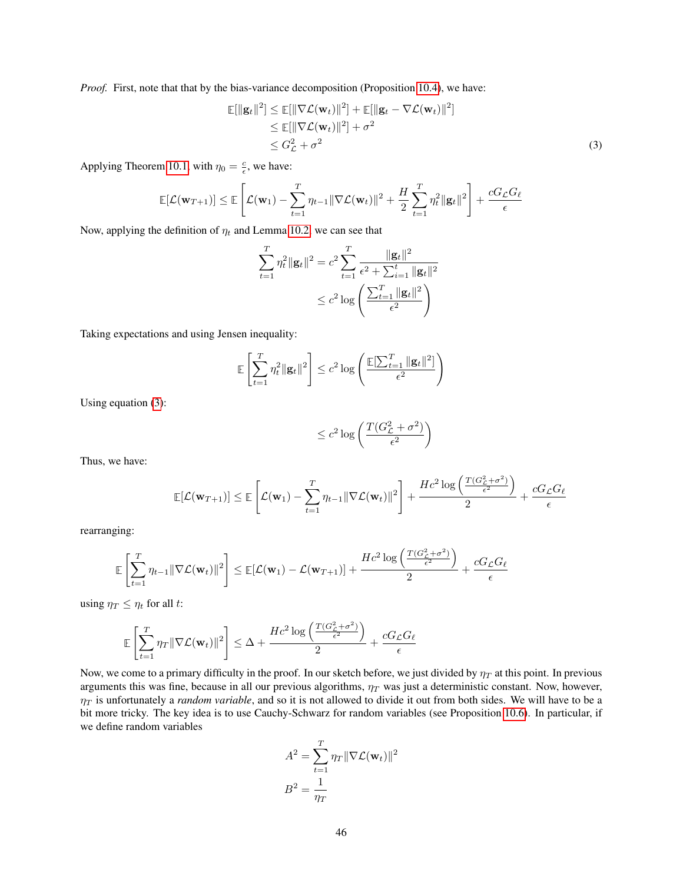*Proof.* First, note that that by the bias-variance decomposition (Proposition [10.4\)](#page-48-0), we have:

$$
\mathbb{E}[\|\mathbf{g}_t\|^2] \le \mathbb{E}[\|\nabla \mathcal{L}(\mathbf{w}_t)\|^2] + \mathbb{E}[\|\mathbf{g}_t - \nabla \mathcal{L}(\mathbf{w}_t)\|^2] \n\le \mathbb{E}[\|\nabla \mathcal{L}(\mathbf{w}_t)\|^2] + \sigma^2 \n\le G_L^2 + \sigma^2
$$
\n(3)

Applying Theorem [10.1,](#page-42-1) with  $\eta_0 = \frac{c}{\epsilon}$ , we have:

$$
\mathbb{E}[\mathcal{L}(\mathbf{w}_{T+1})] \leq \mathbb{E}\left[\mathcal{L}(\mathbf{w}_1) - \sum_{t=1}^T \eta_{t-1} \|\nabla \mathcal{L}(\mathbf{w}_t)\|^2 + \frac{H}{2} \sum_{t=1}^T \eta_t^2 \|\mathbf{g}_t\|^2\right] + \frac{cG_{\mathcal{L}}G_{\ell}}{\epsilon}
$$

Now, applying the definition of  $\eta_t$  and Lemma [10.2,](#page-44-0) we can see that

<span id="page-45-0"></span>
$$
\sum_{t=1}^{T} \eta_t^2 \|\mathbf{g}_t\|^2 = c^2 \sum_{t=1}^{T} \frac{\|\mathbf{g}_t\|^2}{\epsilon^2 + \sum_{i=1}^{t} \|\mathbf{g}_t\|^2}
$$

$$
\leq c^2 \log \left( \frac{\sum_{t=1}^{T} \|\mathbf{g}_t\|^2}{\epsilon^2} \right)
$$

Taking expectations and using Jensen inequality:

$$
\mathbb{E}\left[\sum_{t=1}^T \eta_t^2 \|\mathbf{g}_t\|^2\right] \leq c^2 \log \left(\frac{\mathbb{E}[\sum_{t=1}^T \|\mathbf{g}_t\|^2]}{\epsilon^2}\right)
$$

Using equation [\(3\)](#page-45-0):

$$
\le c^2 \log \left( \frac{T(G_{\mathcal{L}}^2 + \sigma^2)}{\epsilon^2} \right)
$$

Thus, we have:

$$
\mathbb{E}[\mathcal{L}(\mathbf{w}_{T+1})] \leq \mathbb{E}\left[\mathcal{L}(\mathbf{w}_{1}) - \sum_{t=1}^{T} \eta_{t-1} \|\nabla \mathcal{L}(\mathbf{w}_{t})\|^{2}\right] + \frac{Hc^{2}\log\left(\frac{T(G_{\mathcal{L}}^{2} + \sigma^{2})}{\epsilon^{2}}\right)}{2} + \frac{cG_{\mathcal{L}}G_{\ell}}{\epsilon}
$$

rearranging:

$$
\mathbb{E}\left[\sum_{t=1}^T \eta_{t-1} \|\nabla \mathcal{L}(\mathbf{w}_t)\|^2\right] \leq \mathbb{E}[\mathcal{L}(\mathbf{w}_1) - \mathcal{L}(\mathbf{w}_{T+1})] + \frac{Hc^2\log\left(\frac{T(G_{\mathcal{L}}^2 + \sigma^2)}{\epsilon^2}\right)}{2} + \frac{cG_{\mathcal{L}}G_{\ell}}{\epsilon}
$$

using  $\eta_T \leq \eta_t$  for all t:

$$
\mathbb{E}\left[\sum_{t=1}^T \eta_T \|\nabla \mathcal{L}(\mathbf{w}_t)\|^2\right] \leq \Delta + \frac{Hc^2 \log\left(\frac{T(G_{\mathcal{L}}^2 + \sigma^2)}{\epsilon^2}\right)}{2} + \frac{cG_{\mathcal{L}}G_{\ell}}{\epsilon}
$$

Now, we come to a primary difficulty in the proof. In our sketch before, we just divided by  $\eta_T$  at this point. In previous arguments this was fine, because in all our previous algorithms,  $\eta_T$  was just a deterministic constant. Now, however,  $\eta_T$  is unfortunately a *random variable*, and so it is not allowed to divide it out from both sides. We will have to be a bit more tricky. The key idea is to use Cauchy-Schwarz for random variables (see Proposition [10.6\)](#page-48-1). In particular, if we define random variables

$$
A^{2} = \sum_{t=1}^{T} \eta_{T} ||\nabla \mathcal{L}(\mathbf{w}_{t})||^{2}
$$

$$
B^{2} = \frac{1}{\eta_{T}}
$$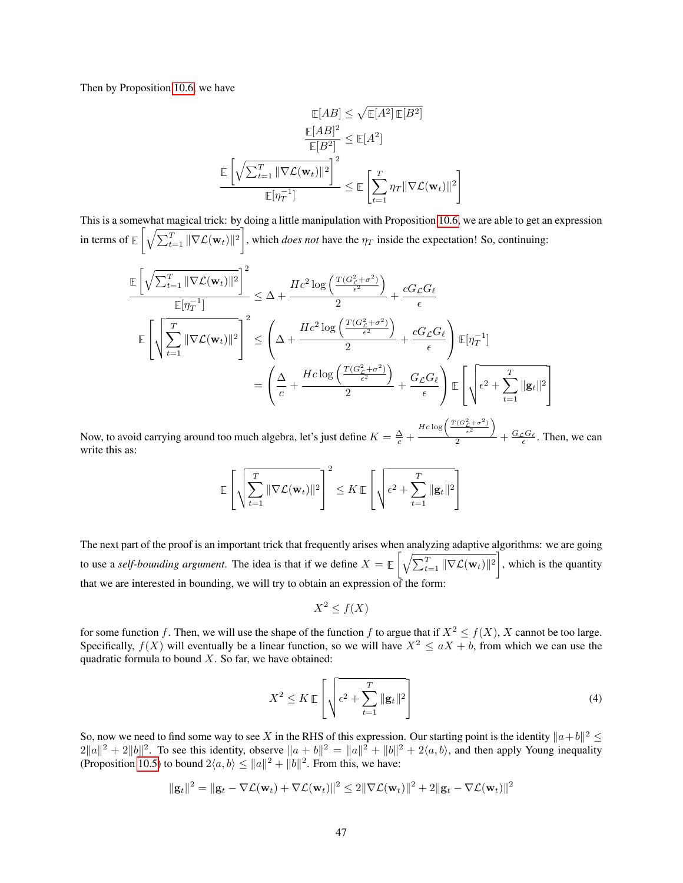Then by Proposition [10.6,](#page-48-1) we have

$$
\mathbb{E}[AB] \leq \sqrt{\mathbb{E}[A^2] \mathbb{E}[B^2]}
$$

$$
\frac{\mathbb{E}[AB]^2}{\mathbb{E}[B^2]} \leq \mathbb{E}[A^2]
$$

$$
\frac{\mathbb{E}\left[\sqrt{\sum_{t=1}^T \|\nabla \mathcal{L}(\mathbf{w}_t)\|^2}\right]^2}{\mathbb{E}[\eta_T^{-1}]} \leq \mathbb{E}\left[\sum_{t=1}^T \eta_T \|\nabla \mathcal{L}(\mathbf{w}_t)\|^2\right]
$$

This is a somewhat magical trick: by doing a little manipulation with Proposition [10.6,](#page-48-1) we are able to get an expression in terms of  $\mathbb{E}\left[\sqrt{\sum_{t=1}^T \|\nabla \mathcal{L}(\mathbf{w}_t)\|^2}\right]$ , which *does not* have the  $\eta_T$  inside the expectation! So, continuing:

$$
\frac{\mathbb{E}\left[\sqrt{\sum_{t=1}^{T}||\nabla\mathcal{L}(\mathbf{w}_{t})||^{2}}\right]^{2}}{\mathbb{E}[\eta_{T}^{-1}]} \leq \Delta + \frac{Hc^{2}\log\left(\frac{T(G_{\mathcal{L}}^{2}+\sigma^{2})}{\epsilon^{2}}\right)}{2} + \frac{cG_{\mathcal{L}}G_{\ell}}{\epsilon}
$$
\n
$$
\mathbb{E}\left[\sqrt{\sum_{t=1}^{T}||\nabla\mathcal{L}(\mathbf{w}_{t})||^{2}}\right]^{2} \leq \left(\Delta + \frac{Hc^{2}\log\left(\frac{T(G_{\mathcal{L}}^{2}+\sigma^{2})}{\epsilon^{2}}\right)}{2} + \frac{cG_{\mathcal{L}}G_{\ell}}{\epsilon}\right)\mathbb{E}[\eta_{T}^{-1}]
$$
\n
$$
= \left(\frac{\Delta}{c} + \frac{Hc\log\left(\frac{T(G_{\mathcal{L}}^{2}+\sigma^{2})}{\epsilon^{2}}\right)}{2} + \frac{G_{\mathcal{L}}G_{\ell}}{\epsilon}\right)\mathbb{E}\left[\sqrt{\epsilon^{2} + \sum_{t=1}^{T}||\mathbf{g}_{t}||^{2}}\right]
$$

Now, to avoid carrying around too much algebra, let's just define  $K = \frac{\Delta}{c} + \frac{\Delta}{c}$  $Hc\log\left(\frac{T(G_{\mathcal{L}}^2+\sigma^2)}{\epsilon^2}\right)$  $\frac{\epsilon^2}{2}$  +  $\frac{G_{\mathcal{L}}G_{\ell}}{\epsilon}$ . Then, we can write this as:

$$
\mathbb{E}\left[\sqrt{\sum_{t=1}^T \|\nabla \mathcal{L}(\mathbf{w}_t)\|^2}\right]^2 \leq K \mathbb{E}\left[\sqrt{\epsilon^2 + \sum_{t=1}^T \|\mathbf{g}_t\|^2}\right]
$$

The next part of the proof is an important trick that frequently arises when analyzing adaptive algorithms: we are going to use a *self-bounding argument*. The idea is that if we define  $X = \mathbb{E} \left[ \sqrt{\sum_{t=1}^T ||\nabla \mathcal{L}(\mathbf{w}_t)||^2} \right]$ , which is the quantity that we are interested in bounding, we will try to obtain an expression of the form:

<span id="page-46-0"></span>
$$
X^2 \le f(X)
$$

for some function f. Then, we will use the shape of the function f to argue that if  $X^2 \le f(X)$ , X cannot be too large. Specifically,  $f(X)$  will eventually be a linear function, so we will have  $X^2 \le aX + b$ , from which we can use the quadratic formula to bound  $X$ . So far, we have obtained:

$$
X^2 \le K \mathbb{E}\left[\sqrt{\epsilon^2 + \sum_{t=1}^T \|\mathbf{g}_t\|^2}\right]
$$
 (4)

So, now we need to find some way to see X in the RHS of this expression. Our starting point is the identity  $\|a+b\|^2 \leq$  $2||a||^2 + 2||b||^2$ . To see this identity, observe  $||a + b||^2 = ||a||^2 + ||b||^2 + 2\langle a, b \rangle$ , and then apply Young inequality (Proposition [10.5\)](#page-48-2) to bound  $2\langle a, b \rangle \le ||a||^2 + ||b||^2$ . From this, we have:

$$
\|\mathbf{g}_t\|^2 = \|\mathbf{g}_t - \nabla \mathcal{L}(\mathbf{w}_t) + \nabla \mathcal{L}(\mathbf{w}_t)\|^2 \le 2\|\nabla \mathcal{L}(\mathbf{w}_t)\|^2 + 2\|\mathbf{g}_t - \nabla \mathcal{L}(\mathbf{w}_t)\|^2
$$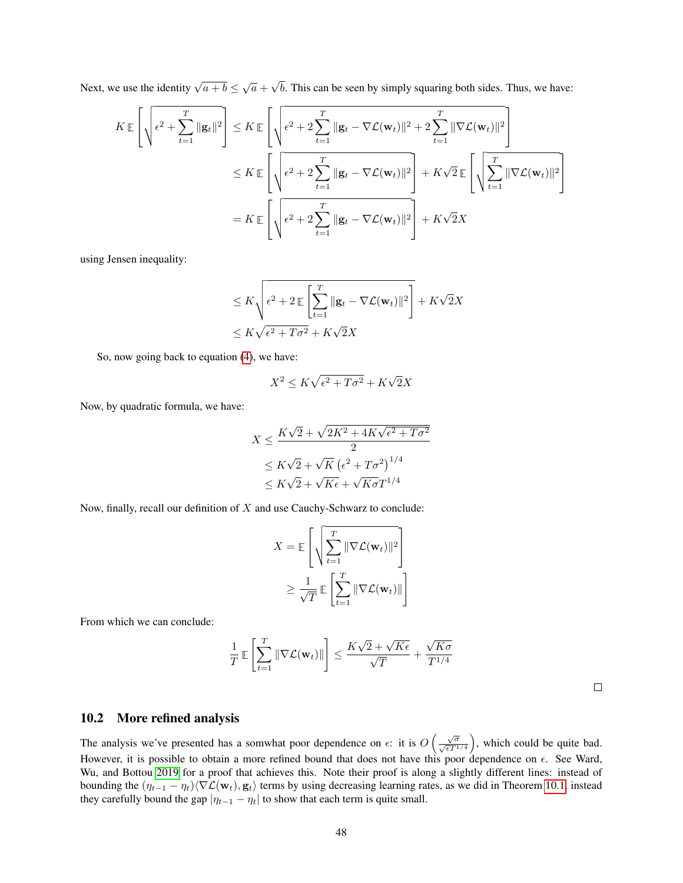Next, we use the identity  $\sqrt{a+b} \leq \sqrt{a}$  + √ b. This can be seen by simply squaring both sides. Thus, we have:

$$
K \mathbb{E}\left[\sqrt{\epsilon^2 + \sum_{t=1}^T \|\mathbf{g}_t\|^2}\right] \leq K \mathbb{E}\left[\sqrt{\epsilon^2 + 2\sum_{t=1}^T \|\mathbf{g}_t - \nabla \mathcal{L}(\mathbf{w}_t)\|^2 + 2\sum_{t=1}^T \|\nabla \mathcal{L}(\mathbf{w}_t)\|^2}\right]
$$
  

$$
\leq K \mathbb{E}\left[\sqrt{\epsilon^2 + 2\sum_{t=1}^T \|\mathbf{g}_t - \nabla \mathcal{L}(\mathbf{w}_t)\|^2}\right] + K\sqrt{2}\mathbb{E}\left[\sqrt{\sum_{t=1}^T \|\nabla \mathcal{L}(\mathbf{w}_t)\|^2}\right]
$$
  

$$
= K \mathbb{E}\left[\sqrt{\epsilon^2 + 2\sum_{t=1}^T \|\mathbf{g}_t - \nabla \mathcal{L}(\mathbf{w}_t)\|^2}\right] + K\sqrt{2}X
$$

using Jensen inequality:

$$
\leq K \sqrt{\epsilon^2 + 2 \mathbb{E} \left[ \sum_{t=1}^T \|\mathbf{g}_t - \nabla \mathcal{L}(\mathbf{w}_t)\|^2 \right]} + K\sqrt{2}X
$$
  

$$
\leq K \sqrt{\epsilon^2 + T\sigma^2} + K\sqrt{2}X
$$

So, now going back to equation [\(4\)](#page-46-0), we have:

$$
X^2 \le K\sqrt{\epsilon^2 + T\sigma^2} + K\sqrt{2}X
$$

Now, by quadratic formula, we have:

$$
X \le \frac{K\sqrt{2} + \sqrt{2K^2 + 4K\sqrt{\epsilon^2 + T\sigma^2}}}{2}
$$
  
\n
$$
\le K\sqrt{2} + \sqrt{K} (\epsilon^2 + T\sigma^2)^{1/4}
$$
  
\n
$$
\le K\sqrt{2} + \sqrt{K\epsilon} + \sqrt{K\sigma}T^{1/4}
$$

Now, finally, recall our definition of  $X$  and use Cauchy-Schwarz to conclude:

$$
X = \mathbb{E}\left[\sqrt{\sum_{t=1}^{T} \|\nabla \mathcal{L}(\mathbf{w}_t)\|^2}\right]
$$

$$
\geq \frac{1}{\sqrt{T}} \mathbb{E}\left[\sum_{t=1}^{T} \|\nabla \mathcal{L}(\mathbf{w}_t)\|\right]
$$

From which we can conclude:

$$
\frac{1}{T} \mathbb{E}\left[\sum_{t=1}^T \|\nabla \mathcal{L}(\mathbf{w}_t)\| \right] \le \frac{K\sqrt{2} + \sqrt{K\epsilon}}{\sqrt{T}} + \frac{\sqrt{K\sigma}}{T^{1/4}}
$$

## 10.2 More refined analysis

The analysis we've presented has a somwhat poor dependence on  $\epsilon$ : it is  $O\left(\frac{\sqrt{\sigma}}{\sqrt{\epsilon}T^{1/4}}\right)$ , which could be quite bad. However, it is possible to obtain a more refined bound that does not have this poor dependence on  $\epsilon$ . See Ward, Wu, and Bottou [2019](#page-121-0) for a proof that achieves this. Note their proof is along a slightly different lines: instead of bounding the  $(\eta_{t-1} - \eta_t)\langle \nabla \mathcal{L}(\mathbf{w}_t), \mathbf{g}_t \rangle$  terms by using decreasing learning rates, as we did in Theorem [10.1,](#page-42-1) instead they carefully bound the gap  $|\eta_{t-1} - \eta_t|$  to show that each term is quite small.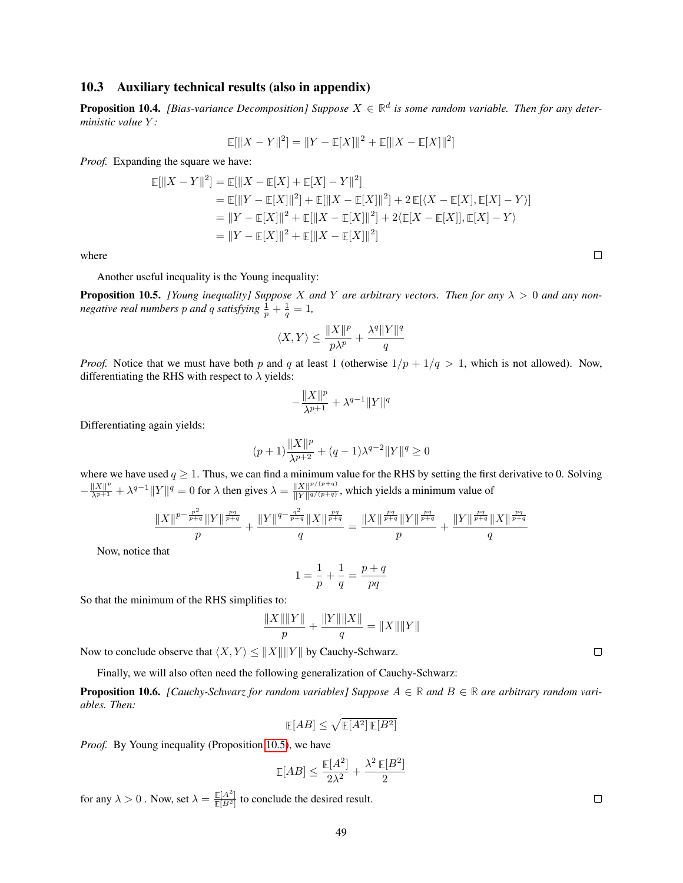### 10.3 Auxiliary technical results (also in appendix)

<span id="page-48-0"></span>**Proposition 10.4.** [Bias-variance Decomposition] Suppose  $X \in \mathbb{R}^d$  is some random variable. Then for any deter*ministic value* Y *:*

$$
\mathbb{E}[\|X - Y\|^2] = \|Y - \mathbb{E}[X]\|^2 + \mathbb{E}[\|X - \mathbb{E}[X]\|^2]
$$

*Proof.* Expanding the square we have:

$$
\mathbb{E}[\|X - Y\|^2] = \mathbb{E}[\|X - \mathbb{E}[X] + \mathbb{E}[X] - Y\|^2]
$$
  
\n
$$
= \mathbb{E}[\|Y - \mathbb{E}[X]\|^2] + \mathbb{E}[\|X - \mathbb{E}[X]\|^2] + 2\mathbb{E}[\langle X - \mathbb{E}[X], \mathbb{E}[X] - Y \rangle]
$$
  
\n
$$
= \|Y - \mathbb{E}[X]\|^2 + \mathbb{E}[\|X - \mathbb{E}[X]\|^2] + 2\langle \mathbb{E}[X - \mathbb{E}[X]], \mathbb{E}[X] - Y \rangle
$$
  
\n
$$
= \|Y - \mathbb{E}[X]\|^2 + \mathbb{E}[\|X - \mathbb{E}[X]\|^2]
$$

where

Another useful inequality is the Young inequality:

<span id="page-48-2"></span>**Proposition 10.5.** *[Young inequality] Suppose X and Y are arbitrary vectors. Then for any*  $\lambda > 0$  *and any nonnegative real numbers*  $p$  *and*  $q$  *satisfying*  $\frac{1}{p} + \frac{1}{q} = 1$ *,* 

$$
\langle X,Y\rangle\leq \frac{\|X\|^p}{p\lambda^p}+\frac{\lambda^q\|Y\|^q}{q}
$$

*Proof.* Notice that we must have both p and q at least 1 (otherwise  $1/p + 1/q > 1$ , which is not allowed). Now, differentiating the RHS with respect to  $\lambda$  yields:

$$
-\frac{\|X\|^p}{\lambda^{p+1}}+\lambda^{q-1}\|Y\|^q
$$

Differentiating again yields:

$$
(p+1)\frac{\|X\|^p}{\lambda^{p+2}} + (q-1)\lambda^{q-2} \|Y\|^q \ge 0
$$

where we have used  $q \ge 1$ . Thus, we can find a minimum value for the RHS by setting the first derivative to 0. Solving  $-\frac{\|X\|^p}{\lambda^{p+1}} + \lambda^{q-1} \|Y\|^q = 0$  for  $\lambda$  then gives  $\lambda = \frac{\|X\|^{p/(p+q)}}{\|Y\|^{q/(p+q)}}$  $\frac{||X||^{r/(n+1)}}{||Y||^{q/(p+q)}}$ , which yields a minimum value of

$$
\frac{\|X\|^{p-\frac{p^2}{p+q}}\|Y\|^{\frac{pq}{p+q}}}{p} + \frac{\|Y\|^{q-\frac{q^2}{p+q}}\|X\|^{\frac{pq}{p+q}}}{q} = \frac{\|X\|^{\frac{pq}{p+q}}\|Y\|^{\frac{pq}{p+q}}}{p} + \frac{\|Y\|^{\frac{pq}{p+q}}\|X\|^{\frac{pq}{p+q}}}{q}
$$

Now, notice that

$$
1 = \frac{1}{p} + \frac{1}{q} = \frac{p+q}{pq}
$$

So that the minimum of the RHS simplifies to:

$$
\frac{\|X\|\|Y\|}{p} + \frac{\|Y\|\|X\|}{q} = \|X\|\|Y\|
$$

Now to conclude observe that  $\langle X, Y \rangle \le ||X|| ||Y||$  by Cauchy-Schwarz.

Finally, we will also often need the following generalization of Cauchy-Schwarz:

<span id="page-48-1"></span>**Proposition 10.6.** *[Cauchy-Schwarz for random variables] Suppose*  $A \in \mathbb{R}$  *and*  $B \in \mathbb{R}$  *are arbitrary random variables. Then:*

$$
\mathop{\mathbb{E}}[AB] \le \sqrt{\mathop{\mathbb{E}}[A^2] \mathop{\mathbb{E}}[B^2]}
$$

*Proof.* By Young inequality (Proposition [10.5\)](#page-48-2), we have

$$
\mathop{\mathbb{E}}[AB] \leq \frac{\mathop{\mathbb{E}}[A^2]}{2\lambda^2} + \frac{\lambda^2\,\mathop{\mathbb{E}}[B^2]}{2}
$$

for any  $\lambda > 0$ . Now, set  $\lambda = \frac{\mathbb{E}[A^2]}{\mathbb{E}[B^2]}$  to conclude the desired result.

 $\Box$ 

 $\Box$ 

 $\Box$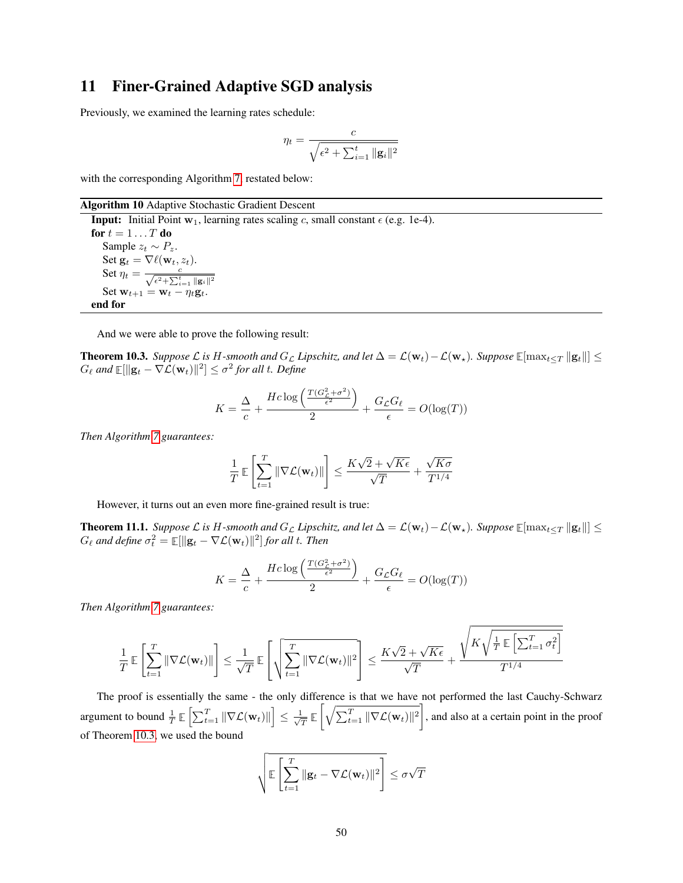# 11 Finer-Grained Adaptive SGD analysis

Previously, we examined the learning rates schedule:

$$
\eta_t = \frac{c}{\sqrt{\epsilon^2 + \sum_{i=1}^t ||\mathbf{g}_i||^2}}
$$

with the corresponding Algorithm [7,](#page-42-0) restated below:

Algorithm 10 Adaptive Stochastic Gradient Descent

**Input:** Initial Point  $w_1$ , learning rates scaling c, small constant  $\epsilon$  (e.g. 1e-4). for  $t = 1 \ldots T$  do Sample  $z_t \sim P_z$ . Set  $\mathbf{g}_t = \nabla \ell(\mathbf{w}_t, z_t)$ . Set  $\eta_t = \frac{c}{\sqrt{\epsilon^2 + \sum_{i=1}^t ||\mathbf{g}_i||^2}}$ Set  $\mathbf{w}_{t+1} = \mathbf{w}_t - \eta_t \mathbf{g}_t$ . end for

And we were able to prove the following result:

**Theorem 10.3.** *Suppose*  $\mathcal{L}$  *is* H-smooth and  $G_{\mathcal{L}}$  *Lipschitz, and let*  $\Delta = \mathcal{L}(\mathbf{w}_t) - \mathcal{L}(\mathbf{w}_s)$ *. Suppose*  $\mathbb{E}[\max_{t \leq T} ||\mathbf{g}_t||]$  ≤  $G_{\ell}$  and  $\mathbb{E}[\Vert \mathbf{g}_t - \nabla \mathcal{L}(\mathbf{w}_t) \Vert^2] \le \sigma^2$  for all t. Define

$$
K = \frac{\Delta}{c} + \frac{Hc \log \left( \frac{T(G_c^2 + \sigma^2)}{\epsilon^2} \right)}{2} + \frac{G_{\mathcal{L}} G_{\ell}}{\epsilon} = O(\log(T))
$$

*Then Algorithm [7](#page-42-0) guarantees:*

$$
\frac{1}{T} \mathbb{E}\left[\sum_{t=1}^T \|\nabla \mathcal{L}(\mathbf{w}_t)\|\right] \le \frac{K\sqrt{2} + \sqrt{K\epsilon}}{\sqrt{T}} + \frac{\sqrt{K\sigma}}{T^{1/4}}
$$

However, it turns out an even more fine-grained result is true:

<span id="page-49-0"></span>**Theorem 11.1.** *Suppose*  $\mathcal L$  *is* H-smooth and  $G_{\mathcal L}$  *Lipschitz, and let*  $\Delta = \mathcal L(\mathbf w_t) - \mathcal L(\mathbf w_\star)$ *. Suppose*  $\mathbb E[\max_{t \leq T} ||\mathbf g_t||] \leq$  $G_{\ell}$  and define  $\sigma_t^2 = \mathbb{E}[\Vert \mathbf{g}_t - \nabla \mathcal{L}(\mathbf{w}_t) \Vert^2]$  for all t. Then

$$
K = \frac{\Delta}{c} + \frac{Hc \log \left( \frac{T(G_{\mathcal{L}}^2 + \sigma^2)}{\epsilon^2} \right)}{2} + \frac{G_{\mathcal{L}}G_{\ell}}{\epsilon} = O(\log(T))
$$

*Then Algorithm [7](#page-42-0) guarantees:*

$$
\frac{1}{T}\mathbb{E}\left[\sum_{t=1}^T\|\nabla \mathcal{L}(\mathbf{w}_t)\|\right] \leq \frac{1}{\sqrt{T}}\mathbb{E}\left[\sqrt{\sum_{t=1}^T\|\nabla \mathcal{L}(\mathbf{w}_t)\|^2}\right] \leq \frac{K\sqrt{2}+\sqrt{K\epsilon}}{\sqrt{T}}+\frac{\sqrt{K\sqrt{\frac{1}{T}\mathbb{E}\left[\sum_{t=1}^T\sigma_t^2\right]}}}{T^{1/4}}
$$

The proof is essentially the same - the only difference is that we have not performed the last Cauchy-Schwarz argument to bound  $\frac{1}{T} \mathbb{E} \left[ \sum_{t=1}^T \|\nabla \mathcal{L}(\mathbf{w}_t)\| \right] \leq \frac{1}{\sqrt{2}}$  $\frac{1}{T} \mathbb{E}\left[\sqrt{\sum_{t=1}^T \|\nabla \mathcal{L}(\mathbf{w}_t)\|^2}\right]$ , and also at a certain point in the proof of Theorem [10.3,](#page-44-1) we used the bound

$$
\sqrt{\mathbb{E}\left[\sum_{t=1}^T \|\mathbf{g}_t - \nabla \mathcal{L}(\mathbf{w}_t)\|^2\right]} \leq \sigma\sqrt{T}
$$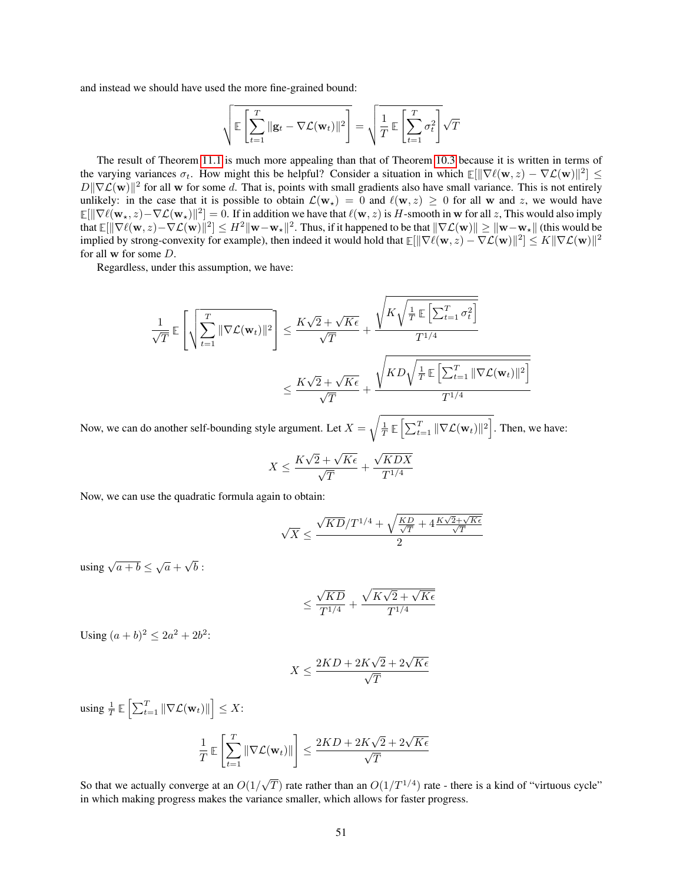and instead we should have used the more fine-grained bound:

$$
\sqrt{\mathbb{E}\left[\sum_{t=1}^T \|\mathbf{g}_t - \nabla \mathcal{L}(\mathbf{w}_t)\|^2\right]} = \sqrt{\frac{1}{T} \mathbb{E}\left[\sum_{t=1}^T \sigma_t^2\right]} \sqrt{T}
$$

The result of Theorem [11.1](#page-49-0) is much more appealing than that of Theorem [10.3](#page-44-1) because it is written in terms of the varying variances  $\sigma_t$ . How might this be helpful? Consider a situation in which  $\mathbb{E}[\|\nabla \ell(\mathbf{w}, z) - \nabla \mathcal{L}(\mathbf{w})\|^2] \leq$  $D\|\nabla \mathcal{L}(\mathbf{w})\|^2$  for all w for some d. That is, points with small gradients also have small variance. This is not entirely unlikely: in the case that it is possible to obtain  $\mathcal{L}(\mathbf{w}_*) = 0$  and  $\ell(\mathbf{w}, z) \geq 0$  for all w and z, we would have  $\mathbb{E}[\|\nabla \ell(\mathbf{w}_\star, z) - \nabla \mathcal{L}(\mathbf{w}_\star)\|^2] = 0.$  If in addition we have that  $\ell(\mathbf{w}, z)$  is H-smooth in w for all z, This would also imply that  $\mathbb{E}[\|\nabla \ell(\mathbf{w}, z) - \nabla \mathcal{L}(\mathbf{w})\|^2] \leq H^2 \|\mathbf{w} - \mathbf{w}_\star\|^2$ . Thus, if it happened to be that  $\|\nabla \mathcal{L}(\mathbf{w})\| \geq \|\mathbf{w} - \mathbf{w}_\star\|$  (this would be implied by strong-convexity for example), then indeed it would hold that  $\mathbb{E}[\|\nabla\ell(\mathbf{w},z)-\nabla\mathcal{L}(\mathbf{w})\|^2]\leq K\|\nabla\mathcal{L}(\mathbf{w})\|^2$ for all w for some D.

Regardless, under this assumption, we have:

$$
\frac{1}{\sqrt{T}} \mathbb{E}\left[\sqrt{\sum_{t=1}^{T} \|\nabla \mathcal{L}(\mathbf{w}_{t})\|^2}\right] \leq \frac{K\sqrt{2} + \sqrt{K\epsilon}}{\sqrt{T}} + \frac{\sqrt{K\sqrt{\frac{1}{T}} \mathbb{E}\left[\sum_{t=1}^{T} \sigma_t^2\right]}}{T^{1/4}}
$$

$$
\leq \frac{K\sqrt{2} + \sqrt{K\epsilon}}{\sqrt{T}} + \frac{\sqrt{K}D\sqrt{\frac{1}{T} \mathbb{E}\left[\sum_{t=1}^{T} \|\nabla \mathcal{L}(\mathbf{w}_{t})\|^2\right]}}{T^{1/4}}
$$

Now, we can do another self-bounding style argument. Let  $X = \sqrt{\frac{1}{T} \mathbb{E} \left[ \sum_{t=1}^T ||\nabla \mathcal{L}(\mathbf{w}_t)||^2 \right]}$ . Then, we have:

$$
X \le \frac{K\sqrt{2} + \sqrt{K\epsilon}}{\sqrt{T}} + \frac{\sqrt{KDX}}{T^{1/4}}
$$

Now, we can use the quadratic formula again to obtain:

$$
\sqrt{X} \leq \frac{\sqrt{KD}/T^{1/4} + \sqrt{\frac{KD}{\sqrt{T}} + 4\frac{K\sqrt{2} + \sqrt{K\epsilon}}{\sqrt{T}}}}{2}
$$

using  $\sqrt{a+b} \leq \sqrt{a}$  + √  $b:$ 

$$
\leq \frac{\sqrt{KD}}{T^{1/4}} + \frac{\sqrt{K\sqrt{2}+\sqrt{K\epsilon}}}{T^{1/4}}
$$

Using  $(a + b)^2 \le 2a^2 + 2b^2$ :

$$
X \le \frac{2KD + 2K\sqrt{2} + 2\sqrt{K\epsilon}}{\sqrt{T}}
$$

using  $\frac{1}{T} \mathbb{E} \left[ \sum_{t=1}^T \|\nabla \mathcal{L}(\mathbf{w}_t)\| \right] \leq X$ : T 1

$$
\frac{1}{T} \mathbb{E}\left[\sum_{t=1}^{T} \|\nabla \mathcal{L}(\mathbf{w}_t)\| \right] \le \frac{2KD + 2K\sqrt{2} + 2\sqrt{K\epsilon}}{\sqrt{T}}
$$

So that we actually converge at an  $O(1)$  $\sqrt{T}$ ) rate rather than an  $O(1/T^{1/4})$  rate - there is a kind of "virtuous cycle" in which making progress makes the variance smaller, which allows for faster progress.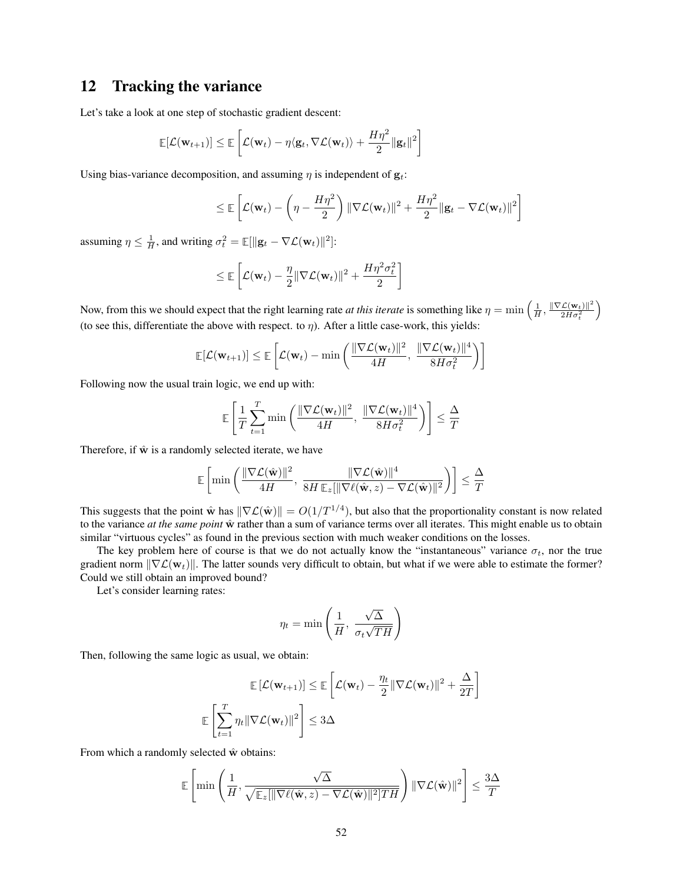# 12 Tracking the variance

Let's take a look at one step of stochastic gradient descent:

$$
\mathbb{E}[\mathcal{L}(\mathbf{w}_{t+1})] \leq \mathbb{E}\left[\mathcal{L}(\mathbf{w}_t) - \eta \langle \mathbf{g}_t, \nabla \mathcal{L}(\mathbf{w}_t) \rangle + \frac{H\eta^2}{2} ||\mathbf{g}_t||^2\right]
$$

Using bias-variance decomposition, and assuming  $\eta$  is independent of  $\mathbf{g}_t$ :

$$
\leq \mathbb{E}\left[\mathcal{L}(\mathbf{w}_t) - \left(\eta - \frac{H\eta^2}{2}\right) \|\nabla \mathcal{L}(\mathbf{w}_t)\|^2 + \frac{H\eta^2}{2} \|\mathbf{g}_t - \nabla \mathcal{L}(\mathbf{w}_t)\|^2\right]
$$

assuming  $\eta \leq \frac{1}{H}$ , and writing  $\sigma_t^2 = \mathbb{E}[\|\mathbf{g}_t - \nabla \mathcal{L}(\mathbf{w}_t)\|^2]$ :

$$
\leq \mathbb{E}\left[\mathcal{L}(\mathbf{w}_t) - \frac{\eta}{2} \|\nabla \mathcal{L}(\mathbf{w}_t)\|^2 + \frac{H\eta^2 \sigma_t^2}{2}\right]
$$

Now, from this we should expect that the right learning rate *at this iterate* is something like  $\eta = \min \left( \frac{1}{H}, \frac{\|\nabla \mathcal{L}(\mathbf{w}_t)\|^2}{2H\sigma_\tau^2} \right)$  $\overline{2H\sigma_t^2}$  $\setminus$ (to see this, differentiate the above with respect. to  $\eta$ ). After a little case-work, this yields:

$$
\mathbb{E}[\mathcal{L}(\mathbf{w}_{t+1})] \leq \mathbb{E}\left[\mathcal{L}(\mathbf{w}_t) - \min\left(\frac{\|\nabla \mathcal{L}(\mathbf{w}_t)\|^2}{4H}, \frac{\|\nabla \mathcal{L}(\mathbf{w}_t)\|^4}{8H\sigma_t^2}\right)\right]
$$

Following now the usual train logic, we end up with:

$$
\mathbb{E}\left[\frac{1}{T}\sum_{t=1}^T \min\left(\frac{\|\nabla \mathcal{L}(\mathbf{w}_t)\|^2}{4H}, \ \frac{\|\nabla \mathcal{L}(\mathbf{w}_t)\|^4}{8H\sigma_t^2}\right)\right] \le \frac{\Delta}{T}
$$

Therefore, if  $\hat{w}$  is a randomly selected iterate, we have

$$
\mathbb{E}\left[\min\left(\frac{\|\nabla \mathcal{L}(\hat{\mathbf{w}})\|^2}{4H}, \frac{\|\nabla \mathcal{L}(\hat{\mathbf{w}})\|^4}{8H \mathbb{E}_z[\|\nabla \ell(\hat{\mathbf{w}}, z) - \nabla \mathcal{L}(\hat{\mathbf{w}})\|^2}\right)\right] \le \frac{\Delta}{T}
$$

This suggests that the point  $\hat{\mathbf{w}}$  has  $\|\nabla \mathcal{L}(\hat{\mathbf{w}})\| = O(1/T^{1/4})$ , but also that the proportionality constant is now related to the variance *at the same point*  $\hat{w}$  rather than a sum of variance terms over all iterates. This might enable us to obtain similar "virtuous cycles" as found in the previous section with much weaker conditions on the losses.

The key problem here of course is that we do not actually know the "instantaneous" variance  $\sigma_t$ , nor the true gradient norm  $\|\nabla \mathcal{L}(\mathbf{w}_t)\|$ . The latter sounds very difficult to obtain, but what if we were able to estimate the former? Could we still obtain an improved bound?

Let's consider learning rates:

$$
\eta_t = \min\left(\frac{1}{H}, \ \frac{\sqrt{\Delta}}{\sigma_t \sqrt{TH}}\right)
$$

Then, following the same logic as usual, we obtain:

$$
\mathbb{E}\left[\mathcal{L}(\mathbf{w}_{t+1})\right] \leq \mathbb{E}\left[\mathcal{L}(\mathbf{w}_{t}) - \frac{\eta_t}{2} \|\nabla \mathcal{L}(\mathbf{w}_{t})\|^2 + \frac{\Delta}{2T}\right]
$$

$$
\mathbb{E}\left[\sum_{t=1}^T \eta_t \|\nabla \mathcal{L}(\mathbf{w}_t)\|^2\right] \leq 3\Delta
$$

From which a randomly selected  $\hat{w}$  obtains:

$$
\mathbb{E}\left[\min\left(\frac{1}{H},\frac{\sqrt{\Delta}}{\sqrt{\mathbb{E}_z[\|\nabla\ell(\hat{\mathbf{w}},z)-\nabla\mathcal{L}(\hat{\mathbf{w}})\|^2]TH}}\right)\|\nabla\mathcal{L}(\hat{\mathbf{w}})\|^2\right] \leq \frac{3\Delta}{T}
$$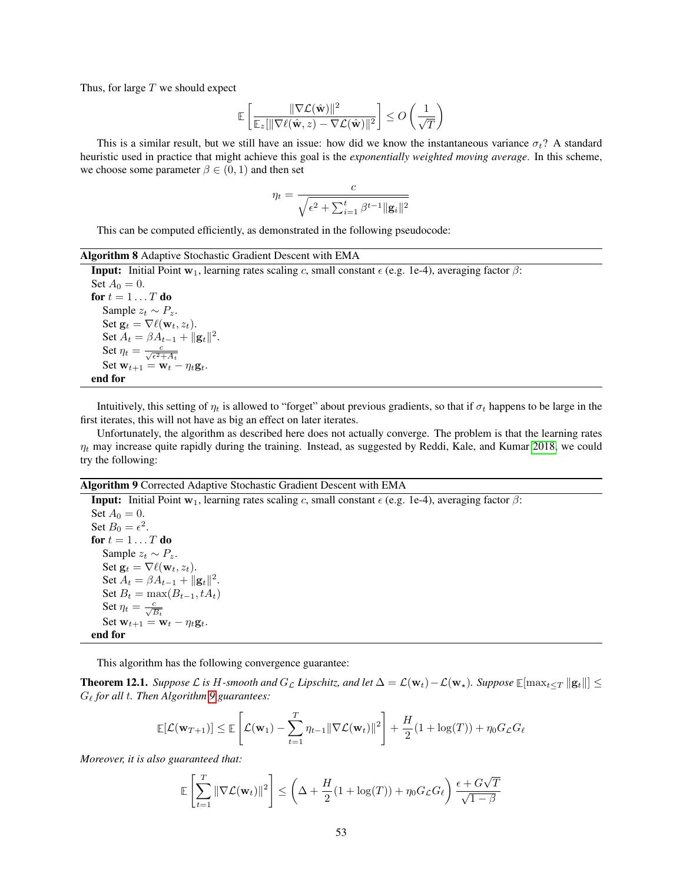Thus, for large  $T$  we should expect

$$
\mathbb{E}\left[\frac{\|\nabla \mathcal{L}(\hat{\mathbf{w}})\|^2}{\mathbb{E}_z[\|\nabla \ell(\hat{\mathbf{w}},z)-\nabla \mathcal{L}(\hat{\mathbf{w}})\|^2}\right] \leq O\left(\frac{1}{\sqrt{T}}\right)
$$

This is a similar result, but we still have an issue: how did we know the instantaneous variance  $\sigma_t$ ? A standard heuristic used in practice that might achieve this goal is the *exponentially weighted moving average*. In this scheme, we choose some parameter  $\beta \in (0,1)$  and then set

$$
\eta_t = \frac{c}{\sqrt{\epsilon^2 + \sum_{i=1}^t \beta^{t-1} ||\mathbf{g}_i||^2}}
$$

This can be computed efficiently, as demonstrated in the following pseudocode:

#### Algorithm 8 Adaptive Stochastic Gradient Descent with EMA

**Input:** Initial Point  $w_1$ , learning rates scaling c, small constant  $\epsilon$  (e.g. 1e-4), averaging factor  $\beta$ : Set  $A_0 = 0$ . for  $t = 1 \ldots T$  do Sample  $z_t \sim P_z$ . Set  $\mathbf{g}_t = \nabla \ell(\mathbf{w}_t, z_t)$ . Set  $A_t = \beta A_{t-1} + ||\mathbf{g}_t||^2$ . Set  $\eta_t = \frac{c}{\sqrt{\epsilon^2 + A_t}}$ Set  $\mathbf{w}_{t+1} = \mathbf{w}_t - \eta_t \mathbf{g}_t$ . end for

Intuitively, this setting of  $\eta_t$  is allowed to "forget" about previous gradients, so that if  $\sigma_t$  happens to be large in the first iterates, this will not have as big an effect on later iterates.

Unfortunately, the algorithm as described here does not actually converge. The problem is that the learning rates  $\eta_t$  may increase quite rapidly during the training. Instead, as suggested by Reddi, Kale, and Kumar [2018,](#page-121-1) we could try the following:

#### Algorithm 9 Corrected Adaptive Stochastic Gradient Descent with EMA

<span id="page-52-0"></span>**Input:** Initial Point  $w_1$ , learning rates scaling c, small constant  $\epsilon$  (e.g. 1e-4), averaging factor  $\beta$ : Set  $A_0 = 0$ . Set  $B_0 = \epsilon^2$ . for  $t = 1 \ldots T$  do Sample  $z_t \sim P_z$ . Set  $\mathbf{g}_t = \nabla \ell(\mathbf{w}_t, z_t)$ . Set  $A_t = \beta A_{t-1} + ||\mathbf{g}_t||^2$ . Set  $B_t = \max(B_{t-1}, tA_t)$ Set  $\eta_t = \frac{c}{\sqrt{B_t}}$ Set  $\mathbf{w}_{t+1} = \mathbf{w}_t - \eta_t \mathbf{g}_t$ . end for

This algorithm has the following convergence guarantee:

**Theorem 12.1.** *Suppose*  $\mathcal{L}$  *is* H-smooth and  $G_{\mathcal{L}}$  *Lipschitz, and let*  $\Delta = \mathcal{L}(\mathbf{w}_t) - \mathcal{L}(\mathbf{w}_\star)$ *. Suppose*  $\mathbb{E}[\max_{t \leq T} ||\mathbf{g}_t||]$  ≤ G` *for all* t*. Then Algorithm [9](#page-52-0) guarantees:*

$$
\mathbb{E}[\mathcal{L}(\mathbf{w}_{T+1})] \leq \mathbb{E}\left[\mathcal{L}(\mathbf{w}_1) - \sum_{t=1}^T \eta_{t-1} \|\nabla \mathcal{L}(\mathbf{w}_t)\|^2\right] + \frac{H}{2}(1 + \log(T)) + \eta_0 G_{\mathcal{L}} G_{\ell}
$$

*Moreover, it is also guaranteed that:*

$$
\mathbb{E}\left[\sum_{t=1}^T \|\nabla \mathcal{L}(\mathbf{w}_t)\|^2\right] \le \left(\Delta + \frac{H}{2}(1 + \log(T)) + \eta_0 G_{\mathcal{L}} G_{\ell}\right) \frac{\epsilon + G\sqrt{T}}{\sqrt{1 - \beta}}
$$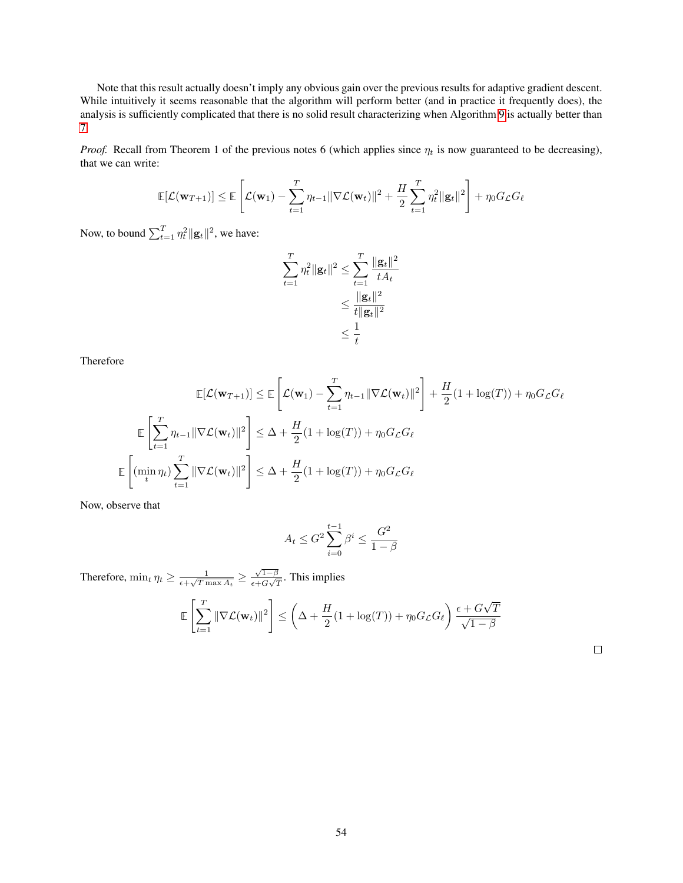Note that this result actually doesn't imply any obvious gain over the previous results for adaptive gradient descent. While intuitively it seems reasonable that the algorithm will perform better (and in practice it frequently does), the analysis is sufficiently complicated that there is no solid result characterizing when Algorithm [9](#page-52-0) is actually better than [7.](#page-42-0)

*Proof.* Recall from Theorem 1 of the previous notes 6 (which applies since  $\eta_t$  is now guaranteed to be decreasing), that we can write:

$$
\mathbb{E}[\mathcal{L}(\mathbf{w}_{T+1})] \leq \mathbb{E}\left[\mathcal{L}(\mathbf{w}_1) - \sum_{t=1}^T \eta_{t-1} \|\nabla \mathcal{L}(\mathbf{w}_t)\|^2 + \frac{H}{2} \sum_{t=1}^T \eta_t^2 \|\mathbf{g}_t\|^2 \right] + \eta_0 G_{\mathcal{L}} G_{\ell}
$$

Now, to bound  $\sum_{t=1}^{T} \eta_t^2 ||\mathbf{g}_t||^2$ , we have:

$$
\sum_{t=1}^{T} \eta_t^2 \|\mathbf{g}_t\|^2 \le \sum_{t=1}^{T} \frac{\|\mathbf{g}_t\|^2}{tA_t} \\
\le \frac{\|\mathbf{g}_t\|^2}{t\|\mathbf{g}_t\|^2} \\
\le \frac{1}{t}
$$

Therefore

$$
\mathbb{E}[\mathcal{L}(\mathbf{w}_{T+1})] \leq \mathbb{E}\left[\mathcal{L}(\mathbf{w}_{1}) - \sum_{t=1}^{T} \eta_{t-1} \|\nabla \mathcal{L}(\mathbf{w}_{t})\|^{2}\right] + \frac{H}{2}(1 + \log(T)) + \eta_{0}G_{\mathcal{L}}G_{\ell}
$$

$$
\mathbb{E}\left[\sum_{t=1}^{T} \eta_{t-1} \|\nabla \mathcal{L}(\mathbf{w}_{t})\|^{2}\right] \leq \Delta + \frac{H}{2}(1 + \log(T)) + \eta_{0}G_{\mathcal{L}}G_{\ell}
$$

$$
\mathbb{E}\left[(\min_{t} \eta_{t}) \sum_{t=1}^{T} \|\nabla \mathcal{L}(\mathbf{w}_{t})\|^{2}\right] \leq \Delta + \frac{H}{2}(1 + \log(T)) + \eta_{0}G_{\mathcal{L}}G_{\ell}
$$

Now, observe that

$$
A_t \le G^2 \sum_{i=0}^{t-1} \beta^i \le \frac{G^2}{1-\beta}
$$

Therefore,  $\min_t \eta_t \geq \frac{1}{\epsilon + \sqrt{Tr}}$  $\frac{1}{\epsilon + \sqrt{T \max A_t}} \geq \frac{\sqrt{1-\beta}}{\epsilon + G\sqrt{2}}$  $\frac{\sqrt{1-\beta}}{\epsilon+G\sqrt{T}}$ . This implies

$$
\mathbb{E}\left[\sum_{t=1}^T \|\nabla \mathcal{L}(\mathbf{w}_t)\|^2\right] \le \left(\Delta + \frac{H}{2}(1 + \log(T)) + \eta_0 G_{\mathcal{L}} G_{\ell}\right) \frac{\epsilon + G\sqrt{T}}{\sqrt{1 - \beta}}
$$

 $\Box$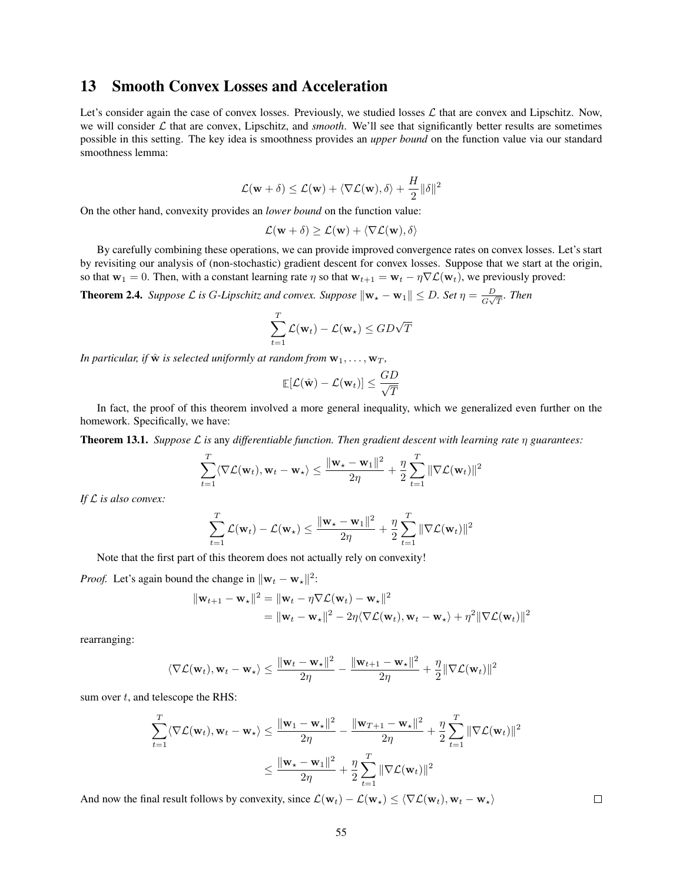# 13 Smooth Convex Losses and Acceleration

Let's consider again the case of convex losses. Previously, we studied losses  $\mathcal L$  that are convex and Lipschitz. Now, we will consider  $\mathcal L$  that are convex, Lipschitz, and *smooth*. We'll see that significantly better results are sometimes possible in this setting. The key idea is smoothness provides an *upper bound* on the function value via our standard smoothness lemma:

$$
\mathcal{L}(\mathbf{w} + \delta) \le \mathcal{L}(\mathbf{w}) + \langle \nabla \mathcal{L}(\mathbf{w}), \delta \rangle + \frac{H}{2} ||\delta||^2
$$

On the other hand, convexity provides an *lower bound* on the function value:

$$
\mathcal{L}(\mathbf{w} + \delta) \ge \mathcal{L}(\mathbf{w}) + \langle \nabla \mathcal{L}(\mathbf{w}), \delta \rangle
$$

By carefully combining these operations, we can provide improved convergence rates on convex losses. Let's start by revisiting our analysis of (non-stochastic) gradient descent for convex losses. Suppose that we start at the origin, so that  $w_1 = 0$ . Then, with a constant learning rate  $\eta$  so that  $w_{t+1} = w_t - \eta \nabla \mathcal{L}(w_t)$ , we previously proved:

**Theorem 2.4.** *Suppose*  $\mathcal L$  *is G-Lipschitz and convex. Suppose*  $\|\mathbf{w}_\star - \mathbf{w}_1\| \leq D$ *. Set*  $\eta = \frac{D}{C}$  $\frac{D}{G\sqrt{T}}$ *.* Then

$$
\sum_{t=1}^{T} \mathcal{L}(\mathbf{w}_t) - \mathcal{L}(\mathbf{w}_\star) \leq GD\sqrt{T}
$$

*In particular, if*  $\hat{\mathbf{w}}$  *is selected uniformly at random from*  $\mathbf{w}_1, \ldots, \mathbf{w}_T$ *,* 

$$
\mathop{\mathbb{E}}[\mathcal{L}(\hat{\mathbf{w}}) - \mathcal{L}(\mathbf{w}_t)] \leq \frac{GD}{\sqrt{T}}
$$

In fact, the proof of this theorem involved a more general inequality, which we generalized even further on the homework. Specifically, we have:

<span id="page-54-0"></span>Theorem 13.1. *Suppose* L *is* any *differentiable function. Then gradient descent with learning rate* η *guarantees:*

$$
\sum_{t=1}^T \langle \nabla \mathcal{L}(\mathbf{w}_t), \mathbf{w}_t - \mathbf{w}_\star \rangle \le \frac{\|\mathbf{w}_\star - \mathbf{w}_1\|^2}{2\eta} + \frac{\eta}{2} \sum_{t=1}^T \|\nabla \mathcal{L}(\mathbf{w}_t)\|^2
$$

*If* L *is also convex:*

$$
\sum_{t=1}^T \mathcal{L}(\mathbf{w}_t) - \mathcal{L}(\mathbf{w}_\star) \le \frac{\|\mathbf{w}_\star - \mathbf{w}_1\|^2}{2\eta} + \frac{\eta}{2} \sum_{t=1}^T \|\nabla \mathcal{L}(\mathbf{w}_t)\|^2
$$

Note that the first part of this theorem does not actually rely on convexity!

*Proof.* Let's again bound the change in  $\|\mathbf{w}_t - \mathbf{w}_*\|^2$ :

$$
\|\mathbf{w}_{t+1} - \mathbf{w}_{\star}\|^2 = \|\mathbf{w}_t - \eta \nabla \mathcal{L}(\mathbf{w}_t) - \mathbf{w}_{\star}\|^2
$$
  
= 
$$
\|\mathbf{w}_t - \mathbf{w}_{\star}\|^2 - 2\eta \langle \nabla \mathcal{L}(\mathbf{w}_t), \mathbf{w}_t - \mathbf{w}_{\star} \rangle + \eta^2 \|\nabla \mathcal{L}(\mathbf{w}_t)\|^2
$$

rearranging:

$$
\langle \nabla \mathcal{L}(\mathbf{w}_t), \mathbf{w}_t - \mathbf{w}_\star \rangle \le \frac{\|\mathbf{w}_t - \mathbf{w}_\star\|^2}{2\eta} - \frac{\|\mathbf{w}_{t+1} - \mathbf{w}_\star\|^2}{2\eta} + \frac{\eta}{2} \|\nabla \mathcal{L}(\mathbf{w}_t)\|^2
$$

sum over  $t$ , and telescope the RHS:

$$
\sum_{t=1}^{T} \langle \nabla \mathcal{L}(\mathbf{w}_t), \mathbf{w}_t - \mathbf{w}_\star \rangle \le \frac{\|\mathbf{w}_1 - \mathbf{w}_\star\|^2}{2\eta} - \frac{\|\mathbf{w}_{T+1} - \mathbf{w}_\star\|^2}{2\eta} + \frac{\eta}{2} \sum_{t=1}^{T} \|\nabla \mathcal{L}(\mathbf{w}_t)\|^2
$$
  

$$
\le \frac{\|\mathbf{w}_\star - \mathbf{w}_1\|^2}{2\eta} + \frac{\eta}{2} \sum_{t=1}^{T} \|\nabla \mathcal{L}(\mathbf{w}_t)\|^2
$$

And now the final result follows by convexity, since  $\mathcal{L}(\mathbf{w}_t) - \mathcal{L}(\mathbf{w}_\star) \leq \langle \nabla \mathcal{L}(\mathbf{w}_t), \mathbf{w}_t - \mathbf{w}_\star \rangle$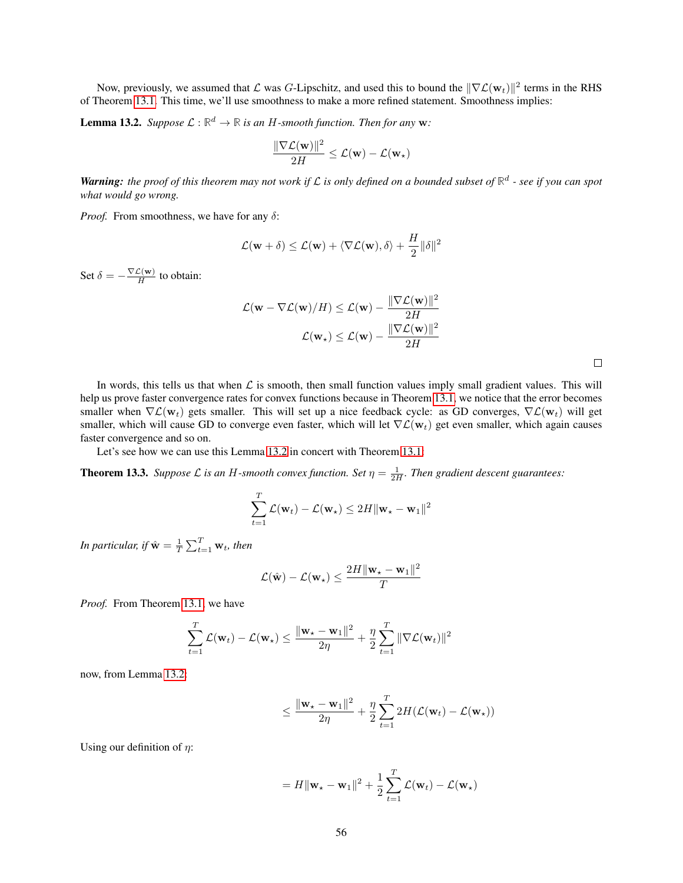Now, previously, we assumed that  $\mathcal L$  was G-Lipschitz, and used this to bound the  $\|\nabla\mathcal L(\mathbf w_t)\|^2$  terms in the RHS of Theorem [13.1.](#page-54-0) This time, we'll use smoothness to make a more refined statement. Smoothness implies:

<span id="page-55-0"></span>**Lemma 13.2.** *Suppose*  $\mathcal{L} : \mathbb{R}^d \to \mathbb{R}$  *is an H-smooth function. Then for any* **w**:

$$
\frac{\|\nabla \mathcal{L}(\mathbf{w})\|^2}{2H} \leq \mathcal{L}(\mathbf{w}) - \mathcal{L}(\mathbf{w}_\star)
$$

*Warning: the proof of this theorem may not work if* L *is only defined on a bounded subset of* **R** d *- see if you can spot what would go wrong.*

*Proof.* From smoothness, we have for any  $\delta$ :

$$
\mathcal{L}(\mathbf{w} + \delta) \le \mathcal{L}(\mathbf{w}) + \langle \nabla \mathcal{L}(\mathbf{w}), \delta \rangle + \frac{H}{2} ||\delta||^2
$$

Set  $\delta = -\frac{\nabla \mathcal{L}(\mathbf{w})}{H}$  $\frac{\Sigma(W)}{H}$  to obtain:

$$
\mathcal{L}(\mathbf{w} - \nabla \mathcal{L}(\mathbf{w})/H) \leq \mathcal{L}(\mathbf{w}) - \frac{\|\nabla \mathcal{L}(\mathbf{w})\|^2}{2H}
$$

$$
\mathcal{L}(\mathbf{w}_\star) \leq \mathcal{L}(\mathbf{w}) - \frac{\|\nabla \mathcal{L}(\mathbf{w})\|^2}{2H}
$$

In words, this tells us that when  $\mathcal L$  is smooth, then small function values imply small gradient values. This will help us prove faster convergence rates for convex functions because in Theorem [13.1,](#page-54-0) we notice that the error becomes smaller when  $\nabla \mathcal{L}(\mathbf{w}_t)$  gets smaller. This will set up a nice feedback cycle: as GD converges,  $\nabla \mathcal{L}(\mathbf{w}_t)$  will get smaller, which will cause GD to converge even faster, which will let  $\nabla \mathcal{L}(\mathbf{w}_t)$  get even smaller, which again causes faster convergence and so on.

Let's see how we can use this Lemma [13.2](#page-55-0) in concert with Theorem [13.1:](#page-54-0)

**Theorem 13.3.** *Suppose*  $\mathcal L$  *is an H-smooth convex function. Set*  $\eta = \frac{1}{2H}$ *. Then gradient descent guarantees:* 

$$
\sum_{t=1}^{T} \mathcal{L}(\mathbf{w}_t) - \mathcal{L}(\mathbf{w}_\star) \leq 2H \|\mathbf{w}_\star - \mathbf{w}_1\|^2
$$

In particular, if  $\hat{{\bf w}} = \frac{1}{T}\sum_{t=1}^T{\bf w}_t$ , then

$$
\mathcal{L}(\hat{\mathbf{w}}) - \mathcal{L}(\mathbf{w}_{\star}) \le \frac{2H \|\mathbf{w}_{\star} - \mathbf{w}_1\|^2}{T}
$$

*Proof.* From Theorem [13.1,](#page-54-0) we have

$$
\sum_{t=1}^{T} \mathcal{L}(\mathbf{w}_t) - \mathcal{L}(\mathbf{w}_\star) \le \frac{\|\mathbf{w}_\star - \mathbf{w}_1\|^2}{2\eta} + \frac{\eta}{2} \sum_{t=1}^{T} \|\nabla \mathcal{L}(\mathbf{w}_t)\|^2
$$

now, from Lemma [13.2:](#page-55-0)

$$
\leq \frac{\|\mathbf{w}_\star - \mathbf{w}_1\|^2}{2\eta} + \frac{\eta}{2} \sum_{t=1}^T 2H(\mathcal{L}(\mathbf{w}_t) - \mathcal{L}(\mathbf{w}_\star))
$$

Using our definition of  $\eta$ :

$$
= H \|\mathbf{w}_{\star} - \mathbf{w}_1\|^2 + \frac{1}{2} \sum_{t=1}^T \mathcal{L}(\mathbf{w}_t) - \mathcal{L}(\mathbf{w}_{\star})
$$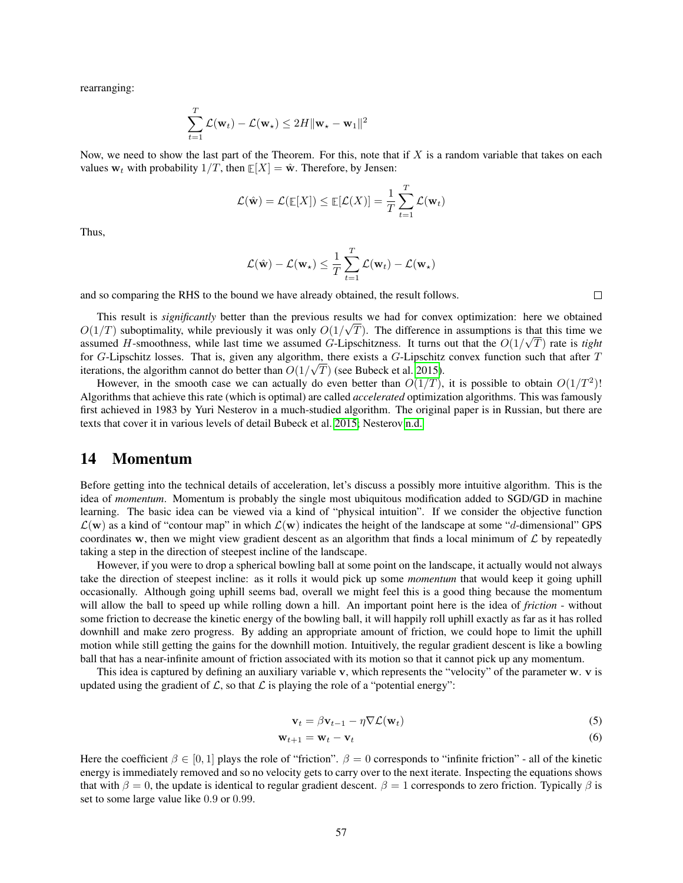rearranging:

$$
\sum_{t=1}^T \mathcal{L}(\mathbf{w}_t) - \mathcal{L}(\mathbf{w}_\star) \le 2H \|\mathbf{w}_\star - \mathbf{w}_1\|^2
$$

Now, we need to show the last part of the Theorem. For this, note that if  $X$  is a random variable that takes on each values  $w_t$  with probability  $1/T$ , then  $E[X] = \hat{w}$ . Therefore, by Jensen:

$$
\mathcal{L}(\hat{\mathbf{w}}) = \mathcal{L}(\mathbb{E}[X]) \leq \mathbb{E}[\mathcal{L}(X)] = \frac{1}{T} \sum_{t=1}^{T} \mathcal{L}(\mathbf{w}_t)
$$

Thus,

$$
\mathcal{L}(\hat{\mathbf{w}}) - \mathcal{L}(\mathbf{w}_{\star}) \leq \frac{1}{T} \sum_{t=1}^{T} \mathcal{L}(\mathbf{w}_{t}) - \mathcal{L}(\mathbf{w}_{\star})
$$

and so comparing the RHS to the bound we have already obtained, the result follows.

This result is *significantly* better than the previous results we had for convex optimization: here we obtained  $O(1/T)$  suboptimality, while previously it was only  $O(1/\sqrt{T})$ . The difference in assumptions is that this time we assumed H-smoothness, while last time we assumed G-Lipschitzness. It turns out that the  $O(1/\sqrt{T})$  rate is *tight* for G-Lipschitz losses. That is, given any algorithm, there exists a G-Lipschitz convex function such that after  $T$ iterations, the algorithm cannot do better than  $O(1/\sqrt{T})$  (see Bubeck et al. [2015\)](#page-121-2).

However, in the smooth case we can actually do even better than  $O(1/T)$ , it is possible to obtain  $O(1/T^2)$ ! Algorithms that achieve this rate (which is optimal) are called *accelerated* optimization algorithms. This was famously first achieved in 1983 by Yuri Nesterov in a much-studied algorithm. The original paper is in Russian, but there are texts that cover it in various levels of detail Bubeck et al. [2015;](#page-121-2) Nesterov [n.d.](#page-121-3)

# 14 Momentum

Before getting into the technical details of acceleration, let's discuss a possibly more intuitive algorithm. This is the idea of *momentum*. Momentum is probably the single most ubiquitous modification added to SGD/GD in machine learning. The basic idea can be viewed via a kind of "physical intuition". If we consider the objective function  $\mathcal{L}(\mathbf{w})$  as a kind of "contour map" in which  $\mathcal{L}(\mathbf{w})$  indicates the height of the landscape at some "d-dimensional" GPS coordinates w, then we might view gradient descent as an algorithm that finds a local minimum of  $\mathcal L$  by repeatedly taking a step in the direction of steepest incline of the landscape.

However, if you were to drop a spherical bowling ball at some point on the landscape, it actually would not always take the direction of steepest incline: as it rolls it would pick up some *momentum* that would keep it going uphill occasionally. Although going uphill seems bad, overall we might feel this is a good thing because the momentum will allow the ball to speed up while rolling down a hill. An important point here is the idea of *friction* - without some friction to decrease the kinetic energy of the bowling ball, it will happily roll uphill exactly as far as it has rolled downhill and make zero progress. By adding an appropriate amount of friction, we could hope to limit the uphill motion while still getting the gains for the downhill motion. Intuitively, the regular gradient descent is like a bowling ball that has a near-infinite amount of friction associated with its motion so that it cannot pick up any momentum.

This idea is captured by defining an auxiliary variable v, which represents the "velocity" of the parameter w. v is updated using the gradient of  $\mathcal{L}$ , so that  $\mathcal{L}$  is playing the role of a "potential energy":

<span id="page-56-1"></span><span id="page-56-0"></span>
$$
\mathbf{v}_t = \beta \mathbf{v}_{t-1} - \eta \nabla \mathcal{L}(\mathbf{w}_t)
$$
 (5)

$$
\mathbf{w}_{t+1} = \mathbf{w}_t - \mathbf{v}_t \tag{6}
$$

Here the coefficient  $\beta \in [0,1]$  plays the role of "friction".  $\beta = 0$  corresponds to "infinite friction" - all of the kinetic energy is immediately removed and so no velocity gets to carry over to the next iterate. Inspecting the equations shows that with  $\beta = 0$ , the update is identical to regular gradient descent.  $\beta = 1$  corresponds to zero friction. Typically  $\beta$  is set to some large value like 0.9 or 0.99.

 $\Box$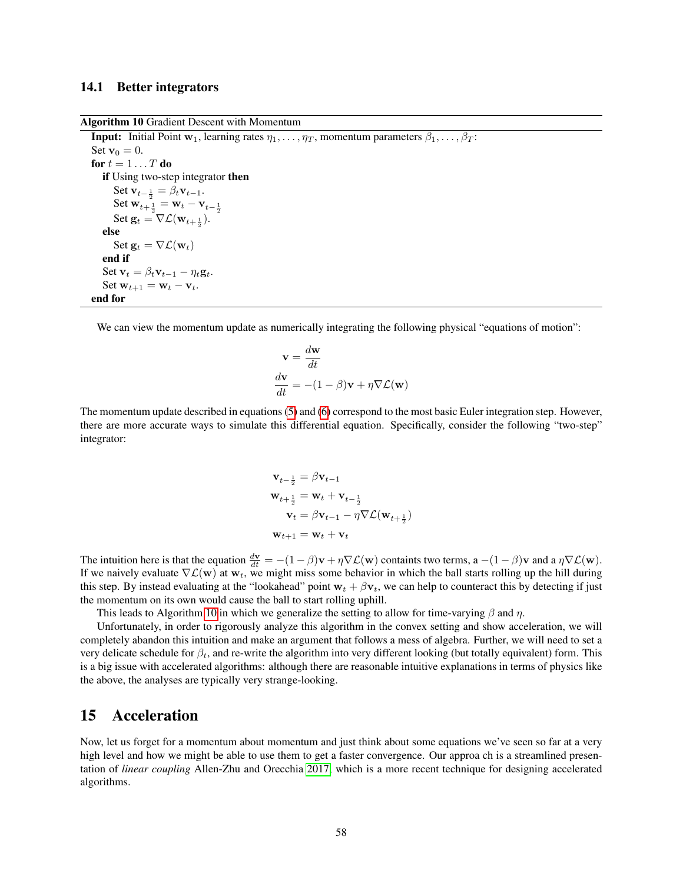### 14.1 Better integrators

Algorithm 10 Gradient Descent with Momentum

**Input:** Initial Point  $w_1$ , learning rates  $\eta_1, \ldots, \eta_T$ , momentum parameters  $\beta_1, \ldots, \beta_T$ : Set  $\mathbf{v}_0 = 0$ . for  $t = 1 \ldots T$  do if Using two-step integrator then Set  $\mathbf{v}_{t-\frac{1}{2}} = \beta_t \mathbf{v}_{t-1}$ . Set  $\mathbf{w}_{t+\frac{1}{2}}^2 = \mathbf{w}_t - \mathbf{v}_{t-\frac{1}{2}}$ Set  $\mathbf{g}_t = \nabla \mathcal{L}(\mathbf{w}_{t+\frac{1}{2}}).$ else Set  $\mathbf{g}_t = \nabla \mathcal{L}(\mathbf{w}_t)$ end if Set  $\mathbf{v}_t = \beta_t \mathbf{v}_{t-1} - \eta_t \mathbf{g}_t$ . Set  $\mathbf{w}_{t+1} = \mathbf{w}_t - \mathbf{v}_t$ . end for

<span id="page-57-0"></span>We can view the momentum update as numerically integrating the following physical "equations of motion":

$$
\mathbf{v} = \frac{d\mathbf{w}}{dt}
$$

$$
\frac{d\mathbf{v}}{dt} = -(1 - \beta)\mathbf{v} + \eta \nabla \mathcal{L}(\mathbf{w})
$$

The momentum update described in equations [\(5\)](#page-56-0) and [\(6\)](#page-56-1) correspond to the most basic Euler integration step. However, there are more accurate ways to simulate this differential equation. Specifically, consider the following "two-step" integrator:

$$
\mathbf{v}_{t-\frac{1}{2}} = \beta \mathbf{v}_{t-1}
$$
  
\n
$$
\mathbf{w}_{t+\frac{1}{2}} = \mathbf{w}_t + \mathbf{v}_{t-\frac{1}{2}}
$$
  
\n
$$
\mathbf{v}_t = \beta \mathbf{v}_{t-1} - \eta \nabla \mathcal{L}(\mathbf{w}_{t+\frac{1}{2}})
$$
  
\n
$$
\mathbf{w}_{t+1} = \mathbf{w}_t + \mathbf{v}_t
$$

The intuition here is that the equation  $\frac{d\mathbf{v}}{dt} = -(1-\beta)\mathbf{v} + \eta \nabla \mathcal{L}(\mathbf{w})$  containts two terms,  $a - (1-\beta)\mathbf{v}$  and a  $\eta \nabla \mathcal{L}(\mathbf{w})$ . If we naively evaluate  $\nabla \mathcal{L}(\mathbf{w})$  at  $\mathbf{w}_t$ , we might miss some behavior in which the ball starts rolling up the hill during this step. By instead evaluating at the "lookahead" point  $w_t + \beta v_t$ , we can help to counteract this by detecting if just the momentum on its own would cause the ball to start rolling uphill.

This leads to Algorithm [10](#page-57-0) in which we generalize the setting to allow for time-varying  $\beta$  and  $\eta$ .

Unfortunately, in order to rigorously analyze this algorithm in the convex setting and show acceleration, we will completely abandon this intuition and make an argument that follows a mess of algebra. Further, we will need to set a very delicate schedule for  $\beta_t$ , and re-write the algorithm into very different looking (but totally equivalent) form. This is a big issue with accelerated algorithms: although there are reasonable intuitive explanations in terms of physics like the above, the analyses are typically very strange-looking.

# 15 Acceleration

Now, let us forget for a momentum about momentum and just think about some equations we've seen so far at a very high level and how we might be able to use them to get a faster convergence. Our approa ch is a streamlined presentation of *linear coupling* Allen-Zhu and Orecchia [2017,](#page-121-4) which is a more recent technique for designing accelerated algorithms.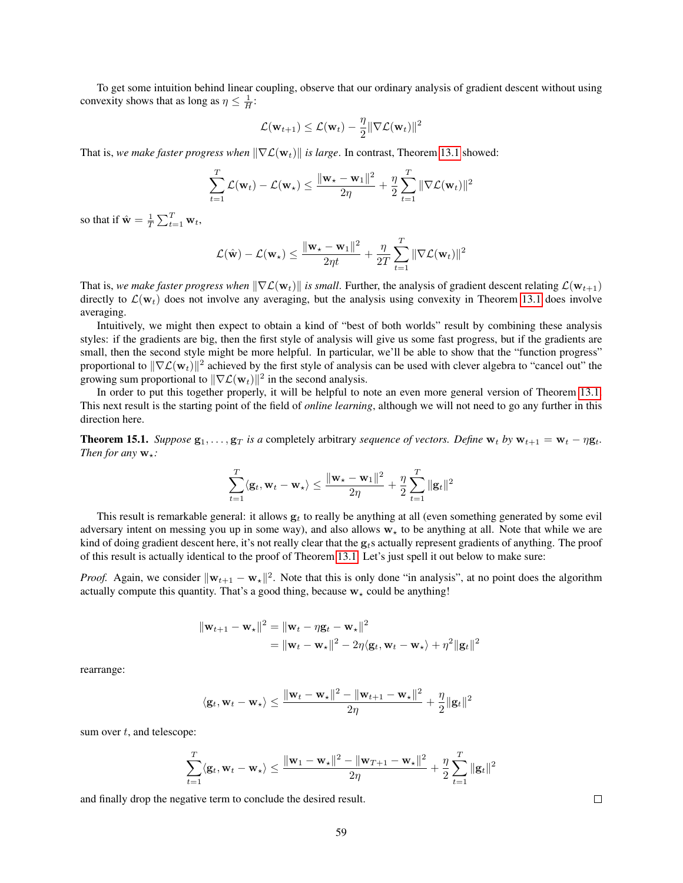To get some intuition behind linear coupling, observe that our ordinary analysis of gradient descent without using convexity shows that as long as  $\eta \leq \frac{1}{H}$ :

$$
\mathcal{L}(\mathbf{w}_{t+1}) \leq \mathcal{L}(\mathbf{w}_t) - \frac{\eta}{2} \|\nabla \mathcal{L}(\mathbf{w}_t)\|^2
$$

That is, *we make faster progress when*  $\|\nabla \mathcal{L}(\mathbf{w}_t)\|$  *is large*. In contrast, Theorem [13.1](#page-54-0) showed:

$$
\sum_{t=1}^T \mathcal{L}(\mathbf{w}_t) - \mathcal{L}(\mathbf{w}_\star) \le \frac{\|\mathbf{w}_\star - \mathbf{w}_1\|^2}{2\eta} + \frac{\eta}{2} \sum_{t=1}^T \|\nabla \mathcal{L}(\mathbf{w}_t)\|^2
$$

so that if  $\hat{\mathbf{w}} = \frac{1}{T} \sum_{t=1}^{T} \mathbf{w}_t$ ,

$$
\mathcal{L}(\hat{\mathbf{w}}) - \mathcal{L}(\mathbf{w}_{\star}) \leq \frac{\|\mathbf{w}_{\star} - \mathbf{w}_{1}\|^2}{2\eta t} + \frac{\eta}{2T} \sum_{t=1}^{T} \|\nabla \mathcal{L}(\mathbf{w}_{t})\|^2
$$

That is, *we make faster progress when*  $\|\nabla \mathcal{L}(\mathbf{w}_t)\|$  *is small*. Further, the analysis of gradient descent relating  $\mathcal{L}(\mathbf{w}_{t+1})$ directly to  $\mathcal{L}(\mathbf{w}_t)$  does not involve any averaging, but the analysis using convexity in Theorem [13.1](#page-54-0) does involve averaging.

Intuitively, we might then expect to obtain a kind of "best of both worlds" result by combining these analysis styles: if the gradients are big, then the first style of analysis will give us some fast progress, but if the gradients are small, then the second style might be more helpful. In particular, we'll be able to show that the "function progress" proportional to  $\|\nabla \mathcal{L}(\mathbf{w}_t)\|^2$  achieved by the first style of analysis can be used with clever algebra to "cancel out" the growing sum proportional to  $\|\nabla \mathcal{L}(\mathbf{w}_t)\|^2$  in the second analysis.

In order to put this together properly, it will be helpful to note an even more general version of Theorem [13.1.](#page-54-0) This next result is the starting point of the field of *online learning*, although we will not need to go any further in this direction here.

<span id="page-58-0"></span>**Theorem 15.1.** *Suppose*  $g_1, \ldots, g_T$  *is a* completely arbitrary *sequence of vectors. Define*  $w_t$  *by*  $w_{t+1} = w_t - \eta g_t$ . *Then for any*  $w_*$ *:* 

$$
\sum_{t=1}^T \langle \mathbf{g}_t, \mathbf{w}_t - \mathbf{w}_\star \rangle \le \frac{\|\mathbf{w}_\star - \mathbf{w}_1\|^2}{2\eta} + \frac{\eta}{2} \sum_{t=1}^T \|\mathbf{g}_t\|^2
$$

This result is remarkable general: it allows  $g_t$  to really be anything at all (even something generated by some evil adversary intent on messing you up in some way), and also allows  $w<sub>*</sub>$  to be anything at all. Note that while we are kind of doing gradient descent here, it's not really clear that the  $g<sub>t</sub>$ s actually represent gradients of anything. The proof of this result is actually identical to the proof of Theorem [13.1.](#page-54-0) Let's just spell it out below to make sure:

*Proof.* Again, we consider  $\|\mathbf{w}_{t+1} - \mathbf{w}_*\|^2$ . Note that this is only done "in analysis", at no point does the algorithm actually compute this quantity. That's a good thing, because  $w<sub>+</sub>$  could be anything!

$$
\|\mathbf{w}_{t+1} - \mathbf{w}_{\star}\|^2 = \|\mathbf{w}_t - \eta \mathbf{g}_t - \mathbf{w}_{\star}\|^2
$$
  
= 
$$
\|\mathbf{w}_t - \mathbf{w}_{\star}\|^2 - 2\eta \langle \mathbf{g}_t, \mathbf{w}_t - \mathbf{w}_{\star} \rangle + \eta^2 \|\mathbf{g}_t\|^2
$$

rearrange:

$$
\langle \mathbf{g}_t, \mathbf{w}_t - \mathbf{w}_\star \rangle \leq \frac{\|\mathbf{w}_t - \mathbf{w}_\star\|^2 - \|\mathbf{w}_{t+1} - \mathbf{w}_\star\|^2}{2\eta} + \frac{\eta}{2} \|\mathbf{g}_t\|^2
$$

sum over  $t$ , and telescope:

$$
\sum_{t=1}^T \langle \mathbf{g}_t, \mathbf{w}_t - \mathbf{w}_\star \rangle \le \frac{\|\mathbf{w}_1 - \mathbf{w}_\star\|^2 - \|\mathbf{w}_{T+1} - \mathbf{w}_\star\|^2}{2\eta} + \frac{\eta}{2} \sum_{t=1}^T \|\mathbf{g}_t\|^2
$$

and finally drop the negative term to conclude the desired result.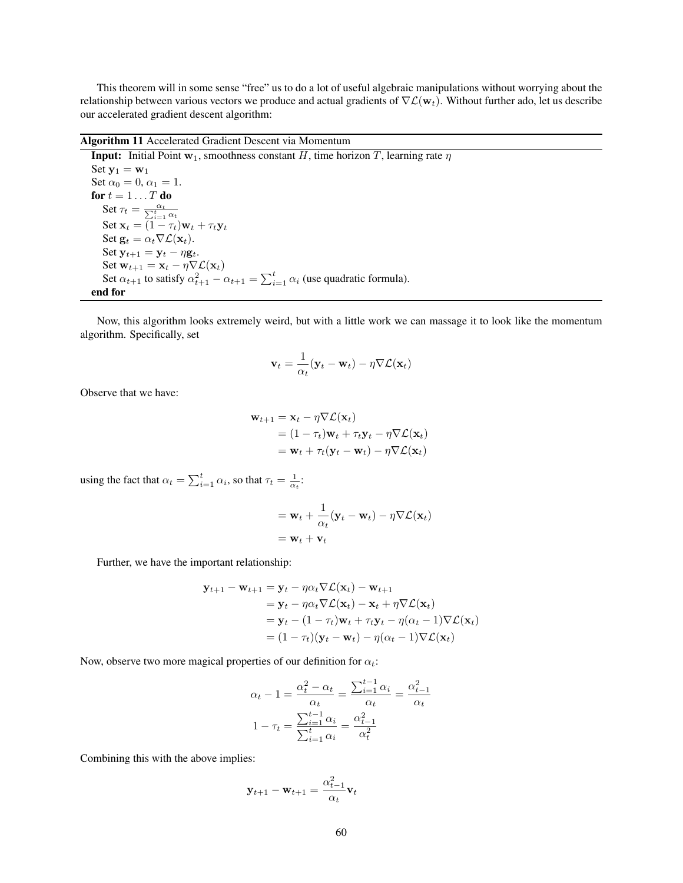This theorem will in some sense "free" us to do a lot of useful algebraic manipulations without worrying about the relationship between various vectors we produce and actual gradients of  $\nabla \mathcal{L}(\mathbf{w}_t)$ . Without further ado, let us describe our accelerated gradient descent algorithm:

Algorithm 11 Accelerated Gradient Descent via Momentum

**Input:** Initial Point  $w_1$ , smoothness constant H, time horizon T, learning rate  $\eta$ Set  $y_1 = w_1$ Set  $\alpha_0 = 0$ ,  $\alpha_1 = 1$ . for  $t=1 \dots T$  do Set  $\tau_t = \frac{\alpha_t}{\sum_{i=1}^t \alpha_t}$ Set  $\mathbf{x}_t = (1 - \tau_t)\mathbf{w}_t + \tau_t \mathbf{y}_t$ Set  $\mathbf{g}_t = \alpha_t \nabla \mathcal{L}(\mathbf{x}_t)$ . Set  $y_{t+1} = y_t - \eta g_t$ . Set  $\mathbf{w}_{t+1} = \mathbf{x}_t - \eta \nabla \mathcal{L}(\mathbf{x}_t)$ Set  $\alpha_{t+1}$  to satisfy  $\alpha_{t+1}^2 - \alpha_{t+1} = \sum_{i=1}^t \alpha_i$  (use quadratic formula). end for

<span id="page-59-0"></span>Now, this algorithm looks extremely weird, but with a little work we can massage it to look like the momentum algorithm. Specifically, set

$$
\mathbf{v}_t = \frac{1}{\alpha_t} (\mathbf{y}_t - \mathbf{w}_t) - \eta \nabla \mathcal{L}(\mathbf{x}_t)
$$

Observe that we have:

$$
\mathbf{w}_{t+1} = \mathbf{x}_t - \eta \nabla \mathcal{L}(\mathbf{x}_t)
$$
  
=  $(1 - \tau_t)\mathbf{w}_t + \tau_t \mathbf{y}_t - \eta \nabla \mathcal{L}(\mathbf{x}_t)$   
=  $\mathbf{w}_t + \tau_t (\mathbf{y}_t - \mathbf{w}_t) - \eta \nabla \mathcal{L}(\mathbf{x}_t)$ 

using the fact that  $\alpha_t = \sum_{i=1}^t \alpha_i$ , so that  $\tau_t = \frac{1}{\alpha_t}$ :

$$
= \mathbf{w}_t + \frac{1}{\alpha_t} (\mathbf{y}_t - \mathbf{w}_t) - \eta \nabla \mathcal{L}(\mathbf{x}_t)
$$

$$
= \mathbf{w}_t + \mathbf{v}_t
$$

Further, we have the important relationship:

$$
\mathbf{y}_{t+1} - \mathbf{w}_{t+1} = \mathbf{y}_t - \eta \alpha_t \nabla \mathcal{L}(\mathbf{x}_t) - \mathbf{w}_{t+1}
$$
  
=  $\mathbf{y}_t - \eta \alpha_t \nabla \mathcal{L}(\mathbf{x}_t) - \mathbf{x}_t + \eta \nabla \mathcal{L}(\mathbf{x}_t)$   
=  $\mathbf{y}_t - (1 - \tau_t) \mathbf{w}_t + \tau_t \mathbf{y}_t - \eta (\alpha_t - 1) \nabla \mathcal{L}(\mathbf{x}_t)$   
=  $(1 - \tau_t) (\mathbf{y}_t - \mathbf{w}_t) - \eta (\alpha_t - 1) \nabla \mathcal{L}(\mathbf{x}_t)$ 

Now, observe two more magical properties of our definition for  $\alpha_t$ :

$$
\alpha_t - 1 = \frac{\alpha_t^2 - \alpha_t}{\alpha_t} = \frac{\sum_{i=1}^{t-1} \alpha_i}{\alpha_t} = \frac{\alpha_{t-1}^2}{\alpha_t}
$$

$$
1 - \tau_t = \frac{\sum_{i=1}^{t-1} \alpha_i}{\sum_{i=1}^t \alpha_i} = \frac{\alpha_{t-1}^2}{\alpha_t^2}
$$

Combining this with the above implies:

$$
\mathbf{y}_{t+1} - \mathbf{w}_{t+1} = \frac{\alpha_{t-1}^2}{\alpha_t} \mathbf{v}_t
$$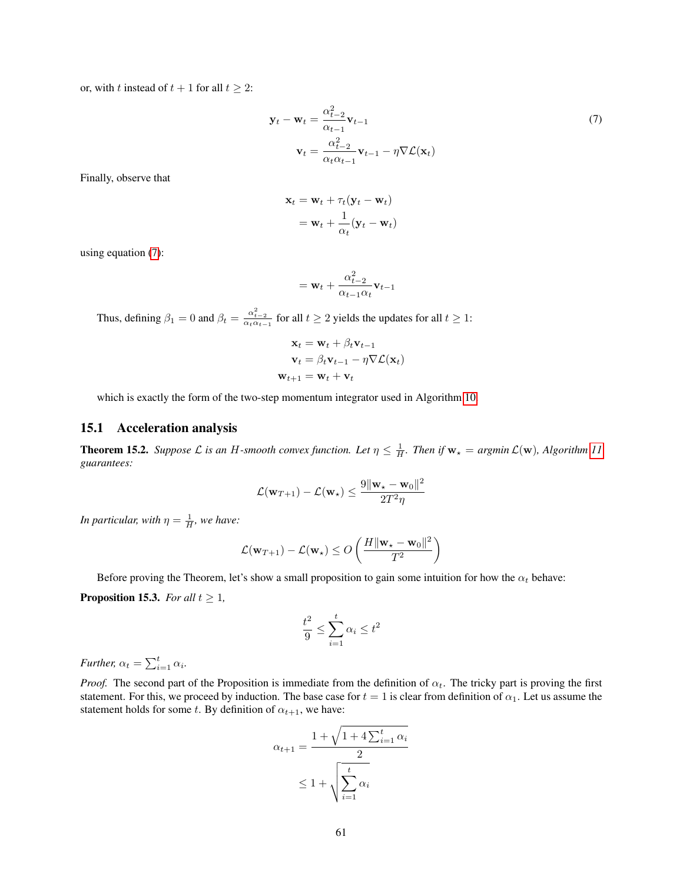or, with t instead of  $t + 1$  for all  $t \geq 2$ :

$$
\mathbf{y}_t - \mathbf{w}_t = \frac{\alpha_{t-2}^2}{\alpha_{t-1}} \mathbf{v}_{t-1}
$$
  

$$
\mathbf{v}_t = \frac{\alpha_{t-2}^2}{\alpha_t \alpha_{t-1}} \mathbf{v}_{t-1} - \eta \nabla \mathcal{L}(\mathbf{x}_t)
$$
 (7)

Finally, observe that

<span id="page-60-0"></span>
$$
\mathbf{x}_t = \mathbf{w}_t + \tau_t (\mathbf{y}_t - \mathbf{w}_t)
$$

$$
= \mathbf{w}_t + \frac{1}{\alpha_t} (\mathbf{y}_t - \mathbf{w}_t)
$$

using equation [\(7\)](#page-60-0):

$$
= \mathbf{w}_t + \frac{\alpha_{t-2}^2}{\alpha_{t-1}\alpha_t}\mathbf{v}_{t-1}
$$

Thus, defining  $\beta_1 = 0$  and  $\beta_t = \frac{\alpha_{t-2}^2}{\alpha_t \alpha_{t-1}}$  for all  $t \ge 2$  yields the updates for all  $t \ge 1$ :

$$
\mathbf{x}_{t} = \mathbf{w}_{t} + \beta_{t} \mathbf{v}_{t-1}
$$

$$
\mathbf{v}_{t} = \beta_{t} \mathbf{v}_{t-1} - \eta \nabla \mathcal{L}(\mathbf{x}_{t})
$$

$$
\mathbf{w}_{t+1} = \mathbf{w}_{t} + \mathbf{v}_{t}
$$

which is exactly the form of the two-step momentum integrator used in Algorithm [10.](#page-57-0)

## 15.1 Acceleration analysis

<span id="page-60-1"></span>**Theorem 15.2.** Suppose L is an H-smooth convex function. Let  $\eta \leq \frac{1}{H}$ . Then if  $w_\star = argmin \mathcal{L}(w)$ , Algorithm [11](#page-59-0) *guarantees:*

$$
\mathcal{L}(\mathbf{w}_{T+1}) - \mathcal{L}(\mathbf{w}_\star) \le \frac{9\|\mathbf{w}_\star - \mathbf{w}_0\|^2}{2T^2\eta}
$$

*In particular, with*  $\eta = \frac{1}{H}$ *, we have:* 

$$
\mathcal{L}(\mathbf{w}_{T+1}) - \mathcal{L}(\mathbf{w}_{\star}) \leq O\left(\frac{H \|\mathbf{w}_{\star} - \mathbf{w}_0\|^2}{T^2}\right)
$$

Before proving the Theorem, let's show a small proposition to gain some intuition for how the  $\alpha_t$  behave:

<span id="page-60-2"></span>**Proposition 15.3.** *For all*  $t \geq 1$ *,* 

$$
\frac{t^2}{9} \le \sum_{i=1}^t \alpha_i \le t^2
$$

*Further,*  $\alpha_t = \sum_{i=1}^t \alpha_i$ .

*Proof.* The second part of the Proposition is immediate from the definition of  $\alpha_t$ . The tricky part is proving the first statement. For this, we proceed by induction. The base case for  $t = 1$  is clear from definition of  $\alpha_1$ . Let us assume the statement holds for some t. By definition of  $\alpha_{t+1}$ , we have:

$$
\alpha_{t+1} = \frac{1 + \sqrt{1 + 4\sum_{i=1}^{t} \alpha_i}}{2}
$$

$$
\leq 1 + \sqrt{\sum_{i=1}^{t} \alpha_i}
$$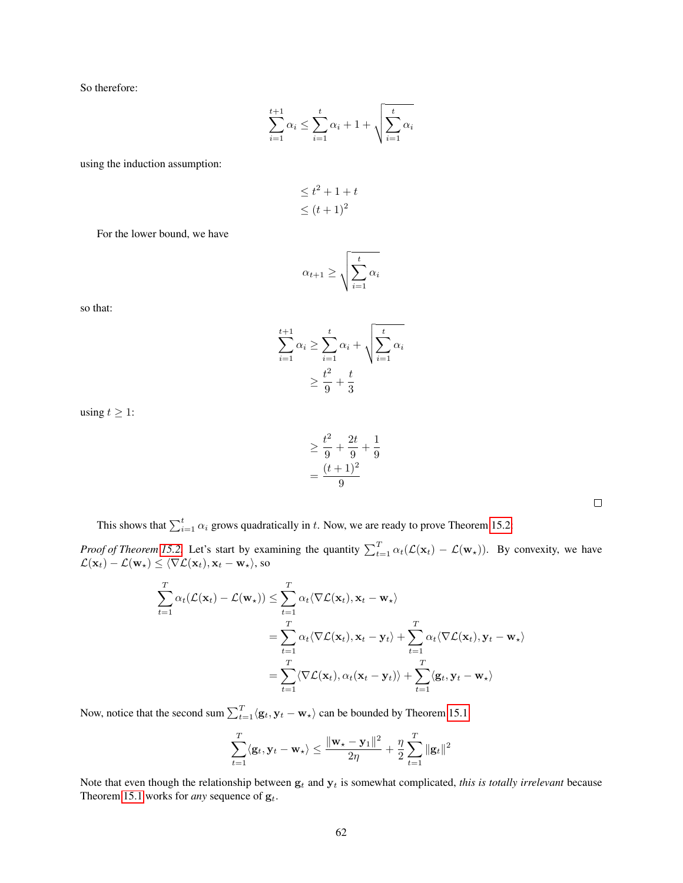So therefore:

$$
\sum_{i=1}^{t+1} \alpha_i \le \sum_{i=1}^t \alpha_i + 1 + \sqrt{\sum_{i=1}^t \alpha_i}
$$

using the induction assumption:

$$
\leq t^2 + 1 + t
$$
  

$$
\leq (t+1)^2
$$

For the lower bound, we have

$$
\alpha_{t+1} \ge \sqrt{\sum_{i=1}^{t} \alpha_i}
$$

so that:

$$
\sum_{i=1}^{t+1} \alpha_i \ge \sum_{i=1}^t \alpha_i + \sqrt{\sum_{i=1}^t \alpha_i}
$$

$$
\ge \frac{t^2}{9} + \frac{t}{3}
$$

using  $t \geq 1$ :

$$
\geq \frac{t^2}{9} + \frac{2t}{9} + \frac{1}{9}
$$

$$
= \frac{(t+1)^2}{9}
$$

This shows that  $\sum_{i=1}^{t} \alpha_i$  grows quadratically in t. Now, we are ready to prove Theorem [15.2:](#page-60-1)

*Proof of Theorem [15.2.](#page-60-1)* Let's start by examining the quantity  $\sum_{t=1}^{T} \alpha_t(\mathcal{L}(\mathbf{x}_t) - \mathcal{L}(\mathbf{w}_t))$ . By convexity, we have  $\mathcal{L}(\mathbf{x}_t) - \mathcal{L}(\mathbf{w}_\star) \leq \langle \nabla \mathcal{L}(\mathbf{x}_t), \mathbf{x}_t - \mathbf{w}_\star \rangle$ , so

$$
\sum_{t=1}^{T} \alpha_t (\mathcal{L}(\mathbf{x}_t) - \mathcal{L}(\mathbf{w}_\star)) \leq \sum_{t=1}^{T} \alpha_t \langle \nabla \mathcal{L}(\mathbf{x}_t), \mathbf{x}_t - \mathbf{w}_\star \rangle
$$
\n
$$
= \sum_{t=1}^{T} \alpha_t \langle \nabla \mathcal{L}(\mathbf{x}_t), \mathbf{x}_t - \mathbf{y}_t \rangle + \sum_{t=1}^{T} \alpha_t \langle \nabla \mathcal{L}(\mathbf{x}_t), \mathbf{y}_t - \mathbf{w}_\star \rangle
$$
\n
$$
= \sum_{t=1}^{T} \langle \nabla \mathcal{L}(\mathbf{x}_t), \alpha_t (\mathbf{x}_t - \mathbf{y}_t) \rangle + \sum_{t=1}^{T} \langle \mathbf{g}_t, \mathbf{y}_t - \mathbf{w}_\star \rangle
$$

Now, notice that the second sum  $\sum_{t=1}^{T} \langle \mathbf{g}_t, \mathbf{y}_t - \mathbf{w}_\star \rangle$  can be bounded by Theorem [15.1:](#page-58-0)

$$
\sum_{t=1}^{T} \langle \mathbf{g}_t, \mathbf{y}_t - \mathbf{w}_\star \rangle \le \frac{\|\mathbf{w}_\star - \mathbf{y}_1\|^2}{2\eta} + \frac{\eta}{2} \sum_{t=1}^{T} \|\mathbf{g}_t\|^2
$$

Note that even though the relationship between  $g_t$  and  $y_t$  is somewhat complicated, *this is totally irrelevant* because Theorem [15.1](#page-58-0) works for *any* sequence of  $g_t$ .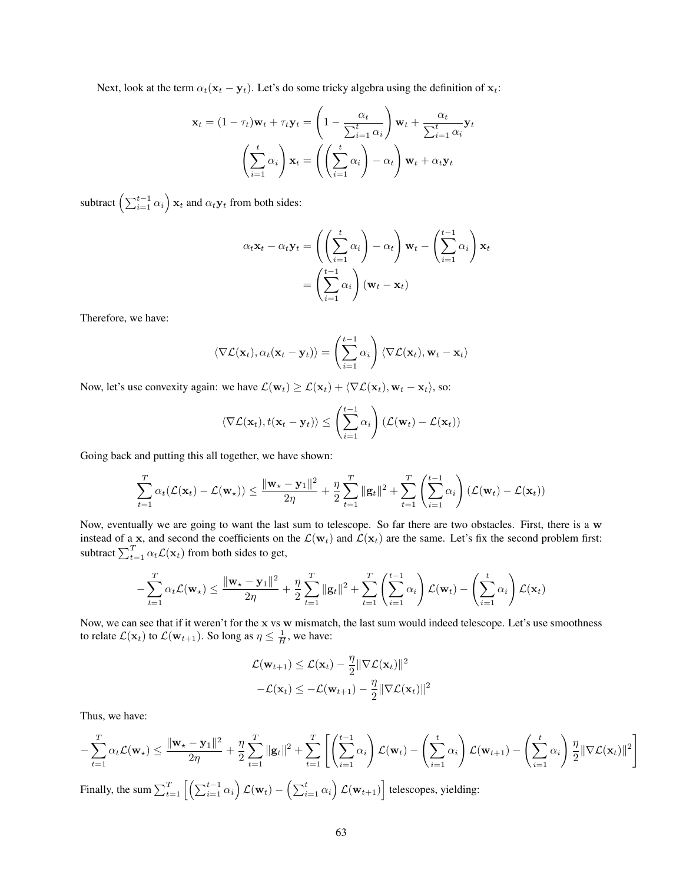Next, look at the term  $\alpha_t(\mathbf{x}_t - \mathbf{y}_t)$ . Let's do some tricky algebra using the definition of  $\mathbf{x}_t$ :

$$
\mathbf{x}_t = (1 - \tau_t)\mathbf{w}_t + \tau_t \mathbf{y}_t = \left(1 - \frac{\alpha_t}{\sum_{i=1}^t \alpha_i}\right) \mathbf{w}_t + \frac{\alpha_t}{\sum_{i=1}^t \alpha_i} \mathbf{y}_t
$$

$$
\left(\sum_{i=1}^t \alpha_i\right) \mathbf{x}_t = \left(\left(\sum_{i=1}^t \alpha_i\right) - \alpha_t\right) \mathbf{w}_t + \alpha_t \mathbf{y}_t
$$

subtract  $\left(\sum_{i=1}^{t-1} \alpha_i\right) \mathbf{x}_t$  and  $\alpha_t \mathbf{y}_t$  from both sides:

$$
\alpha_t \mathbf{x}_t - \alpha_t \mathbf{y}_t = \left( \left( \sum_{i=1}^t \alpha_i \right) - \alpha_t \right) \mathbf{w}_t - \left( \sum_{i=1}^{t-1} \alpha_i \right) \mathbf{x}_t
$$

$$
= \left( \sum_{i=1}^{t-1} \alpha_i \right) (\mathbf{w}_t - \mathbf{x}_t)
$$

Therefore, we have:

$$
\langle \nabla \mathcal{L}(\mathbf{x}_t), \alpha_t(\mathbf{x}_t - \mathbf{y}_t) \rangle = \left( \sum_{i=1}^{t-1} \alpha_i \right) \langle \nabla \mathcal{L}(\mathbf{x}_t), \mathbf{w}_t - \mathbf{x}_t \rangle
$$

Now, let's use convexity again: we have  $\mathcal{L}(\mathbf{w}_t) \geq \mathcal{L}(\mathbf{x}_t) + \langle \nabla \mathcal{L}(\mathbf{x}_t), \mathbf{w}_t - \mathbf{x}_t \rangle$ , so:

$$
\langle \nabla \mathcal{L}(\mathbf{x}_t), t(\mathbf{x}_t - \mathbf{y}_t) \rangle \leq \left( \sum_{i=1}^{t-1} \alpha_i \right) (\mathcal{L}(\mathbf{w}_t) - \mathcal{L}(\mathbf{x}_t))
$$

Going back and putting this all together, we have shown:

$$
\sum_{t=1}^T \alpha_t(\mathcal{L}(\mathbf{x}_t) - \mathcal{L}(\mathbf{w}_\star)) \le \frac{\|\mathbf{w}_\star - \mathbf{y}_1\|^2}{2\eta} + \frac{\eta}{2} \sum_{t=1}^T \|\mathbf{g}_t\|^2 + \sum_{t=1}^T \left(\sum_{i=1}^{t-1} \alpha_i\right) (\mathcal{L}(\mathbf{w}_t) - \mathcal{L}(\mathbf{x}_t))
$$

Now, eventually we are going to want the last sum to telescope. So far there are two obstacles. First, there is a w instead of a x, and second the coefficients on the  $\mathcal{L}(\mathbf{w}_t)$  and  $\mathcal{L}(\mathbf{x}_t)$  are the same. Let's fix the second problem first: subtract  $\sum_{t=1}^{T} \alpha_t \mathcal{L}(\mathbf{x}_t)$  from both sides to get,

$$
-\sum_{t=1}^T \alpha_t \mathcal{L}(\mathbf{w}_\star) \le \frac{\|\mathbf{w}_\star - \mathbf{y}_1\|^2}{2\eta} + \frac{\eta}{2} \sum_{t=1}^T \|\mathbf{g}_t\|^2 + \sum_{t=1}^T \left(\sum_{i=1}^{t-1} \alpha_i\right) \mathcal{L}(\mathbf{w}_t) - \left(\sum_{i=1}^t \alpha_i\right) \mathcal{L}(\mathbf{x}_t)
$$

Now, we can see that if it weren't for the x vs w mismatch, the last sum would indeed telescope. Let's use smoothness to relate  $\mathcal{L}(\mathbf{x}_t)$  to  $\mathcal{L}(\mathbf{w}_{t+1})$ . So long as  $\eta \leq \frac{1}{H}$ , we have:

$$
\mathcal{L}(\mathbf{w}_{t+1}) \leq \mathcal{L}(\mathbf{x}_t) - \frac{\eta}{2} \|\nabla \mathcal{L}(\mathbf{x}_t)\|^2
$$

$$
-\mathcal{L}(\mathbf{x}_t) \leq -\mathcal{L}(\mathbf{w}_{t+1}) - \frac{\eta}{2} \|\nabla \mathcal{L}(\mathbf{x}_t)\|^2
$$

Thus, we have:

$$
-\sum_{t=1}^T \alpha_t \mathcal{L}(\mathbf{w}_\star) \le \frac{\|\mathbf{w}_\star - \mathbf{y}_1\|^2}{2\eta} + \frac{\eta}{2} \sum_{t=1}^T \|\mathbf{g}_t\|^2 + \sum_{t=1}^T \left[ \left( \sum_{i=1}^{t-1} \alpha_i \right) \mathcal{L}(\mathbf{w}_t) - \left( \sum_{i=1}^t \alpha_i \right) \mathcal{L}(\mathbf{w}_{t+1}) - \left( \sum_{i=1}^t \alpha_i \right) \frac{\eta}{2} \|\nabla \mathcal{L}(\mathbf{x}_t)\|^2 \right]
$$

Finally, the sum  $\sum_{t=1}^{T} \left[ \left( \sum_{i=1}^{t-1} \alpha_i \right) \mathcal{L}(\mathbf{w}_t) - \left( \sum_{i=1}^{t} \alpha_i \right) \mathcal{L}(\mathbf{w}_{t+1}) \right]$  telescopes, yielding: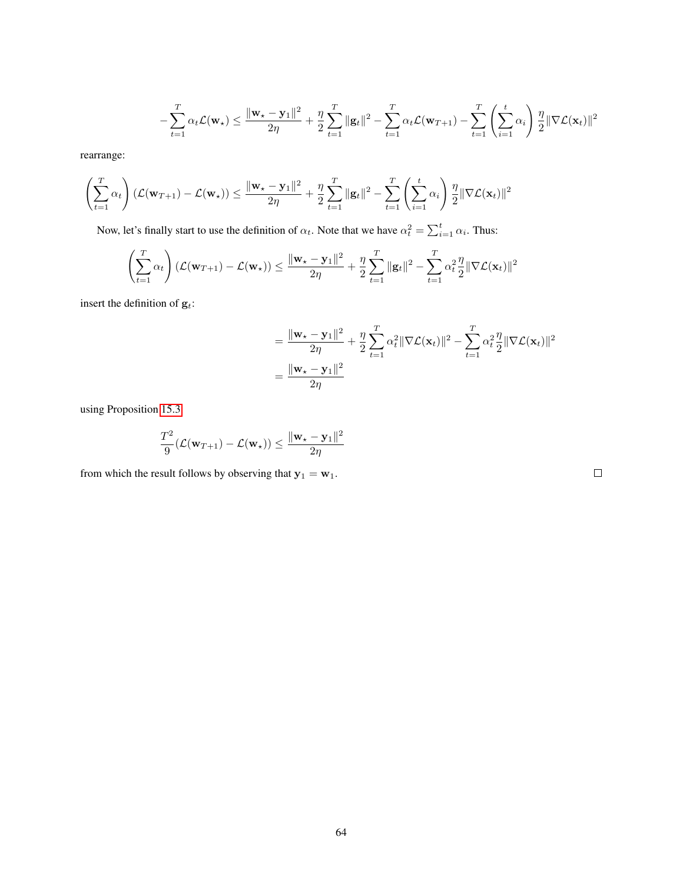$$
-\sum_{t=1}^T \alpha_t \mathcal{L}(\mathbf{w}_\star) \le \frac{\|\mathbf{w}_\star - \mathbf{y}_1\|^2}{2\eta} + \frac{\eta}{2} \sum_{t=1}^T \|\mathbf{g}_t\|^2 - \sum_{t=1}^T \alpha_t \mathcal{L}(\mathbf{w}_{T+1}) - \sum_{t=1}^T \left(\sum_{i=1}^t \alpha_i\right) \frac{\eta}{2} \|\nabla \mathcal{L}(\mathbf{x}_t)\|^2
$$

rearrange:

$$
\left(\sum_{t=1}^T \alpha_t\right) \left(\mathcal{L}(\mathbf{w}_{T+1}) - \mathcal{L}(\mathbf{w}_\star)\right) \le \frac{\|\mathbf{w}_\star - \mathbf{y}_1\|^2}{2\eta} + \frac{\eta}{2} \sum_{t=1}^T \|\mathbf{g}_t\|^2 - \sum_{t=1}^T \left(\sum_{i=1}^t \alpha_i\right) \frac{\eta}{2} \|\nabla \mathcal{L}(\mathbf{x}_t)\|^2
$$

Now, let's finally start to use the definition of  $\alpha_t$ . Note that we have  $\alpha_t^2 = \sum_{i=1}^t \alpha_i$ . Thus:

$$
\left(\sum_{t=1}^T \alpha_t\right) \left(\mathcal{L}(\mathbf{w}_{T+1}) - \mathcal{L}(\mathbf{w}_*)\right) \le \frac{\|\mathbf{w}_\star - \mathbf{y}_1\|^2}{2\eta} + \frac{\eta}{2} \sum_{t=1}^T \|\mathbf{g}_t\|^2 - \sum_{t=1}^T \alpha_t^2 \frac{\eta}{2} \|\nabla \mathcal{L}(\mathbf{x}_t)\|^2
$$

insert the definition of  $\mathbf{g}_t$  :

$$
= \frac{\|\mathbf{w}_\star - \mathbf{y}_1\|^2}{2\eta} + \frac{\eta}{2} \sum_{t=1}^T \alpha_t^2 \|\nabla \mathcal{L}(\mathbf{x}_t)\|^2 - \sum_{t=1}^T \alpha_t^2 \frac{\eta}{2} \|\nabla \mathcal{L}(\mathbf{x}_t)\|^2
$$

$$
= \frac{\|\mathbf{w}_\star - \mathbf{y}_1\|^2}{2\eta}
$$

using Proposition [15.3:](#page-60-2)

$$
\frac{T^2}{9}(\mathcal{L}(\mathbf{w}_{T+1}) - \mathcal{L}(\mathbf{w}_*)) \le \frac{\|\mathbf{w}_\star - \mathbf{y}_1\|^2}{2\eta}
$$

from which the result follows by observing that  $y_1 = w_1$ .

 $\Box$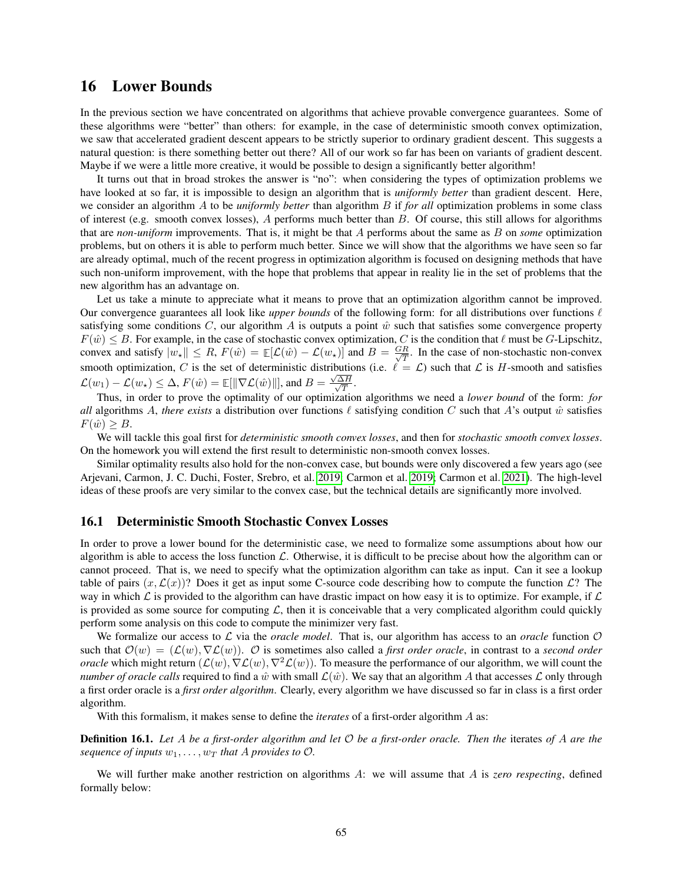## 16 Lower Bounds

In the previous section we have concentrated on algorithms that achieve provable convergence guarantees. Some of these algorithms were "better" than others: for example, in the case of deterministic smooth convex optimization, we saw that accelerated gradient descent appears to be strictly superior to ordinary gradient descent. This suggests a natural question: is there something better out there? All of our work so far has been on variants of gradient descent. Maybe if we were a little more creative, it would be possible to design a significantly better algorithm!

It turns out that in broad strokes the answer is "no": when considering the types of optimization problems we have looked at so far, it is impossible to design an algorithm that is *uniformly better* than gradient descent. Here, we consider an algorithm A to be *uniformly better* than algorithm B if *for all* optimization problems in some class of interest (e.g. smooth convex losses),  $A$  performs much better than  $B$ . Of course, this still allows for algorithms that are *non-uniform* improvements. That is, it might be that A performs about the same as B on *some* optimization problems, but on others it is able to perform much better. Since we will show that the algorithms we have seen so far are already optimal, much of the recent progress in optimization algorithm is focused on designing methods that have such non-uniform improvement, with the hope that problems that appear in reality lie in the set of problems that the new algorithm has an advantage on.

Let us take a minute to appreciate what it means to prove that an optimization algorithm cannot be improved. Our convergence guarantees all look like *upper bounds* of the following form: for all distributions over functions  $\ell$ satisfying some conditions C, our algorithm A is outputs a point  $\hat{w}$  such that satisfies some convergence property  $F(\hat{w}) \leq B$ . For example, in the case of stochastic convex optimization, C is the condition that  $\ell$  must be G-Lipschitz, convex and satisfy  $|w_*| \le R$ ,  $F(\hat{w}) = \mathbb{E}[\mathcal{L}(\hat{w}) - \mathcal{L}(w_*)]$  and  $B = \frac{GR}{\sqrt{T}}$  $\frac{R}{T}$ . In the case of non-stochastic non-convex smooth optimization, C is the set of deterministic distributions (i.e.  $\ell = \mathcal{L}$ ) such that  $\mathcal{L}$  is H-smooth and satisfies  $\mathcal{L}(w_1) - \mathcal{L}(w_\star) \leq \Delta$ ,  $F(\hat{w}) = \mathbb{E}[\|\nabla \mathcal{L}(\hat{w})\|]$ , and  $B = \frac{\Delta}{\Delta}$ √ ∆H  $\frac{\Delta H}{T}$ .

Thus, in order to prove the optimality of our optimization algorithms we need a *lower bound* of the form: *for all* algorithms A, *there exists* a distribution over functions  $\ell$  satisfying condition C such that A's output  $\hat{w}$  satisfies  $F(\hat{w}) \geq B$ .

We will tackle this goal first for *deterministic smooth convex losses*, and then for *stochastic smooth convex losses*. On the homework you will extend the first result to deterministic non-smooth convex losses.

Similar optimality results also hold for the non-convex case, but bounds were only discovered a few years ago (see Arjevani, Carmon, J. C. Duchi, Foster, Srebro, et al. [2019;](#page-121-5) Carmon et al. [2019;](#page-121-6) Carmon et al. [2021\)](#page-121-7). The high-level ideas of these proofs are very similar to the convex case, but the technical details are significantly more involved.

### 16.1 Deterministic Smooth Stochastic Convex Losses

In order to prove a lower bound for the deterministic case, we need to formalize some assumptions about how our algorithm is able to access the loss function  $\mathcal{L}$ . Otherwise, it is difficult to be precise about how the algorithm can or cannot proceed. That is, we need to specify what the optimization algorithm can take as input. Can it see a lookup table of pairs  $(x, \mathcal{L}(x))$ ? Does it get as input some C-source code describing how to compute the function  $\mathcal{L}$ ? The way in which  $\mathcal L$  is provided to the algorithm can have drastic impact on how easy it is to optimize. For example, if  $\mathcal L$ is provided as some source for computing  $\mathcal{L}$ , then it is conceivable that a very complicated algorithm could quickly perform some analysis on this code to compute the minimizer very fast.

We formalize our access to  $\mathcal L$  via the *oracle model*. That is, our algorithm has access to an *oracle* function  $\mathcal O$ such that  $\mathcal{O}(w) = (\mathcal{L}(w), \nabla \mathcal{L}(w))$ . O is sometimes also called a *first order oracle*, in contrast to a *second order oracle* which might return  $(\mathcal{L}(w), \nabla \mathcal{L}(w), \nabla^2 \mathcal{L}(w))$ . To measure the performance of our algorithm, we will count the *number of oracle calls* required to find a  $\hat{w}$  with small  $\mathcal{L}(\hat{w})$ . We say that an algorithm A that accesses  $\mathcal{L}$  only through a first order oracle is a *first order algorithm*. Clearly, every algorithm we have discussed so far in class is a first order algorithm.

With this formalism, it makes sense to define the *iterates* of a first-order algorithm A as:

Definition 16.1. *Let* A *be a first-order algorithm and let* O *be a first-order oracle. Then the* iterates *of* A *are the sequence of inputs*  $w_1, \ldots, w_T$  *that* A *provides to*  $\mathcal{O}$ *.* 

We will further make another restriction on algorithms A: we will assume that A is *zero respecting*, defined formally below: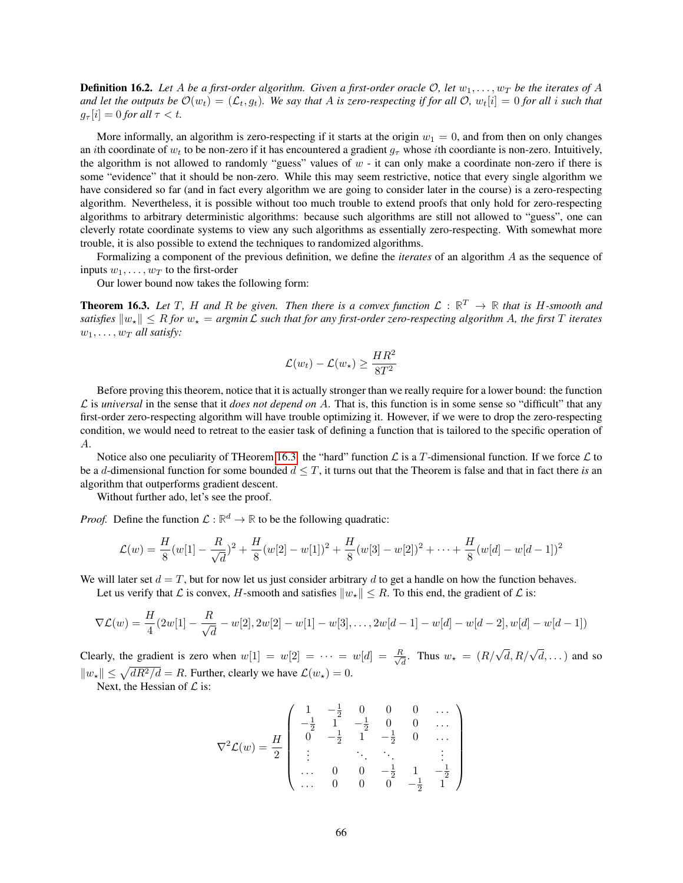**Definition 16.2.** Let A be a first-order algorithm. Given a first-order oracle  $\mathcal{O}$ , let  $w_1, \ldots, w_T$  be the iterates of A and let the outputs be  $\mathcal{O}(w_t) = (\mathcal{L}_t, g_t)$ . We say that A is zero-respecting if for all  $\mathcal{O}, w_t[i] = 0$  for all i such that  $g_{\tau}[i] = 0$  for all  $\tau < t$ .

More informally, an algorithm is zero-respecting if it starts at the origin  $w_1 = 0$ , and from then on only changes an ith coordinate of  $w_t$  to be non-zero if it has encountered a gradient  $g_\tau$  whose ith coordiante is non-zero. Intuitively, the algorithm is not allowed to randomly "guess" values of  $w - i$  can only make a coordinate non-zero if there is some "evidence" that it should be non-zero. While this may seem restrictive, notice that every single algorithm we have considered so far (and in fact every algorithm we are going to consider later in the course) is a zero-respecting algorithm. Nevertheless, it is possible without too much trouble to extend proofs that only hold for zero-respecting algorithms to arbitrary deterministic algorithms: because such algorithms are still not allowed to "guess", one can cleverly rotate coordinate systems to view any such algorithms as essentially zero-respecting. With somewhat more trouble, it is also possible to extend the techniques to randomized algorithms.

Formalizing a component of the previous definition, we define the *iterates* of an algorithm A as the sequence of inputs  $w_1, \ldots, w_T$  to the first-order

Our lower bound now takes the following form:

<span id="page-65-0"></span>**Theorem 16.3.** Let T, H and R be given. Then there is a convex function  $\mathcal{L}: \mathbb{R}^T \to \mathbb{R}$  that is H-smooth and *satisfies*  $\|w_{\star}\| \leq R$  *for*  $w_{\star} = \arg\min \mathcal{L}$  *such that for any first-order zero-respecting algorithm A, the first* T *iterates*  $w_1, \ldots, w_T$  *all satisfy:* 

$$
\mathcal{L}(w_t) - \mathcal{L}(w_\star) \ge \frac{HR^2}{8T^2}
$$

Before proving this theorem, notice that it is actually stronger than we really require for a lower bound: the function  $\mathcal L$  is *universal* in the sense that it *does not depend on*  $\mathcal A$ . That is, this function is in some sense so "difficult" that any first-order zero-respecting algorithm will have trouble optimizing it. However, if we were to drop the zero-respecting condition, we would need to retreat to the easier task of defining a function that is tailored to the specific operation of A.

Notice also one peculiarity of THeorem [16.3:](#page-65-0) the "hard" function  $\mathcal L$  is a T-dimensional function. If we force  $\mathcal L$  to be a d-dimensional function for some bounded  $d \leq T$ , it turns out that the Theorem is false and that in fact there *is* an algorithm that outperforms gradient descent.

Without further ado, let's see the proof.

*Proof.* Define the function  $\mathcal{L}: \mathbb{R}^d \to \mathbb{R}$  to be the following quadratic:

$$
\mathcal{L}(w) = \frac{H}{8}(w[1] - \frac{R}{\sqrt{d}})^2 + \frac{H}{8}(w[2] - w[1])^2 + \frac{H}{8}(w[3] - w[2])^2 + \dots + \frac{H}{8}(w[d] - w[d-1])^2
$$

We will later set  $d = T$ , but for now let us just consider arbitrary d to get a handle on how the function behaves.

Let us verify that L is convex, H-smooth and satisfies  $||w_{\star}|| \leq R$ . To this end, the gradient of L is:

$$
\nabla \mathcal{L}(w) = \frac{H}{4} (2w[1] - \frac{R}{\sqrt{d}} - w[2], 2w[2] - w[1] - w[3], \dots, 2w[d-1] - w[d] - w[d-2], w[d] - w[d-1])
$$

Clearly, the gradient is zero when  $w[1] = w[2] = \cdots = w[d] = \frac{R}{\sqrt{2}}$  $\frac{d}{dt}$ . Thus  $w_{\star} = (R/\sqrt{d}, R/\sqrt{d}, \dots)$  and so  $||w_{\star}|| \leq \sqrt{dR^2/d} = R$ . Further, clearly we have  $\mathcal{L}(w_{\star}) = 0$ .

Next, the Hessian of  $\mathcal L$  is:

$$
\nabla^2 \mathcal{L}(w) = \frac{H}{2} \begin{pmatrix} 1 & -\frac{1}{2} & 0 & 0 & 0 & \dots \\ -\frac{1}{2} & 1 & -\frac{1}{2} & 0 & 0 & \dots \\ 0 & -\frac{1}{2} & 1 & -\frac{1}{2} & 0 & \dots \\ \vdots & \vdots & \ddots & \ddots & \vdots & \vdots \\ \dots & 0 & 0 & -\frac{1}{2} & 1 & -\frac{1}{2} \\ \dots & 0 & 0 & 0 & -\frac{1}{2} & 1 \end{pmatrix}
$$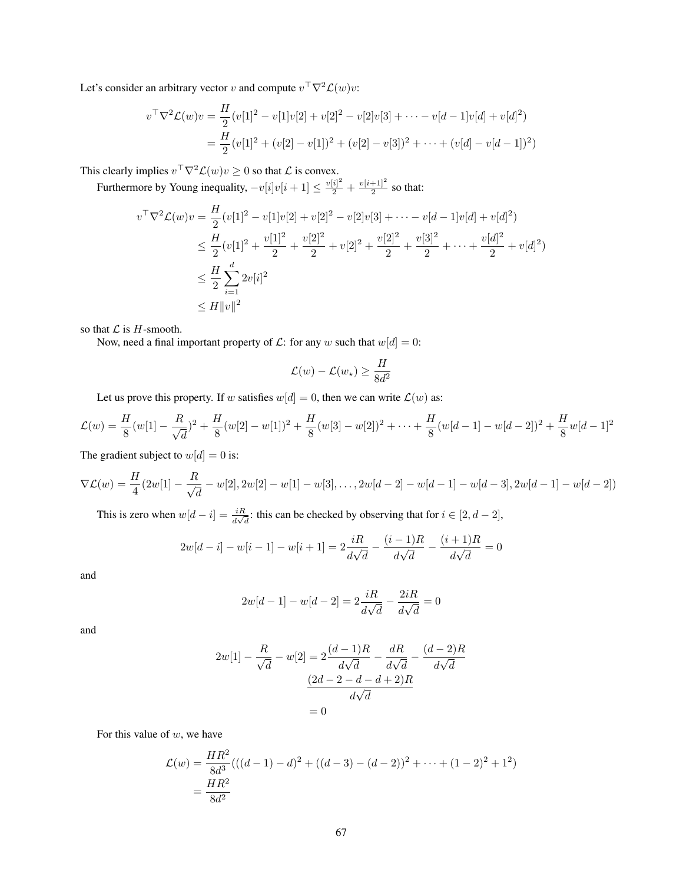Let's consider an arbitrary vector v and compute  $v^{\top} \nabla^2 \mathcal{L}(w) v$ :

$$
v^{\top} \nabla^2 \mathcal{L}(w) v = \frac{H}{2} (v[1]^2 - v[1]v[2] + v[2]^2 - v[2]v[3] + \cdots - v[d-1]v[d] + v[d]^2)
$$
  
= 
$$
\frac{H}{2} (v[1]^2 + (v[2] - v[1])^2 + (v[2] - v[3])^2 + \cdots + (v[d] - v[d-1])^2)
$$

This clearly implies  $v^{\top} \nabla^2 \mathcal{L}(w) v \geq 0$  so that  $\mathcal L$  is convex.

Furthermore by Young inequality,  $-v[i]v[i+1] \le \frac{v[i]^2}{2} + \frac{v[i+1]^2}{2}$  $\frac{+1}{2}$  so that:

$$
v^{\top} \nabla^2 \mathcal{L}(w) v = \frac{H}{2} (v[1]^2 - v[1]v[2] + v[2]^2 - v[2]v[3] + \cdots - v[d-1]v[d] + v[d]^2)
$$
  
\n
$$
\leq \frac{H}{2} (v[1]^2 + \frac{v[1]^2}{2} + \frac{v[2]^2}{2} + v[2]^2 + \frac{v[2]^2}{2} + \frac{v[3]^2}{2} + \cdots + \frac{v[d]^2}{2} + v[d]^2)
$$
  
\n
$$
\leq \frac{H}{2} \sum_{i=1}^d 2v[i]^2
$$
  
\n
$$
\leq H ||v||^2
$$

so that  $\mathcal L$  is  $H$ -smooth.

Now, need a final important property of  $\mathcal{L}$ : for any w such that  $w[d] = 0$ :

$$
\mathcal{L}(w) - \mathcal{L}(w_{\star}) \ge \frac{H}{8d^2}
$$

Let us prove this property. If w satisfies  $w[d] = 0$ , then we can write  $\mathcal{L}(w)$  as:

$$
\mathcal{L}(w) = \frac{H}{8}(w[1] - \frac{R}{\sqrt{d}})^2 + \frac{H}{8}(w[2] - w[1])^2 + \frac{H}{8}(w[3] - w[2])^2 + \dots + \frac{H}{8}(w[d-1] - w[d-2])^2 + \frac{H}{8}w[d-1]^2
$$

The gradient subject to  $w[d] = 0$  is:

$$
\nabla \mathcal{L}(w) = \frac{H}{4}(2w[1] - \frac{R}{\sqrt{d}} - w[2], 2w[2] - w[1] - w[3], \dots, 2w[d-2] - w[d-1] - w[d-3], 2w[d-1] - w[d-2])
$$

This is zero when  $w[d - i] = \frac{iR}{d\sqrt{d}}$ : this can be checked by observing that for  $i \in [2, d - 2]$ ,

$$
2w[d-i] - w[i-1] - w[i+1] = 2\frac{iR}{d\sqrt{d}} - \frac{(i-1)R}{d\sqrt{d}} - \frac{(i+1)R}{d\sqrt{d}} = 0
$$

and

$$
2w[d-1] - w[d-2] = 2\frac{iR}{d\sqrt{d}} - \frac{2iR}{d\sqrt{d}} = 0
$$

and

$$
2w[1] - \frac{R}{\sqrt{d}} - w[2] = 2\frac{(d-1)R}{d\sqrt{d}} - \frac{dR}{d\sqrt{d}} - \frac{(d-2)R}{d\sqrt{d}}
$$

$$
\frac{(2d-2-d-d+2)R}{d\sqrt{d}}
$$

$$
= 0
$$

For this value of  $w$ , we have

$$
\mathcal{L}(w) = \frac{HR^2}{8d^3}(((d-1)-d)^2 + ((d-3)-(d-2))^2 + \dots + (1-2)^2 + 1^2)
$$
  
= 
$$
\frac{HR^2}{8d^2}
$$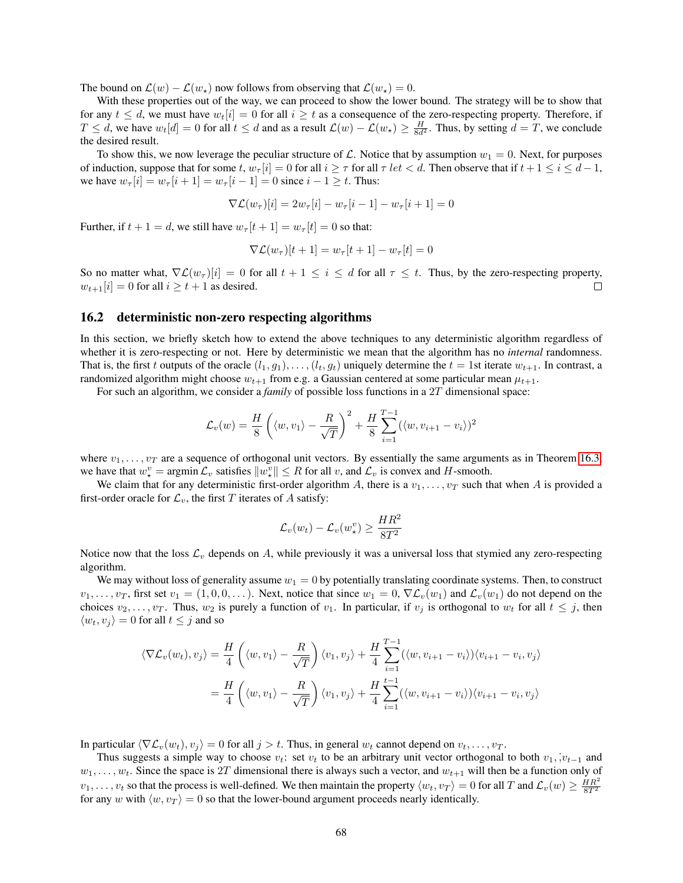The bound on  $\mathcal{L}(w) - \mathcal{L}(w_*)$  now follows from observing that  $\mathcal{L}(w_*) = 0$ .

With these properties out of the way, we can proceed to show the lower bound. The strategy will be to show that for any  $t \leq d$ , we must have  $w_t[i] = 0$  for all  $i \geq t$  as a consequence of the zero-respecting property. Therefore, if  $T \le d$ , we have  $w_t[d] = 0$  for all  $t \le d$  and as a result  $\mathcal{L}(w) - \mathcal{L}(w_\star) \ge \frac{H}{8d^2}$ . Thus, by setting  $d = T$ , we conclude the desired result.

To show this, we now leverage the peculiar structure of L. Notice that by assumption  $w_1 = 0$ . Next, for purposes of induction, suppose that for some t,  $w_{\tau}[i] = 0$  for all  $i \geq \tau$  for all  $\tau$  let  $\lt d$ . Then observe that if  $t + 1 \leq i \leq d - 1$ , we have  $w_{\tau}[i] = w_{\tau}[i+1] = w_{\tau}[i-1] = 0$  since  $i - 1 \geq t$ . Thus:

$$
\nabla \mathcal{L}(w_{\tau})[i] = 2w_{\tau}[i] - w_{\tau}[i-1] - w_{\tau}[i+1] = 0
$$

Further, if  $t + 1 = d$ , we still have  $w_{\tau}[t + 1] = w_{\tau}[t] = 0$  so that:

$$
\nabla \mathcal{L}(w_{\tau})[t+1] = w_{\tau}[t+1] - w_{\tau}[t] = 0
$$

So no matter what,  $\nabla \mathcal{L}(w_\tau)[i] = 0$  for all  $t + 1 \leq i \leq d$  for all  $\tau \leq t$ . Thus, by the zero-respecting property,  $w_{t+1}[i] = 0$  for all  $i \ge t+1$  as desired.  $\Box$ 

#### 16.2 deterministic non-zero respecting algorithms

In this section, we briefly sketch how to extend the above techniques to any deterministic algorithm regardless of whether it is zero-respecting or not. Here by deterministic we mean that the algorithm has no *internal* randomness. That is, the first t outputs of the oracle  $(l_1, g_1), \ldots, (l_t, g_t)$  uniquely determine the  $t = 1$ st iterate  $w_{t+1}$ . In contrast, a randomized algorithm might choose  $w_{t+1}$  from e.g. a Gaussian centered at some particular mean  $\mu_{t+1}$ .

For such an algorithm, we consider a *family* of possible loss functions in a 2T dimensional space:

$$
\mathcal{L}_{v}(w) = \frac{H}{8} \left( \langle w, v_1 \rangle - \frac{R}{\sqrt{T}} \right)^2 + \frac{H}{8} \sum_{i=1}^{T-1} (\langle w, v_{i+1} - v_i \rangle)^2
$$

where  $v_1, \ldots, v_T$  are a sequence of orthogonal unit vectors. By essentially the same arguments as in Theorem [16.3,](#page-65-0) we have that  $w^v_* = \text{argmin} \mathcal{L}_v$  satisfies  $||w^v_*|| \leq R$  for all v, and  $\mathcal{L}_v$  is convex and H-smooth.

We claim that for any deterministic first-order algorithm A, there is a  $v_1, \ldots, v_T$  such that when A is provided a first-order oracle for  $\mathcal{L}_v$ , the first T iterates of A satisfy:

$$
\mathcal{L}_v(w_t) - \mathcal{L}_v(w_\star^v) \ge \frac{HR^2}{8T^2}
$$

Notice now that the loss  $\mathcal{L}_v$  depends on A, while previously it was a universal loss that stymied any zero-respecting algorithm.

We may without loss of generality assume  $w_1 = 0$  by potentially translating coordinate systems. Then, to construct  $v_1, \ldots, v_T$ , first set  $v_1 = (1, 0, 0, \ldots)$ . Next, notice that since  $w_1 = 0$ ,  $\nabla \mathcal{L}_v(w_1)$  and  $\mathcal{L}_v(w_1)$  do not depend on the choices  $v_2, \ldots, v_T$ . Thus,  $w_2$  is purely a function of  $v_1$ . In particular, if  $v_j$  is orthogonal to  $w_t$  for all  $t \leq j$ , then  $\langle w_t, v_j \rangle = 0$  for all  $t \leq j$  and so

$$
\langle \nabla \mathcal{L}_v(w_t), v_j \rangle = \frac{H}{4} \left( \langle w, v_1 \rangle - \frac{R}{\sqrt{T}} \right) \langle v_1, v_j \rangle + \frac{H}{4} \sum_{i=1}^{T-1} (\langle w, v_{i+1} - v_i \rangle) \langle v_{i+1} - v_i, v_j \rangle
$$
  

$$
= \frac{H}{4} \left( \langle w, v_1 \rangle - \frac{R}{\sqrt{T}} \right) \langle v_1, v_j \rangle + \frac{H}{4} \sum_{i=1}^{T-1} (\langle w, v_{i+1} - v_i \rangle) \langle v_{i+1} - v_i, v_j \rangle
$$

In particular  $\langle \nabla \mathcal{L}_v(w_t), v_i \rangle = 0$  for all  $j > t$ . Thus, in general  $w_t$  cannot depend on  $v_t, \ldots, v_T$ .

Thus suggests a simple way to choose  $v_t$ : set  $v_t$  to be an arbitrary unit vector orthogonal to both  $v_1, v_{t-1}$  and  $w_1, \ldots, w_t$ . Since the space is 2T dimensional there is always such a vector, and  $w_{t+1}$  will then be a function only of  $v_1, \ldots, v_t$  so that the process is well-defined. We then maintain the property  $\langle w_t, v_T \rangle = 0$  for all T and  $\mathcal{L}_v(w) \geq \frac{HR^2}{8T^2}$ for any w with  $\langle w, v_T \rangle = 0$  so that the lower-bound argument proceeds nearly identically.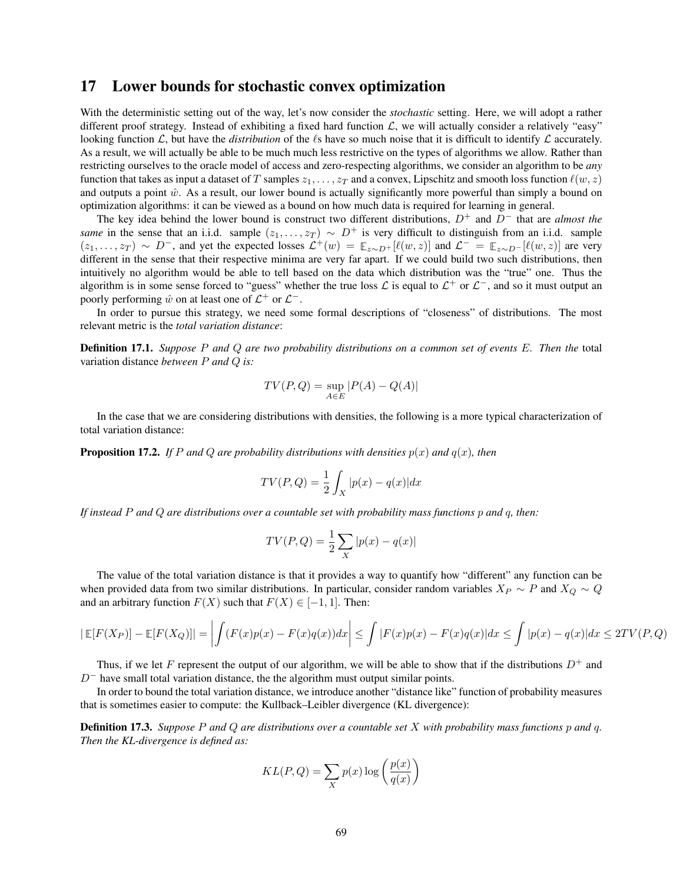## 17 Lower bounds for stochastic convex optimization

With the deterministic setting out of the way, let's now consider the *stochastic* setting. Here, we will adopt a rather different proof strategy. Instead of exhibiting a fixed hard function  $\mathcal{L}$ , we will actually consider a relatively "easy" looking function  $\mathcal{L}$ , but have the *distribution* of the  $\ell$ s have so much noise that it is difficult to identify  $\mathcal{L}$  accurately. As a result, we will actually be able to be much much less restrictive on the types of algorithms we allow. Rather than restricting ourselves to the oracle model of access and zero-respecting algorithms, we consider an algorithm to be *any* function that takes as input a dataset of T samples  $z_1, \ldots, z_T$  and a convex, Lipschitz and smooth loss function  $\ell(w, z)$ and outputs a point  $\hat{w}$ . As a result, our lower bound is actually significantly more powerful than simply a bound on optimization algorithms: it can be viewed as a bound on how much data is required for learning in general.

The key idea behind the lower bound is construct two different distributions, D<sup>+</sup> and D<sup>−</sup> that are *almost the same* in the sense that an i.i.d. sample  $(z_1, \ldots, z_T) \sim D^+$  is very difficult to distinguish from an i.i.d. sample  $(z_1, \ldots, z_T) \sim D^-$ , and yet the expected losses  $\mathcal{L}^+(w) = \mathbb{E}_{z \sim D^+}[\ell(w, z)]$  and  $\mathcal{L}^- = \mathbb{E}_{z \sim D^-}[\ell(w, z)]$  are very different in the sense that their respective minima are very far apart. If we could build two such distributions, then intuitively no algorithm would be able to tell based on the data which distribution was the "true" one. Thus the algorithm is in some sense forced to "guess" whether the true loss  $\mathcal L$  is equal to  $\mathcal L^+$  or  $\mathcal L^-$ , and so it must output an poorly performing  $\hat{w}$  on at least one of  $\mathcal{L}^+$  or  $\mathcal{L}^-$ .

In order to pursue this strategy, we need some formal descriptions of "closeness" of distributions. The most relevant metric is the *total variation distance*:

Definition 17.1. *Suppose* P *and* Q *are two probability distributions on a common set of events* E*. Then the* total variation distance *between* P *and* Q *is:*

$$
TV(P,Q) = \sup_{A \in E}|P(A) - Q(A)|
$$

In the case that we are considering distributions with densities, the following is a more typical characterization of total variation distance:

**Proposition 17.2.** *If* P and Q are probability distributions with densities  $p(x)$  and  $q(x)$ , then

$$
TV(P,Q) = \frac{1}{2} \int_X |p(x) - q(x)| dx
$$

*If instead* P *and* Q *are distributions over a countable set with probability mass functions* p *and* q*, then:*

$$
TV(P,Q) = \frac{1}{2} \sum_{X} |p(x) - q(x)|
$$

The value of the total variation distance is that it provides a way to quantify how "different" any function can be when provided data from two similar distributions. In particular, consider random variables  $X_P \sim P$  and  $X_Q \sim Q$ and an arbitrary function  $F(X)$  such that  $F(X) \in [-1, 1]$ . Then:

$$
|\mathbb{E}[F(X_P)] - \mathbb{E}[F(X_Q)]| = \left| \int (F(x)p(x) - F(x)q(x))dx \right| \le \int |F(x)p(x) - F(x)q(x)|dx \le \int |p(x) - q(x)|dx \le 2TV(P,Q)
$$

p(x)

Thus, if we let F represent the output of our algorithm, we will be able to show that if the distributions  $D^+$  and  $D^-$  have small total variation distance, the the algorithm must output similar points.

In order to bound the total variation distance, we introduce another "distance like" function of probability measures that is sometimes easier to compute: the Kullback–Leibler divergence (KL divergence):

Definition 17.3. *Suppose* P *and* Q *are distributions over a countable set* X *with probability mass functions* p *and* q*. Then the KL-divergence is defined as:*

$$
KL(P, Q) = \sum_{X} p(x) \log \left( \frac{p(x)}{q(x)} \right)
$$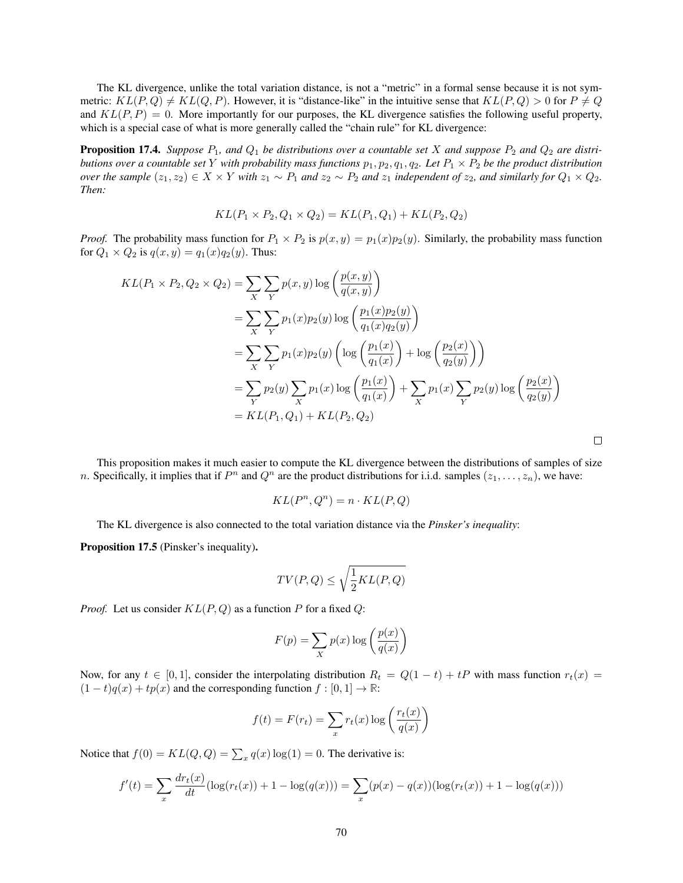The KL divergence, unlike the total variation distance, is not a "metric" in a formal sense because it is not symmetric:  $KL(P,Q) \neq KL(Q,P)$ . However, it is "distance-like" in the intuitive sense that  $KL(P,Q) > 0$  for  $P \neq Q$ and  $KL(P, P) = 0$ . More importantly for our purposes, the KL divergence satisfies the following useful property, which is a special case of what is more generally called the "chain rule" for KL divergence:

**Proposition 17.4.** Suppose  $P_1$ , and  $Q_1$  be distributions over a countable set X and suppose  $P_2$  and  $Q_2$  are distri*butions over a countable set* Y *with probability mass functions*  $p_1, p_2, q_1, q_2$ *. Let*  $P_1 \times P_2$  *be the product distribution over the sample*  $(z_1, z_2) \in X \times Y$  *with*  $z_1 \sim P_1$  *and*  $z_2 \sim P_2$  *and*  $z_1$  *independent of*  $z_2$ *, and similarly for*  $Q_1 \times Q_2$ *. Then:*

$$
KL(P_1 \times P_2, Q_1 \times Q_2) = KL(P_1, Q_1) + KL(P_2, Q_2)
$$

*Proof.* The probability mass function for  $P_1 \times P_2$  is  $p(x, y) = p_1(x)p_2(y)$ . Similarly, the probability mass function for  $Q_1 \times Q_2$  is  $q(x, y) = q_1(x)q_2(y)$ . Thus:

$$
KL(P_1 \times P_2, Q_2 \times Q_2) = \sum_{X} \sum_{Y} p(x, y) \log \left( \frac{p(x, y)}{q(x, y)} \right)
$$
  
= 
$$
\sum_{X} \sum_{Y} p_1(x) p_2(y) \log \left( \frac{p_1(x) p_2(y)}{q_1(x) q_2(y)} \right)
$$
  
= 
$$
\sum_{X} \sum_{Y} p_1(x) p_2(y) \left( \log \left( \frac{p_1(x)}{q_1(x)} \right) + \log \left( \frac{p_2(x)}{q_2(y)} \right) \right)
$$
  
= 
$$
\sum_{Y} p_2(y) \sum_{X} p_1(x) \log \left( \frac{p_1(x)}{q_1(x)} \right) + \sum_{X} p_1(x) \sum_{Y} p_2(y) \log \left( \frac{p_2(x)}{q_2(y)} \right)
$$
  
= 
$$
KL(P_1, Q_1) + KL(P_2, Q_2)
$$

This proposition makes it much easier to compute the KL divergence between the distributions of samples of size n. Specifically, it implies that if  $P^n$  and  $Q^n$  are the product distributions for i.i.d. samples  $(z_1, \ldots, z_n)$ , we have:

$$
KL(P^n, Q^n) = n \cdot KL(P, Q)
$$

The KL divergence is also connected to the total variation distance via the *Pinsker's inequality*:

Proposition 17.5 (Pinsker's inequality).

$$
TV(P,Q) \le \sqrt{\frac{1}{2}KL(P,Q)}
$$

*Proof.* Let us consider  $KL(P, Q)$  as a function P for a fixed Q:

$$
F(p) = \sum_{X} p(x) \log \left( \frac{p(x)}{q(x)} \right)
$$

Now, for any  $t \in [0, 1]$ , consider the interpolating distribution  $R_t = Q(1 - t) + tP$  with mass function  $r_t(x) =$  $(1-t)q(x) + tp(x)$  and the corresponding function  $f : [0,1] \to \mathbb{R}$ :

$$
f(t) = F(r_t) = \sum_{x} r_t(x) \log \left( \frac{r_t(x)}{q(x)} \right)
$$

Notice that  $f(0) = KL(Q, Q) = \sum_{x} q(x) \log(1) = 0$ . The derivative is:

$$
f'(t) = \sum_{x} \frac{dr_t(x)}{dt} (\log(r_t(x)) + 1 - \log(q(x))) = \sum_{x} (p(x) - q(x))(\log(r_t(x)) + 1 - \log(q(x)))
$$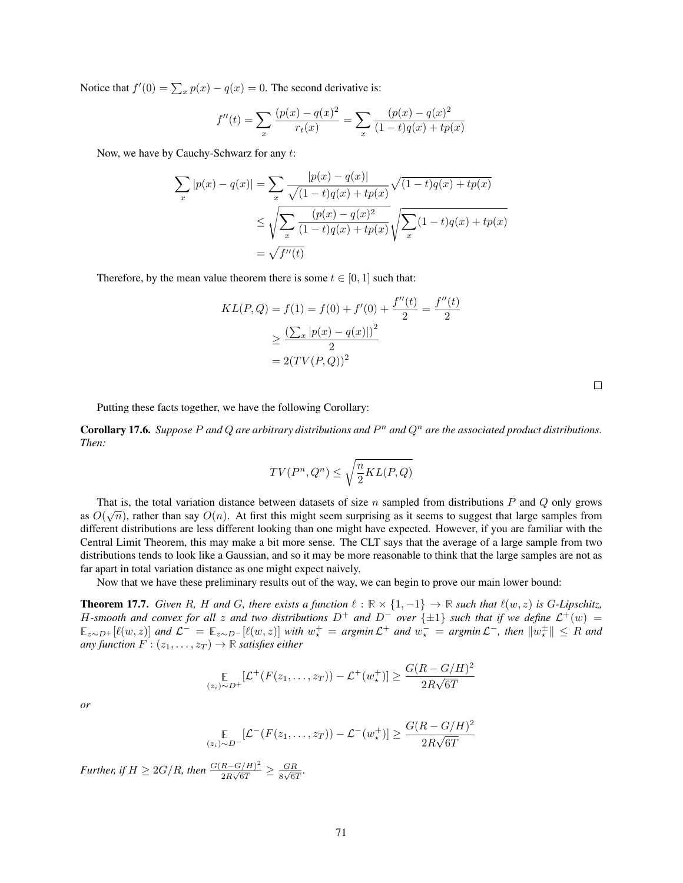Notice that  $f'(0) = \sum_{x} p(x) - q(x) = 0$ . The second derivative is:

$$
f''(t) = \sum_{x} \frac{(p(x) - q(x)^2)}{r_t(x)} = \sum_{x} \frac{(p(x) - q(x)^2)}{(1 - t)q(x) + tp(x)}
$$

Now, we have by Cauchy-Schwarz for any t:

$$
\sum_{x} |p(x) - q(x)| = \sum_{x} \frac{|p(x) - q(x)|}{\sqrt{(1 - t)q(x) + tp(x)}} \sqrt{(1 - t)q(x) + tp(x)}
$$

$$
\leq \sqrt{\sum_{x} \frac{(p(x) - q(x)^2)}{(1 - t)q(x) + tp(x)}} \sqrt{\sum_{x} (1 - t)q(x) + tp(x)}
$$

$$
= \sqrt{f''(t)}
$$

Therefore, by the mean value theorem there is some  $t \in [0, 1]$  such that:

$$
KL(P, Q) = f(1) = f(0) + f'(0) + \frac{f''(t)}{2} = \frac{f''(t)}{2}
$$

$$
\geq \frac{\left(\sum_x |p(x) - q(x)|\right)^2}{2}
$$

$$
= 2(TV(P, Q))^2
$$

Putting these facts together, we have the following Corollary:

**Corollary 17.6.** Suppose P and Q are arbitrary distributions and  $P<sup>n</sup>$  and  $Q<sup>n</sup>$  are the associated product distributions. *Then:*

$$
TV(P^n, Q^n) \le \sqrt{\frac{n}{2}KL(P, Q)}
$$

That is, the total variation distance between datasets of size *n* sampled from distributions *P* and *Q* only grows as  $O(\sqrt{n})$ , rather than say  $O(n)$ . At first this might seem surprising as it seems to suggest that large samples from different distributions are less different looking than one might have expected. However, if you are familiar with the Central Limit Theorem, this may make a bit more sense. The CLT says that the average of a large sample from two distributions tends to look like a Gaussian, and so it may be more reasonable to think that the large samples are not as far apart in total variation distance as one might expect naively.

Now that we have these preliminary results out of the way, we can begin to prove our main lower bound:

**Theorem 17.7.** Given R, H and G, there exists a function  $\ell : \mathbb{R} \times \{1, -1\} \to \mathbb{R}$  such that  $\ell(w, z)$  is G-Lipschitz, H-smooth and convex for all z and two distributions  $D^+$  and  $D^-$  over  $\{\pm 1\}$  such that if we define  $\mathcal{L}^+(w)$  =  $\mathbb{E}_{z\sim D^+}[\ell(w,z)]$  and  $\mathcal{L}^- = \mathbb{E}_{z\sim D^-}[\ell(w,z)]$  with  $w^+_* = \text{argmin}\,\mathcal{L}^+$  and  $w^-_* = \text{argmin}\,\mathcal{L}^-$ , then  $\|w^{\pm}_*\| \leq R$  and *any function*  $F : (z_1, \ldots, z_T) \rightarrow \mathbb{R}$  *satisfies either* 

$$
\underset{(z_i)\sim D^+}{\mathbb{E}}[\mathcal{L}^+(F(z_1,\ldots,z_T))-\mathcal{L}^+(w_\star^+)] \geq \frac{G(R-G/H)^2}{2R\sqrt{6T}}
$$

*or*

$$
\underset{(z_i)\sim D^-}{\mathbb{E}}[\mathcal{L}^-(F(z_1,\ldots,z_T))-\mathcal{L}^-(w_\star^+)]\geq \frac{G(R-G/H)^2}{2R\sqrt{6T}}
$$

*Further, if*  $H \geq 2G/R$ *, then*  $\frac{G(R-G/H)^2}{2R\sqrt{GT}}$  $\frac{R-G/H)^2}{2R\sqrt{6T}}\geq \frac{GR}{8\sqrt{6T}}$  $\frac{GR}{8\sqrt{6T}}$ .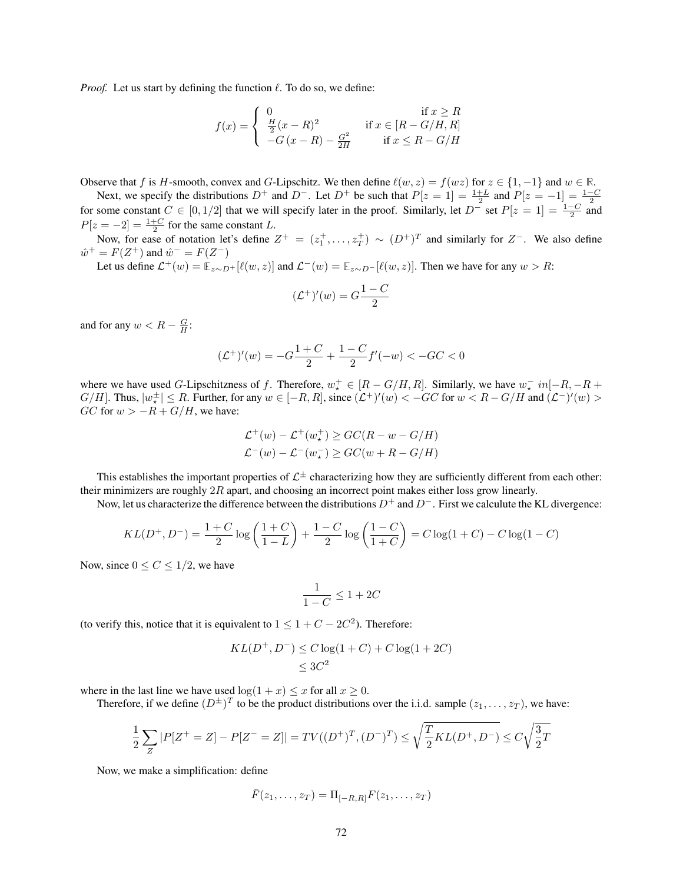*Proof.* Let us start by defining the function  $\ell$ . To do so, we define:

$$
f(x) = \begin{cases} 0 & \text{if } x \ge R \\ \frac{H}{2}(x - R)^2 & \text{if } x \in [R - G/H, R] \\ -G(x - R) - \frac{G^2}{2H} & \text{if } x \le R - G/H \end{cases}
$$

Observe that f is H-smooth, convex and G-Lipschitz. We then define  $\ell(w, z) = f(wz)$  for  $z \in \{1, -1\}$  and  $w \in \mathbb{R}$ .

Next, we specify the distributions  $D^+$  and  $D^-$ . Let  $D^+$  be such that  $P[z = 1] = \frac{1+L}{2}$  and  $P[z = -1] = \frac{1-C}{2}$  for some constant  $C \in [0, 1/2]$  that we will specify later in the proof. Similarly, let  $D^-$  set  $P[z = 1] = \$  $P[z = -2] = \frac{1+C}{2}$  for the same constant L.

Now, for ease of notation let's define  $Z^+ = (z_1^+, \ldots, z_T^+) \sim (D^+)^T$  and similarly for  $Z^-$ . We also define  $\hat{w}^+ = F(Z^+)$  and  $\hat{w}^- = F(Z^-)$ 

Let us define  $\mathcal{L}^+(w) = \mathbb{E}_{z \sim D^+}[\ell(w, z)]$  and  $\mathcal{L}^-(w) = \mathbb{E}_{z \sim D^-}[\ell(w, z)]$ . Then we have for any  $w > R$ :

$$
(\mathcal{L}^+)'(w) = G \frac{1 - C}{2}
$$

and for any  $w < R - \frac{G}{H}$ :

$$
(\mathcal{L}^+)'(w) = -G\frac{1+C}{2} + \frac{1-C}{2}f'(-w) < -GC < 0
$$

where we have used G-Lipschitzness of f. Therefore,  $w^+_{\star} \in [R - G/H, R]$ . Similarly, we have  $w^-_{\star}$  in  $[-R, -R +$  $G/H$ . Thus,  $|w^{\pm}_{\star}| \leq R$ . Further, for any  $w \in [-R, R]$ , since  $(\mathcal{L}^+)'(w) < -GC$  for  $w < R - G/H$  and  $(\mathcal{L}^-)'(w) >$  $GC$  for  $w > -R + G/H$ , we have:

$$
\mathcal{L}^+(w) - \mathcal{L}^+(w_\star^+) \ge GC(R - w - G/H)
$$
  

$$
\mathcal{L}^-(w) - \mathcal{L}^-(w_\star^-) \ge GC(w + R - G/H)
$$

This establishes the important properties of  $\mathcal{L}^{\pm}$  characterizing how they are sufficiently different from each other: their minimizers are roughly  $2R$  apart, and choosing an incorrect point makes either loss grow linearly.

Now, let us characterize the difference between the distributions  $D^+$  and  $D^-$ . First we calculute the KL divergence:

$$
KL(D^+, D^-) = \frac{1+C}{2} \log \left( \frac{1+C}{1-L} \right) + \frac{1-C}{2} \log \left( \frac{1-C}{1+C} \right) = C \log(1+C) - C \log(1-C)
$$

Now, since  $0 \leq C \leq 1/2$ , we have

$$
\frac{1}{1-C} \leq 1+2C
$$

(to verify this, notice that it is equivalent to  $1 \leq 1 + C - 2C^2$ ). Therefore:

$$
KL(D^+, D^-) \le C \log(1 + C) + C \log(1 + 2C) \le 3C^2
$$

where in the last line we have used  $\log(1 + x) \leq x$  for all  $x \geq 0$ .

Therefore, if we define  $(D^{\pm})^T$  to be the product distributions over the i.i.d. sample  $(z_1, \ldots, z_T)$ , we have:

$$
\frac{1}{2}\sum_{Z}|P[Z^+=Z]-P[Z^-=Z]|=TV((D^+)^T,(D^-)^T) \le \sqrt{\frac{T}{2}KL(D^+,D^-)} \le C\sqrt{\frac{3}{2}T}
$$

Now, we make a simplification: define

$$
\bar{F}(z_1,\ldots,z_T)=\Pi_{[-R,R]}F(z_1,\ldots,z_T)
$$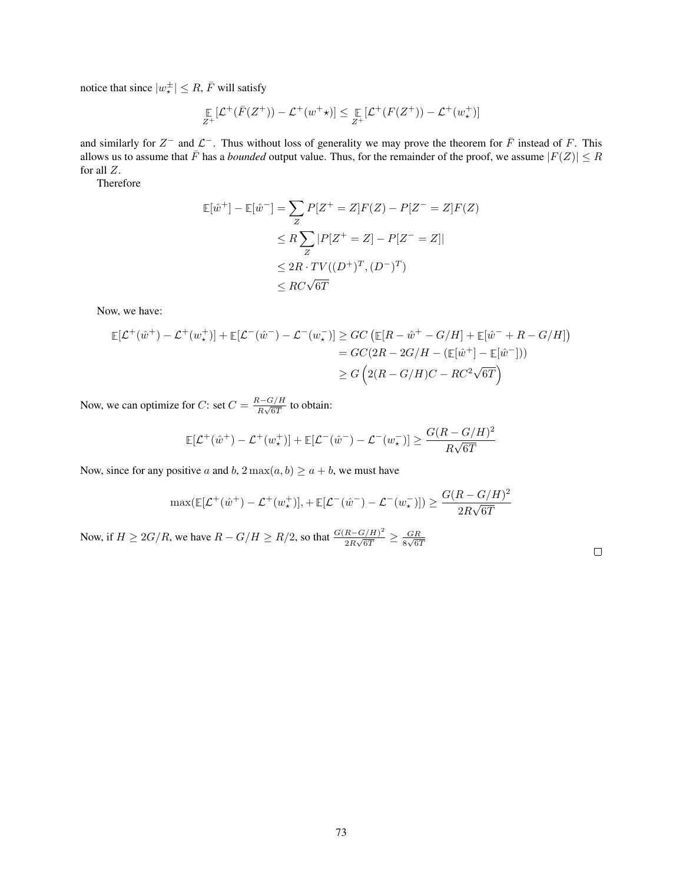notice that since  $|w_\star^\pm| \leq R$ ,  $\bar{F}$  will satisfy

$$
\mathop{\mathbb{E}}_{Z^+}[\mathcal{L}^+(\bar{F}(Z^+)) - \mathcal{L}^+(w^+\star)] \leq \mathop{\mathbb{E}}_{Z^+}[\mathcal{L}^+(F(Z^+)) - \mathcal{L}^+(w^+_\star)]
$$

and similarly for  $Z^-$  and  $\mathcal{L}^-$ . Thus without loss of generality we may prove the theorem for  $\bar{F}$  instead of F. This allows us to assume that  $\bar{F}$  has a *bounded* output value. Thus, for the remainder of the proof, we assume  $|F(Z)| \leq R$ for all Z.

Therefore

$$
\mathbb{E}[\hat{w}^+] - \mathbb{E}[\hat{w}^-] = \sum_{Z} P[Z^+ = Z]F(Z) - P[Z^- = Z]F(Z)
$$
  
\n
$$
\leq R \sum_{Z} |P[Z^+ = Z] - P[Z^- = Z]|
$$
  
\n
$$
\leq 2R \cdot TV((D^+)^T, (D^-)^T)
$$
  
\n
$$
\leq RC\sqrt{6T}
$$

Now, we have:

$$
\mathbb{E}[\mathcal{L}^+(\hat{w}^+) - \mathcal{L}^+(w^+_{\star})] + \mathbb{E}[\mathcal{L}^-(\hat{w}^-) - \mathcal{L}^-(w^-_{\star})] \ge GC \left( \mathbb{E}[R - \hat{w}^+ - G/H] + \mathbb{E}[\hat{w}^- + R - G/H] \right)
$$
  
=  $GC(2R - 2G/H - (\mathbb{E}[\hat{w}^+] - \mathbb{E}[\hat{w}^-]))$   
 $\ge G \left( 2(R - G/H)C - RC^2\sqrt{6T} \right)$ 

Now, we can optimize for C: set  $C = \frac{R - G/H}{R \sqrt{gT}}$  $\frac{\sqrt{G}}{R\sqrt{6T}}$  to obtain:

$$
\mathbb{E}[\mathcal{L}^+(\hat{w}^+) - \mathcal{L}^+(w_\star^+)] + \mathbb{E}[\mathcal{L}^-(\hat{w}^-) - \mathcal{L}^-(w_\star^-)] \ge \frac{G(R - G/H)^2}{R\sqrt{6T}}
$$

Now, since for any positive a and b,  $2 \max(a, b) \ge a + b$ , we must have

$$
\max(\mathbb{E}[\mathcal{L}^+(\hat{w}^+) - \mathcal{L}^+(w_\star^+)], + \mathbb{E}[\mathcal{L}^-(\hat{w}^-) - \mathcal{L}^-(w_\star^-)]) \ge \frac{G(R - G/H)^2}{2R\sqrt{6T}}
$$

Now, if  $H \geq 2G/R$ , we have  $R - G/H \geq R/2$ , so that  $\frac{G(R - G/H)^2}{2R\sqrt{GT}}$  $\frac{R-G/H)^2}{2R\sqrt{6T}} \geq \frac{GR}{8\sqrt{6T}}$  $rac{G}{8\sqrt{67}}$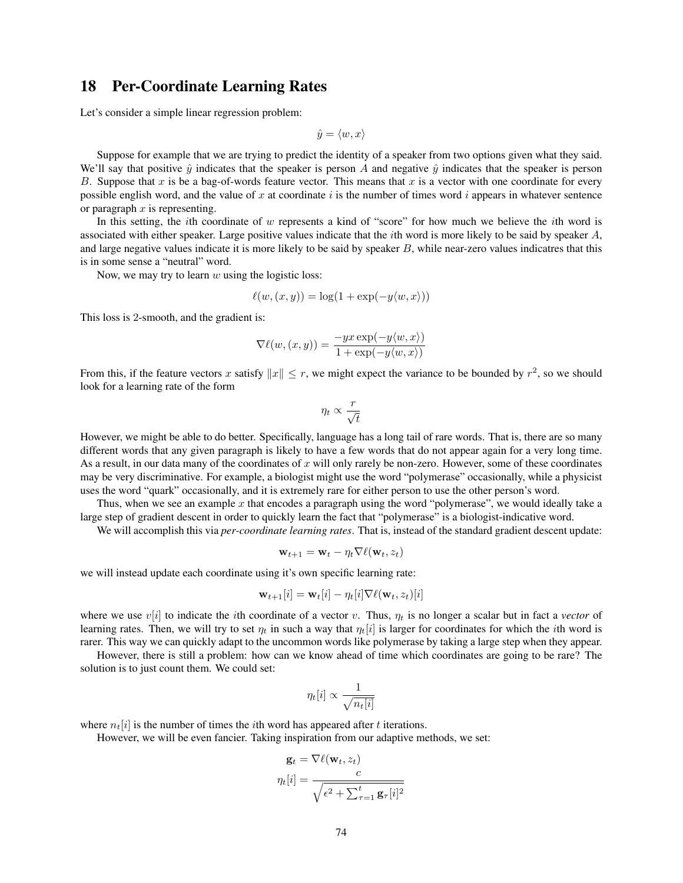# 18 Per-Coordinate Learning Rates

Let's consider a simple linear regression problem:

$$
\hat{y} = \langle w, x \rangle
$$

Suppose for example that we are trying to predict the identity of a speaker from two options given what they said. We'll say that positive  $\hat{y}$  indicates that the speaker is person A and negative  $\hat{y}$  indicates that the speaker is person B. Suppose that x is be a bag-of-words feature vector. This means that x is a vector with one coordinate for every possible english word, and the value of  $x$  at coordinate  $i$  is the number of times word  $i$  appears in whatever sentence or paragraph  $x$  is representing.

In this setting, the *i*th coordinate of  $w$  represents a kind of "score" for how much we believe the *i*th word is associated with either speaker. Large positive values indicate that the *i*th word is more likely to be said by speaker  $A$ , and large negative values indicate it is more likely to be said by speaker  $B$ , while near-zero values indicatres that this is in some sense a "neutral" word.

Now, we may try to learn  $w$  using the logistic loss:

$$
\ell(w,(x,y)) = \log(1 + \exp(-y\langle w,x\rangle))
$$

This loss is 2-smooth, and the gradient is:

$$
\nabla \ell(w,(x,y)) = \frac{-yx \exp(-y\langle w,x \rangle)}{1 + \exp(-y\langle w,x \rangle)}
$$

From this, if the feature vectors x satisfy  $||x|| \leq r$ , we might expect the variance to be bounded by  $r^2$ , so we should look for a learning rate of the form

$$
\eta_t \propto \frac{r}{\sqrt{t}}
$$

However, we might be able to do better. Specifically, language has a long tail of rare words. That is, there are so many different words that any given paragraph is likely to have a few words that do not appear again for a very long time. As a result, in our data many of the coordinates of  $x$  will only rarely be non-zero. However, some of these coordinates may be very discriminative. For example, a biologist might use the word "polymerase" occasionally, while a physicist uses the word "quark" occasionally, and it is extremely rare for either person to use the other person's word.

Thus, when we see an example x that encodes a paragraph using the word "polymerase", we would ideally take a large step of gradient descent in order to quickly learn the fact that "polymerase" is a biologist-indicative word.

We will accomplish this via *per-coordinate learning rates*. That is, instead of the standard gradient descent update:

$$
\mathbf{w}_{t+1} = \mathbf{w}_t - \eta_t \nabla \ell(\mathbf{w}_t, z_t)
$$

we will instead update each coordinate using it's own specific learning rate:

$$
\mathbf{w}_{t+1}[i] = \mathbf{w}_t[i] - \eta_t[i] \nabla \ell(\mathbf{w}_t, z_t)[i]
$$

where we use  $v[i]$  to indicate the *i*th coordinate of a vector v. Thus,  $\eta_t$  is no longer a scalar but in fact a *vector* of learning rates. Then, we will try to set  $\eta_t$  in such a way that  $\eta_t[i]$  is larger for coordinates for which the *i*th word is rarer. This way we can quickly adapt to the uncommon words like polymerase by taking a large step when they appear.

However, there is still a problem: how can we know ahead of time which coordinates are going to be rare? The solution is to just count them. We could set:

$$
\eta_t[i] \propto \frac{1}{\sqrt{n_t[i]}}
$$

where  $n_t[i]$  is the number of times the *i*th word has appeared after t iterations.

However, we will be even fancier. Taking inspiration from our adaptive methods, we set:

$$
\mathbf{g}_t = \nabla \ell(\mathbf{w}_t, z_t)
$$

$$
\eta_t[i] = \frac{c}{\sqrt{\epsilon^2 + \sum_{\tau=1}^t \mathbf{g}_\tau[i]^2}}
$$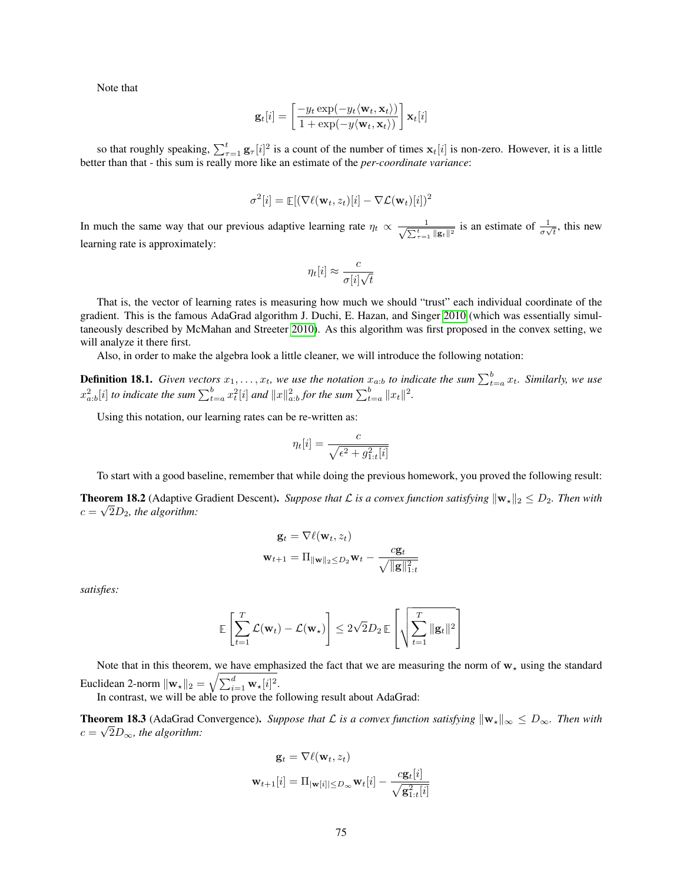Note that

$$
\mathbf{g}_t[i] = \left[\frac{-y_t \exp(-y_t \langle \mathbf{w}_t, \mathbf{x}_t \rangle)}{1 + \exp(-y \langle \mathbf{w}_t, \mathbf{x}_t \rangle)}\right] \mathbf{x}_t[i]
$$

so that roughly speaking,  $\sum_{\tau=1}^t \mathbf{g}_{\tau}[i]^2$  is a count of the number of times  $\mathbf{x}_t[i]$  is non-zero. However, it is a little better than that - this sum is really more like an estimate of the *per-coordinate variance*:

$$
\sigma^2[i] = \mathop{\mathbb{E}}[(\nabla \ell(\mathbf{w}_t, z_t)[i] - \nabla \mathcal{L}(\mathbf{w}_t)[i])^2
$$

In much the same way that our previous adaptive learning rate  $\eta_t \propto \frac{1}{\sqrt{\pi t}}$  $\frac{1}{\sum_{\tau=1}^t ||\mathbf{g}_t||^2}$  is an estimate of  $\frac{1}{\sigma\sqrt{t}}$ , this new learning rate is approximately:

$$
\eta_t[i] \approx \frac{c}{\sigma[i]\sqrt{t}}
$$

That is, the vector of learning rates is measuring how much we should "trust" each individual coordinate of the gradient. This is the famous AdaGrad algorithm J. Duchi, E. Hazan, and Singer [2010](#page-120-0) (which was essentially simultaneously described by McMahan and Streeter [2010\)](#page-121-0). As this algorithm was first proposed in the convex setting, we will analyze it there first.

Also, in order to make the algebra look a little cleaner, we will introduce the following notation:

**Definition 18.1.** Given vectors  $x_1, \ldots, x_t$ , we use the notation  $x_{a:b}$  to indicate the sum  $\sum_{t=a}^{b} x_t$ . Similarly, we use  $x^2_{a:b}[i]$  *to indicate the sum*  $\sum_{t=a}^{b} x_t^2[i]$  *and*  $||x||^2_{a:b}$  *for the sum*  $\sum_{t=a}^{b} ||x_t||^2$ .

Using this notation, our learning rates can be re-written as:

$$
\eta_t[i] = \frac{c}{\sqrt{\epsilon^2 + g_{1:t}^2[i]}}
$$

To start with a good baseline, remember that while doing the previous homework, you proved the following result:

**Theorem 18.2** (Adaptive Gradient Descent). Suppose that  $\mathcal L$  is a convex function satisfying  $\|\mathbf w_\star\|_2 \leq D_2$ . Then with  $c = \sqrt{2D_2}$ , the algorithm:

$$
\mathbf{g}_t = \nabla \ell(\mathbf{w}_t, z_t)
$$

$$
\mathbf{w}_{t+1} = \Pi_{\|\mathbf{w}\|_2 \le D_2} \mathbf{w}_t - \frac{c \mathbf{g}_t}{\sqrt{\|\mathbf{g}\|_{1:t}^2}}
$$

*satisfies:*

$$
\mathbb{E}\left[\sum_{t=1}^T \mathcal{L}(\mathbf{w}_t) - \mathcal{L}(\mathbf{w}_*)\right] \le 2\sqrt{2}D_2 \mathbb{E}\left[\sqrt{\sum_{t=1}^T \|\mathbf{g}_t\|^2}\right]
$$

Note that in this theorem, we have emphasized the fact that we are measuring the norm of  $w<sub>*</sub>$  using the standard Euclidean 2-norm  $\|\mathbf{w}_\star\|_2 = \sqrt{\sum_{i=1}^d \mathbf{w}_\star[i]^2}.$ 

In contrast, we will be able to prove the following result about AdaGrad:

<span id="page-74-0"></span>**Theorem 18.3** (AdaGrad Convergence). Suppose that  $\mathcal L$  is a convex function satisfying  $\|\mathbf w_\star\|_\infty \leq D_\infty$ . Then with  $c = \sqrt{2D_{\infty}}$ , the algorithm:

$$
\mathbf{g}_t = \nabla \ell(\mathbf{w}_t, z_t)
$$

$$
\mathbf{w}_{t+1}[i] = \Pi_{|\mathbf{w}[i]| \le D_\infty} \mathbf{w}_t[i] - \frac{c \mathbf{g}_t[i]}{\sqrt{\mathbf{g}_{1:t}^2[i]}}
$$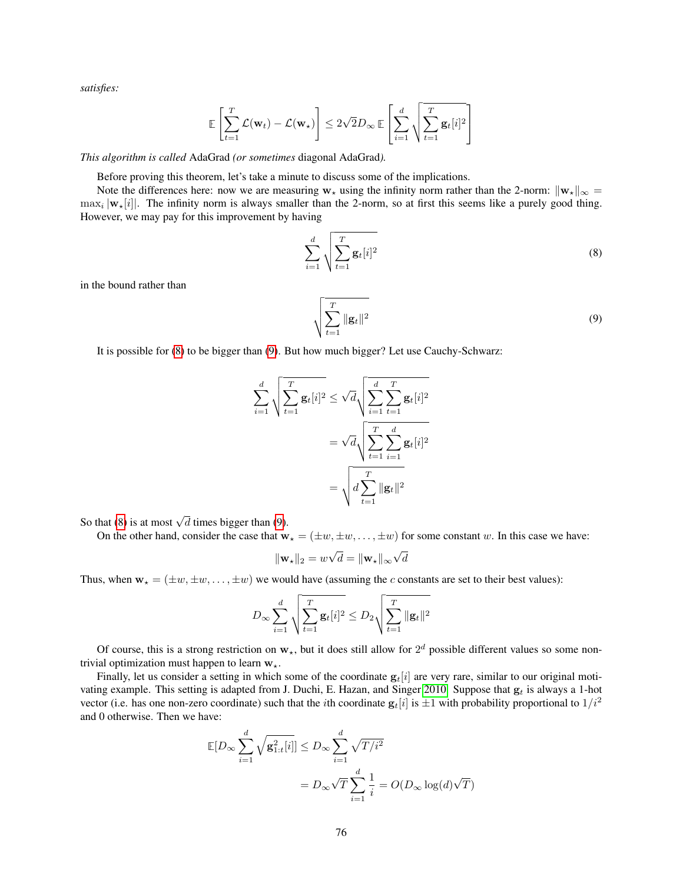*satisfies:*

$$
\mathbb{E}\left[\sum_{t=1}^T \mathcal{L}(\mathbf{w}_t) - \mathcal{L}(\mathbf{w}_\star)\right] \le 2\sqrt{2}D_\infty \mathbb{E}\left[\sum_{i=1}^d \sqrt{\sum_{t=1}^T \mathbf{g}_t[i]^2}\right]
$$

*This algorithm is called* AdaGrad *(or sometimes* diagonal AdaGrad*).*

Before proving this theorem, let's take a minute to discuss some of the implications.

Note the differences here: now we are measuring  $w_*$  using the infinity norm rather than the 2-norm:  $\|w_*\|_{\infty} =$  $\max_i |\mathbf{w}_\star[i]|$ . The infinity norm is always smaller than the 2-norm, so at first this seems like a purely good thing. However, we may pay for this improvement by having

$$
\sum_{i=1}^{d} \sqrt{\sum_{t=1}^{T} \mathbf{g}_t[i]^2}
$$
 (8)

in the bound rather than

<span id="page-75-1"></span><span id="page-75-0"></span>
$$
\sqrt{\sum_{t=1}^{T} \|\mathbf{g}_t\|^2}
$$
\n(9)

It is possible for [\(8\)](#page-75-0) to be bigger than [\(9\)](#page-75-1). But how much bigger? Let use Cauchy-Schwarz:

$$
\sum_{i=1}^{d} \sqrt{\sum_{t=1}^{T} \mathbf{g}_{t}[i]^{2}} \leq \sqrt{d} \sqrt{\sum_{i=1}^{d} \sum_{t=1}^{T} \mathbf{g}_{t}[i]^{2}}
$$

$$
= \sqrt{d} \sqrt{\sum_{t=1}^{T} \sum_{i=1}^{d} \mathbf{g}_{t}[i]^{2}}
$$

$$
= \sqrt{d \sum_{t=1}^{T} ||\mathbf{g}_{t}||^{2}}
$$

So that [\(8\)](#page-75-0) is at most  $\sqrt{d}$  times bigger than [\(9\)](#page-75-1).

On the other hand, consider the case that  $\mathbf{w}_* = (\pm w, \pm w, \dots, \pm w)$  for some constant w. In this case we have:

$$
\|\mathbf{w}_\star\|_2 = w\sqrt{d} = \|\mathbf{w}_\star\|_\infty \sqrt{d}
$$

Thus, when  $w_* = (\pm w, \pm w, \dots, \pm w)$  we would have (assuming the c constants are set to their best values):

$$
D_{\infty} \sum_{i=1}^{d} \sqrt{\sum_{t=1}^{T} \mathbf{g}_{t}[i]^{2}} \leq D_{2} \sqrt{\sum_{t=1}^{T} \|\mathbf{g}_{t}\|^{2}}
$$

Of course, this is a strong restriction on  $w_{\star}$ , but it does still allow for  $2^d$  possible different values so some nontrivial optimization must happen to learn  $w_{\star}$ .

Finally, let us consider a setting in which some of the coordinate  $g_t[i]$  are very rare, similar to our original moti-vating example. This setting is adapted from J. Duchi, E. Hazan, and Singer [2010.](#page-120-0) Suppose that  $g_t$  is always a 1-hot vector (i.e. has one non-zero coordinate) such that the *i*th coordinate  $g_t[i]$  is  $\pm 1$  with probability proportional to  $1/i^2$ and 0 otherwise. Then we have:

$$
\mathbb{E}[D_{\infty}\sum_{i=1}^{d} \sqrt{\mathbf{g}_{1:t}^{2}[i]}] \leq D_{\infty} \sum_{i=1}^{d} \sqrt{T/i^{2}}
$$

$$
= D_{\infty} \sqrt{T} \sum_{i=1}^{d} \frac{1}{i} = O(D_{\infty} \log(d)\sqrt{T})
$$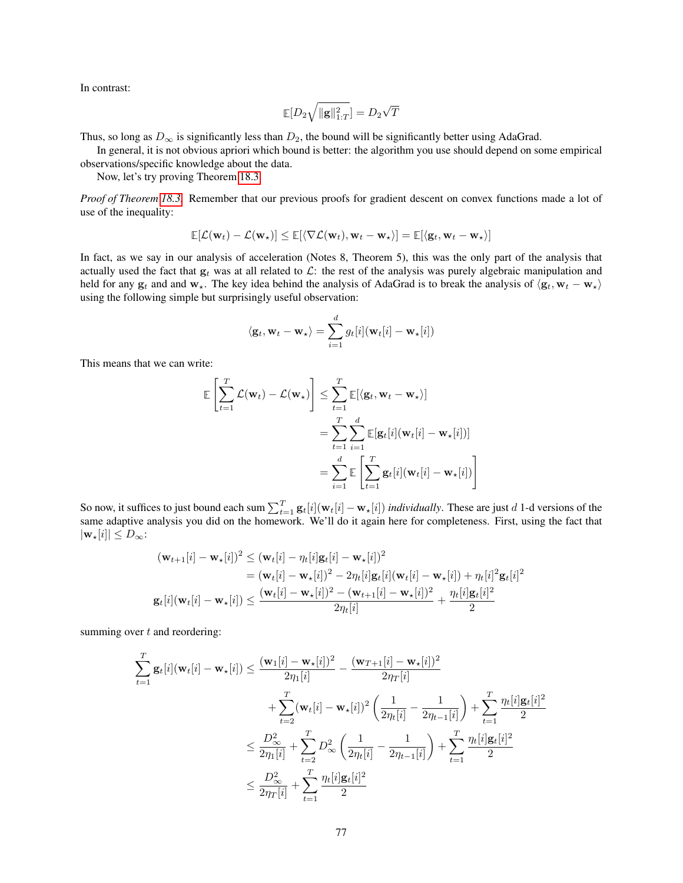In contrast:

$$
\mathop{\mathbb{E}}[D_2 \sqrt{\|\mathbf{g}\|_{1:T}^2}] = D_2 \sqrt{T}
$$

Thus, so long as  $D_{\infty}$  is significantly less than  $D_2$ , the bound will be significantly better using AdaGrad.

In general, it is not obvious apriori which bound is better: the algorithm you use should depend on some empirical observations/specific knowledge about the data.

Now, let's try proving Theorem [18.3.](#page-74-0)

*Proof of Theorem [18.3.](#page-74-0)* Remember that our previous proofs for gradient descent on convex functions made a lot of use of the inequality:

$$
\mathop{\mathbb{E}}[\mathcal{L}(\mathbf{w}_t) - \mathcal{L}(\mathbf{w}_\star)] \leq \mathop{\mathbb{E}}[\langle \nabla \mathcal{L}(\mathbf{w}_t), \mathbf{w}_t - \mathbf{w}_\star \rangle] = \mathop{\mathbb{E}}[\langle \mathbf{g}_t, \mathbf{w}_t - \mathbf{w}_\star \rangle]
$$

In fact, as we say in our analysis of acceleration (Notes 8, Theorem 5), this was the only part of the analysis that actually used the fact that  $g_t$  was at all related to  $\mathcal{L}$ : the rest of the analysis was purely algebraic manipulation and held for any  $g_t$  and and  $w_\star$ . The key idea behind the analysis of AdaGrad is to break the analysis of  $\langle g_t, w_t - w_\star \rangle$ using the following simple but surprisingly useful observation:

$$
\langle \mathbf{g}_t, \mathbf{w}_t - \mathbf{w}_\star \rangle = \sum_{i=1}^d g_t[i] (\mathbf{w}_t[i] - \mathbf{w}_\star[i])
$$

This means that we can write:

$$
\mathbb{E}\left[\sum_{t=1}^{T} \mathcal{L}(\mathbf{w}_{t}) - \mathcal{L}(\mathbf{w}_{\star})\right] \leq \sum_{t=1}^{T} \mathbb{E}[\langle \mathbf{g}_{t}, \mathbf{w}_{t} - \mathbf{w}_{\star}\rangle]
$$
  
\n
$$
= \sum_{t=1}^{T} \sum_{i=1}^{d} \mathbb{E}[\mathbf{g}_{t}[i](\mathbf{w}_{t}[i] - \mathbf{w}_{\star}[i])]
$$
  
\n
$$
= \sum_{i=1}^{d} \mathbb{E}\left[\sum_{t=1}^{T} \mathbf{g}_{t}[i](\mathbf{w}_{t}[i] - \mathbf{w}_{\star}[i])\right]
$$

So now, it suffices to just bound each sum  $\sum_{t=1}^{T} g_t[i](\mathbf{w}_t[i] - \mathbf{w}_\star[i])$  *individually*. These are just d 1-d versions of the same adaptive analysis you did on the homework. We'll do it again here for completeness. First, using the fact that  $|\mathbf{w}_{\star}[i]| \leq D_{\infty}$ :

$$
(\mathbf{w}_{t+1}[i] - \mathbf{w}_{\star}[i])^2 \leq (\mathbf{w}_t[i] - \eta_t[i]\mathbf{g}_t[i] - \mathbf{w}_{\star}[i])^2
$$
  
=  $(\mathbf{w}_t[i] - \mathbf{w}_{\star}[i])^2 - 2\eta_t[i]\mathbf{g}_t[i](\mathbf{w}_t[i] - \mathbf{w}_{\star}[i]) + \eta_t[i]^2 \mathbf{g}_t[i]^2$   
 $\mathbf{g}_t[i](\mathbf{w}_t[i] - \mathbf{w}_{\star}[i]) \leq \frac{(\mathbf{w}_t[i] - \mathbf{w}_{\star}[i])^2 - (\mathbf{w}_{t+1}[i] - \mathbf{w}_{\star}[i])^2}{2\eta_t[i]} + \frac{\eta_t[i]\mathbf{g}_t[i]^2}{2}$ 

summing over  $t$  and reordering:

$$
\sum_{t=1}^{T} \mathbf{g}_{t}[i](\mathbf{w}_{t}[i] - \mathbf{w}_{\star}[i]) \leq \frac{(\mathbf{w}_{1}[i] - \mathbf{w}_{\star}[i])^{2}}{2\eta_{1}[i]} - \frac{(\mathbf{w}_{T+1}[i] - \mathbf{w}_{\star}[i])^{2}}{2\eta_{T}[i]}
$$
  
+ 
$$
\sum_{t=2}^{T} (\mathbf{w}_{t}[i] - \mathbf{w}_{\star}[i])^{2} \left(\frac{1}{2\eta_{t}[i]} - \frac{1}{2\eta_{t-1}[i]}\right) + \sum_{t=1}^{T} \frac{\eta_{t}[i] \mathbf{g}_{t}[i]^{2}}{2}
$$
  

$$
\leq \frac{D_{\infty}^{2}}{2\eta_{1}[i]} + \sum_{t=2}^{T} D_{\infty}^{2} \left(\frac{1}{2\eta_{t}[i]} - \frac{1}{2\eta_{t-1}[i]}\right) + \sum_{t=1}^{T} \frac{\eta_{t}[i] \mathbf{g}_{t}[i]^{2}}{2}
$$
  

$$
\leq \frac{D_{\infty}^{2}}{2\eta_{T}[i]} + \sum_{t=1}^{T} \frac{\eta_{t}[i] \mathbf{g}_{t}[i]^{2}}{2}
$$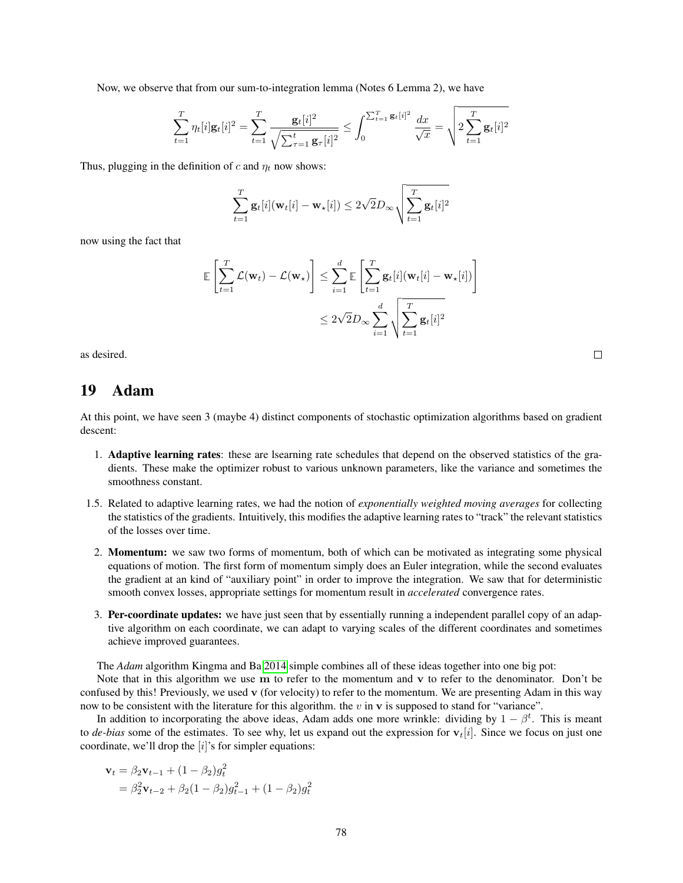Now, we observe that from our sum-to-integration lemma (Notes 6 Lemma 2), we have

$$
\sum_{t=1}^T \eta_t[i] \mathbf{g}_t[i]^2 = \sum_{t=1}^T \frac{\mathbf{g}_t[i]^2}{\sqrt{\sum_{\tau=1}^t \mathbf{g}_{\tau}[i]^2}} \leq \int_0^{\sum_{t=1}^T \mathbf{g}_t[i]^2} \frac{dx}{\sqrt{x}} = \sqrt{2 \sum_{t=1}^T \mathbf{g}_t[i]^2}
$$

Thus, plugging in the definition of c and  $\eta_t$  now shows:

$$
\sum_{t=1}^{T} \mathbf{g}_t[i](\mathbf{w}_t[i] - \mathbf{w}_\star[i]) \leq 2\sqrt{2}D_\infty \sqrt{\sum_{t=1}^{T} \mathbf{g}_t[i]^2}
$$

now using the fact that

$$
\mathbb{E}\left[\sum_{t=1}^T \mathcal{L}(\mathbf{w}_t) - \mathcal{L}(\mathbf{w}_\star)\right] \leq \sum_{i=1}^d \mathbb{E}\left[\sum_{t=1}^T \mathbf{g}_t[i](\mathbf{w}_t[i] - \mathbf{w}_\star[i])\right] \leq 2\sqrt{2}D_\infty \sum_{i=1}^d \sqrt{\sum_{t=1}^T \mathbf{g}_t[i]^2}
$$

as desired.

## 19 Adam

At this point, we have seen 3 (maybe 4) distinct components of stochastic optimization algorithms based on gradient descent:

- 1. Adaptive learning rates: these are lsearning rate schedules that depend on the observed statistics of the gradients. These make the optimizer robust to various unknown parameters, like the variance and sometimes the smoothness constant.
- 1.5. Related to adaptive learning rates, we had the notion of *exponentially weighted moving averages* for collecting the statistics of the gradients. Intuitively, this modifies the adaptive learning rates to "track" the relevant statistics of the losses over time.
- 2. Momentum: we saw two forms of momentum, both of which can be motivated as integrating some physical equations of motion. The first form of momentum simply does an Euler integration, while the second evaluates the gradient at an kind of "auxiliary point" in order to improve the integration. We saw that for deterministic smooth convex losses, appropriate settings for momentum result in *accelerated* convergence rates.
- 3. Per-coordinate updates: we have just seen that by essentially running a independent parallel copy of an adaptive algorithm on each coordinate, we can adapt to varying scales of the different coordinates and sometimes achieve improved guarantees.

The *Adam* algorithm Kingma and Ba [2014](#page-121-1) simple combines all of these ideas together into one big pot:

Note that in this algorithm we use m to refer to the momentum and v to refer to the denominator. Don't be confused by this! Previously, we used v (for velocity) to refer to the momentum. We are presenting Adam in this way now to be consistent with the literature for this algorithm. the  $v$  in  $v$  is supposed to stand for "variance".

In addition to incorporating the above ideas, Adam adds one more wrinkle: dividing by  $1 - \beta^t$ . This is meant to *de-bias* some of the estimates. To see why, let us expand out the expression for  $v_t[i]$ . Since we focus on just one coordinate, we'll drop the  $[i]$ 's for simpler equations:

$$
\mathbf{v}_{t} = \beta_{2} \mathbf{v}_{t-1} + (1 - \beta_{2}) g_{t}^{2}
$$
  
=  $\beta_{2}^{2} \mathbf{v}_{t-2} + \beta_{2} (1 - \beta_{2}) g_{t-1}^{2} + (1 - \beta_{2}) g_{t}^{2}$ 

| I |                   |
|---|-------------------|
|   | I<br>٦<br>×<br>۰, |
|   |                   |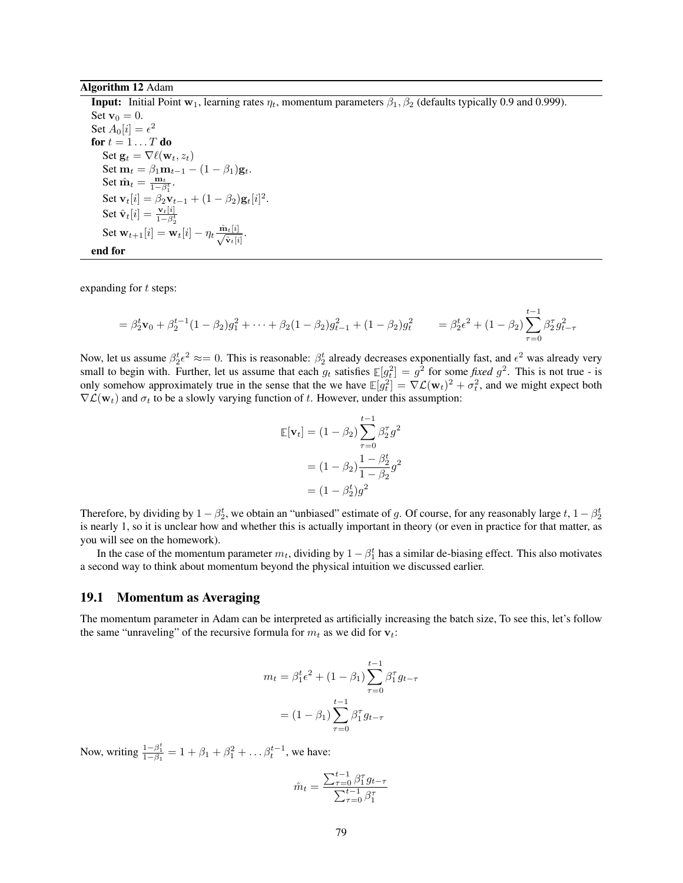#### Algorithm 12 Adam

**Input:** Initial Point  $w_1$ , learning rates  $\eta_t$ , momentum parameters  $\beta_1$ ,  $\beta_2$  (defaults typically 0.9 and 0.999). Set  $\mathbf{v}_0 = 0$ . Set  $A_0[i] = \epsilon^2$ for  $t = 1 \ldots T$  do Set  $\mathbf{g}_t = \nabla \ell(\mathbf{w}_t, z_t)$ Set  $\mathbf{m}_t = \beta_1 \mathbf{m}_{t-1} - (1 - \beta_1) \mathbf{g}_t$ . Set  $\hat{\mathbf{m}}_t = \frac{\mathbf{m}_t}{1 - \beta_1^t}$ . Set  $\mathbf{v}_t[i] = \beta_2 \mathbf{v}_{t-1} + (1 - \beta_2) \mathbf{g}_t[i]^2$ . Set  $\hat{\mathbf{v}}_t[i] = \frac{\mathbf{v}_t[i]}{1 - \beta_2^t}$  $\text{Set } \mathbf{w}_{t+1}[i] = \mathbf{w}_t[i] - \eta_t \frac{\hat{\mathbf{m}}_t[i]}{\sqrt{\hat{\mathbf{v}}_t[i]}}.$ end for

expanding for  $t$  steps:

$$
= \beta_2^t \mathbf{v}_0 + \beta_2^{t-1} (1 - \beta_2) g_1^2 + \dots + \beta_2 (1 - \beta_2) g_{t-1}^2 + (1 - \beta_2) g_t^2 = \beta_2^t \epsilon^2 + (1 - \beta_2) \sum_{\tau=0}^{t-1} \beta_2^{\tau} g_{t-\tau}^2
$$

Now, let us assume  $\beta_2^t \epsilon^2 \approx 0$ . This is reasonable:  $\beta_2^t$  already decreases exponentially fast, and  $\epsilon^2$  was already very small to begin with. Further, let us assume that each  $g_t$  satisfies  $\mathbb{E}[g_t^2] = g^2$  for some *fixed*  $g^2$ . This is not true - is only somehow approximately true in the sense that the we have  $\mathbb{E}[g_t^2] = \nabla \mathcal{L}(\mathbf{w}_t)^2 + \sigma_t^2$ , and we might expect both  $\nabla \mathcal{L}(\mathbf{w}_t)$  and  $\sigma_t$  to be a slowly varying function of t. However, under this assumption:

$$
\mathbb{E}[\mathbf{v}_t] = (1 - \beta_2) \sum_{\tau=0}^{t-1} \beta_2^{\tau} g^2
$$

$$
= (1 - \beta_2) \frac{1 - \beta_2^t}{1 - \beta_2^t} g^2
$$

$$
= (1 - \beta_2^t) g^2
$$

Therefore, by dividing by  $1 - \beta_2^t$ , we obtain an "unbiased" estimate of g. Of course, for any reasonably large  $t$ ,  $1 - \beta_2^t$ is nearly 1, so it is unclear how and whether this is actually important in theory (or even in practice for that matter, as you will see on the homework).

In the case of the momentum parameter  $m_t$ , dividing by  $1 - \beta_1^t$  has a similar de-biasing effect. This also motivates a second way to think about momentum beyond the physical intuition we discussed earlier.

#### 19.1 Momentum as Averaging

The momentum parameter in Adam can be interpreted as artificially increasing the batch size, To see this, let's follow the same "unraveling" of the recursive formula for  $m_t$  as we did for  $v_t$ :

$$
m_t = \beta_1^t \epsilon^2 + (1 - \beta_1) \sum_{\tau=0}^{t-1} \beta_1^{\tau} g_{t-\tau}
$$

$$
= (1 - \beta_1) \sum_{\tau=0}^{t-1} \beta_1^{\tau} g_{t-\tau}
$$

Now, writing  $\frac{1-\beta_1^t}{1-\beta_1} = 1 + \beta_1 + \beta_1^2 + \dots + \beta_t^{t-1}$ , we have:

$$
\hat{m}_t = \frac{\sum_{\tau=0}^{t-1} \beta_1^{\tau} g_{t-\tau}}{\sum_{\tau=0}^{t-1} \beta_1^{\tau}}
$$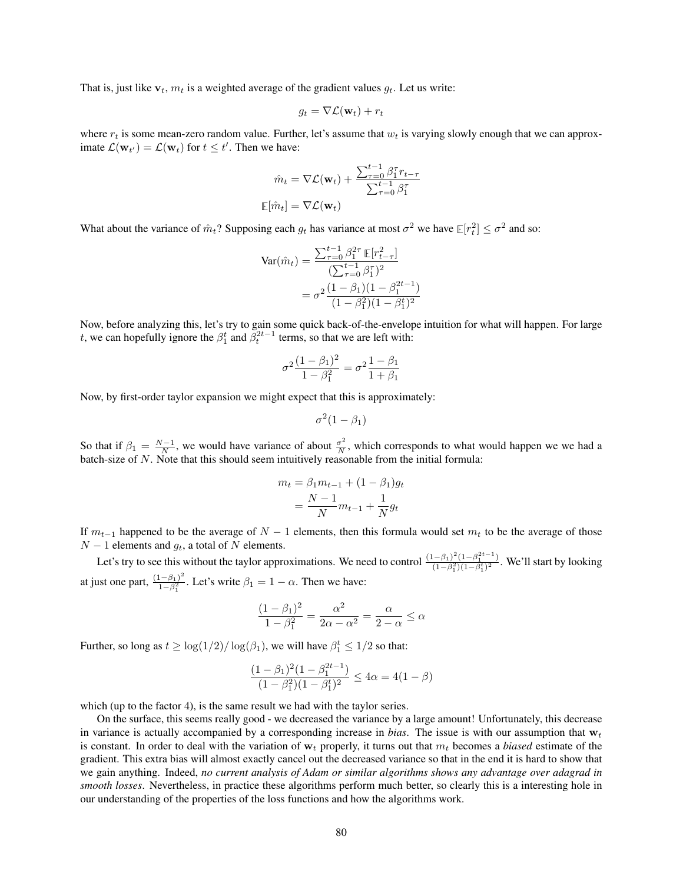That is, just like  $v_t$ ,  $m_t$  is a weighted average of the gradient values  $q_t$ . Let us write:

$$
g_t = \nabla \mathcal{L}(\mathbf{w}_t) + r_t
$$

where  $r_t$  is some mean-zero random value. Further, let's assume that  $w_t$  is varying slowly enough that we can approximate  $\mathcal{L}(\mathbf{w}_{t'}) = \mathcal{L}(\mathbf{w}_t)$  for  $t \leq t'$ . Then we have:

$$
\hat{m}_t = \nabla \mathcal{L}(\mathbf{w}_t) + \frac{\sum_{\tau=0}^{t-1} \beta_1^{\tau} r_{t-\tau}}{\sum_{\tau=0}^{t-1} \beta_1^{\tau}}
$$

$$
\mathbb{E}[\hat{m}_t] = \nabla \mathcal{L}(\mathbf{w}_t)
$$

What about the variance of  $\hat{m}_t$ ? Supposing each  $g_t$  has variance at most  $\sigma^2$  we have  $\mathbb{E}[r_t^2] \leq \sigma^2$  and so:

$$
\begin{aligned} \text{Var}(\hat{m}_t) &= \frac{\sum_{\tau=0}^{t-1} \beta_1^{2\tau} \mathbb{E}[r_{t-\tau}^2]}{(\sum_{\tau=0}^{t-1} \beta_1^{\tau})^2} \\ &= \sigma^2 \frac{(1-\beta_1)(1-\beta_1^{2t-1})}{(1-\beta_1^2)(1-\beta_1^t)^2} \end{aligned}
$$

Now, before analyzing this, let's try to gain some quick back-of-the-envelope intuition for what will happen. For large t, we can hopefully ignore the  $\beta_1^t$  and  $\beta_t^{2t-1}$  terms, so that we are left with:

$$
\sigma^2 \frac{(1-\beta_1)^2}{1-\beta_1^2} = \sigma^2 \frac{1-\beta_1}{1+\beta_1}
$$

Now, by first-order taylor expansion we might expect that this is approximately:

$$
\sigma^2(1-\beta_1)
$$

So that if  $\beta_1 = \frac{N-1}{N}$ , we would have variance of about  $\frac{\sigma^2}{N}$  $\frac{\sigma^2}{N}$ , which corresponds to what would happen we we had a batch-size of N. Note that this should seem intuitively reasonable from the initial formula:

$$
m_t = \beta_1 m_{t-1} + (1 - \beta_1) g_t
$$
  
= 
$$
\frac{N-1}{N} m_{t-1} + \frac{1}{N} g_t
$$

If  $m_{t-1}$  happened to be the average of  $N-1$  elements, then this formula would set  $m_t$  to be the average of those  $N-1$  elements and  $g_t$ , a total of N elements.

Let's try to see this without the taylor approximations. We need to control  $\frac{(1-\beta_1)^2(1-\beta_1^{2t-1})}{(1-\beta_1^2)(1-\beta_1^2)^2}$  $\frac{(-p_1)(1-p_1)}{(1-\beta_1^2)(1-\beta_1^t)^2}$ . We'll start by looking at just one part,  $\frac{(1-\beta_1)^2}{1-\beta_1^2}$  $\frac{(-\beta_1)^2}{1-\beta_1^2}$ . Let's write  $\beta_1 = 1 - \alpha$ . Then we have:

$$
\frac{(1-\beta_1)^2}{1-\beta_1^2} = \frac{\alpha^2}{2\alpha - \alpha^2} = \frac{\alpha}{2-\alpha} \le \alpha
$$

Further, so long as  $t \geq \log(1/2)/\log(\beta_1)$ , we will have  $\beta_1^t \leq 1/2$  so that:

$$
\frac{(1 - \beta_1)^2 (1 - \beta_1^{2t-1})}{(1 - \beta_1^2)(1 - \beta_1^t)^2} \le 4\alpha = 4(1 - \beta)
$$

which (up to the factor 4), is the same result we had with the taylor series.

On the surface, this seems really good - we decreased the variance by a large amount! Unfortunately, this decrease in variance is actually accompanied by a corresponding increase in *bias*. The issue is with our assumption that  $w_t$ is constant. In order to deal with the variation of  $w_t$  properly, it turns out that  $m_t$  becomes a *biased* estimate of the gradient. This extra bias will almost exactly cancel out the decreased variance so that in the end it is hard to show that we gain anything. Indeed, *no current analysis of Adam or similar algorithms shows any advantage over adagrad in smooth losses*. Nevertheless, in practice these algorithms perform much better, so clearly this is a interesting hole in our understanding of the properties of the loss functions and how the algorithms work.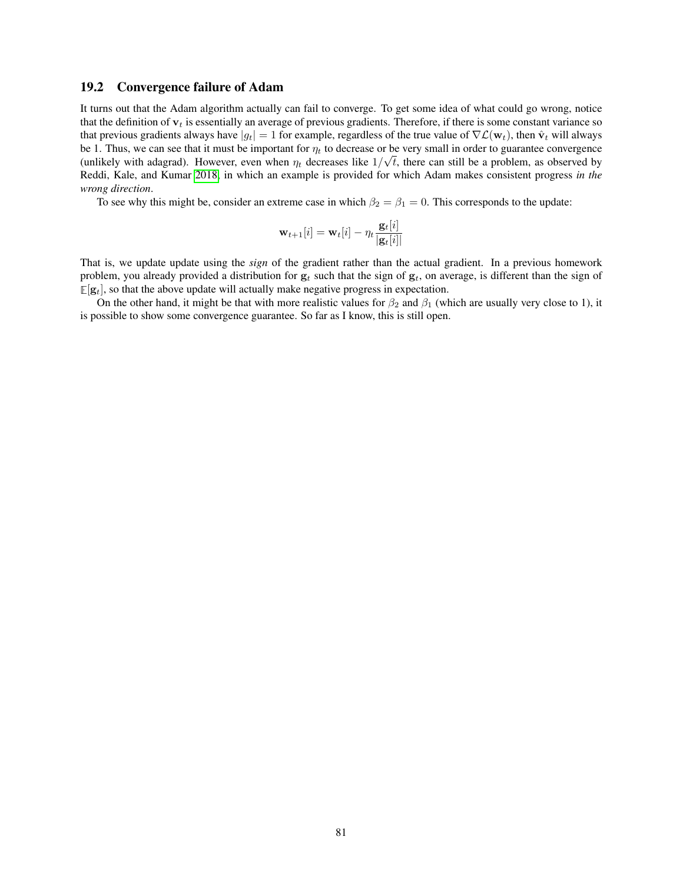### 19.2 Convergence failure of Adam

It turns out that the Adam algorithm actually can fail to converge. To get some idea of what could go wrong, notice that the definition of  $v_t$  is essentially an average of previous gradients. Therefore, if there is some constant variance so that previous gradients always have  $|g_t| = 1$  for example, regardless of the true value of  $\nabla \mathcal{L}(\mathbf{w}_t)$ , then  $\hat{\mathbf{v}}_t$  will always be 1. Thus, we can see that it must be important for  $\eta_t$  to decrease or be very small in order to guarantee convergence (unlikely with adagrad). However, even when  $\eta_t$  decreases like  $1/\sqrt{t}$ , there can still be a problem, as observed by Reddi, Kale, and Kumar [2018,](#page-121-2) in which an example is provided for which Adam makes consistent progress *in the wrong direction*.

To see why this might be, consider an extreme case in which  $\beta_2 = \beta_1 = 0$ . This corresponds to the update:

$$
\mathbf{w}_{t+1}[i] = \mathbf{w}_t[i] - \eta_t \frac{\mathbf{g}_t[i]}{|\mathbf{g}_t[i]|}
$$

That is, we update update using the *sign* of the gradient rather than the actual gradient. In a previous homework problem, you already provided a distribution for  $g_t$  such that the sign of  $g_t$ , on average, is different than the sign of  $\mathbb{E}[\mathbf{g}_t]$ , so that the above update will actually make negative progress in expectation.

On the other hand, it might be that with more realistic values for  $\beta_2$  and  $\beta_1$  (which are usually very close to 1), it is possible to show some convergence guarantee. So far as I know, this is still open.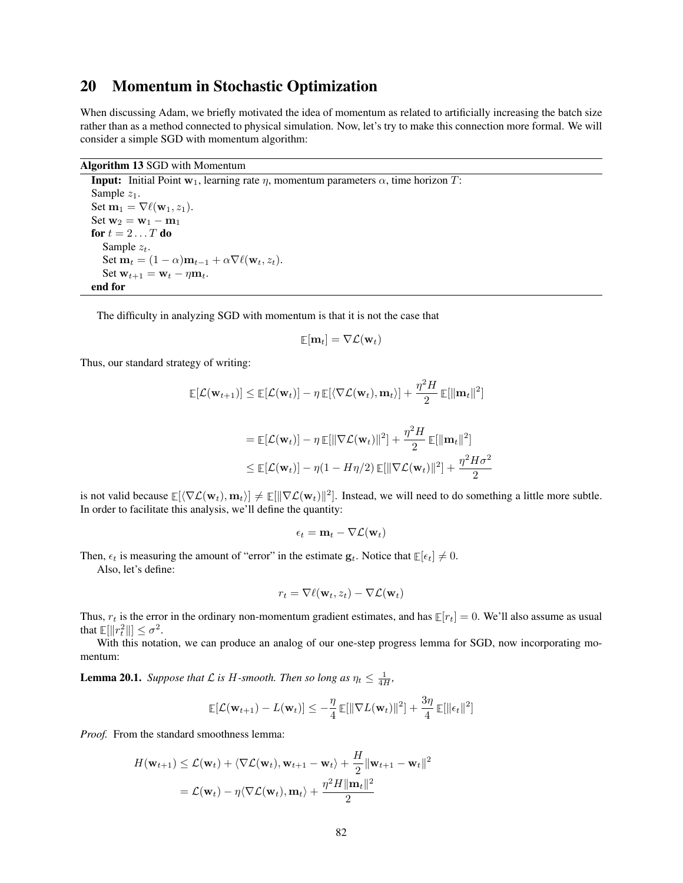## 20 Momentum in Stochastic Optimization

When discussing Adam, we briefly motivated the idea of momentum as related to artificially increasing the batch size rather than as a method connected to physical simulation. Now, let's try to make this connection more formal. We will consider a simple SGD with momentum algorithm:

### Algorithm 13 SGD with Momentum

<span id="page-81-1"></span>**Input:** Initial Point  $w_1$ , learning rate  $\eta$ , momentum parameters  $\alpha$ , time horizon T: Sample  $z_1$ . Set  $\mathbf{m}_1 = \nabla \ell(\mathbf{w}_1, z_1)$ . Set  $w_2 = w_1 - m_1$ for  $t = 2 \dots T$  do Sample  $z_t$ . Set  $\mathbf{m}_t = (1 - \alpha)\mathbf{m}_{t-1} + \alpha \nabla \ell(\mathbf{w}_t, z_t).$ Set  $\mathbf{w}_{t+1} = \mathbf{w}_t - \eta \mathbf{m}_t$ . end for

The difficulty in analyzing SGD with momentum is that it is not the case that

$$
\mathop{\mathbb{E}}[\mathbf{m}_t] = \nabla \mathcal{L}(\mathbf{w}_t)
$$

Thus, our standard strategy of writing:

$$
\mathbb{E}[\mathcal{L}(\mathbf{w}_{t+1})] \leq \mathbb{E}[\mathcal{L}(\mathbf{w}_t)] - \eta \mathbb{E}[\langle \nabla \mathcal{L}(\mathbf{w}_t), \mathbf{m}_t \rangle] + \frac{\eta^2 H}{2} \mathbb{E}[\|\mathbf{m}_t\|^2]
$$
  
\n
$$
= \mathbb{E}[\mathcal{L}(\mathbf{w}_t)] - \eta \mathbb{E}[\|\nabla \mathcal{L}(\mathbf{w}_t)\|^2] + \frac{\eta^2 H}{2} \mathbb{E}[\|\mathbf{m}_t\|^2]
$$
  
\n
$$
\leq \mathbb{E}[\mathcal{L}(\mathbf{w}_t)] - \eta(1 - H\eta/2) \mathbb{E}[\|\nabla \mathcal{L}(\mathbf{w}_t)\|^2] + \frac{\eta^2 H \sigma^2}{2}
$$

is not valid because  $\mathbb{E}[\langle \nabla \mathcal{L}(\mathbf{w}_t), \mathbf{m}_t \rangle] \neq \mathbb{E}[\|\nabla \mathcal{L}(\mathbf{w}_t)\|^2]$ . Instead, we will need to do something a little more subtle. In order to facilitate this analysis, we'll define the quantity:

$$
\epsilon_t = \mathbf{m}_t - \nabla \mathcal{L}(\mathbf{w}_t)
$$

Then,  $\epsilon_t$  is measuring the amount of "error" in the estimate  $\mathbf{g}_t$ . Notice that  $\mathbb{E}[\epsilon_t] \neq 0$ .

Also, let's define:

$$
r_t = \nabla \ell(\mathbf{w}_t, z_t) - \nabla \mathcal{L}(\mathbf{w}_t)
$$

Thus,  $r_t$  is the error in the ordinary non-momentum gradient estimates, and has  $\mathbb{E}[r_t] = 0$ . We'll also assume as usual that  $\mathbb{E}[\Vert r_t^2 \Vert] \leq \sigma^2$ .

With this notation, we can produce an analog of our one-step progress lemma for SGD, now incorporating momentum:

<span id="page-81-0"></span>**Lemma 20.1.** *Suppose that*  $\mathcal{L}$  *is*  $H$ -*smooth. Then so long as*  $\eta_t \leq \frac{1}{4H}$ *,* 

$$
\mathbb{E}[\mathcal{L}(\mathbf{w}_{t+1}) - L(\mathbf{w}_t)] \leq -\frac{\eta}{4} \mathbb{E}[\|\nabla L(\mathbf{w}_t)\|^2] + \frac{3\eta}{4} \mathbb{E}[\|\epsilon_t\|^2]
$$

*Proof.* From the standard smoothness lemma:

$$
H(\mathbf{w}_{t+1}) \leq \mathcal{L}(\mathbf{w}_t) + \langle \nabla \mathcal{L}(\mathbf{w}_t), \mathbf{w}_{t+1} - \mathbf{w}_t \rangle + \frac{H}{2} ||\mathbf{w}_{t+1} - \mathbf{w}_t||^2
$$
  
=  $\mathcal{L}(\mathbf{w}_t) - \eta \langle \nabla \mathcal{L}(\mathbf{w}_t), \mathbf{m}_t \rangle + \frac{\eta^2 H ||\mathbf{m}_t||^2}{2}$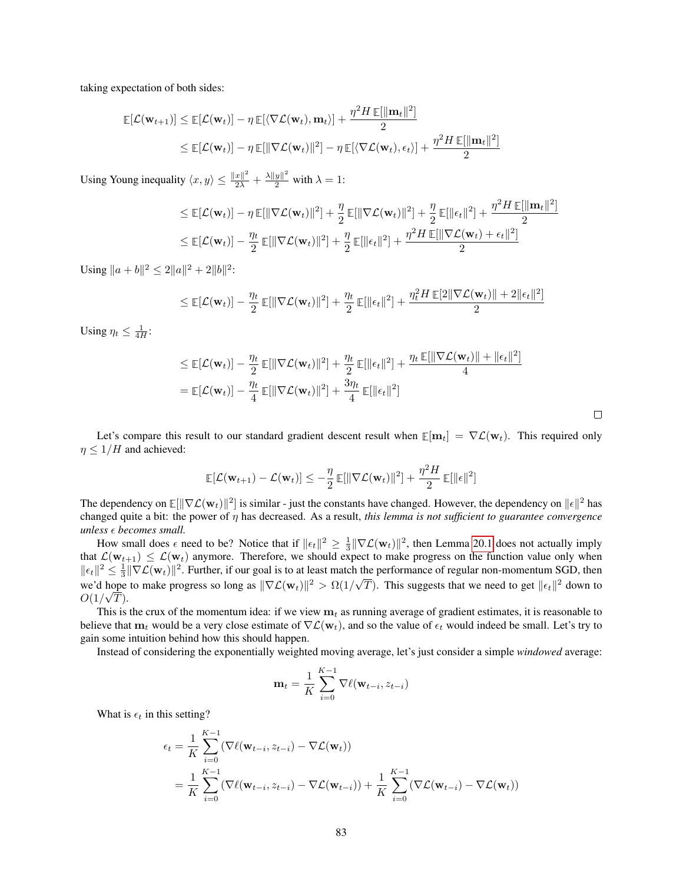taking expectation of both sides:

$$
\mathbb{E}[\mathcal{L}(\mathbf{w}_{t+1})] \leq \mathbb{E}[\mathcal{L}(\mathbf{w}_t)] - \eta \mathbb{E}[\langle \nabla \mathcal{L}(\mathbf{w}_t), \mathbf{m}_t \rangle] + \frac{\eta^2 H \mathbb{E}[\|\mathbf{m}_t\|^2]}{2}
$$
  

$$
\leq \mathbb{E}[\mathcal{L}(\mathbf{w}_t)] - \eta \mathbb{E}[\|\nabla \mathcal{L}(\mathbf{w}_t)\|^2] - \eta \mathbb{E}[\langle \nabla \mathcal{L}(\mathbf{w}_t), \epsilon_t \rangle] + \frac{\eta^2 H \mathbb{E}[\|\mathbf{m}_t\|^2]}{2}
$$

Using Young inequality  $\langle x, y \rangle \leq \frac{\|x\|^2}{2\lambda} + \frac{\lambda \|y\|^2}{2}$  with  $\lambda = 1$ :

$$
\leq \mathbb{E}[\mathcal{L}(\mathbf{w}_t)] - \eta \mathbb{E}[\|\nabla \mathcal{L}(\mathbf{w}_t)\|^2] + \frac{\eta}{2} \mathbb{E}[\|\nabla \mathcal{L}(\mathbf{w}_t)\|^2] + \frac{\eta}{2} \mathbb{E}[\|\epsilon_t\|^2] + \frac{\eta^2 H \mathbb{E}[\|\mathbf{m}_t\|^2]}{2}
$$
  

$$
\leq \mathbb{E}[\mathcal{L}(\mathbf{w}_t)] - \frac{\eta_t}{2} \mathbb{E}[\|\nabla \mathcal{L}(\mathbf{w}_t)\|^2] + \frac{\eta}{2} \mathbb{E}[\|\epsilon_t\|^2] + \frac{\eta^2 H \mathbb{E}[\|\nabla \mathcal{L}(\mathbf{w}_t) + \epsilon_t\|^2]}{2}
$$

Using  $||a + b||^2 \le 2||a||^2 + 2||b||^2$ :

$$
\leq \mathop{\mathbb{E}}[\mathcal{L}(\mathbf{w}_t)] - \frac{\eta_t}{2} \mathop{\mathbb{E}}[\|\nabla \mathcal{L}(\mathbf{w}_t)\|^2] + \frac{\eta_t}{2} \mathop{\mathbb{E}}[\|\epsilon_t\|^2] + \frac{\eta_t^2 H \mathop{\mathbb{E}}[2\|\nabla \mathcal{L}(\mathbf{w}_t)\| + 2\|\epsilon_t\|^2]}{2}
$$

Using  $\eta_t \leq \frac{1}{4H}$ :

$$
\leq \mathbb{E}[\mathcal{L}(\mathbf{w}_t)] - \frac{\eta_t}{2} \mathbb{E}[\|\nabla \mathcal{L}(\mathbf{w}_t)\|^2] + \frac{\eta_t}{2} \mathbb{E}[\|\epsilon_t\|^2] + \frac{\eta_t \mathbb{E}[\|\nabla \mathcal{L}(\mathbf{w}_t)\| + \|\epsilon_t\|^2]}{4}
$$
  
= 
$$
\mathbb{E}[\mathcal{L}(\mathbf{w}_t)] - \frac{\eta_t}{4} \mathbb{E}[\|\nabla \mathcal{L}(\mathbf{w}_t)\|^2] + \frac{3\eta_t}{4} \mathbb{E}[\|\epsilon_t\|^2]
$$

 $\Box$ 

Let's compare this result to our standard gradient descent result when  $\mathbb{E}[\mathbf{m}_t] = \nabla \mathcal{L}(\mathbf{w}_t)$ . This required only  $\eta \leq 1/H$  and achieved:

$$
\mathbb{E}[\mathcal{L}(\mathbf{w}_{t+1}) - \mathcal{L}(\mathbf{w}_t)] \leq -\frac{\eta}{2} \mathbb{E}[\|\nabla \mathcal{L}(\mathbf{w}_t)\|^2] + \frac{\eta^2 H}{2} \mathbb{E}[\|\epsilon\|^2]
$$

The dependency on  $\mathbb{E}[\|\nabla \mathcal{L}(\mathbf{w}_t)\|^2]$  is similar - just the constants have changed. However, the dependency on  $\|\epsilon\|^2$  has changed quite a bit: the power of η has decreased. As a result, *this lemma is not sufficient to guarantee convergence unless becomes small.*

How small does  $\epsilon$  need to be? Notice that if  $\|\epsilon_t\|^2 \geq \frac{1}{3} \|\nabla \mathcal{L}(\mathbf{w}_t)\|^2$ , then Lemma [20.1](#page-81-0) does not actually imply that  $\mathcal{L}(\mathbf{w}_{t+1}) \leq \mathcal{L}(\mathbf{w}_t)$  anymore. Therefore, we should expect to make progress on the function value only when  $\|\epsilon_t\|^2 \leq \frac{1}{3} \|\nabla \mathcal{L}(\mathbf{w}_t)\|^2$ . Further, if our goal is to at least match the performance of regular non-momentum SGD, then we'd hope to make progress so long as  $\|\nabla \mathcal{L}(\mathbf{w}_t)\|^2 > \Omega(1/\sqrt{T})$ . This suggests that we need to get  $\|\epsilon_t\|^2$  down to  $O(1/\sqrt{T}).$ 

This is the crux of the momentum idea: if we view  $m_t$  as running average of gradient estimates, it is reasonable to believe that  $m_t$  would be a very close estimate of  $\nabla \mathcal{L}(\mathbf{w}_t)$ , and so the value of  $\epsilon_t$  would indeed be small. Let's try to gain some intuition behind how this should happen.

Instead of considering the exponentially weighted moving average, let's just consider a simple *windowed* average:

$$
\mathbf{m}_t = \frac{1}{K} \sum_{i=0}^{K-1} \nabla \ell(\mathbf{w}_{t-i}, z_{t-i})
$$

What is  $\epsilon_t$  in this setting?

$$
\epsilon_t = \frac{1}{K} \sum_{i=0}^{K-1} (\nabla \ell(\mathbf{w}_{t-i}, z_{t-i}) - \nabla \mathcal{L}(\mathbf{w}_t))
$$
  
= 
$$
\frac{1}{K} \sum_{i=0}^{K-1} (\nabla \ell(\mathbf{w}_{t-i}, z_{t-i}) - \nabla \mathcal{L}(\mathbf{w}_{t-i})) + \frac{1}{K} \sum_{i=0}^{K-1} (\nabla \mathcal{L}(\mathbf{w}_{t-i}) - \nabla \mathcal{L}(\mathbf{w}_t))
$$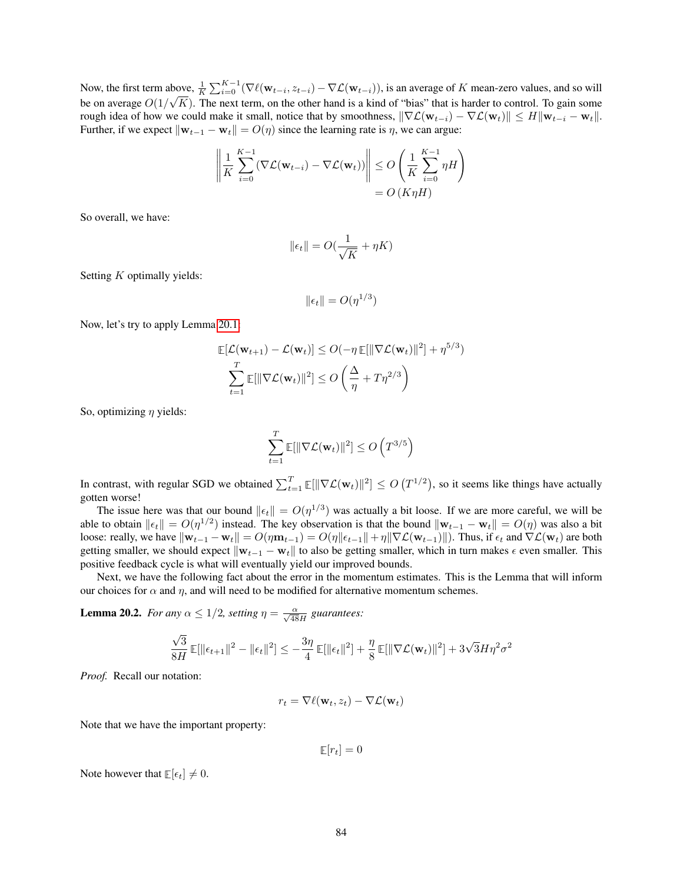Now, the first term above,  $\frac{1}{K} \sum_{i=0}^{K-1} (\nabla \ell(\mathbf{w}_{t-i}, z_{t-i}) - \nabla \mathcal{L}(\mathbf{w}_{t-i}))$ , is an average of K mean-zero values, and so will be on average  $O(1/\sqrt{K})$ . The next term, on the other hand is a kind of "bias" that is harder to control. To gain some rough idea of how we could make it small, notice that by smoothness,  $\|\nabla \mathcal{L}(\mathbf{w}_{t-i}) - \nabla \mathcal{L}(\mathbf{w}_t)\| \le H \|\mathbf{w}_{t-i} - \mathbf{w}_t\|$ . Further, if we expect  $\|\mathbf{w}_{t-1} - \mathbf{w}_t\| = O(\eta)$  since the learning rate is  $\eta$ , we can argue:

$$
\left\| \frac{1}{K} \sum_{i=0}^{K-1} (\nabla \mathcal{L}(\mathbf{w}_{t-i}) - \nabla \mathcal{L}(\mathbf{w}_t)) \right\| \le O\left(\frac{1}{K} \sum_{i=0}^{K-1} \eta H\right)
$$
  
= O(K\eta H)

So overall, we have:

$$
\|\epsilon_t\| = O(\frac{1}{\sqrt{K}} + \eta K)
$$

Setting  $K$  optimally yields:

$$
\|\epsilon_t\| = O(\eta^{1/3})
$$

Now, let's try to apply Lemma [20.1:](#page-81-0)

$$
\mathbb{E}[\mathcal{L}(\mathbf{w}_{t+1}) - \mathcal{L}(\mathbf{w}_t)] \le O(-\eta \mathbb{E}[\|\nabla \mathcal{L}(\mathbf{w}_t)\|^2] + \eta^{5/3})
$$
  

$$
\sum_{t=1}^T \mathbb{E}[\|\nabla \mathcal{L}(\mathbf{w}_t)\|^2] \le O\left(\frac{\Delta}{\eta} + T\eta^{2/3}\right)
$$

So, optimizing  $\eta$  yields:

$$
\sum_{t=1}^T \mathbb{E}[\|\nabla \mathcal{L}(\mathbf{w}_t)\|^2] \le O\left(T^{3/5}\right)
$$

In contrast, with regular SGD we obtained  $\sum_{t=1}^{T} \mathbb{E}[\|\nabla \mathcal{L}(\mathbf{w}_t)\|^2] \leq O(T^{1/2})$ , so it seems like things have actually gotten worse!

The issue here was that our bound  $||\epsilon_t|| = O(\eta^{1/3})$  was actually a bit loose. If we are more careful, we will be able to obtain  $\|\epsilon_t\| = O(\eta^{1/2})$  instead. The key observation is that the bound  $\|\mathbf{w}_{t-1} - \mathbf{w}_t\| = O(\eta)$  was also a bit loose: really, we have  $\|\mathbf{w}_{t-1} - \mathbf{w}_t\| = O(\eta \|\mathbf{w}_{t-1}\| + \eta \|\nabla \mathcal{L}(\mathbf{w}_{t-1})\|)$ . Thus, if  $\epsilon_t$  and  $\nabla \mathcal{L}(\mathbf{w}_t)$  are both getting smaller, we should expect  $\|\mathbf{w}_{t-1} - \mathbf{w}_t\|$  to also be getting smaller, which in turn makes  $\epsilon$  even smaller. This positive feedback cycle is what will eventually yield our improved bounds.

Next, we have the following fact about the error in the momentum estimates. This is the Lemma that will inform our choices for  $\alpha$  and  $\eta$ , and will need to be modified for alternative momentum schemes.

<span id="page-83-0"></span>**Lemma 20.2.** *For any*  $\alpha \leq 1/2$ *, setting*  $\eta = \frac{\alpha}{\sqrt{48}H}$  *guarantees:* 

$$
\frac{\sqrt{3}}{8H}\mathbb{E}[\|\epsilon_{t+1}\|^2 - \|\epsilon_t\|^2] \le -\frac{3\eta}{4}\mathbb{E}[\|\epsilon_t\|^2] + \frac{\eta}{8}\mathbb{E}[\|\nabla \mathcal{L}(\mathbf{w}_t)\|^2] + 3\sqrt{3}H\eta^2\sigma^2
$$

*Proof.* Recall our notation:

$$
r_t = \nabla \ell(\mathbf{w}_t, z_t) - \nabla \mathcal{L}(\mathbf{w}_t)
$$

Note that we have the important property:

 $\mathbb{E}[r_t] = 0$ 

Note however that  $\mathbb{E}[\epsilon_t] \neq 0$ .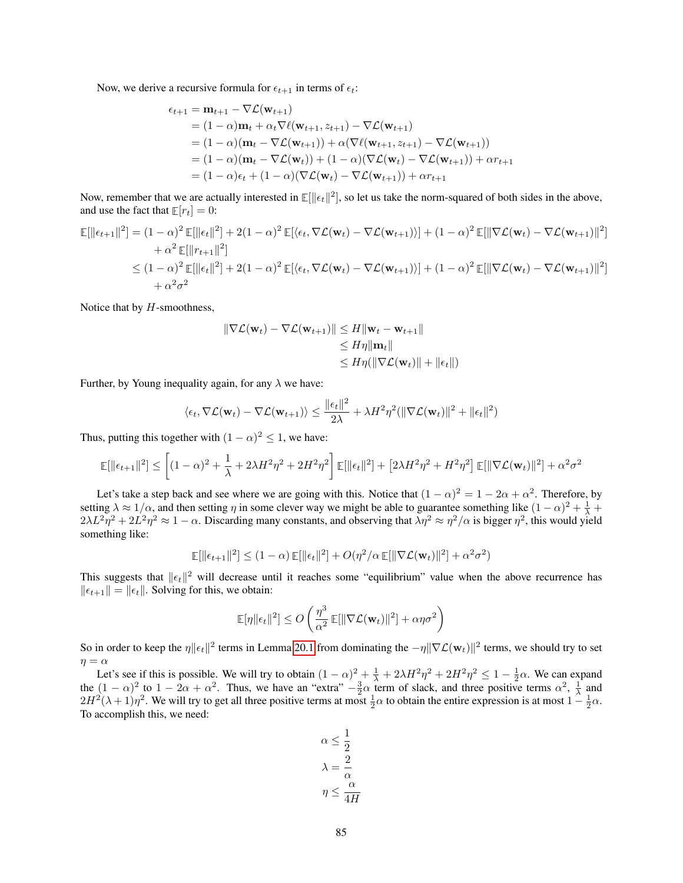Now, we derive a recursive formula for  $\epsilon_{t+1}$  in terms of  $\epsilon_t$ :

$$
\epsilon_{t+1} = \mathbf{m}_{t+1} - \nabla \mathcal{L}(\mathbf{w}_{t+1})
$$
  
=  $(1 - \alpha)\mathbf{m}_t + \alpha_t \nabla \ell(\mathbf{w}_{t+1}, z_{t+1}) - \nabla \mathcal{L}(\mathbf{w}_{t+1})$   
=  $(1 - \alpha)(\mathbf{m}_t - \nabla \mathcal{L}(\mathbf{w}_{t+1})) + \alpha(\nabla \ell(\mathbf{w}_{t+1}, z_{t+1}) - \nabla \mathcal{L}(\mathbf{w}_{t+1}))$   
=  $(1 - \alpha)(\mathbf{m}_t - \nabla \mathcal{L}(\mathbf{w}_t)) + (1 - \alpha)(\nabla \mathcal{L}(\mathbf{w}_t) - \nabla \mathcal{L}(\mathbf{w}_{t+1})) + \alpha r_{t+1}$   
=  $(1 - \alpha)\epsilon_t + (1 - \alpha)(\nabla \mathcal{L}(\mathbf{w}_t) - \nabla \mathcal{L}(\mathbf{w}_{t+1})) + \alpha r_{t+1}$ 

Now, remember that we are actually interested in  $\mathbb{E}[\|\epsilon_t\|^2]$ , so let us take the norm-squared of both sides in the above, and use the fact that  $\mathbb{E}[r_t] = 0$ :

$$
\mathbb{E}[\|\epsilon_{t+1}\|^2] = (1-\alpha)^2 \mathbb{E}[\|\epsilon_t\|^2] + 2(1-\alpha)^2 \mathbb{E}[\langle\epsilon_t, \nabla \mathcal{L}(\mathbf{w}_t) - \nabla \mathcal{L}(\mathbf{w}_{t+1})\rangle] + (1-\alpha)^2 \mathbb{E}[\|\nabla \mathcal{L}(\mathbf{w}_t) - \nabla \mathcal{L}(\mathbf{w}_{t+1})\|^2]
$$
  
+  $\alpha^2 \mathbb{E}[\|r_{t+1}\|^2]$   

$$
\leq (1-\alpha)^2 \mathbb{E}[\|\epsilon_t\|^2] + 2(1-\alpha)^2 \mathbb{E}[\langle\epsilon_t, \nabla \mathcal{L}(\mathbf{w}_t) - \nabla \mathcal{L}(\mathbf{w}_{t+1})\rangle] + (1-\alpha)^2 \mathbb{E}[\|\nabla \mathcal{L}(\mathbf{w}_t) - \nabla \mathcal{L}(\mathbf{w}_{t+1})\|^2]
$$
  
+  $\alpha^2 \sigma^2$ 

Notice that by  $H$ -smoothness,

$$
\|\nabla \mathcal{L}(\mathbf{w}_{t}) - \nabla \mathcal{L}(\mathbf{w}_{t+1})\| \le H \|\mathbf{w}_{t} - \mathbf{w}_{t+1}\|
$$
  
\n
$$
\le H \eta \|\mathbf{m}_{t}\|
$$
  
\n
$$
\le H \eta (\|\nabla \mathcal{L}(\mathbf{w}_{t})\| + \|\epsilon_{t}\|)
$$

Further, by Young inequality again, for any  $\lambda$  we have:

$$
\langle \epsilon_t, \nabla \mathcal{L}(\mathbf{w}_t) - \nabla \mathcal{L}(\mathbf{w}_{t+1}) \rangle \le \frac{\|\epsilon_t\|^2}{2\lambda} + \lambda H^2 \eta^2 (\|\nabla \mathcal{L}(\mathbf{w}_t)\|^2 + \|\epsilon_t\|^2)
$$

Thus, putting this together with  $(1 - \alpha)^2 \le 1$ , we have:

$$
\mathbb{E}[\|\epsilon_{t+1}\|^2] \le \left[ (1-\alpha)^2 + \frac{1}{\lambda} + 2\lambda H^2 \eta^2 + 2H^2 \eta^2 \right] \mathbb{E}[\|\epsilon_t\|^2] + \left[ 2\lambda H^2 \eta^2 + H^2 \eta^2 \right] \mathbb{E}[\|\nabla \mathcal{L}(\mathbf{w}_t)\|^2] + \alpha^2 \sigma^2
$$

Let's take a step back and see where we are going with this. Notice that  $(1 - \alpha)^2 = 1 - 2\alpha + \alpha^2$ . Therefore, by setting  $\lambda \approx 1/\alpha$ , and then setting  $\eta$  in some clever way we might be able to guarantee something like  $(1-\alpha)^2 + \frac{1}{\lambda}$  +  $2\lambda L^2\eta^2 + 2L^2\eta^2 \approx 1-\alpha$ . Discarding many constants, and observing that  $\lambda\eta^2 \approx \eta^2/\alpha$  is bigger  $\eta^2$ , this would yield something like:

$$
\mathbb{E}[\|\epsilon_{t+1}\|^2] \le (1-\alpha)\mathbb{E}[\|\epsilon_t\|^2] + O(\eta^2/\alpha \mathbb{E}[\|\nabla \mathcal{L}(\mathbf{w}_t)\|^2] + \alpha^2 \sigma^2)
$$

This suggests that  $\|\epsilon_t\|^2$  will decrease until it reaches some "equilibrium" value when the above recurrence has  $\|\epsilon_{t+1}\| = \|\epsilon_t\|$ . Solving for this, we obtain:

$$
\mathbb{E}[\eta || \epsilon_t ||^2] \le O\left(\frac{\eta^3}{\alpha^2} \mathbb{E}[||\nabla \mathcal{L}(\mathbf{w}_t)||^2] + \alpha \eta \sigma^2\right)
$$

So in order to keep the  $\eta \| \epsilon_t \|^2$  terms in Lemma [20.1](#page-81-0) from dominating the  $-\eta \|\nabla \mathcal{L}(\mathbf{w}_t)\|^2$  terms, we should try to set  $\eta = \alpha$ 

Let's see if this is possible. We will try to obtain  $(1 - \alpha)^2 + \frac{1}{\lambda} + 2\lambda H^2 \eta^2 + 2H^2 \eta^2 \leq 1 - \frac{1}{2} \alpha$ . We can expand the  $(1 - \alpha)^2$  to  $1 - 2\alpha + \alpha^2$ . Thus, we have an "extra"  $-\frac{3}{2}\alpha$  term of slack, and three positive terms  $\alpha^2$ ,  $\frac{1}{\lambda}$  and  $2H^2(\lambda+1)\eta^2$ . We will try to get all three positive terms at most  $\frac{1}{2}\alpha$  to obtain the entire expression is at most  $1-\frac{1}{2}\alpha$ . To accomplish this, we need:

$$
\alpha \le \frac{1}{2}
$$

$$
\lambda = \frac{2}{\alpha}
$$

$$
\eta \le \frac{\alpha}{4H}
$$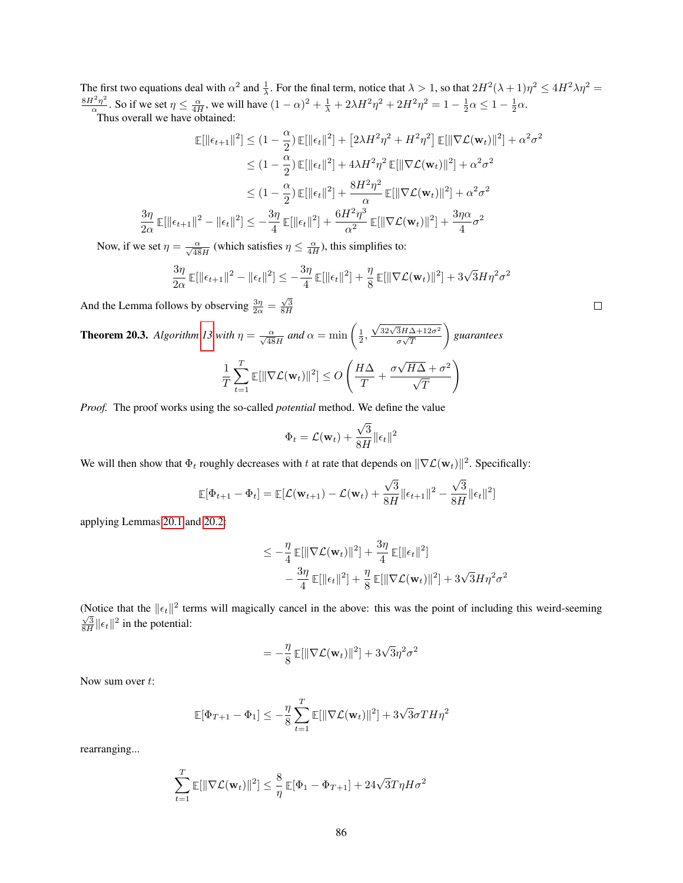The first two equations deal with  $\alpha^2$  and  $\frac{1}{\lambda}$ . For the final term, notice that  $\lambda > 1$ , so that  $2H^2(\lambda + 1)\eta^2 \le 4H^2\lambda\eta^2 =$  $8H^2\eta^2$  $\frac{q^2\eta^2}{\alpha}$ . So if we set  $\eta \le \frac{\alpha}{4H}$ , we will have  $(1-\alpha)^2 + \frac{1}{\lambda} + 2\lambda H^2 \eta^2 + 2H^2 \eta^2 = 1 - \frac{1}{2}\alpha \le 1 - \frac{1}{2}\alpha$ .

Thus overall we have obtained:

 $3\eta$ 

$$
\mathbb{E}[\|\epsilon_{t+1}\|^2] \leq (1 - \frac{\alpha}{2}) \mathbb{E}[\|\epsilon_t\|^2] + [2\lambda H^2 \eta^2 + H^2 \eta^2] \mathbb{E}[\|\nabla \mathcal{L}(\mathbf{w}_t)\|^2] + \alpha^2 \sigma^2
$$
  
\n
$$
\leq (1 - \frac{\alpha}{2}) \mathbb{E}[\|\epsilon_t\|^2] + 4\lambda H^2 \eta^2 \mathbb{E}[\|\nabla \mathcal{L}(\mathbf{w}_t)\|^2] + \alpha^2 \sigma^2
$$
  
\n
$$
\leq (1 - \frac{\alpha}{2}) \mathbb{E}[\|\epsilon_t\|^2] + \frac{8H^2 \eta^2}{\alpha} \mathbb{E}[\|\nabla \mathcal{L}(\mathbf{w}_t)\|^2] + \alpha^2 \sigma^2
$$
  
\n
$$
\frac{3\eta}{2\alpha} \mathbb{E}[\|\epsilon_{t+1}\|^2 - \|\epsilon_t\|^2] \leq -\frac{3\eta}{4} \mathbb{E}[\|\epsilon_t\|^2] + \frac{6H^2 \eta^3}{\alpha^2} \mathbb{E}[\|\nabla \mathcal{L}(\mathbf{w}_t)\|^2] + \frac{3\eta \alpha}{4} \sigma^2
$$

Now, if we set  $\eta = \frac{\alpha}{\sqrt{48}H}$  (which satisfies  $\eta \leq \frac{\alpha}{4H}$ ), this simplifies to:

$$
\frac{3\eta}{2\alpha}\,\mathbb{E}[\|\epsilon_{t+1}\|^2-\|\epsilon_t\|^2]\leq -\frac{3\eta}{4}\,\mathbb{E}[\|\epsilon_t\|^2]+\frac{\eta}{8}\,\mathbb{E}[\|\nabla\mathcal{L}(\mathbf{w}_t)\|^2]+3\sqrt{3}H\eta^2\sigma^2
$$

And the Lemma follows by observing  $\frac{3\eta}{2\alpha} = \frac{\sqrt{3}}{8H}$ 

**Theorem 20.3.** Algorithm 13 with 
$$
\eta = \frac{\alpha}{\sqrt{48}H}
$$
 and  $\alpha = \min\left(\frac{1}{2}, \frac{\sqrt{32\sqrt{3}H\Delta + 12\sigma^2}}{\sigma\sqrt{T}}\right)$  guarantees\n
$$
\frac{1}{T} \sum_{t=1}^{T} \mathbb{E}[\|\nabla \mathcal{L}(\mathbf{w}_t)\|^2] \le O\left(\frac{H\Delta}{T} + \frac{\sigma\sqrt{H\Delta} + \sigma^2}{\sqrt{T}}\right)
$$

*Proof.* The proof works using the so-called *potential* method. We define the value

$$
\Phi_t = \mathcal{L}(\mathbf{w}_t) + \frac{\sqrt{3}}{8H} \|\epsilon_t\|^2
$$

We will then show that  $\Phi_t$  roughly decreases with t at rate that depends on  $\|\nabla \mathcal{L}(\mathbf{w}_t)\|^2$ . Specifically:

$$
\mathbb{E}[\Phi_{t+1} - \Phi_t] = \mathbb{E}[\mathcal{L}(\mathbf{w}_{t+1}) - \mathcal{L}(\mathbf{w}_t) + \frac{\sqrt{3}}{8H} \|\epsilon_{t+1}\|^2 - \frac{\sqrt{3}}{8H} \|\epsilon_t\|^2]
$$

applying Lemmas [20.1](#page-81-0) and [20.2:](#page-83-0)

$$
\leq -\frac{\eta}{4} \mathbb{E}[\|\nabla \mathcal{L}(\mathbf{w}_t)\|^2] + \frac{3\eta}{4} \mathbb{E}[\|\epsilon_t\|^2] -\frac{3\eta}{4} \mathbb{E}[\|\epsilon_t\|^2] + \frac{\eta}{8} \mathbb{E}[\|\nabla \mathcal{L}(\mathbf{w}_t)\|^2] + 3\sqrt{3}H\eta^2\sigma^2
$$

(Notice that the  $||\epsilon_t||^2$  terms will magically cancel in the above: this was the point of including this weird-seeming  $\frac{\sqrt{3}}{8H}$   $\|\epsilon_t\|^2$  in the potential:

$$
= -\frac{\eta}{8} \mathbb{E}[\|\nabla \mathcal{L}(\mathbf{w}_t)\|^2] + 3\sqrt{3}\eta^2 \sigma^2
$$

Now sum over  $t$ :

$$
\mathbb{E}[\Phi_{T+1} - \Phi_1] \le -\frac{\eta}{8} \sum_{t=1}^T \mathbb{E}[\|\nabla \mathcal{L}(\mathbf{w}_t)\|^2] + 3\sqrt{3}\sigma T H \eta^2
$$

rearranging...

$$
\sum_{t=1}^{T} \mathbb{E}[\|\nabla \mathcal{L}(\mathbf{w}_t)\|^2] \le \frac{8}{\eta} \mathbb{E}[\Phi_1 - \Phi_{T+1}] + 24\sqrt{3}T\eta H\sigma^2
$$

86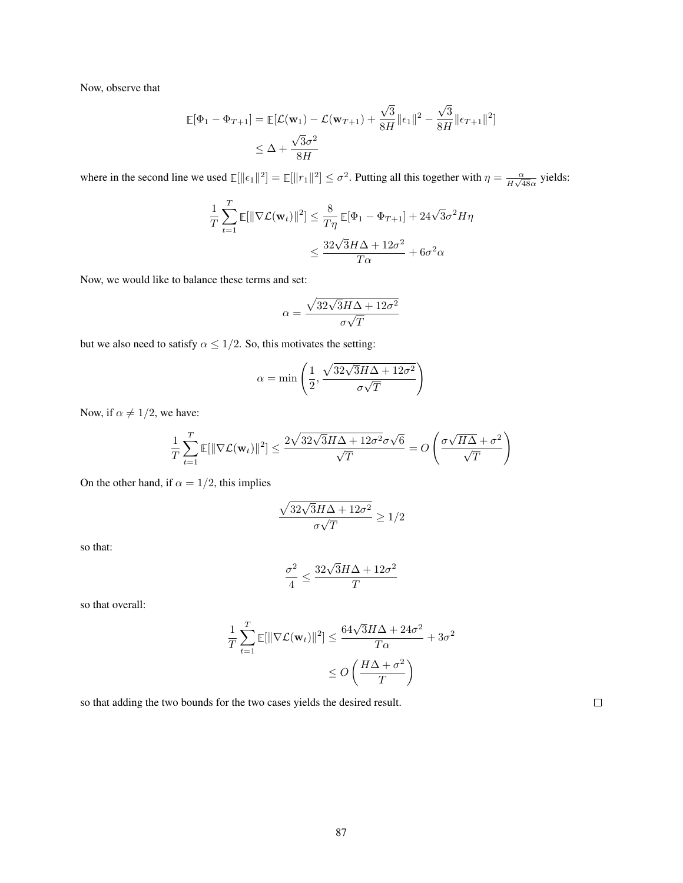Now, observe that

$$
\mathbb{E}[\Phi_1 - \Phi_{T+1}] = \mathbb{E}[\mathcal{L}(\mathbf{w}_1) - \mathcal{L}(\mathbf{w}_{T+1}) + \frac{\sqrt{3}}{8H} \|\epsilon_1\|^2 - \frac{\sqrt{3}}{8H} \|\epsilon_{T+1}\|^2]
$$
  

$$
\leq \Delta + \frac{\sqrt{3}\sigma^2}{8H}
$$

where in the second line we used  $\mathbb{E}[\|\epsilon_1\|^2] = \mathbb{E}[\|r_1\|^2] \leq \sigma^2$ . Putting all this together with  $\eta = \frac{\alpha}{H\sqrt{\sigma^2}}$  $\frac{\alpha}{H\sqrt{48}\alpha}$  yields:

$$
\frac{1}{T} \sum_{t=1}^{T} \mathbb{E}[\|\nabla \mathcal{L}(\mathbf{w}_t)\|^2] \le \frac{8}{T\eta} \mathbb{E}[\Phi_1 - \Phi_{T+1}] + 24\sqrt{3}\sigma^2 H\eta
$$

$$
\le \frac{32\sqrt{3}H\Delta + 12\sigma^2}{T\alpha} + 6\sigma^2 \alpha
$$

Now, we would like to balance these terms and set:

$$
\alpha = \frac{\sqrt{32\sqrt{3}H\Delta + 12\sigma^2}}{\sigma\sqrt{T}}
$$

but we also need to satisfy  $\alpha \leq 1/2$ . So, this motivates the setting:

$$
\alpha = \min\left(\frac{1}{2}, \frac{\sqrt{32\sqrt{3}H\Delta + 12\sigma^2}}{\sigma\sqrt{T}}\right)
$$

Now, if  $\alpha \neq 1/2$ , we have:

$$
\frac{1}{T} \sum_{t=1}^{T} \mathbb{E}[\|\nabla \mathcal{L}(\mathbf{w}_t)\|^2] \le \frac{2\sqrt{32\sqrt{3}H\Delta + 12\sigma^2}\sigma\sqrt{6}}{\sqrt{T}} = O\left(\frac{\sigma\sqrt{H\Delta} + \sigma^2}{\sqrt{T}}\right)
$$

On the other hand, if  $\alpha = 1/2$ , this implies

$$
\frac{\sqrt{32\sqrt{3}H\Delta+12\sigma^2}}{\sigma\sqrt{T}}\geq 1/2
$$

so that:

$$
\frac{\sigma^2}{4} \leq \frac{32\sqrt{3}H\Delta+12\sigma^2}{T}
$$

so that overall:

$$
\frac{1}{T} \sum_{t=1}^{T} \mathbb{E}[\|\nabla \mathcal{L}(\mathbf{w}_t)\|^2] \le \frac{64\sqrt{3}H\Delta + 24\sigma^2}{T\alpha} + 3\sigma^2
$$

$$
\le O\left(\frac{H\Delta + \sigma^2}{T}\right)
$$

so that adding the two bounds for the two cases yields the desired result.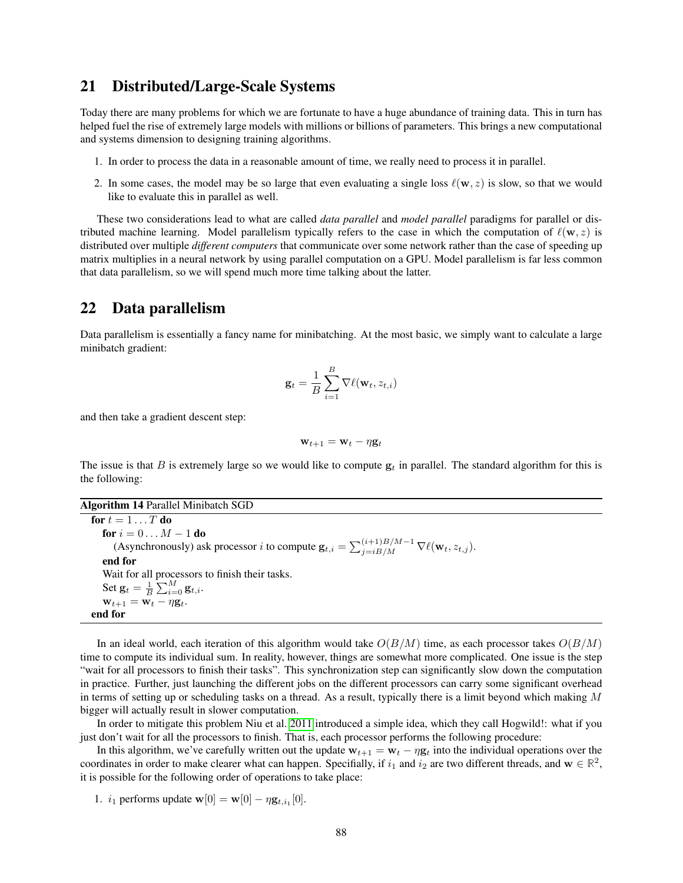### 21 Distributed/Large-Scale Systems

Today there are many problems for which we are fortunate to have a huge abundance of training data. This in turn has helped fuel the rise of extremely large models with millions or billions of parameters. This brings a new computational and systems dimension to designing training algorithms.

- 1. In order to process the data in a reasonable amount of time, we really need to process it in parallel.
- 2. In some cases, the model may be so large that even evaluating a single loss  $\ell(w, z)$  is slow, so that we would like to evaluate this in parallel as well.

These two considerations lead to what are called *data parallel* and *model parallel* paradigms for parallel or distributed machine learning. Model parallelism typically refers to the case in which the computation of  $\ell(\mathbf{w}, z)$  is distributed over multiple *different computers* that communicate over some network rather than the case of speeding up matrix multiplies in a neural network by using parallel computation on a GPU. Model parallelism is far less common that data parallelism, so we will spend much more time talking about the latter.

## 22 Data parallelism

Data parallelism is essentially a fancy name for minibatching. At the most basic, we simply want to calculate a large minibatch gradient:

$$
\mathbf{g}_t = \frac{1}{B} \sum_{i=1}^B \nabla \ell(\mathbf{w}_t, z_{t,i})
$$

and then take a gradient descent step:

$$
\mathbf{w}_{t+1} = \mathbf{w}_t - \eta \mathbf{g}_t
$$

The issue is that B is extremely large so we would like to compute  $g_t$  in parallel. The standard algorithm for this is the following:

Algorithm 14 Parallel Minibatch SGD

for  $t = 1 \ldots T$  do for  $i = 0 \dots M - 1$  do (Asynchronously) ask processor *i* to compute  $\mathbf{g}_{t,i} = \sum_{j=i}^{(i+1)B/M-1} \nabla \ell(\mathbf{w}_t, z_{t,j}).$ end for Wait for all processors to finish their tasks. Set  $\mathbf{g}_t = \frac{1}{B} \sum_{i=0}^{M} \mathbf{g}_{t,i}$ .  $\mathbf{w}_{t+1} = \mathbf{w}_t - \eta \mathbf{g}_t.$ end for

In an ideal world, each iteration of this algorithm would take  $O(B/M)$  time, as each processor takes  $O(B/M)$ time to compute its individual sum. In reality, however, things are somewhat more complicated. One issue is the step "wait for all processors to finish their tasks". This synchronization step can significantly slow down the computation in practice. Further, just launching the different jobs on the different processors can carry some significant overhead in terms of setting up or scheduling tasks on a thread. As a result, typically there is a limit beyond which making  $M$ bigger will actually result in slower computation.

In order to mitigate this problem Niu et al. [2011](#page-121-3) introduced a simple idea, which they call Hogwild!: what if you just don't wait for all the processors to finish. That is, each processor performs the following procedure:

In this algorithm, we've carefully written out the update  $w_{t+1} = w_t - \eta g_t$  into the individual operations over the coordinates in order to make clearer what can happen. Specifially, if  $i_1$  and  $i_2$  are two different threads, and  $w \in \mathbb{R}^2$ , it is possible for the following order of operations to take place:

1.  $i_1$  performs update  ${\bf w}[0] = {\bf w}[0] - \eta {\bf g}_{t,i_1}[0]$ .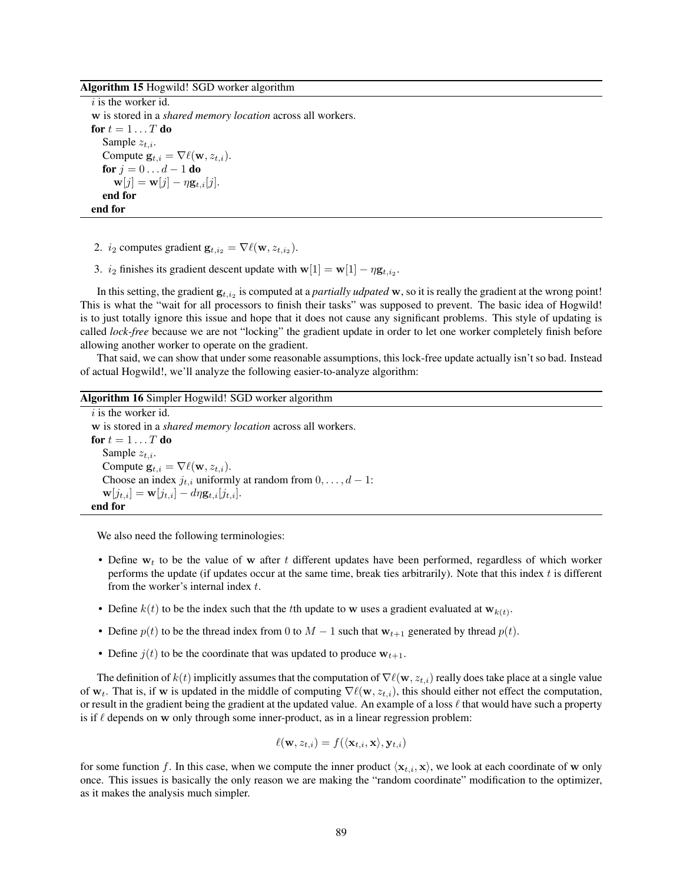Algorithm 15 Hogwild! SGD worker algorithm

 $i$  is the worker id. w is stored in a *shared memory location* across all workers. for  $t = 1 \ldots T$  do Sample  $z_{t,i}$ . Compute  $\mathbf{g}_{t,i} = \nabla \ell(\mathbf{w}, z_{t,i}).$ for  $j = 0 \dots d - 1$  do  $\mathbf{w}[j] = \mathbf{w}[j] - \eta \mathbf{g}_{t,i}[j].$ end for end for

- 2.  $i_2$  computes gradient  $\mathbf{g}_{t,i_2} = \nabla \ell(\mathbf{w}, z_{t,i_2})$ .
- 3.  $i_2$  finishes its gradient descent update with  $\mathbf{w}[1] = \mathbf{w}[1] \eta \mathbf{g}_{t,i_2}$ .

In this setting, the gradient  $g_{t,i_2}$  is computed at a *partially udpated* w, so it is really the gradient at the wrong point! This is what the "wait for all processors to finish their tasks" was supposed to prevent. The basic idea of Hogwild! is to just totally ignore this issue and hope that it does not cause any significant problems. This style of updating is called *lock-free* because we are not "locking" the gradient update in order to let one worker completely finish before allowing another worker to operate on the gradient.

That said, we can show that under some reasonable assumptions, this lock-free update actually isn't so bad. Instead of actual Hogwild!, we'll analyze the following easier-to-analyze algorithm:

| <b>Algorithm 16 Simpler Hogwild! SGD worker algorithm</b>                      |
|--------------------------------------------------------------------------------|
| $i$ is the worker id.                                                          |
| w is stored in a <i>shared memory location</i> across all workers.             |
| for $t = 1 \dots T$ do                                                         |
| Sample $z_{t,i}$ .                                                             |
| Compute $\mathbf{g}_{t,i} = \nabla \ell(\mathbf{w}, z_{t,i}).$                 |
| Choose an index $j_{t,i}$ uniformly at random from $0, \ldots, d-1$ :          |
| $\mathbf{w}[j_{t,i}] = \mathbf{w}[j_{t,i}] - d\eta \mathbf{g}_{t,i}[j_{t,i}].$ |
| end for                                                                        |
|                                                                                |

<span id="page-88-0"></span>We also need the following terminologies:

- Define  $w_t$  to be the value of w after t different updates have been performed, regardless of which worker performs the update (if updates occur at the same time, break ties arbitrarily). Note that this index  $t$  is different from the worker's internal index t.
- Define  $k(t)$  to be the index such that the tth update to w uses a gradient evaluated at  $w_{k(t)}$ .
- Define  $p(t)$  to be the thread index from 0 to  $M-1$  such that  $w_{t+1}$  generated by thread  $p(t)$ .
- Define  $j(t)$  to be the coordinate that was updated to produce  $w_{t+1}$ .

The definition of  $k(t)$  implicitly assumes that the computation of  $\nabla \ell(w, z_{t,i})$  really does take place at a single value of  $w_t$ . That is, if w is updated in the middle of computing  $\nabla \ell(w, z_{t,i})$ , this should either not effect the computation, or result in the gradient being the gradient at the updated value. An example of a loss  $\ell$  that would have such a property is if  $\ell$  depends on w only through some inner-product, as in a linear regression problem:

$$
\ell(\mathbf{w}, z_{t,i}) = f(\langle \mathbf{x}_{t,i}, \mathbf{x} \rangle, \mathbf{y}_{t,i})
$$

for some function f. In this case, when we compute the inner product  $\langle x_{t,i}, x \rangle$ , we look at each coordinate of w only once. This issues is basically the only reason we are making the "random coordinate" modification to the optimizer, as it makes the analysis much simpler.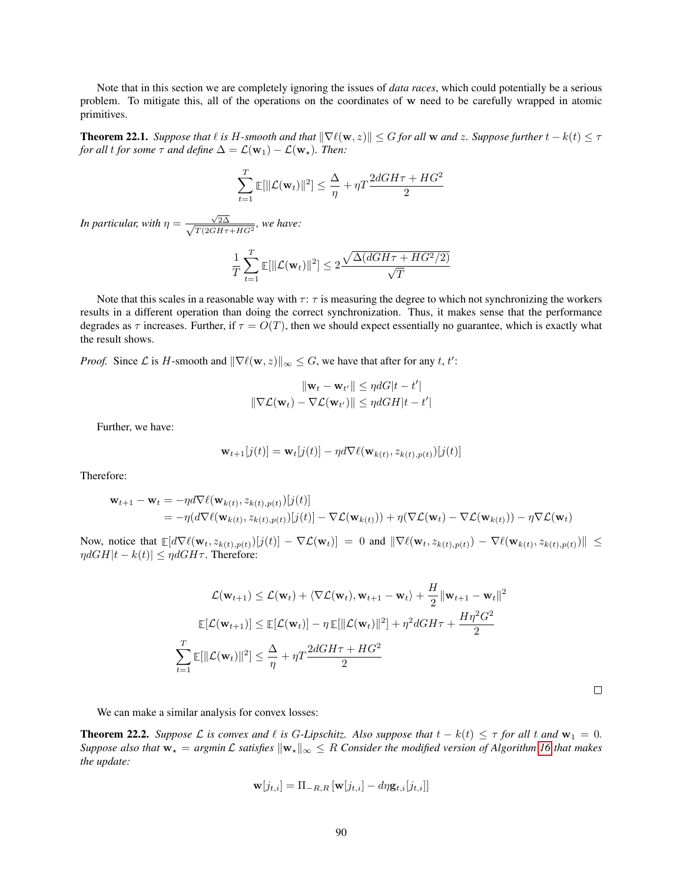Note that in this section we are completely ignoring the issues of *data races*, which could potentially be a serious problem. To mitigate this, all of the operations on the coordinates of w need to be carefully wrapped in atomic primitives.

**Theorem 22.1.** *Suppose that*  $\ell$  *is*  $H$ -*smooth and that*  $\|\nabla \ell(\mathbf{w}, z)\| \le G$  *for all* w *and*  $z$ *. Suppose further*  $t - k(t) \le \tau$ *for all t for some*  $\tau$  *and define*  $\Delta = \mathcal{L}(\mathbf{w}_1) - \mathcal{L}(\mathbf{w}_\star)$ *. Then:* 

$$
\sum_{t=1}^T \mathbb{E}[\|\mathcal{L}(\mathbf{w}_t)\|^2] \le \frac{\Delta}{\eta} + \eta T \frac{2dGH\tau + HG^2}{2}
$$

*In particular, with*  $\eta = \frac{\sqrt{2\Delta}}{\sqrt{2(2\Delta)^2}}$  $\frac{\sqrt{2}\Delta}{T(2GH\tau+HG^2)}$ , we have:

$$
\frac{1}{T} \sum_{t=1}^{T} \mathbb{E}[\|\mathcal{L}(\mathbf{w}_t)\|^2] \le 2 \frac{\sqrt{\Delta(dGH\tau + HG^2/2)}}{\sqrt{T}}
$$

Note that this scales in a reasonable way with  $\tau$ :  $\tau$  is measuring the degree to which not synchronizing the workers results in a different operation than doing the correct synchronization. Thus, it makes sense that the performance degrades as  $\tau$  increases. Further, if  $\tau = O(T)$ , then we should expect essentially no guarantee, which is exactly what the result shows.

*Proof.* Since *L* is *H*-smooth and  $\|\nabla \ell(\mathbf{w}, z)\|_{\infty} \leq G$ , we have that after for any t, t':

$$
\|\mathbf{w}_t - \mathbf{w}_{t'}\| \le \eta dG|t - t'|
$$
  

$$
\|\nabla \mathcal{L}(\mathbf{w}_t) - \nabla \mathcal{L}(\mathbf{w}_{t'})\| \le \eta dG H|t - t'|
$$

Further, we have:

$$
\mathbf{w}_{t+1}[j(t)] = \mathbf{w}_t[j(t)] - \eta d\nabla \ell(\mathbf{w}_{k(t)}, z_{k(t),p(t)})[j(t)]
$$

Therefore:

$$
\mathbf{w}_{t+1} - \mathbf{w}_t = -\eta d \nabla \ell(\mathbf{w}_{k(t)}, z_{k(t), p(t)})[j(t)] \n= -\eta (d \nabla \ell(\mathbf{w}_{k(t)}, z_{k(t), p(t)})[j(t)] - \nabla \mathcal{L}(\mathbf{w}_{k(t)})) + \eta (\nabla \mathcal{L}(\mathbf{w}_t) - \nabla \mathcal{L}(\mathbf{w}_{k(t)})) - \eta \nabla \mathcal{L}(\mathbf{w}_t)
$$

Now, notice that  $\mathbb{E}[d\nabla \ell(\mathbf{w}_t, z_{k(t),p(t)})[j(t)] - \nabla \mathcal{L}(\mathbf{w}_t)] = 0$  and  $\|\nabla \ell(\mathbf{w}_t, z_{k(t),p(t)}) - \nabla \ell(\mathbf{w}_{k(t)}, z_{k(t),p(t)})\| \leq$  $\eta dGH|t - k(t)| \leq \eta dGH\tau$ . Therefore:

$$
\mathcal{L}(\mathbf{w}_{t+1}) \leq \mathcal{L}(\mathbf{w}_t) + \langle \nabla \mathcal{L}(\mathbf{w}_t), \mathbf{w}_{t+1} - \mathbf{w}_t \rangle + \frac{H}{2} ||\mathbf{w}_{t+1} - \mathbf{w}_t||^2
$$
  

$$
\mathbb{E}[\mathcal{L}(\mathbf{w}_{t+1})] \leq \mathbb{E}[\mathcal{L}(\mathbf{w}_t)] - \eta \mathbb{E}[\|\mathcal{L}(\mathbf{w}_t)\|^2] + \eta^2 dGH\tau + \frac{H\eta^2 G^2}{2}
$$
  

$$
\sum_{t=1}^T \mathbb{E}[\|\mathcal{L}(\mathbf{w}_t)\|^2] \leq \frac{\Delta}{\eta} + \eta T \frac{2dGH\tau + HG^2}{2}
$$

We can make a similar analysis for convex losses:

**Theorem 22.2.** *Suppose*  $\mathcal L$  *is convex and*  $\ell$  *is G-Lipschitz. Also suppose that*  $t - k(t) \leq \tau$  *for all*  $t$  *and*  $w_1 = 0$ *. Suppose also that*  $w_* = argmin \mathcal{L}$  *satisfies*  $\|w_*\|_{\infty} \leq R$  *Consider the modified version of Algorithm [16](#page-88-0) that makes the update:*

$$
\mathbf{w}[j_{t,i}] = \Pi_{-R,R} \left[ \mathbf{w}[j_{t,i}] - d\eta \mathbf{g}_{t,i}[j_{t,i}] \right]
$$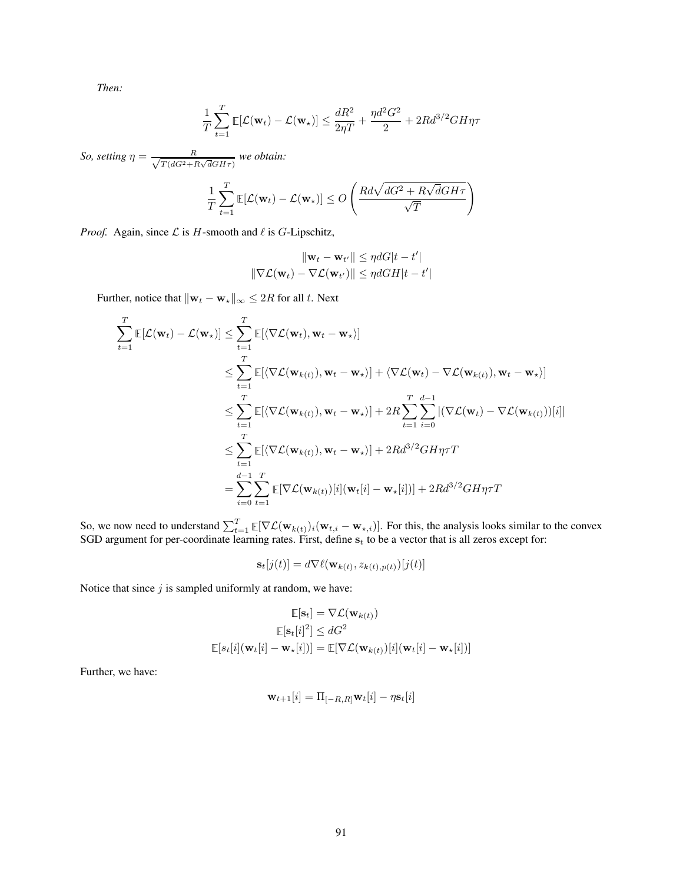*Then:*

$$
\frac{1}{T}\sum_{t=1}^T \mathbb{E}[\mathcal{L}(\mathbf{w}_t) - \mathcal{L}(\mathbf{w}_\star)] \le \frac{dR^2}{2\eta T} + \frac{\eta d^2 G^2}{2} + 2Rd^{3/2}GH\eta\tau
$$

*So, setting*  $\eta = \frac{R}{\sqrt{R}}$  $\frac{R}{T(dG^2 + R\sqrt{d}GH\tau)}$  we obtain:

$$
\frac{1}{T} \sum_{t=1}^{T} \mathbb{E}[\mathcal{L}(\mathbf{w}_t) - \mathcal{L}(\mathbf{w}_\star)] \le O\left(\frac{R d \sqrt{dG^2 + R \sqrt{d} G H \tau}}{\sqrt{T}}\right)
$$

*Proof.* Again, since  $\mathcal L$  is  $H$ -smooth and  $\ell$  is G-Lipschitz,

$$
\|\mathbf{w}_t - \mathbf{w}_{t'}\| \le \eta dG|t - t'|
$$
  

$$
\|\nabla \mathcal{L}(\mathbf{w}_t) - \nabla \mathcal{L}(\mathbf{w}_{t'})\| \le \eta dG H|t - t'|
$$

Further, notice that  $\|\mathbf{w}_t - \mathbf{w}_\star\|_{\infty} \leq 2R$  for all t. Next

$$
\sum_{t=1}^{T} \mathbb{E}[\mathcal{L}(\mathbf{w}_{t}) - \mathcal{L}(\mathbf{w}_{\star})] \leq \sum_{t=1}^{T} \mathbb{E}[\langle \nabla \mathcal{L}(\mathbf{w}_{t}), \mathbf{w}_{t} - \mathbf{w}_{\star} \rangle] \n\leq \sum_{t=1}^{T} \mathbb{E}[\langle \nabla \mathcal{L}(\mathbf{w}_{k(t)}), \mathbf{w}_{t} - \mathbf{w}_{\star} \rangle] + \langle \nabla \mathcal{L}(\mathbf{w}_{t}) - \nabla \mathcal{L}(\mathbf{w}_{k(t)}), \mathbf{w}_{t} - \mathbf{w}_{\star} \rangle] \n\leq \sum_{t=1}^{T} \mathbb{E}[\langle \nabla \mathcal{L}(\mathbf{w}_{k(t)}), \mathbf{w}_{t} - \mathbf{w}_{\star} \rangle] + 2R \sum_{t=1}^{T} \sum_{i=0}^{d-1} |(\nabla \mathcal{L}(\mathbf{w}_{t}) - \nabla \mathcal{L}(\mathbf{w}_{k(t)}))[i]| \n\leq \sum_{t=1}^{T} \mathbb{E}[\langle \nabla \mathcal{L}(\mathbf{w}_{k(t)}), \mathbf{w}_{t} - \mathbf{w}_{\star} \rangle] + 2R d^{3/2} GH \eta \tau T \n= \sum_{i=0}^{d-1} \sum_{t=1}^{T} \mathbb{E}[\nabla \mathcal{L}(\mathbf{w}_{k(t)})[i](\mathbf{w}_{t}[i] - \mathbf{w}_{\star}[i])] + 2R d^{3/2} GH \eta \tau T
$$

So, we now need to understand  $\sum_{t=1}^{T} \mathbb{E}[\nabla \mathcal{L}(\mathbf{w}_{k(t)})_i(\mathbf{w}_{t,i} - \mathbf{w}_{\star,i})]$ . For this, the analysis looks similar to the convex SGD argument for per-coordinate learning rates. First, define  $s_t$  to be a vector that is all zeros except for:

$$
\mathbf{s}_t[j(t)] = d\nabla \ell(\mathbf{w}_{k(t)}, z_{k(t), p(t)})[j(t)]
$$

Notice that since  $j$  is sampled uniformly at random, we have:

$$
\mathbb{E}[\mathbf{s}_t] = \nabla \mathcal{L}(\mathbf{w}_{k(t)})
$$

$$
\mathbb{E}[\mathbf{s}_t[i]^2] \leq dG^2
$$

$$
\mathbb{E}[s_t[i](\mathbf{w}_t[i] - \mathbf{w}_\star[i])] = \mathbb{E}[\nabla \mathcal{L}(\mathbf{w}_{k(t)})[i](\mathbf{w}_t[i] - \mathbf{w}_\star[i])]
$$

Further, we have:

$$
\mathbf{w}_{t+1}[i] = \Pi_{[-R,R]} \mathbf{w}_t[i] - \eta \mathbf{s}_t[i]
$$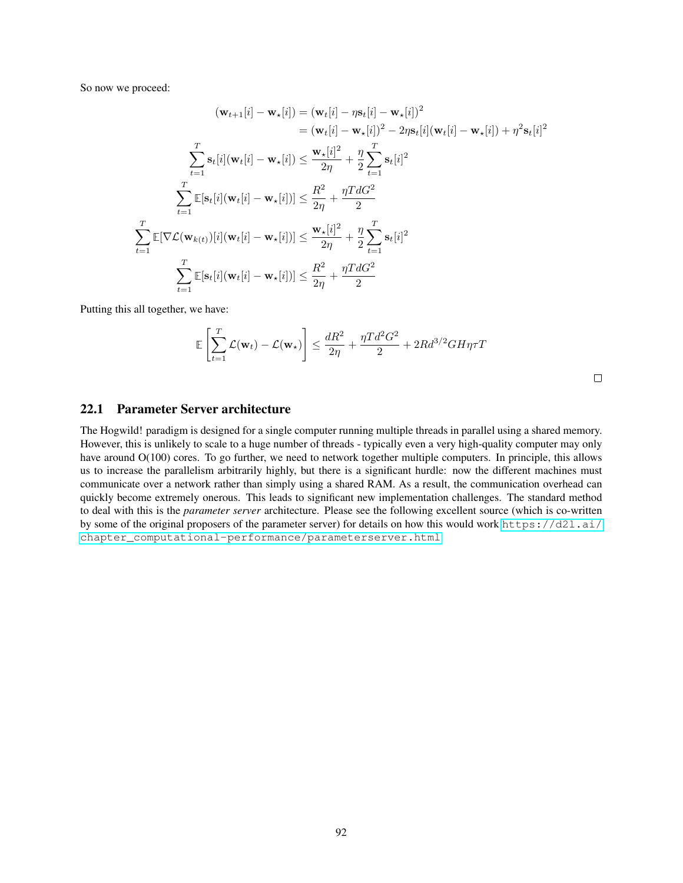So now we proceed:

$$
(\mathbf{w}_{t+1}[i] - \mathbf{w}_{\star}[i]) = (\mathbf{w}_{t}[i] - \eta \mathbf{s}_{t}[i] - \mathbf{w}_{\star}[i])^{2}
$$
  
\n
$$
= (\mathbf{w}_{t}[i] - \mathbf{w}_{\star}[i])^{2} - 2\eta \mathbf{s}_{t}[i](\mathbf{w}_{t}[i] - \mathbf{w}_{\star}[i]) + \eta^{2} \mathbf{s}_{t}[i]^{2}
$$
  
\n
$$
\sum_{t=1}^{T} \mathbf{s}_{t}[i](\mathbf{w}_{t}[i] - \mathbf{w}_{\star}[i]) \leq \frac{\mathbf{w}_{\star}[i]^{2}}{2\eta} + \frac{\eta}{2} \sum_{t=1}^{T} \mathbf{s}_{t}[i]^{2}
$$
  
\n
$$
\sum_{t=1}^{T} \mathbb{E}[\mathbf{s}_{t}[i](\mathbf{w}_{t}[i] - \mathbf{w}_{\star}[i])] \leq \frac{R^{2}}{2\eta} + \frac{\eta T d G^{2}}{2}
$$
  
\n
$$
\sum_{t=1}^{T} \mathbb{E}[\nabla \mathcal{L}(\mathbf{w}_{k(t)})[i](\mathbf{w}_{t}[i] - \mathbf{w}_{\star}[i])] \leq \frac{\mathbf{w}_{\star}[i]^{2}}{2\eta} + \frac{\eta}{2} \sum_{t=1}^{T} \mathbf{s}_{t}[i]^{2}
$$
  
\n
$$
\sum_{t=1}^{T} \mathbb{E}[\mathbf{s}_{t}[i](\mathbf{w}_{t}[i] - \mathbf{w}_{\star}[i])] \leq \frac{R^{2}}{2\eta} + \frac{\eta T d G^{2}}{2}
$$

Putting this all together, we have:

$$
\mathbb{E}\left[\sum_{t=1}^T \mathcal{L}(\mathbf{w}_t) - \mathcal{L}(\mathbf{w}_\star)\right] \le \frac{dR^2}{2\eta} + \frac{\eta T d^2 G^2}{2} + 2R d^{3/2} G H \eta \tau T
$$

| I |  |  |
|---|--|--|
|   |  |  |
|   |  |  |
|   |  |  |

### 22.1 Parameter Server architecture

The Hogwild! paradigm is designed for a single computer running multiple threads in parallel using a shared memory. However, this is unlikely to scale to a huge number of threads - typically even a very high-quality computer may only have around  $O(100)$  cores. To go further, we need to network together multiple computers. In principle, this allows us to increase the parallelism arbitrarily highly, but there is a significant hurdle: now the different machines must communicate over a network rather than simply using a shared RAM. As a result, the communication overhead can quickly become extremely onerous. This leads to significant new implementation challenges. The standard method to deal with this is the *parameter server* architecture. Please see the following excellent source (which is co-written by some of the original proposers of the parameter server) for details on how this would work [https://d2l.ai/](https://d2l.ai/chapter_computational-performance/parameterserver.html) [chapter\\_computational-performance/parameterserver.html](https://d2l.ai/chapter_computational-performance/parameterserver.html)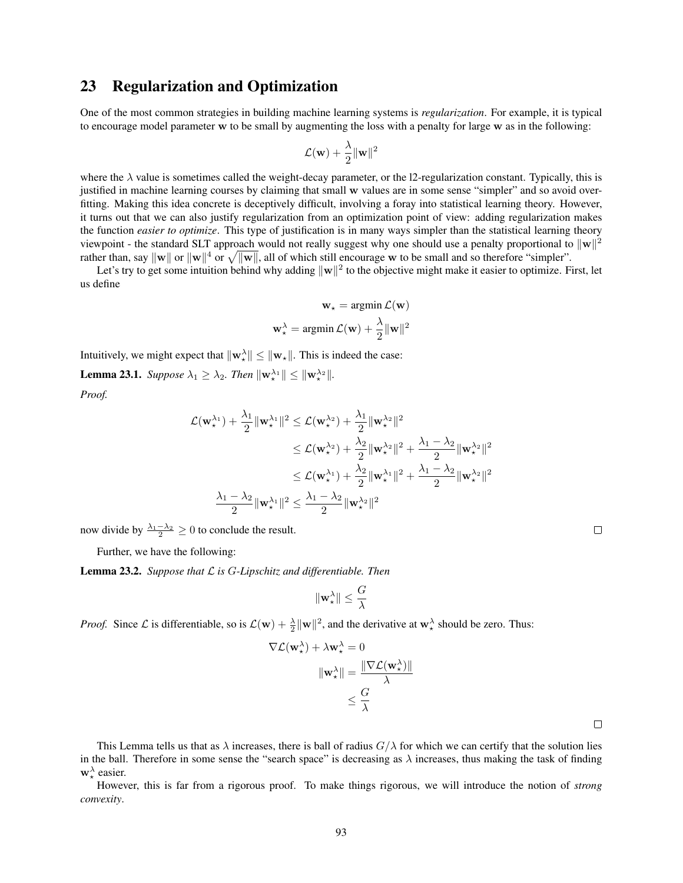## 23 Regularization and Optimization

One of the most common strategies in building machine learning systems is *regularization*. For example, it is typical to encourage model parameter w to be small by augmenting the loss with a penalty for large w as in the following:

$$
\mathcal{L}(\mathbf{w}) + \frac{\lambda}{2}\|\mathbf{w}\|^2
$$

where the  $\lambda$  value is sometimes called the weight-decay parameter, or the 12-regularization constant. Typically, this is justified in machine learning courses by claiming that small w values are in some sense "simpler" and so avoid overfitting. Making this idea concrete is deceptively difficult, involving a foray into statistical learning theory. However, it turns out that we can also justify regularization from an optimization point of view: adding regularization makes the function *easier to optimize*. This type of justification is in many ways simpler than the statistical learning theory viewpoint - the standard SLT approach would not really suggest why one should use a penalty proportional to  $\|\mathbf{w}\|^2$ rather than, say  $\|w\|$  or  $\|w\|^4$  or  $\sqrt{\|w\|}$ , all of which still encourage w to be small and so therefore "simpler".

Let's try to get some intuition behind why adding  $\|w\|^2$  to the objective might make it easier to optimize. First, let us define

$$
\mathbf{w}_{\star} = \operatorname{argmin} \mathcal{L}(\mathbf{w})
$$

$$
\mathbf{w}_{\star}^{\lambda} = \operatorname{argmin} \mathcal{L}(\mathbf{w}) + \frac{\lambda}{2} ||\mathbf{w}||^2
$$

Intuitively, we might expect that  $\|\mathbf{w}_\star\| \leq \|\mathbf{w}_\star\|$ . This is indeed the case:

**Lemma 23.1.** *Suppose*  $\lambda_1 \geq \lambda_2$ *. Then*  $\|\mathbf{w}_{\star}^{\lambda_1}\| \leq \|\mathbf{w}_{\star}^{\lambda_2}\|$ *. Proof.*

$$
\begin{aligned} \mathcal{L}(\mathbf{w}_\star^{\lambda_1})+\frac{\lambda_1}{2}\|\mathbf{w}_\star^{\lambda_1}\|^2 &\leq \mathcal{L}(\mathbf{w}_\star^{\lambda_2})+\frac{\lambda_1}{2}\|\mathbf{w}_\star^{\lambda_2}\|^2\\ &\leq \mathcal{L}(\mathbf{w}_\star^{\lambda_2})+\frac{\lambda_2}{2}\|\mathbf{w}_\star^{\lambda_2}\|^2+\frac{\lambda_1-\lambda_2}{2}\|\mathbf{w}_\star^{\lambda_2}\|^2\\ &\leq \mathcal{L}(\mathbf{w}_\star^{\lambda_1})+\frac{\lambda_2}{2}\|\mathbf{w}_\star^{\lambda_1}\|^2+\frac{\lambda_1-\lambda_2}{2}\|\mathbf{w}_\star^{\lambda_2}\|^2\\ &\frac{\lambda_1-\lambda_2}{2}\|\mathbf{w}_\star^{\lambda_1}\|^2 &\leq \frac{\lambda_1-\lambda_2}{2}\|\mathbf{w}_\star^{\lambda_2}\|^2 \end{aligned}
$$

now divide by  $\frac{\lambda_1 - \lambda_2}{2} \geq 0$  to conclude the result.

Further, we have the following:

Lemma 23.2. *Suppose that* L *is* G*-Lipschitz and differentiable. Then*

$$
\|\mathbf{w}_\star^\lambda\| \leq \frac{G}{\lambda}
$$

*Proof.* Since  $\mathcal{L}$  is differentiable, so is  $\mathcal{L}(\mathbf{w}) + \frac{\lambda}{2} ||\mathbf{w}||^2$ , and the derivative at  $\mathbf{w}_\star^{\lambda}$  should be zero. Thus:

 $\nabla$ 

$$
\mathcal{L}(\mathbf{w}_{\star}^{\lambda}) + \lambda \mathbf{w}_{\star}^{\lambda} = 0
$$

$$
\|\mathbf{w}_{\star}^{\lambda}\| = \frac{\|\nabla \mathcal{L}(\mathbf{w}_{\star}^{\lambda})\|}{\lambda}
$$

$$
\leq \frac{G}{\lambda}
$$

This Lemma tells us that as  $\lambda$  increases, there is ball of radius  $G/\lambda$  for which we can certify that the solution lies in the ball. Therefore in some sense the "search space" is decreasing as  $\lambda$  increases, thus making the task of finding  $\mathbf{w}_{\star}^{\lambda}$  easier.

However, this is far from a rigorous proof. To make things rigorous, we will introduce the notion of *strong convexity*.

 $\Box$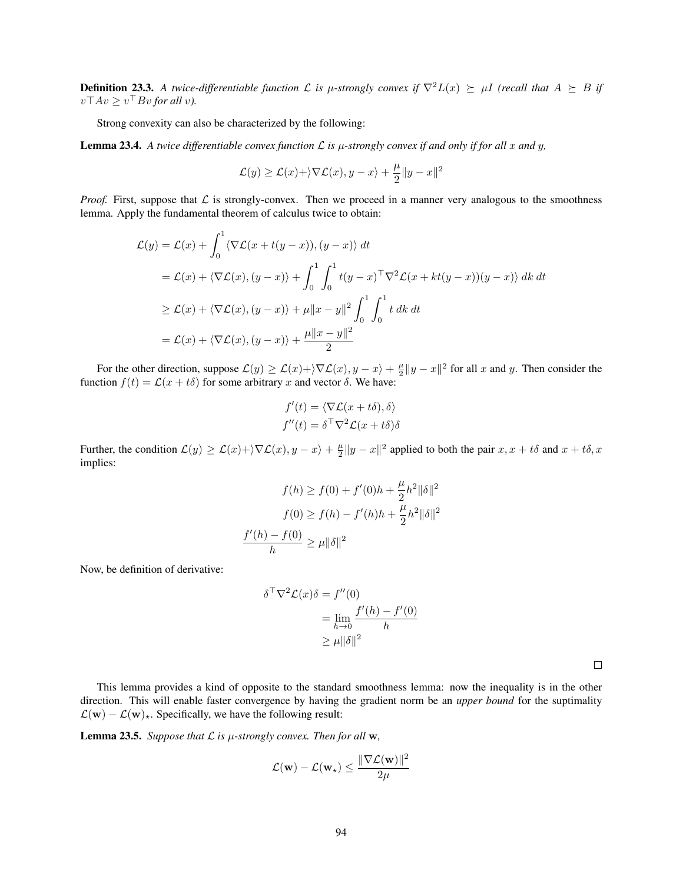**Definition 23.3.** A twice-differentiable function L is  $\mu$ -strongly convex if  $\nabla^2 L(x) \succeq \mu I$  (recall that  $A \succeq B$  if  $v\top Av \geq v^{\top} Bv$  for all v).

Strong convexity can also be characterized by the following:

<span id="page-93-0"></span>**Lemma 23.4.** A twice differentiable convex function  $\mathcal{L}$  is  $\mu$ -strongly convex if and only if for all x and y,

$$
\mathcal{L}(y) \geq \mathcal{L}(x) + \rangle \nabla \mathcal{L}(x), y - x \rangle + \frac{\mu}{2} \|y - x\|^2
$$

*Proof.* First, suppose that  $\mathcal L$  is strongly-convex. Then we proceed in a manner very analogous to the smoothness lemma. Apply the fundamental theorem of calculus twice to obtain:

$$
\mathcal{L}(y) = \mathcal{L}(x) + \int_0^1 \langle \nabla \mathcal{L}(x + t(y - x)), (y - x) \rangle dt
$$
  
\n
$$
= \mathcal{L}(x) + \langle \nabla \mathcal{L}(x), (y - x) \rangle + \int_0^1 \int_0^1 t(y - x)^\top \nabla^2 \mathcal{L}(x + kt(y - x))(y - x) \rangle dk dt
$$
  
\n
$$
\geq \mathcal{L}(x) + \langle \nabla \mathcal{L}(x), (y - x) \rangle + \mu ||x - y||^2 \int_0^1 \int_0^1 t dk dt
$$
  
\n
$$
= \mathcal{L}(x) + \langle \nabla \mathcal{L}(x), (y - x) \rangle + \frac{\mu ||x - y||^2}{2}
$$

For the other direction, suppose  $\mathcal{L}(y) \ge \mathcal{L}(x) + \sqrt{\nabla \mathcal{L}(x)}$ ,  $y - x + \frac{\mu}{2} ||y - x||^2$  for all x and y. Then consider the function  $f(t) = \mathcal{L}(x + t\delta)$  for some arbitrary x and vector  $\delta$ . We have:

$$
f'(t) = \langle \nabla \mathcal{L}(x + t\delta), \delta \rangle
$$

$$
f''(t) = \delta^\top \nabla^2 \mathcal{L}(x + t\delta)\delta
$$

Further, the condition  $\mathcal{L}(y) \ge \mathcal{L}(x) + \sum \mathcal{L}(x), y - x + \frac{\mu}{2} \|y - x\|^2$  applied to both the pair  $x, x + t\delta$  and  $x + t\delta$ , x implies:

$$
f(h) \ge f(0) + f'(0)h + \frac{\mu}{2}h^2 \|\delta\|^2
$$

$$
f(0) \ge f(h) - f'(h)h + \frac{\mu}{2}h^2 \|\delta\|^2
$$

$$
\frac{f'(h) - f(0)}{h} \ge \mu \|\delta\|^2
$$

Now, be definition of derivative:

$$
\delta^{\top} \nabla^2 \mathcal{L}(x) \delta = f''(0)
$$
  
= 
$$
\lim_{h \to 0} \frac{f'(h) - f'(0)}{h}
$$
  

$$
\geq \mu \|\delta\|^2
$$

 $\Box$ 

This lemma provides a kind of opposite to the standard smoothness lemma: now the inequality is in the other direction. This will enable faster convergence by having the gradient norm be an *upper bound* for the suptimality  $\mathcal{L}(\mathbf{w}) - \mathcal{L}(\mathbf{w})_{\star}$ . Specifically, we have the following result:

<span id="page-93-1"></span>**Lemma 23.5.** *Suppose that*  $\mathcal L$  *is*  $\mu$ *-strongly convex. Then for all* w,

$$
\mathcal{L}(\mathbf{w}) - \mathcal{L}(\mathbf{w}_\star) \leq \frac{\|\nabla \mathcal{L}(\mathbf{w})\|^2}{2\mu}
$$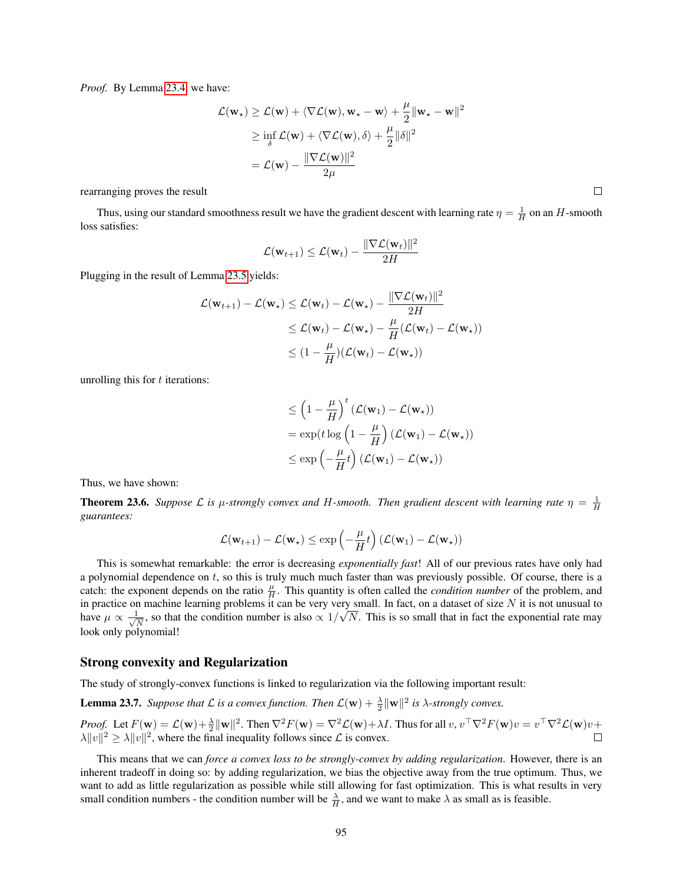*Proof.* By Lemma [23.4,](#page-93-0) we have:

$$
\mathcal{L}(\mathbf{w}_{\star}) \geq \mathcal{L}(\mathbf{w}) + \langle \nabla \mathcal{L}(\mathbf{w}), \mathbf{w}_{\star} - \mathbf{w} \rangle + \frac{\mu}{2} ||\mathbf{w}_{\star} - \mathbf{w}||^2
$$
  
\n
$$
\geq \inf_{\delta} \mathcal{L}(\mathbf{w}) + \langle \nabla \mathcal{L}(\mathbf{w}), \delta \rangle + \frac{\mu}{2} ||\delta||^2
$$
  
\n
$$
= \mathcal{L}(\mathbf{w}) - \frac{||\nabla \mathcal{L}(\mathbf{w})||^2}{2\mu}
$$

rearranging proves the result

Thus, using our standard smoothness result we have the gradient descent with learning rate  $\eta = \frac{1}{H}$  on an H-smooth loss satisfies:

$$
\mathcal{L}(\mathbf{w}_{t+1}) \leq \mathcal{L}(\mathbf{w}_t) - \frac{\|\nabla \mathcal{L}(\mathbf{w}_t)\|^2}{2H}
$$

Plugging in the result of Lemma [23.5](#page-93-1) yields:

$$
\mathcal{L}(\mathbf{w}_{t+1}) - \mathcal{L}(\mathbf{w}_{\star}) \leq \mathcal{L}(\mathbf{w}_{t}) - \mathcal{L}(\mathbf{w}_{\star}) - \frac{\|\nabla \mathcal{L}(\mathbf{w}_{t})\|^2}{2H}
$$
  
\n
$$
\leq \mathcal{L}(\mathbf{w}_{t}) - \mathcal{L}(\mathbf{w}_{\star}) - \frac{\mu}{H}(\mathcal{L}(\mathbf{w}_{t}) - \mathcal{L}(\mathbf{w}_{\star}))
$$
  
\n
$$
\leq (1 - \frac{\mu}{H})(\mathcal{L}(\mathbf{w}_{t}) - \mathcal{L}(\mathbf{w}_{\star}))
$$

unrolling this for  $t$  iterations:

$$
\leq \left(1 - \frac{\mu}{H}\right)^t (\mathcal{L}(\mathbf{w}_1) - \mathcal{L}(\mathbf{w}_\star))
$$
  
=  $\exp(t \log\left(1 - \frac{\mu}{H}\right) (\mathcal{L}(\mathbf{w}_1) - \mathcal{L}(\mathbf{w}_\star))$   
 $\leq \exp\left(-\frac{\mu}{H}t\right) (\mathcal{L}(\mathbf{w}_1) - \mathcal{L}(\mathbf{w}_\star))$ 

Thus, we have shown:

<span id="page-94-0"></span>**Theorem 23.6.** Suppose L is  $\mu$ -strongly convex and H-smooth. Then gradient descent with learning rate  $\eta = \frac{1}{H}$ *guarantees:*

$$
\mathcal{L}(\mathbf{w}_{t+1}) - \mathcal{L}(\mathbf{w}_{\star}) \le \exp\left(-\frac{\mu}{H}t\right) (\mathcal{L}(\mathbf{w}_1) - \mathcal{L}(\mathbf{w}_{\star}))
$$

This is somewhat remarkable: the error is decreasing *exponentially fast*! All of our previous rates have only had a polynomial dependence on  $t$ , so this is truly much much faster than was previously possible. Of course, there is a catch: the exponent depends on the ratio  $\frac{\mu}{H}$ . This quantity is often called the *condition number* of the problem, and in practice on machine learning problems it can be very very small. In fact, on a dataset of size  $N$  it is not unusual to have  $\mu \propto \frac{1}{\sqrt{2}}$  $\frac{1}{N}$ , so that the condition number is also  $\propto 1/2$ √  $N$ . This is so small that in fact the exponential rate may look only polynomial!

### Strong convexity and Regularization

The study of strongly-convex functions is linked to regularization via the following important result:

**Lemma 23.7.** *Suppose that*  $\mathcal L$  *is a convex function. Then*  $\mathcal L(\mathbf w) + \frac{\lambda}{2} ||\mathbf w||^2$  *is*  $\lambda$ -strongly convex.

*Proof.* Let  $F(\mathbf{w}) = \mathcal{L}(\mathbf{w}) + \frac{\lambda}{2} ||\mathbf{w}||^2$ . Then  $\nabla^2 F(\mathbf{w}) = \nabla^2 \mathcal{L}(\mathbf{w}) + \lambda I$ . Thus for all  $v, v^\top \nabla^2 F(\mathbf{w})v = v^\top \nabla^2 \mathcal{L}(\mathbf{w})v +$  $\lambda \|v\|^2 \ge \lambda \|v\|^2$ , where the final inequality follows since  $\mathcal L$  is convex.  $\Box$ 

This means that we can *force a convex loss to be strongly-convex by adding regularization*. However, there is an inherent tradeoff in doing so: by adding regularization, we bias the objective away from the true optimum. Thus, we want to add as little regularization as possible while still allowing for fast optimization. This is what results in very small condition numbers - the condition number will be  $\frac{\lambda}{H}$ , and we want to make  $\lambda$  as small as is feasible.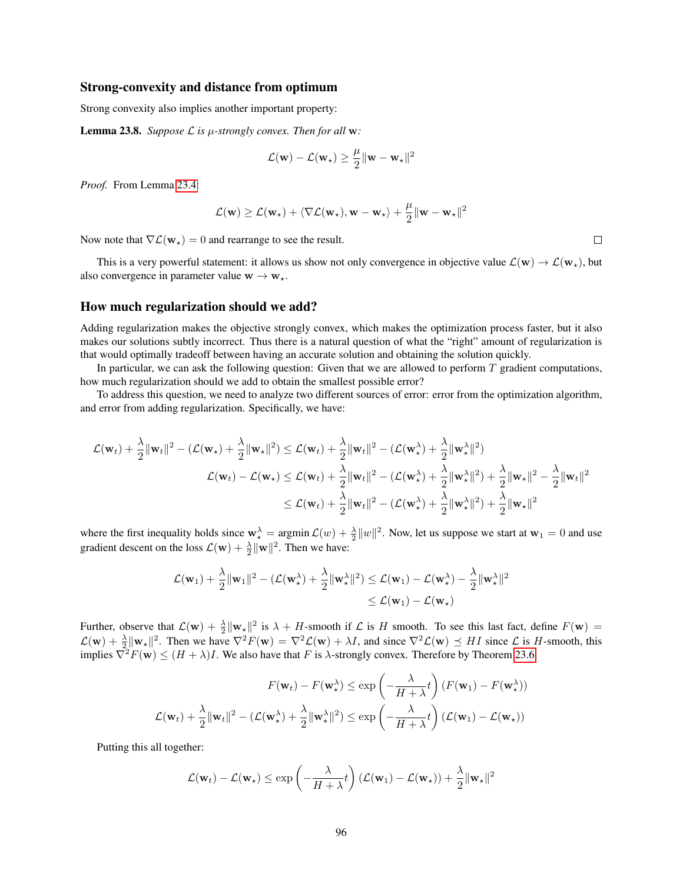#### Strong-convexity and distance from optimum

Strong convexity also implies another important property:

**Lemma 23.8.** *Suppose*  $\mathcal{L}$  *is*  $\mu$ *-strongly convex. Then for all* **w**:

$$
\mathcal{L}(\mathbf{w}) - \mathcal{L}(\mathbf{w}_{\star}) \geq \frac{\mu}{2} ||\mathbf{w} - \mathbf{w}_{\star}||^2
$$

*Proof.* From Lemma [23.4:](#page-93-0)

$$
\mathcal{L}(\mathbf{w}) \geq \mathcal{L}(\mathbf{w}_\star) + \langle \nabla \mathcal{L}(\mathbf{w}_\star), \mathbf{w} - \mathbf{w}_\star \rangle + \frac{\mu}{2} ||\mathbf{w} - \mathbf{w}_\star||^2
$$

Now note that  $\nabla \mathcal{L}(\mathbf{w}_*) = 0$  and rearrange to see the result.

This is a very powerful statement: it allows us show not only convergence in objective value  $\mathcal{L}(\mathbf{w}) \to \mathcal{L}(\mathbf{w}_*)$ , but also convergence in parameter value  $w \rightarrow w_*$ .

### How much regularization should we add?

Adding regularization makes the objective strongly convex, which makes the optimization process faster, but it also makes our solutions subtly incorrect. Thus there is a natural question of what the "right" amount of regularization is that would optimally tradeoff between having an accurate solution and obtaining the solution quickly.

In particular, we can ask the following question: Given that we are allowed to perform  $T$  gradient computations, how much regularization should we add to obtain the smallest possible error?

To address this question, we need to analyze two different sources of error: error from the optimization algorithm, and error from adding regularization. Specifically, we have:

$$
\mathcal{L}(\mathbf{w}_t) + \frac{\lambda}{2} \|\mathbf{w}_t\|^2 - (\mathcal{L}(\mathbf{w}_\star) + \frac{\lambda}{2} \|\mathbf{w}_\star\|^2) \leq \mathcal{L}(\mathbf{w}_t) + \frac{\lambda}{2} \|\mathbf{w}_t\|^2 - (\mathcal{L}(\mathbf{w}_\star^{\lambda}) + \frac{\lambda}{2} \|\mathbf{w}_\star^{\lambda}\|^2)
$$
  

$$
\mathcal{L}(\mathbf{w}_t) - \mathcal{L}(\mathbf{w}_\star) \leq \mathcal{L}(\mathbf{w}_t) + \frac{\lambda}{2} \|\mathbf{w}_t\|^2 - (\mathcal{L}(\mathbf{w}_\star^{\lambda}) + \frac{\lambda}{2} \|\mathbf{w}_\star\|^2) + \frac{\lambda}{2} \|\mathbf{w}_\star\|^2 - \frac{\lambda}{2} \|\mathbf{w}_t\|^2
$$
  

$$
\leq \mathcal{L}(\mathbf{w}_t) + \frac{\lambda}{2} \|\mathbf{w}_t\|^2 - (\mathcal{L}(\mathbf{w}_\star^{\lambda}) + \frac{\lambda}{2} \|\mathbf{w}_\star^{\lambda}\|^2) + \frac{\lambda}{2} \|\mathbf{w}_\star\|^2
$$

where the first inequality holds since  $\mathbf{w}_\star^\lambda = \operatorname{argmin} \mathcal{L}(w) + \frac{\lambda}{2} ||w||^2$ . Now, let us suppose we start at  $\mathbf{w}_1 = 0$  and use gradient descent on the loss  $\mathcal{L}(\mathbf{w}) + \frac{\lambda}{2} ||\mathbf{w}||^2$ . Then we have:

$$
\mathcal{L}(\mathbf{w}_1) + \frac{\lambda}{2} \|\mathbf{w}_1\|^2 - \left(\mathcal{L}(\mathbf{w}_\star^\lambda) + \frac{\lambda}{2} \|\mathbf{w}_\star^\lambda\|^2\right) \le \mathcal{L}(\mathbf{w}_1) - \mathcal{L}(\mathbf{w}_\star^\lambda) - \frac{\lambda}{2} \|\mathbf{w}_\star^\lambda\|^2
$$
  

$$
\le \mathcal{L}(\mathbf{w}_1) - \mathcal{L}(\mathbf{w}_\star)
$$

Further, observe that  $\mathcal{L}(\mathbf{w}) + \frac{\lambda}{2} ||\mathbf{w}_\star||^2$  is  $\lambda + H$ -smooth if  $\mathcal{L}$  is H smooth. To see this last fact, define  $F(\mathbf{w}) =$  $\mathcal{L}(\mathbf{w}) + \frac{\lambda}{2} \|\mathbf{w}_{\star}\|^2$ . Then we have  $\nabla^2 F(\mathbf{w}) = \nabla^2 \mathcal{L}(\mathbf{w}) + \lambda I$ , and since  $\nabla^2 \mathcal{L}(\mathbf{w}) \preceq H I$  since  $\mathcal{L}$  is H-smooth, this implies  $\nabla^2 F(\mathbf{w}) \le (H + \lambda)I$ . We also have that F is  $\lambda$ -strongly convex. Therefore by Theorem [23.6:](#page-94-0)

$$
F(\mathbf{w}_t) - F(\mathbf{w}_\star^{\lambda}) \le \exp\left(-\frac{\lambda}{H+\lambda}t\right) (F(\mathbf{w}_1) - F(\mathbf{w}_\star^{\lambda}))
$$

$$
\mathcal{L}(\mathbf{w}_t) + \frac{\lambda}{2} \|\mathbf{w}_t\|^2 - \left(\mathcal{L}(\mathbf{w}_\star^{\lambda}) + \frac{\lambda}{2} \|\mathbf{w}_\star^{\lambda}\|^2\right) \le \exp\left(-\frac{\lambda}{H+\lambda}t\right) (\mathcal{L}(\mathbf{w}_1) - \mathcal{L}(\mathbf{w}_\star))
$$

Putting this all together:

$$
\mathcal{L}(\mathbf{w}_t) - \mathcal{L}(\mathbf{w}_\star) \le \exp\left(-\frac{\lambda}{H + \lambda}t\right) (\mathcal{L}(\mathbf{w}_1) - \mathcal{L}(\mathbf{w}_\star)) + \frac{\lambda}{2} ||\mathbf{w}_\star||^2
$$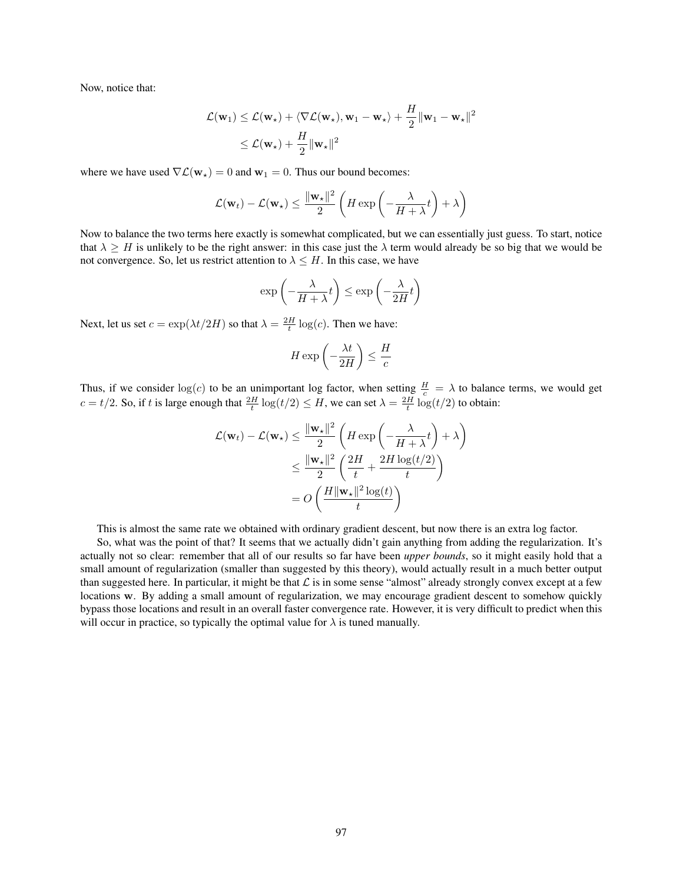Now, notice that:

$$
\mathcal{L}(\mathbf{w}_1) \leq \mathcal{L}(\mathbf{w}_\star) + \langle \nabla \mathcal{L}(\mathbf{w}_\star), \mathbf{w}_1 - \mathbf{w}_\star \rangle + \frac{H}{2} ||\mathbf{w}_1 - \mathbf{w}_\star||^2
$$
  

$$
\leq \mathcal{L}(\mathbf{w}_\star) + \frac{H}{2} ||\mathbf{w}_\star||^2
$$

where we have used  $\nabla \mathcal{L}(\mathbf{w}_*) = 0$  and  $\mathbf{w}_1 = 0$ . Thus our bound becomes:

$$
\mathcal{L}(\mathbf{w}_t) - \mathcal{L}(\mathbf{w}_\star) \le \frac{\|\mathbf{w}_\star\|^2}{2} \left( H \exp\left( -\frac{\lambda}{H + \lambda} t \right) + \lambda \right)
$$

Now to balance the two terms here exactly is somewhat complicated, but we can essentially just guess. To start, notice that  $\lambda \geq H$  is unlikely to be the right answer: in this case just the  $\lambda$  term would already be so big that we would be not convergence. So, let us restrict attention to  $\lambda \leq H$ . In this case, we have

$$
\exp\left(-\frac{\lambda}{H+\lambda}t\right) \le \exp\left(-\frac{\lambda}{2H}t\right)
$$

Next, let us set  $c = \exp(\lambda t/2H)$  so that  $\lambda = \frac{2H}{t} \log(c)$ . Then we have:

$$
H \exp\left(-\frac{\lambda t}{2H}\right) \le \frac{H}{c}
$$

Thus, if we consider  $log(c)$  to be an unimportant log factor, when setting  $\frac{H}{c} = \lambda$  to balance terms, we would get  $c = t/2$ . So, if t is large enough that  $\frac{2H}{t} \log(t/2) \leq H$ , we can set  $\lambda = \frac{2H}{t} \log(t/2)$  to obtain:

$$
\mathcal{L}(\mathbf{w}_t) - \mathcal{L}(\mathbf{w}_\star) \le \frac{\|\mathbf{w}_\star\|^2}{2} \left( H \exp\left( -\frac{\lambda}{H + \lambda} t \right) + \lambda \right)
$$
  

$$
\le \frac{\|\mathbf{w}_\star\|^2}{2} \left( \frac{2H}{t} + \frac{2H \log(t/2)}{t} \right)
$$
  

$$
= O\left( \frac{H \|\mathbf{w}_\star\|^2 \log(t)}{t} \right)
$$

This is almost the same rate we obtained with ordinary gradient descent, but now there is an extra log factor.

So, what was the point of that? It seems that we actually didn't gain anything from adding the regularization. It's actually not so clear: remember that all of our results so far have been *upper bounds*, so it might easily hold that a small amount of regularization (smaller than suggested by this theory), would actually result in a much better output than suggested here. In particular, it might be that  $\mathcal L$  is in some sense "almost" already strongly convex except at a few locations w. By adding a small amount of regularization, we may encourage gradient descent to somehow quickly bypass those locations and result in an overall faster convergence rate. However, it is very difficult to predict when this will occur in practice, so typically the optimal value for  $\lambda$  is tuned manually.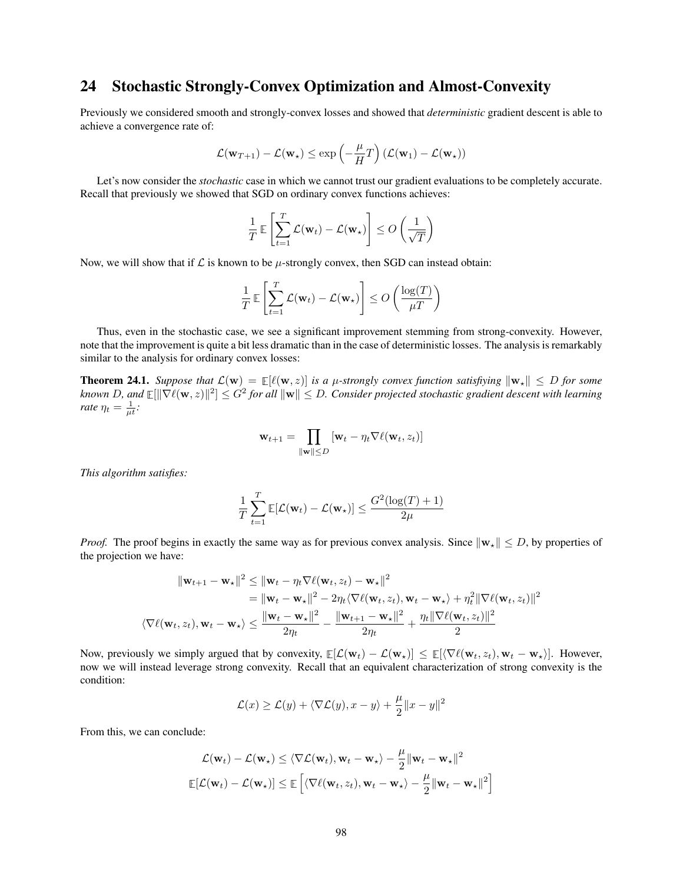## 24 Stochastic Strongly-Convex Optimization and Almost-Convexity

Previously we considered smooth and strongly-convex losses and showed that *deterministic* gradient descent is able to achieve a convergence rate of:

$$
\mathcal{L}(\mathbf{w}_{T+1}) - \mathcal{L}(\mathbf{w}_\star) \le \exp\left(-\frac{\mu}{H}T\right) (\mathcal{L}(\mathbf{w}_1) - \mathcal{L}(\mathbf{w}_\star))
$$

Let's now consider the *stochastic* case in which we cannot trust our gradient evaluations to be completely accurate. Recall that previously we showed that SGD on ordinary convex functions achieves:

$$
\frac{1}{T} \mathbb{E}\left[\sum_{t=1}^T \mathcal{L}(\mathbf{w}_t) - \mathcal{L}(\mathbf{w}_\star)\right] \le O\left(\frac{1}{\sqrt{T}}\right)
$$

Now, we will show that if  $\mathcal L$  is known to be  $\mu$ -strongly convex, then SGD can instead obtain:

$$
\frac{1}{T} \mathbb{E}\left[\sum_{t=1}^T \mathcal{L}(\mathbf{w}_t) - \mathcal{L}(\mathbf{w}_\star)\right] \le O\left(\frac{\log(T)}{\mu T}\right)
$$

Thus, even in the stochastic case, we see a significant improvement stemming from strong-convexity. However, note that the improvement is quite a bit less dramatic than in the case of deterministic losses. The analysis is remarkably similar to the analysis for ordinary convex losses:

**Theorem 24.1.** *Suppose that*  $\mathcal{L}(\mathbf{w}) = \mathbb{E}[\ell(\mathbf{w}, z)]$  *is a µ-strongly convex function satisfiying*  $\|\mathbf{w}_*\| \leq D$  *for some* known D, and  $\mathbb{E}[\|\nabla \ell(\mathbf{w}, z)\|^2] \leq G^2$  for all  $\|\mathbf{w}\| \leq D.$  Consider projected stochastic gradient descent with learning *rate*  $\eta_t = \frac{1}{\mu t}$ *:* 

$$
\mathbf{w}_{t+1} = \prod_{\|\mathbf{w}\| \leq D} [\mathbf{w}_t - \eta_t \nabla \ell(\mathbf{w}_t, z_t)]
$$

*This algorithm satisfies:*

$$
\frac{1}{T} \sum_{t=1}^T \mathbb{E}[\mathcal{L}(\mathbf{w}_t) - \mathcal{L}(\mathbf{w}_\star)] \le \frac{G^2(\log(T) + 1)}{2\mu}
$$

*Proof.* The proof begins in exactly the same way as for previous convex analysis. Since  $\|\mathbf{w}_\star\| \leq D$ , by properties of the projection we have:

$$
\|\mathbf{w}_{t+1} - \mathbf{w}_{\star}\|^2 \leq \|\mathbf{w}_t - \eta_t \nabla \ell(\mathbf{w}_t, z_t) - \mathbf{w}_{\star}\|^2
$$
  
\n
$$
= \|\mathbf{w}_t - \mathbf{w}_{\star}\|^2 - 2\eta_t \langle \nabla \ell(\mathbf{w}_t, z_t), \mathbf{w}_t - \mathbf{w}_{\star} \rangle + \eta_t^2 \|\nabla \ell(\mathbf{w}_t, z_t)\|^2
$$
  
\n
$$
\langle \nabla \ell(\mathbf{w}_t, z_t), \mathbf{w}_t - \mathbf{w}_{\star} \rangle \leq \frac{\|\mathbf{w}_t - \mathbf{w}_{\star}\|^2}{2\eta_t} - \frac{\|\mathbf{w}_{t+1} - \mathbf{w}_{\star}\|^2}{2\eta_t} + \frac{\eta_t \|\nabla \ell(\mathbf{w}_t, z_t)\|^2}{2}
$$

Now, previously we simply argued that by convexity,  $\mathbb{E}[\mathcal{L}(\mathbf{w}_t) - \mathcal{L}(\mathbf{w}_\star)] \leq \mathbb{E}[\langle \nabla \ell(\mathbf{w}_t, z_t), \mathbf{w}_t - \mathbf{w}_\star \rangle]$ . However, now we will instead leverage strong convexity. Recall that an equivalent characterization of strong convexity is the condition:

$$
\mathcal{L}(x) \ge \mathcal{L}(y) + \langle \nabla \mathcal{L}(y), x - y \rangle + \frac{\mu}{2} ||x - y||^2
$$

From this, we can conclude:

$$
\mathcal{L}(\mathbf{w}_t) - \mathcal{L}(\mathbf{w}_\star) \le \langle \nabla \mathcal{L}(\mathbf{w}_t), \mathbf{w}_t - \mathbf{w}_\star \rangle - \frac{\mu}{2} ||\mathbf{w}_t - \mathbf{w}_\star||^2
$$
  

$$
\mathbb{E}[\mathcal{L}(\mathbf{w}_t) - \mathcal{L}(\mathbf{w}_\star)] \le \mathbb{E}\left[\langle \nabla \ell(\mathbf{w}_t, z_t), \mathbf{w}_t - \mathbf{w}_\star \rangle - \frac{\mu}{2} ||\mathbf{w}_t - \mathbf{w}_\star||^2\right]
$$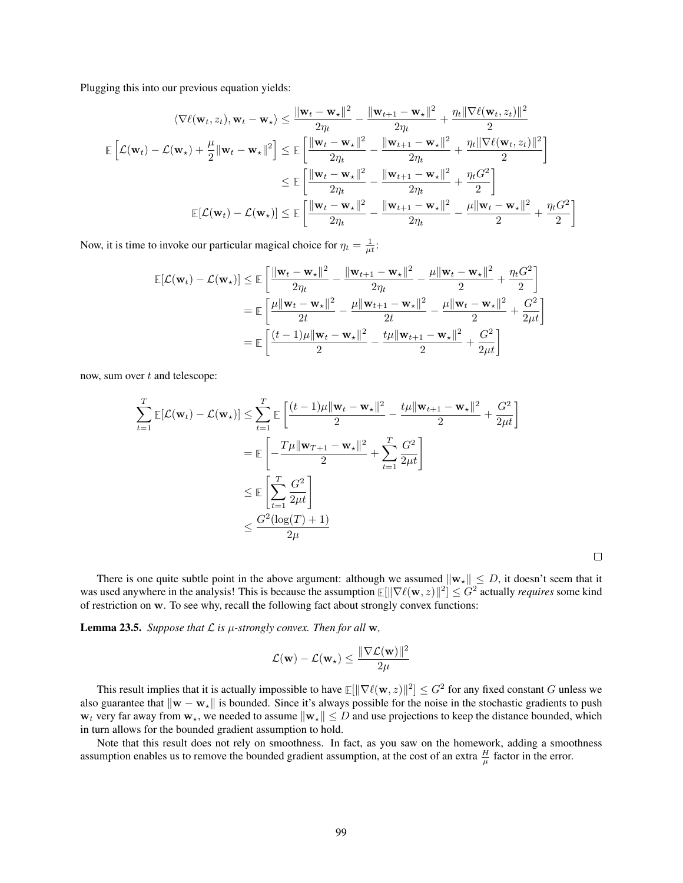Plugging this into our previous equation yields:

$$
\langle \nabla \ell(\mathbf{w}_t, z_t), \mathbf{w}_t - \mathbf{w}_\star \rangle \leq \frac{\|\mathbf{w}_t - \mathbf{w}_\star\|^2}{2\eta_t} - \frac{\|\mathbf{w}_{t+1} - \mathbf{w}_\star\|^2}{2\eta_t} + \frac{\eta_t \|\nabla \ell(\mathbf{w}_t, z_t)\|^2}{2}
$$
  

$$
\mathbb{E}\left[\mathcal{L}(\mathbf{w}_t) - \mathcal{L}(\mathbf{w}_\star) + \frac{\mu}{2} \|\mathbf{w}_t - \mathbf{w}_\star\|^2\right] \leq \mathbb{E}\left[\frac{\|\mathbf{w}_t - \mathbf{w}_\star\|^2}{2\eta_t} - \frac{\|\mathbf{w}_{t+1} - \mathbf{w}_\star\|^2}{2\eta_t} + \frac{\eta_t \|\nabla \ell(\mathbf{w}_t, z_t)\|^2}{2}\right]
$$

$$
\leq \mathbb{E}\left[\frac{\|\mathbf{w}_t - \mathbf{w}_\star\|^2}{2\eta_t} - \frac{\|\mathbf{w}_{t+1} - \mathbf{w}_\star\|^2}{2\eta_t} + \frac{\eta_t G^2}{2}\right]
$$

$$
\mathbb{E}[\mathcal{L}(\mathbf{w}_t) - \mathcal{L}(\mathbf{w}_\star)] \leq \mathbb{E}\left[\frac{\|\mathbf{w}_t - \mathbf{w}_\star\|^2}{2\eta_t} - \frac{\|\mathbf{w}_{t+1} - \mathbf{w}_\star\|^2}{2\eta_t} - \frac{\mu \|\mathbf{w}_t - \mathbf{w}_\star\|^2}{2} + \frac{\eta_t G^2}{2}\right]
$$

Now, it is time to invoke our particular magical choice for  $\eta_t = \frac{1}{\mu t}$ :

$$
\mathbb{E}[\mathcal{L}(\mathbf{w}_{t}) - \mathcal{L}(\mathbf{w}_{\star})] \leq \mathbb{E}\left[\frac{\|\mathbf{w}_{t} - \mathbf{w}_{\star}\|^{2}}{2\eta_{t}} - \frac{\|\mathbf{w}_{t+1} - \mathbf{w}_{\star}\|^{2}}{2\eta_{t}} - \frac{\mu\|\mathbf{w}_{t} - \mathbf{w}_{\star}\|^{2}}{2} + \frac{\eta_{t}G^{2}}{2}\right]
$$

$$
= \mathbb{E}\left[\frac{\mu\|\mathbf{w}_{t} - \mathbf{w}_{\star}\|^{2}}{2t} - \frac{\mu\|\mathbf{w}_{t+1} - \mathbf{w}_{\star}\|^{2}}{2t} - \frac{\mu\|\mathbf{w}_{t} - \mathbf{w}_{\star}\|^{2}}{2} + \frac{G^{2}}{2\mu t}\right]
$$

$$
= \mathbb{E}\left[\frac{(t-1)\mu\|\mathbf{w}_{t} - \mathbf{w}_{\star}\|^{2}}{2} - \frac{t\mu\|\mathbf{w}_{t+1} - \mathbf{w}_{\star}\|^{2}}{2} + \frac{G^{2}}{2\mu t}\right]
$$

now, sum over t and telescope:

$$
\sum_{t=1}^{T} \mathbb{E}[\mathcal{L}(\mathbf{w}_{t}) - \mathcal{L}(\mathbf{w}_{t})] \le \sum_{t=1}^{T} \mathbb{E} \left[ \frac{(t-1)\mu \|\mathbf{w}_{t} - \mathbf{w}_{t}\|^{2}}{2} - \frac{t\mu \|\mathbf{w}_{t+1} - \mathbf{w}_{t}\|^{2}}{2} + \frac{G^{2}}{2\mu t} \right]
$$
\n
$$
= \mathbb{E} \left[ -\frac{T\mu \|\mathbf{w}_{T+1} - \mathbf{w}_{t}\|^{2}}{2} + \sum_{t=1}^{T} \frac{G^{2}}{2\mu t} \right]
$$
\n
$$
\le \mathbb{E} \left[ \sum_{t=1}^{T} \frac{G^{2}}{2\mu t} \right]
$$
\n
$$
\le \frac{G^{2}(\log(T) + 1)}{2\mu}
$$

 $\Box$ 

There is one quite subtle point in the above argument: although we assumed  $\|\mathbf{w}_\star\| \leq D$ , it doesn't seem that it was used anywhere in the analysis! This is because the assumption  $\mathbb{E}[\|\nabla \ell(w,z)\|^2] \leq G^2$  actually *requires* some kind of restriction on w. To see why, recall the following fact about strongly convex functions:

**Lemma 23.5.** Suppose that  $\mathcal L$  is  $\mu$ -strongly convex. Then for all  $w$ ,

$$
\mathcal{L}(\mathbf{w}) - \mathcal{L}(\mathbf{w}_{\star}) \leq \frac{\|\nabla \mathcal{L}(\mathbf{w})\|^2}{2\mu}
$$

This result implies that it is actually impossible to have  $\mathbb{E}[ \| \nabla \ell(w,z) \|^2 ] \leq G^2$  for any fixed constant  $G$  unless we also guarantee that  $\|\mathbf{w} - \mathbf{w}_*\|$  is bounded. Since it's always possible for the noise in the stochastic gradients to push  $w_t$  very far away from  $w_{\star}$ , we needed to assume  $\|w_{\star}\| \leq D$  and use projections to keep the distance bounded, which in turn allows for the bounded gradient assumption to hold.

Note that this result does not rely on smoothness. In fact, as you saw on the homework, adding a smoothness assumption enables us to remove the bounded gradient assumption, at the cost of an extra  $\frac{H}{\mu}$  factor in the error.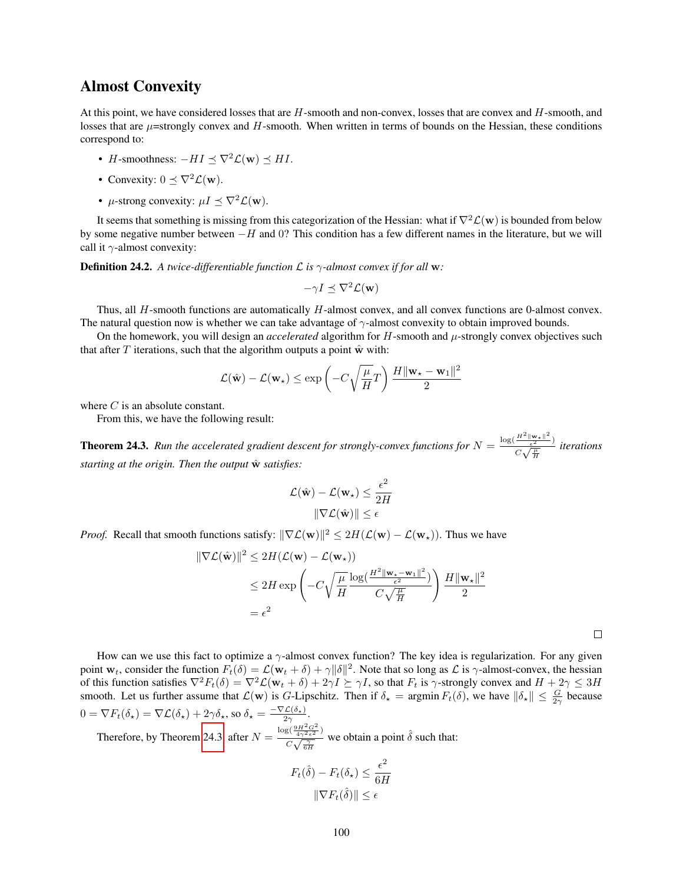### Almost Convexity

At this point, we have considered losses that are H-smooth and non-convex, losses that are convex and H-smooth, and losses that are  $\mu$ =strongly convex and H-smooth. When written in terms of bounds on the Hessian, these conditions correspond to:

- H-smoothness:  $-HI \prec \nabla^2 \mathcal{L}(\mathbf{w}) \prec HI$ .
- Convexity:  $0 \leq \nabla^2 \mathcal{L}(\mathbf{w})$ .
- $\mu$ -strong convexity:  $\mu I \preceq \nabla^2 \mathcal{L}(\mathbf{w})$ .

It seems that something is missing from this categorization of the Hessian: what if  $\nabla^2 \mathcal{L}(\mathbf{w})$  is bounded from below by some negative number between  $-H$  and 0? This condition has a few different names in the literature, but we will call it  $\gamma$ -almost convexity:

**Definition 24.2.** A twice-differentiable function  $\mathcal{L}$  is  $\gamma$ -almost convex if for all w:

$$
-\gamma I \preceq \nabla^2 \mathcal{L}(\mathbf{w})
$$

Thus, all H-smooth functions are automatically H-almost convex, and all convex functions are 0-almost convex. The natural question now is whether we can take advantage of  $\gamma$ -almost convexity to obtain improved bounds.

On the homework, you will design an *accelerated* algorithm for H-smooth and µ-strongly convex objectives such that after  $T$  iterations, such that the algorithm outputs a point  $\hat{w}$  with:

$$
\mathcal{L}(\hat{\mathbf{w}}) - \mathcal{L}(\mathbf{w}_{\star}) \le \exp\left(-C\sqrt{\frac{\mu}{H}}T\right) \frac{H \|\mathbf{w}_{\star} - \mathbf{w}_{1}\|^2}{2}
$$

where C is an absolute constant.

From this, we have the following result:

<span id="page-99-0"></span>**Theorem 24.3.** Run the accelerated gradient descent for strongly-convex functions for  $N = \frac{\log(\frac{H^2 ||\mathbf{w}_*||^2}{\epsilon^2})}{\sigma(\frac{H}{\epsilon})}$  $\frac{\frac{1}{\epsilon^2} - \epsilon^2}{C\sqrt{\frac{\mu}{H}}}$  iterations *starting at the origin. Then the output*  $\hat{w}$  *satisfies:* 

$$
\mathcal{L}(\hat{\mathbf{w}}) - \mathcal{L}(\mathbf{w}_{\star}) \le \frac{\epsilon^2}{2H}
$$

$$
\|\nabla \mathcal{L}(\hat{\mathbf{w}})\| \le \epsilon
$$

*Proof.* Recall that smooth functions satisfy:  $\|\nabla \mathcal{L}(\mathbf{w})\|^2 \le 2H(\mathcal{L}(\mathbf{w}) - \mathcal{L}(\mathbf{w}_*))$ . Thus we have

$$
\|\nabla \mathcal{L}(\hat{\mathbf{w}})\|^2 \le 2H(\mathcal{L}(\mathbf{w}) - \mathcal{L}(\mathbf{w}_*))
$$
  
\$\le 2H \exp\left(-C\sqrt{\frac{\mu}{H}}\frac{\log(\frac{H^2 \|\mathbf{w}\_\star - \mathbf{w}\_1\|^2}{\epsilon^2})}{C\sqrt{\frac{\mu}{H}}}\right) \frac{H \|\mathbf{w}\_\star\|^2}{2}\$  
=  $\epsilon^2$ 

 $\Box$ 

How can we use this fact to optimize a  $\gamma$ -almost convex function? The key idea is regularization. For any given point  $w_t$ , consider the function  $F_t(\delta) = \mathcal{L}(w_t + \delta) + \gamma ||\delta||^2$ . Note that so long as  $\mathcal L$  is  $\gamma$ -almost-convex, the hessian of this function satisfies  $\nabla^2 F_t(\delta) = \nabla^2 \mathcal{L}(\mathbf{w}_t + \delta) + 2\gamma I \succeq \gamma I$ , so that  $F_t$  is  $\gamma$ -strongly convex and  $H + 2\gamma \leq 3H$ smooth. Let us further assume that  $\mathcal{L}(\mathbf{w})$  is G-Lipschitz. Then if  $\delta_{\star} = \operatorname{argmin} F_t(\delta)$ , we have  $\|\delta_{\star}\| \leq \frac{G}{2\gamma}$  because  $0 = \nabla F_t(\delta_\star) = \nabla \mathcal{L}(\delta_\star) + 2\gamma \delta_\star$ , so  $\delta_\star = \frac{-\nabla \mathcal{L}(\delta_\star)}{2\gamma}$ .

Therefore, by Theorem [24.3,](#page-99-0) after  $N =$  $\log(\frac{9H^2G^2}{4\gamma^2\epsilon^2})$  $\frac{\sqrt{3}(\frac{4\sqrt{2}\epsilon^2}{4\sqrt{2}\epsilon^2})}{C\sqrt{\frac{\gamma}{6H}}}$  we obtain a point  $\hat{\delta}$  such that:

$$
F_t(\hat{\delta}) - F_t(\delta_\star) \le \frac{\epsilon^2}{6H}
$$

$$
\|\nabla F_t(\hat{\delta})\| \le \epsilon
$$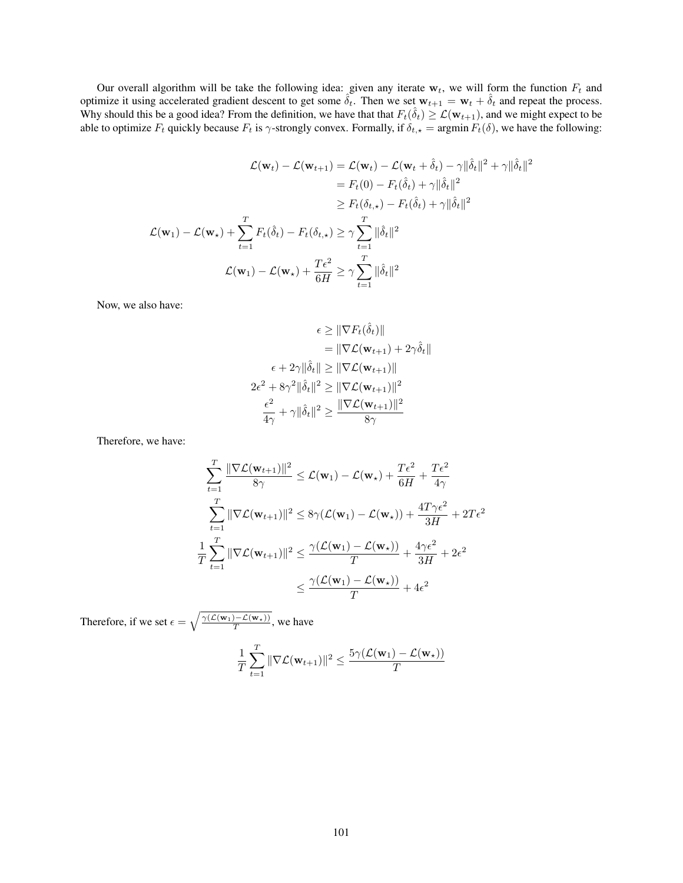Our overall algorithm will be take the following idea: given any iterate  $w_t$ , we will form the function  $F_t$  and optimize it using accelerated gradient descent to get some  $\hat{\delta}_t$ . Then we set  $w_{t+1} = w_t + \hat{\delta}_t$  and repeat the process. Why should this be a good idea? From the definition, we have that that  $F_t(\hat{\delta}_t) \geq \mathcal{L}(\mathbf{w}_{t+1})$ , and we might expect to be able to optimize  $F_t$  quickly because  $F_t$  is  $\gamma$ -strongly convex. Formally, if  $\delta_{t,\star} = \argmin F_t(\delta)$ , we have the following:

$$
\mathcal{L}(\mathbf{w}_{t}) - \mathcal{L}(\mathbf{w}_{t+1}) = \mathcal{L}(\mathbf{w}_{t}) - \mathcal{L}(\mathbf{w}_{t} + \hat{\delta}_{t}) - \gamma ||\hat{\delta}_{t}||^{2} + \gamma ||\hat{\delta}_{t}||^{2}
$$
\n
$$
= F_{t}(0) - F_{t}(\hat{\delta}_{t}) + \gamma ||\hat{\delta}_{t}||^{2}
$$
\n
$$
\geq F_{t}(\delta_{t,\star}) - F_{t}(\hat{\delta}_{t}) + \gamma ||\hat{\delta}_{t}||^{2}
$$
\n
$$
\mathcal{L}(\mathbf{w}_{1}) - \mathcal{L}(\mathbf{w}_{\star}) + \sum_{t=1}^{T} F_{t}(\hat{\delta}_{t}) - F_{t}(\delta_{t,\star}) \geq \gamma \sum_{t=1}^{T} ||\hat{\delta}_{t}||^{2}
$$
\n
$$
\mathcal{L}(\mathbf{w}_{1}) - \mathcal{L}(\mathbf{w}_{\star}) + \frac{T\epsilon^{2}}{6H} \geq \gamma \sum_{t=1}^{T} ||\hat{\delta}_{t}||^{2}
$$

Now, we also have:

$$
\epsilon \geq \|\nabla F_t(\hat{\delta}_t)\|
$$
  
\n
$$
= \|\nabla \mathcal{L}(\mathbf{w}_{t+1}) + 2\gamma \hat{\delta}_t\|
$$
  
\n
$$
\epsilon + 2\gamma \|\hat{\delta}_t\| \geq \|\nabla \mathcal{L}(\mathbf{w}_{t+1})\|
$$
  
\n
$$
2\epsilon^2 + 8\gamma^2 \|\hat{\delta}_t\|^2 \geq \|\nabla \mathcal{L}(\mathbf{w}_{t+1})\|^2
$$
  
\n
$$
\frac{\epsilon^2}{4\gamma} + \gamma \|\hat{\delta}_t\|^2 \geq \frac{\|\nabla \mathcal{L}(\mathbf{w}_{t+1})\|^2}{8\gamma}
$$

Therefore, we have:

$$
\sum_{t=1}^{T} \frac{\|\nabla \mathcal{L}(\mathbf{w}_{t+1})\|^2}{8\gamma} \leq \mathcal{L}(\mathbf{w}_1) - \mathcal{L}(\mathbf{w}_\star) + \frac{T\epsilon^2}{6H} + \frac{T\epsilon^2}{4\gamma}
$$
\n
$$
\sum_{t=1}^{T} \|\nabla \mathcal{L}(\mathbf{w}_{t+1})\|^2 \leq 8\gamma(\mathcal{L}(\mathbf{w}_1) - \mathcal{L}(\mathbf{w}_\star)) + \frac{4T\gamma\epsilon^2}{3H} + 2T\epsilon^2
$$
\n
$$
\frac{1}{T} \sum_{t=1}^{T} \|\nabla \mathcal{L}(\mathbf{w}_{t+1})\|^2 \leq \frac{\gamma(\mathcal{L}(\mathbf{w}_1) - \mathcal{L}(\mathbf{w}_\star))}{T} + \frac{4\gamma\epsilon^2}{3H} + 2\epsilon^2
$$
\n
$$
\leq \frac{\gamma(\mathcal{L}(\mathbf{w}_1) - \mathcal{L}(\mathbf{w}_\star))}{T} + 4\epsilon^2
$$

Therefore, if we set  $\epsilon = \sqrt{\frac{\gamma(\mathcal{L}(\mathbf{w}_1) - \mathcal{L}(\mathbf{w}_*))}{T}}$ , we have

$$
\frac{1}{T} \sum_{t=1}^T \|\nabla \mathcal{L}(\mathbf{w}_{t+1})\|^2 \le \frac{5\gamma(\mathcal{L}(\mathbf{w}_1) - \mathcal{L}(\mathbf{w}_\star))}{T}
$$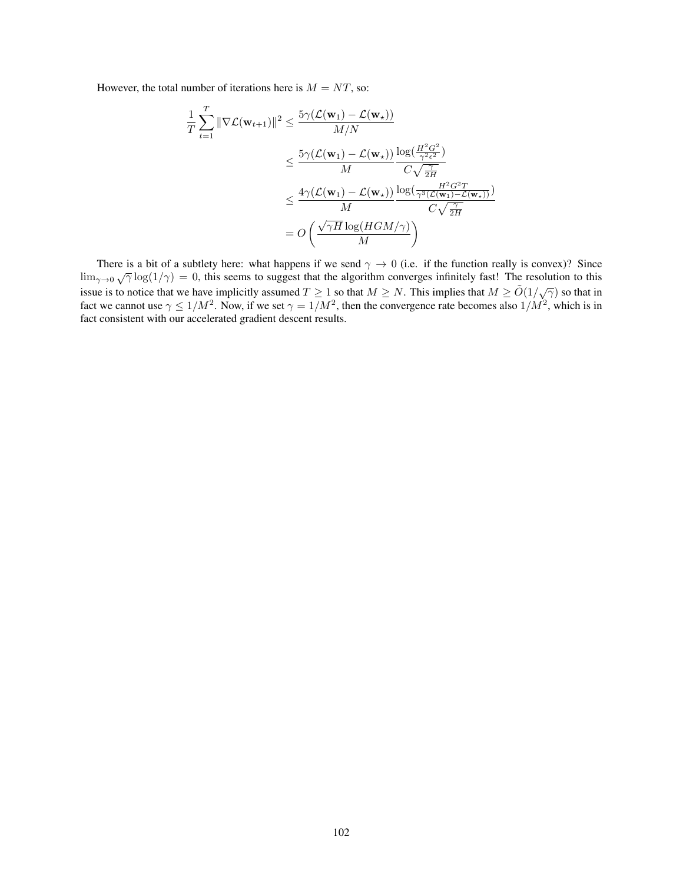However, the total number of iterations here is  $M = NT$ , so:

$$
\frac{1}{T} \sum_{t=1}^{T} \|\nabla \mathcal{L}(\mathbf{w}_{t+1})\|^2 \le \frac{5\gamma (\mathcal{L}(\mathbf{w}_1) - \mathcal{L}(\mathbf{w}_\star))}{M/N} \n\le \frac{5\gamma (\mathcal{L}(\mathbf{w}_1) - \mathcal{L}(\mathbf{w}_\star))}{M} \frac{\log(\frac{H^2 G^2}{\gamma^2 \epsilon^2})}{C\sqrt{\frac{\gamma}{2H}} } \n\le \frac{4\gamma (\mathcal{L}(\mathbf{w}_1) - \mathcal{L}(\mathbf{w}_\star))}{M} \frac{\log(\frac{H^2 G^2 T}{\gamma^3 (\mathcal{L}(\mathbf{w}_1) - \mathcal{L}(\mathbf{w}_\star))})}{C\sqrt{\frac{\gamma}{2H}} } \n= O\left(\frac{\sqrt{\gamma H} \log(HGM/\gamma)}{M}\right)
$$

There is a bit of a subtlety here: what happens if we send  $\gamma \to 0$  (i.e. if the function really is convex)? Since lim<sub> $\gamma \to 0$ </sub> (i.e. if the function really is convex)? Since  $\lim_{\gamma \to 0} \sqrt{\gamma} \log(1/\gamma) = 0$ , this seems to suggest that the algorithm converges infinitely fast! The resolution to this issue is to notice that we have implicitly assumed  $T \ge 1$  so that  $M \ge N$ . This implies that  $M \ge \tilde{O}(1/\sqrt{\gamma})$  so that in fact we cannot use  $\gamma \le 1/M^2$ . Now, if we set  $\gamma = 1/M^2$ , then the convergence rate becomes also  $1/M^2$ , which is in fact consistent with our accelerated gradient descent results.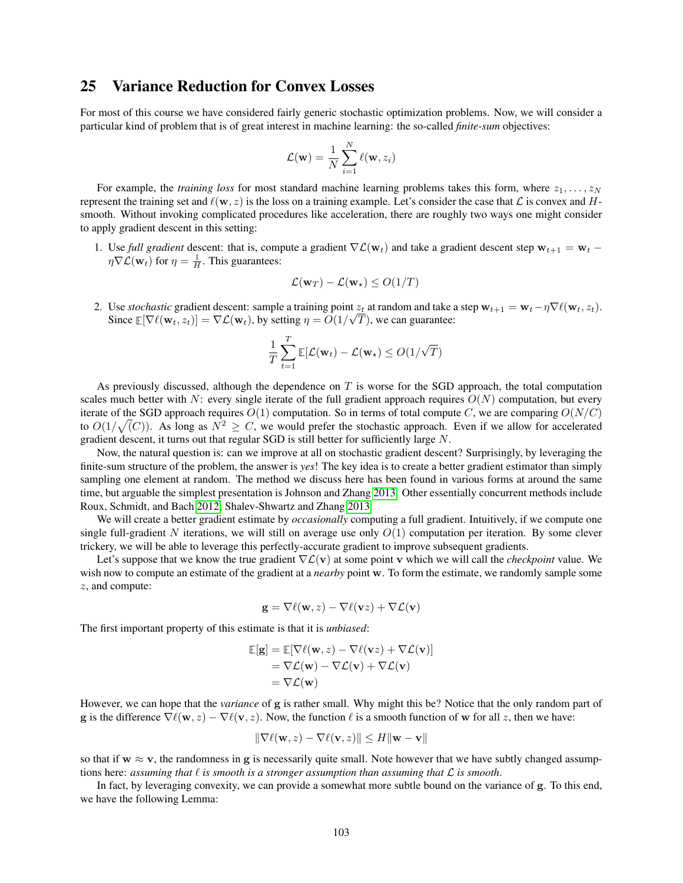### 25 Variance Reduction for Convex Losses

For most of this course we have considered fairly generic stochastic optimization problems. Now, we will consider a particular kind of problem that is of great interest in machine learning: the so-called *finite-sum* objectives:

$$
\mathcal{L}(\mathbf{w}) = \frac{1}{N} \sum_{i=1}^{N} \ell(\mathbf{w}, z_i)
$$

For example, the *training loss* for most standard machine learning problems takes this form, where  $z_1, \ldots, z_N$ represent the training set and  $\ell(\mathbf{w}, z)$  is the loss on a training example. Let's consider the case that  $\mathcal{L}$  is convex and Hsmooth. Without invoking complicated procedures like acceleration, there are roughly two ways one might consider to apply gradient descent in this setting:

1. Use *full gradient* descent: that is, compute a gradient  $\nabla \mathcal{L}(\mathbf{w}_t)$  and take a gradient descent step  $\mathbf{w}_{t+1} = \mathbf{w}_t$  –  $\eta \nabla \mathcal{L}(\mathbf{w}_t)$  for  $\eta = \frac{1}{H}$ . This guarantees:

$$
\mathcal{L}(\mathbf{w}_T) - \mathcal{L}(\mathbf{w}_\star) \le O(1/T)
$$

2. Use *stochastic* gradient descent: sample a training point  $z_t$  at random and take a step  $\mathbf{w}_{t+1} = \mathbf{w}_t - \eta \nabla \ell(\mathbf{w}_t, z_t)$ . Since  $\mathbb{E}[\nabla \ell(\mathbf{w}_t, z_t)] = \nabla \mathcal{L}(\mathbf{w}_t)$ , by setting  $\eta = O(1/\sqrt{T})$ , we can guarantee:

$$
\frac{1}{T}\sum_{t=1}^T \mathbb{E}[\mathcal{L}(\mathbf{w}_t) - \mathcal{L}(\mathbf{w}_\star) \leq O(1/\sqrt{T})
$$

As previously discussed, although the dependence on T is worse for the SGD approach, the total computation scales much better with N: every single iterate of the full gradient approach requires  $O(N)$  computation, but every iterate of the SGD approach requires  $O(1)$  computation. So in terms of total compute C, we are comparing  $O(N/C)$ to  $O(1/\sqrt(C))$ . As long as  $N^2 \geq C$ , we would prefer the stochastic approach. Even if we allow for accelerated gradient descent, it turns out that regular SGD is still better for sufficiently large N.

Now, the natural question is: can we improve at all on stochastic gradient descent? Surprisingly, by leveraging the finite-sum structure of the problem, the answer is *yes*! The key idea is to create a better gradient estimator than simply sampling one element at random. The method we discuss here has been found in various forms at around the same time, but arguable the simplest presentation is Johnson and Zhang [2013.](#page-121-4) Other essentially concurrent methods include Roux, Schmidt, and Bach [2012;](#page-121-5) Shalev-Shwartz and Zhang [2013.](#page-121-6)

We will create a better gradient estimate by *occasionally* computing a full gradient. Intuitively, if we compute one single full-gradient N iterations, we will still on average use only  $O(1)$  computation per iteration. By some clever trickery, we will be able to leverage this perfectly-accurate gradient to improve subsequent gradients.

Let's suppose that we know the true gradient ∇L(v) at some point v which we will call the *checkpoint* value. We wish now to compute an estimate of the gradient at a *nearby* point w. To form the estimate, we randomly sample some z, and compute:

$$
\mathbf{g} = \nabla \ell(\mathbf{w}, z) - \nabla \ell(\mathbf{v} z) + \nabla \mathcal{L}(\mathbf{v})
$$

The first important property of this estimate is that it is *unbiased*:

$$
\mathbb{E}[\mathbf{g}] = \mathbb{E}[\nabla \ell(\mathbf{w}, z) - \nabla \ell(\mathbf{v}z) + \nabla \mathcal{L}(\mathbf{v})] \n= \nabla \mathcal{L}(\mathbf{w}) - \nabla \mathcal{L}(\mathbf{v}) + \nabla \mathcal{L}(\mathbf{v}) \n= \nabla \mathcal{L}(\mathbf{w})
$$

However, we can hope that the *variance* of g is rather small. Why might this be? Notice that the only random part of g is the difference  $\nabla \ell(w, z) - \nabla \ell(v, z)$ . Now, the function  $\ell$  is a smooth function of w for all z, then we have:

$$
\|\nabla \ell(\mathbf{w}, z) - \nabla \ell(\mathbf{v}, z)\| \le H \|\mathbf{w} - \mathbf{v}\|
$$

so that if  $w \approx v$ , the randomness in g is necessarily quite small. Note however that we have subtly changed assumptions here: *assuming that*  $\ell$  *is smooth is a stronger assumption than assuming that*  $\mathcal L$  *is smooth.* 

In fact, by leveraging convexity, we can provide a somewhat more subtle bound on the variance of g. To this end, we have the following Lemma: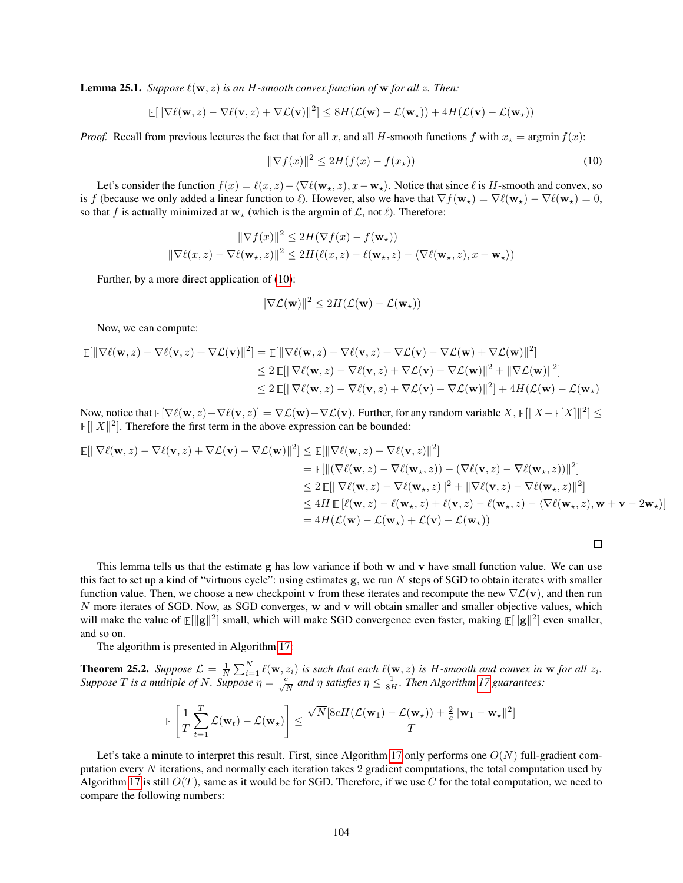<span id="page-103-2"></span>**Lemma 25.1.** *Suppose*  $\ell(\mathbf{w}, z)$  *is an H-smooth convex function of* **w** *for all z*. *Then:* 

$$
\mathbb{E}[\|\nabla \ell(\mathbf{w}, z) - \nabla \ell(\mathbf{v}, z) + \nabla \mathcal{L}(\mathbf{v})\|^2] \leq 8H(\mathcal{L}(\mathbf{w}) - \mathcal{L}(\mathbf{w}_\star)) + 4H(\mathcal{L}(\mathbf{v}) - \mathcal{L}(\mathbf{w}_\star))
$$

*Proof.* Recall from previous lectures the fact that for all x, and all H-smooth functions f with  $x_{\star} = \arg\min f(x)$ :

<span id="page-103-0"></span>
$$
\|\nabla f(x)\|^2 \le 2H(f(x) - f(x_\star))\tag{10}
$$

Let's consider the function  $f(x) = \ell(x, z) - \langle \nabla \ell(\mathbf{w}_\star, z), x - \mathbf{w}_\star \rangle$ . Notice that since  $\ell$  is H-smooth and convex, so is f (because we only added a linear function to  $\ell$ ). However, also we have that  $\nabla f(\mathbf{w}_\star) = \nabla \ell(\mathbf{w}_\star) - \nabla \ell(\mathbf{w}_\star) = 0$ , so that f is actually minimized at  $w_*$  (which is the argmin of  $\mathcal{L}$ , not  $\ell$ ). Therefore:

$$
\begin{aligned} \|\nabla f(x)\|^2 &\le 2H(\nabla f(x)-f(\mathbf{w}_\star))\\ \|\nabla \ell(x,z)-\nabla \ell(\mathbf{w}_\star,z)\|^2 &\le 2H(\ell(x,z)-\ell(\mathbf{w}_\star,z)-\langle \nabla \ell(\mathbf{w}_\star,z),x-\mathbf{w}_\star\rangle) \end{aligned}
$$

Further, by a more direct application of [\(10\)](#page-103-0):

$$
\|\nabla \mathcal{L}(\mathbf{w})\|^2 \leq 2H(\mathcal{L}(\mathbf{w}) - \mathcal{L}(\mathbf{w}_\star))
$$

Now, we can compute:

$$
\mathbb{E}[\|\nabla \ell(\mathbf{w}, z) - \nabla \ell(\mathbf{v}, z) + \nabla \mathcal{L}(\mathbf{v})\|^2] = \mathbb{E}[\|\nabla \ell(\mathbf{w}, z) - \nabla \ell(\mathbf{v}, z) + \nabla \mathcal{L}(\mathbf{v}) - \nabla \mathcal{L}(\mathbf{w}) + \nabla \mathcal{L}(\mathbf{w})\|^2]
$$
  
\n
$$
\leq 2 \mathbb{E}[\|\nabla \ell(\mathbf{w}, z) - \nabla \ell(\mathbf{v}, z) + \nabla \mathcal{L}(\mathbf{v}) - \nabla \mathcal{L}(\mathbf{w})\|^2 + \|\nabla \mathcal{L}(\mathbf{w})\|^2]
$$
  
\n
$$
\leq 2 \mathbb{E}[\|\nabla \ell(\mathbf{w}, z) - \nabla \ell(\mathbf{v}, z) + \nabla \mathcal{L}(\mathbf{v}) - \nabla \mathcal{L}(\mathbf{w})\|^2] + 4H(\mathcal{L}(\mathbf{w}) - \mathcal{L}(\mathbf{w}_{\star})
$$

Now, notice that  $\mathbb{E}[\nabla \ell(\mathbf{w}, z) - \nabla \ell(\mathbf{v}, z)] = \nabla \mathcal{L}(\mathbf{w}) - \nabla \mathcal{L}(\mathbf{v})$ . Further, for any random variable  $X, \mathbb{E}[\|X - \mathbb{E}[X]\|^2] \leq$  $\mathbb{E}[\|X\|^2]$ . Therefore the first term in the above expression can be bounded:

$$
\mathbb{E}[\|\nabla \ell(\mathbf{w}, z) - \nabla \ell(\mathbf{v}, z) + \nabla \mathcal{L}(\mathbf{v}) - \nabla \mathcal{L}(\mathbf{w})\|^2] \leq \mathbb{E}[\|\nabla \ell(\mathbf{w}, z) - \nabla \ell(\mathbf{v}, z)\|^2]
$$
\n
$$
= \mathbb{E}[\|(\nabla \ell(\mathbf{w}, z) - \nabla \ell(\mathbf{w}_\star, z)) - (\nabla \ell(\mathbf{v}, z) - \nabla \ell(\mathbf{w}_\star, z))\|^2]
$$
\n
$$
\leq 2 \mathbb{E}[\|\nabla \ell(\mathbf{w}, z) - \nabla \ell(\mathbf{w}_\star, z)\|^2 + \|\nabla \ell(\mathbf{v}, z) - \nabla \ell(\mathbf{w}_\star, z)\|^2]
$$
\n
$$
\leq 4H \mathbb{E}[\ell(\mathbf{w}, z) - \ell(\mathbf{w}_\star, z) + \ell(\mathbf{v}, z) - \ell(\mathbf{w}_\star, z) - \langle \nabla \ell(\mathbf{w}_\star, z), \mathbf{w} + \mathbf{v} - 2\mathbf{w}_\star\rangle]
$$
\n
$$
= 4H(\mathcal{L}(\mathbf{w}) - \mathcal{L}(\mathbf{w}_\star) + \mathcal{L}(\mathbf{v}) - \mathcal{L}(\mathbf{w}_\star))
$$

 $\Box$ 

This lemma tells us that the estimate g has low variance if both w and v have small function value. We can use this fact to set up a kind of "virtuous cycle": using estimates g, we run  $N$  steps of SGD to obtain iterates with smaller function value. Then, we choose a new checkpoint v from these iterates and recompute the new  $\nabla \mathcal{L}(v)$ , and then run N more iterates of SGD. Now, as SGD converges, w and v will obtain smaller and smaller objective values, which will make the value of  $\mathbb{E}[\|\mathbf{g}\|^2]$  small, which will make SGD convergence even faster, making  $\mathbb{E}[\|\mathbf{g}\|^2]$  even smaller, and so on.

The algorithm is presented in Algorithm [17:](#page-104-0)

<span id="page-103-1"></span>**Theorem 25.2.** Suppose  $\mathcal{L} = \frac{1}{N} \sum_{i=1}^{N} \ell(\mathbf{w}, z_i)$  is such that each  $\ell(\mathbf{w}, z)$  is H-smooth and convex in **w** for all  $z_i$ . *Suppose T* is a multiple of N. Suppose  $\eta = \frac{c}{\sqrt{N}}$  and  $\eta$  satisfies  $\eta \leq \frac{1}{8H}$ . Then Algorithm [17](#page-104-0) guarantees:

$$
\mathbb{E}\left[\frac{1}{T}\sum_{t=1}^T \mathcal{L}(\mathbf{w}_t) - \mathcal{L}(\mathbf{w}_\star)\right] \le \frac{\sqrt{N} [8cH(\mathcal{L}(\mathbf{w}_1) - \mathcal{L}(\mathbf{w}_\star)) + \frac{2}{c}\|\mathbf{w}_1 - \mathbf{w}_\star\|^2]}{T}
$$

Let's take a minute to interpret this result. First, since Algorithm [17](#page-104-0) only performs one  $O(N)$  full-gradient computation every  $N$  iterations, and normally each iteration takes 2 gradient computations, the total computation used by Algorithm [17](#page-104-0) is still  $O(T)$ , same as it would be for SGD. Therefore, if we use C for the total computation, we need to compare the following numbers: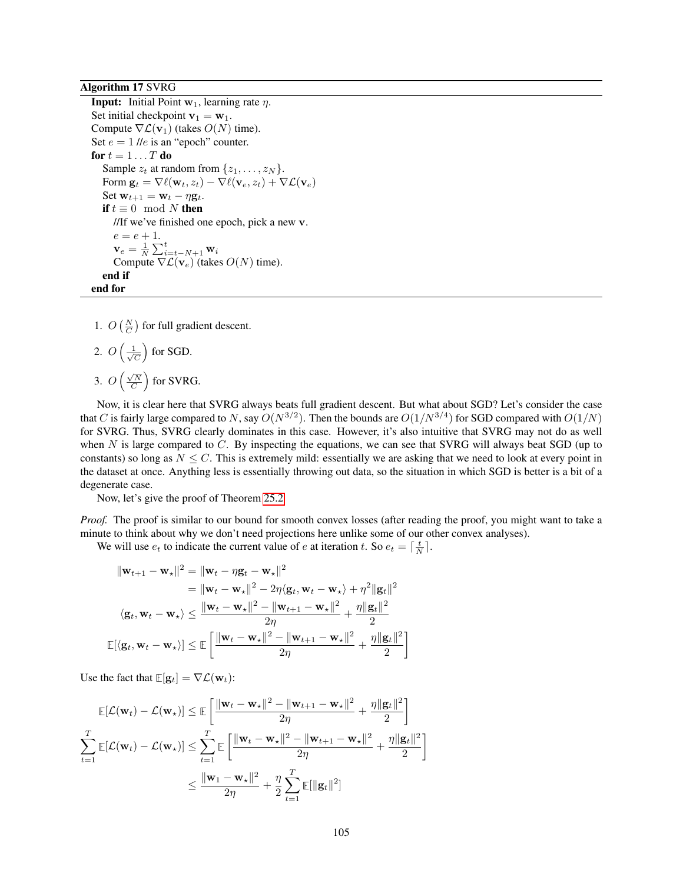Algorithm 17 SVRG

<span id="page-104-0"></span>**Input:** Initial Point  $w_1$ , learning rate  $\eta$ . Set initial checkpoint  $v_1 = w_1$ . Compute  $\nabla \mathcal{L}(\mathbf{v}_1)$  (takes  $O(N)$  time). Set  $e = 1$  //e is an "epoch" counter. for  $t = 1 \ldots T$  do Sample  $z_t$  at random from  $\{z_1, \ldots, z_N\}$ . Form  $\mathbf{g}_t = \nabla \ell(\mathbf{w}_t, z_t) - \nabla \ell(\mathbf{v}_e, z_t) + \nabla \mathcal{L}(\mathbf{v}_e)$ Set  $\mathbf{w}_{t+1} = \mathbf{w}_t - \eta \mathbf{g}_t$ . if  $t \equiv 0 \mod N$  then //If we've finished one epoch, pick a new v.  $e = e + 1.$  $\mathbf{v}_e = \frac{1}{N}\sum_{i=t-N+1}^{t} \mathbf{w}_i$ Compute  $\nabla \mathcal{L}(\mathbf{v}_e)$  (takes  $O(N)$  time). end if end for

- 1.  $O\left(\frac{N}{C}\right)$  for full gradient descent.
- 2.  $O\left(\frac{1}{\sqrt{2}}\right)$  $\frac{L}{\overline{C}}\Big)$  for SGD. 3.  $O\left(\frac{\sqrt{N}}{C}\right)$  for SVRG.

Now, it is clear here that SVRG always beats full gradient descent. But what about SGD? Let's consider the case that C is fairly large compared to N, say  $O(N^{3/2})$ . Then the bounds are  $O(1/N^{3/4})$  for SGD compared with  $O(1/N)$ for SVRG. Thus, SVRG clearly dominates in this case. However, it's also intuitive that SVRG may not do as well when  $N$  is large compared to  $C$ . By inspecting the equations, we can see that SVRG will always beat SGD (up to constants) so long as  $N \leq C$ . This is extremely mild: essentially we are asking that we need to look at every point in the dataset at once. Anything less is essentially throwing out data, so the situation in which SGD is better is a bit of a degenerate case.

Now, let's give the proof of Theorem [25.2](#page-103-1)

*Proof.* The proof is similar to our bound for smooth convex losses (after reading the proof, you might want to take a minute to think about why we don't need projections here unlike some of our other convex analyses).

We will use  $e_t$  to indicate the current value of e at iteration t. So  $e_t = \lceil \frac{t}{N} \rceil$ .

$$
\|\mathbf{w}_{t+1} - \mathbf{w}_{\star}\|^2 = \|\mathbf{w}_t - \eta \mathbf{g}_t - \mathbf{w}_{\star}\|^2
$$
  
\n
$$
= \|\mathbf{w}_t - \mathbf{w}_{\star}\|^2 - 2\eta \langle \mathbf{g}_t, \mathbf{w}_t - \mathbf{w}_{\star} \rangle + \eta^2 \|\mathbf{g}_t\|^2
$$
  
\n
$$
\langle \mathbf{g}_t, \mathbf{w}_t - \mathbf{w}_{\star} \rangle \le \frac{\|\mathbf{w}_t - \mathbf{w}_{\star}\|^2 - \|\mathbf{w}_{t+1} - \mathbf{w}_{\star}\|^2}{2\eta} + \frac{\eta \|\mathbf{g}_t\|^2}{2}
$$
  
\n
$$
\mathbb{E}[\langle \mathbf{g}_t, \mathbf{w}_t - \mathbf{w}_{\star} \rangle] \le \mathbb{E}\left[\frac{\|\mathbf{w}_t - \mathbf{w}_{\star}\|^2 - \|\mathbf{w}_{t+1} - \mathbf{w}_{\star}\|^2}{2\eta} + \frac{\eta \|\mathbf{g}_t\|^2}{2}\right]
$$

Use the fact that  $\mathbb{E}[\mathbf{g}_t] = \nabla \mathcal{L}(\mathbf{w}_t)$ :

$$
\mathbb{E}[\mathcal{L}(\mathbf{w}_t) - \mathcal{L}(\mathbf{w}_\star)] \leq \mathbb{E}\left[\frac{\|\mathbf{w}_t - \mathbf{w}_\star\|^2 - \|\mathbf{w}_{t+1} - \mathbf{w}_\star\|^2}{2\eta} + \frac{\eta\|\mathbf{g}_t\|^2}{2}\right]
$$

$$
\sum_{t=1}^T \mathbb{E}[\mathcal{L}(\mathbf{w}_t) - \mathcal{L}(\mathbf{w}_\star)] \leq \sum_{t=1}^T \mathbb{E}\left[\frac{\|\mathbf{w}_t - \mathbf{w}_\star\|^2 - \|\mathbf{w}_{t+1} - \mathbf{w}_\star\|^2}{2\eta} + \frac{\eta\|\mathbf{g}_t\|^2}{2}\right]
$$

$$
\leq \frac{\|\mathbf{w}_1 - \mathbf{w}_\star\|^2}{2\eta} + \frac{\eta}{2} \sum_{t=1}^T \mathbb{E}[\|\mathbf{g}_t\|^2]
$$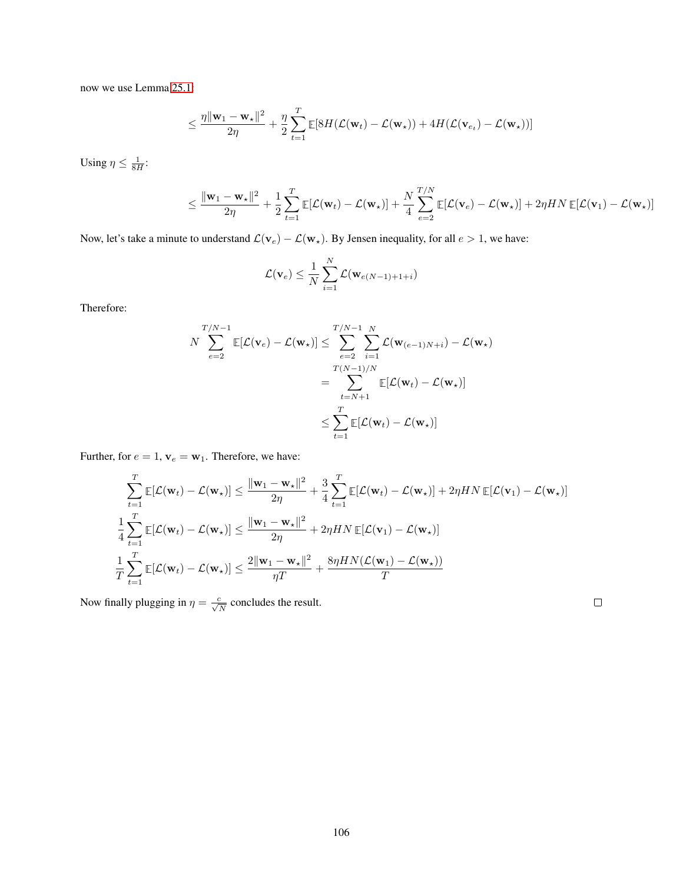now we use Lemma [25.1:](#page-103-2)

$$
\leq \frac{\eta \|\mathbf{w}_1 - \mathbf{w}_\star\|^2}{2\eta} + \frac{\eta}{2} \sum_{t=1}^T \mathbb{E}[8H(\mathcal{L}(\mathbf{w}_t) - \mathcal{L}(\mathbf{w}_\star)) + 4H(\mathcal{L}(\mathbf{v}_{e_t}) - \mathcal{L}(\mathbf{w}_\star))]
$$

Using  $\eta \leq \frac{1}{8H}$ :

$$
\leq \frac{\|\mathbf{w}_1 - \mathbf{w}_\star\|^2}{2\eta} + \frac{1}{2} \sum_{t=1}^T \mathbb{E}[\mathcal{L}(\mathbf{w}_t) - \mathcal{L}(\mathbf{w}_\star)] + \frac{N}{4} \sum_{e=2}^{T/N} \mathbb{E}[\mathcal{L}(\mathbf{v}_e) - \mathcal{L}(\mathbf{w}_\star)] + 2\eta H N \mathbb{E}[\mathcal{L}(\mathbf{v}_1) - \mathcal{L}(\mathbf{w}_\star)]
$$

Now, let's take a minute to understand  $\mathcal{L}(\mathbf{v}_e) - \mathcal{L}(\mathbf{w}_\star)$ . By Jensen inequality, for all  $e > 1$ , we have:

$$
\mathcal{L}(\mathbf{v}_e) \leq \frac{1}{N} \sum_{i=1}^N \mathcal{L}(\mathbf{w}_{e(N-1)+1+i})
$$

Therefore:

$$
N \sum_{e=2}^{T/N-1} \mathbb{E}[\mathcal{L}(\mathbf{v}_e) - \mathcal{L}(\mathbf{w}_\star)] \le \sum_{e=2}^{T/N-1} \sum_{i=1}^N \mathcal{L}(\mathbf{w}_{(e-1)N+i}) - \mathcal{L}(\mathbf{w}_\star)
$$
  
= 
$$
\sum_{t=N+1}^{T(N-1)/N} \mathbb{E}[\mathcal{L}(\mathbf{w}_t) - \mathcal{L}(\mathbf{w}_\star)]
$$
  

$$
\le \sum_{t=1}^T \mathbb{E}[\mathcal{L}(\mathbf{w}_t) - \mathcal{L}(\mathbf{w}_\star)]
$$

Further, for  $e=1,$   $\mathbf{v}_e=\mathbf{w}_1.$  Therefore, we have:

$$
\sum_{t=1}^{T} \mathbb{E}[\mathcal{L}(\mathbf{w}_t) - \mathcal{L}(\mathbf{w}_\star)] \le \frac{\|\mathbf{w}_1 - \mathbf{w}_\star\|^2}{2\eta} + \frac{3}{4} \sum_{t=1}^{T} \mathbb{E}[\mathcal{L}(\mathbf{w}_t) - \mathcal{L}(\mathbf{w}_\star)] + 2\eta H N \mathbb{E}[\mathcal{L}(\mathbf{v}_1) - \mathcal{L}(\mathbf{w}_\star)]
$$
  

$$
\frac{1}{4} \sum_{t=1}^{T} \mathbb{E}[\mathcal{L}(\mathbf{w}_t) - \mathcal{L}(\mathbf{w}_\star)] \le \frac{\|\mathbf{w}_1 - \mathbf{w}_\star\|^2}{2\eta} + 2\eta H N \mathbb{E}[\mathcal{L}(\mathbf{v}_1) - \mathcal{L}(\mathbf{w}_\star)]
$$
  

$$
\frac{1}{T} \sum_{t=1}^{T} \mathbb{E}[\mathcal{L}(\mathbf{w}_t) - \mathcal{L}(\mathbf{w}_\star)] \le \frac{2\|\mathbf{w}_1 - \mathbf{w}_\star\|^2}{\eta T} + \frac{8\eta H N (\mathcal{L}(\mathbf{w}_1) - \mathcal{L}(\mathbf{w}_\star))}{T}
$$

Now finally plugging in  $\eta = \frac{c}{\sqrt{N}}$  concludes the result.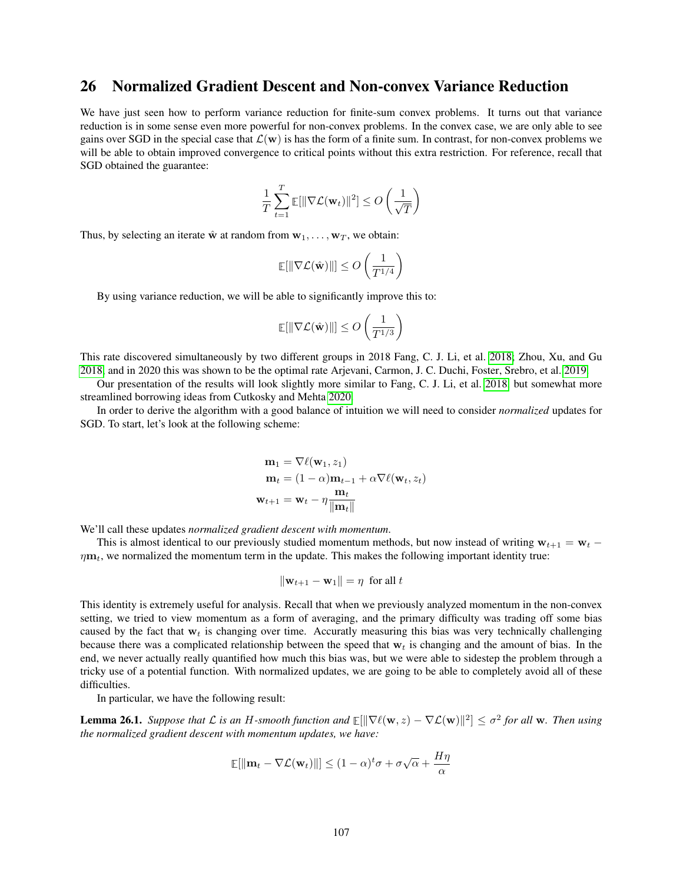### 26 Normalized Gradient Descent and Non-convex Variance Reduction

We have just seen how to perform variance reduction for finite-sum convex problems. It turns out that variance reduction is in some sense even more powerful for non-convex problems. In the convex case, we are only able to see gains over SGD in the special case that  $\mathcal{L}(\mathbf{w})$  is has the form of a finite sum. In contrast, for non-convex problems we will be able to obtain improved convergence to critical points without this extra restriction. For reference, recall that SGD obtained the guarantee:

$$
\frac{1}{T} \sum_{t=1}^T \mathbb{E}[\|\nabla \mathcal{L}(\mathbf{w}_t)\|^2] \le O\left(\frac{1}{\sqrt{T}}\right)
$$

Thus, by selecting an iterate  $\hat{\mathbf{w}}$  at random from  $\mathbf{w}_1, \dots, \mathbf{w}_T$ , we obtain:

$$
\mathbb{E}[\|\nabla \mathcal{L}(\hat{\mathbf{w}})\|] \leq O\left(\frac{1}{T^{1/4}}\right)
$$

By using variance reduction, we will be able to significantly improve this to:

$$
\mathop{\mathbb{E}}[\|\nabla \mathcal{L}(\hat{\mathbf{w}})\|] \leq O\left(\frac{1}{T^{1/3}}\right)
$$

This rate discovered simultaneously by two different groups in 2018 Fang, C. J. Li, et al. [2018;](#page-121-7) Zhou, Xu, and Gu [2018,](#page-121-8) and in 2020 this was shown to be the optimal rate Arjevani, Carmon, J. C. Duchi, Foster, Srebro, et al. [2019.](#page-121-9)

Our presentation of the results will look slightly more similar to Fang, C. J. Li, et al. [2018,](#page-121-7) but somewhat more streamlined borrowing ideas from Cutkosky and Mehta [2020.](#page-121-10)

In order to derive the algorithm with a good balance of intuition we will need to consider *normalized* updates for SGD. To start, let's look at the following scheme:

$$
\mathbf{m}_1 = \nabla \ell(\mathbf{w}_1, z_1)
$$
  
\n
$$
\mathbf{m}_t = (1 - \alpha)\mathbf{m}_{t-1} + \alpha \nabla \ell(\mathbf{w}_t, z_t)
$$
  
\n
$$
\mathbf{w}_{t+1} = \mathbf{w}_t - \eta \frac{\mathbf{m}_t}{\|\mathbf{m}_t\|}
$$

We'll call these updates *normalized gradient descent with momentum*.

This is almost identical to our previously studied momentum methods, but now instead of writing  $w_{t+1} = w_t \eta$ **m**<sub>t</sub>, we normalized the momentum term in the update. This makes the following important identity true:

$$
\|\mathbf{w}_{t+1} - \mathbf{w}_1\| = \eta \text{ for all } t
$$

This identity is extremely useful for analysis. Recall that when we previously analyzed momentum in the non-convex setting, we tried to view momentum as a form of averaging, and the primary difficulty was trading off some bias caused by the fact that  $w_t$  is changing over time. Accuratly measuring this bias was very technically challenging because there was a complicated relationship between the speed that  $w_t$  is changing and the amount of bias. In the end, we never actually really quantified how much this bias was, but we were able to sidestep the problem through a tricky use of a potential function. With normalized updates, we are going to be able to completely avoid all of these difficulties.

In particular, we have the following result:

**Lemma 26.1.** Suppose that L is an H-smooth function and  $\mathbb{E}[\|\nabla \ell(\mathbf{w}, z) - \nabla \mathcal{L}(\mathbf{w})\|^2] \le \sigma^2$  for all w. Then using *the normalized gradient descent with momentum updates, we have:*

$$
\mathbb{E}[\|\mathbf{m}_t - \nabla \mathcal{L}(\mathbf{w}_t)\|] \le (1 - \alpha)^t \sigma + \sigma \sqrt{\alpha} + \frac{H\eta}{\alpha}
$$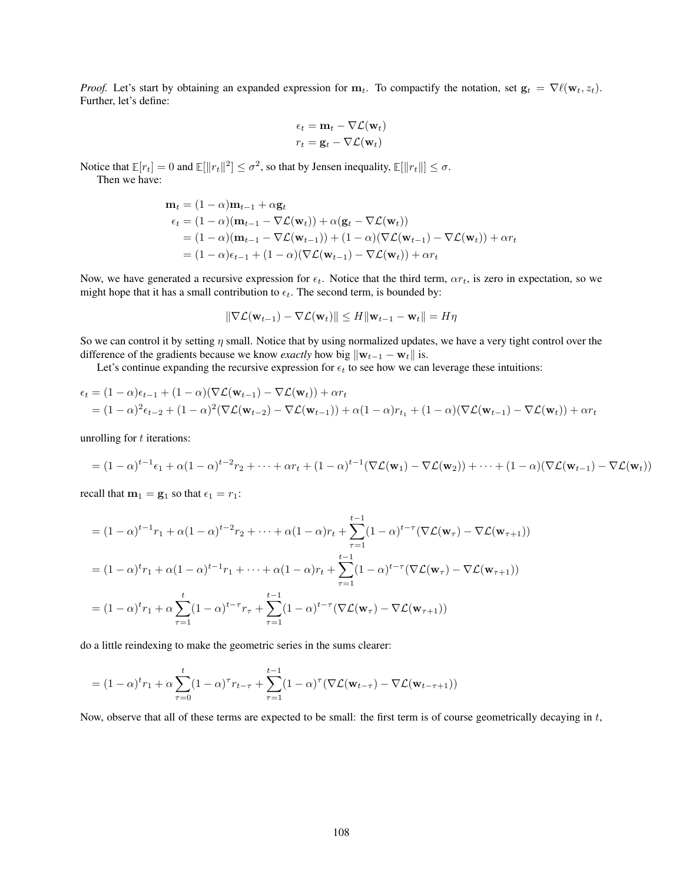*Proof.* Let's start by obtaining an expanded expression for  $m_t$ . To compactify the notation, set  $\mathbf{g}_t = \nabla \ell(\mathbf{w}_t, z_t)$ . Further, let's define:

$$
\epsilon_t = \mathbf{m}_t - \nabla \mathcal{L}(\mathbf{w}_t)
$$

$$
r_t = \mathbf{g}_t - \nabla \mathcal{L}(\mathbf{w}_t)
$$

Notice that  $\mathbb{E}[r_t] = 0$  and  $\mathbb{E}[\|r_t\|^2] \le \sigma^2$ , so that by Jensen inequality,  $\mathbb{E}[\|r_t\|] \le \sigma$ . Then we have:

$$
\mathbf{m}_t = (1 - \alpha)\mathbf{m}_{t-1} + \alpha \mathbf{g}_t
$$
\n
$$
\epsilon_t = (1 - \alpha)(\mathbf{m}_{t-1} - \nabla \mathcal{L}(\mathbf{w}_t)) + \alpha(\mathbf{g}_t - \nabla \mathcal{L}(\mathbf{w}_t))
$$
\n
$$
= (1 - \alpha)(\mathbf{m}_{t-1} - \nabla \mathcal{L}(\mathbf{w}_{t-1})) + (1 - \alpha)(\nabla \mathcal{L}(\mathbf{w}_{t-1}) - \nabla \mathcal{L}(\mathbf{w}_t)) + \alpha r_t
$$
\n
$$
= (1 - \alpha)\epsilon_{t-1} + (1 - \alpha)(\nabla \mathcal{L}(\mathbf{w}_{t-1}) - \nabla \mathcal{L}(\mathbf{w}_t)) + \alpha r_t
$$

Now, we have generated a recursive expression for  $\epsilon_t$ . Notice that the third term,  $\alpha r_t$ , is zero in expectation, so we might hope that it has a small contribution to  $\epsilon_t$ . The second term, is bounded by:

$$
\|\nabla \mathcal{L}(\mathbf{w}_{t-1}) - \nabla \mathcal{L}(\mathbf{w}_t)\| \le H \|\mathbf{w}_{t-1} - \mathbf{w}_t\| = H\eta
$$

So we can control it by setting  $\eta$  small. Notice that by using normalized updates, we have a very tight control over the difference of the gradients because we know *exactly* how big  $\|\mathbf{w}_{t-1} - \mathbf{w}_t\|$  is.

Let's continue expanding the recursive expression for  $\epsilon_t$  to see how we can leverage these intuitions:

$$
\epsilon_t = (1 - \alpha)\epsilon_{t-1} + (1 - \alpha)(\nabla \mathcal{L}(\mathbf{w}_{t-1}) - \nabla \mathcal{L}(\mathbf{w}_t)) + \alpha r_t
$$
  
=  $(1 - \alpha)^2 \epsilon_{t-2} + (1 - \alpha)^2 (\nabla \mathcal{L}(\mathbf{w}_{t-2}) - \nabla \mathcal{L}(\mathbf{w}_{t-1})) + \alpha (1 - \alpha)r_{t_1} + (1 - \alpha)(\nabla \mathcal{L}(\mathbf{w}_{t-1}) - \nabla \mathcal{L}(\mathbf{w}_t)) + \alpha r_t$ 

unrolling for  $t$  iterations:

$$
= (1-\alpha)^{t-1}\epsilon_1 + \alpha(1-\alpha)^{t-2}r_2 + \cdots + \alpha r_t + (1-\alpha)^{t-1}(\nabla \mathcal{L}(\mathbf{w}_1) - \nabla \mathcal{L}(\mathbf{w}_2)) + \cdots + (1-\alpha)(\nabla \mathcal{L}(\mathbf{w}_{t-1}) - \nabla \mathcal{L}(\mathbf{w}_t))
$$

recall that  $m_1 = g_1$  so that  $\epsilon_1 = r_1$ :

$$
= (1 - \alpha)^{t-1} r_1 + \alpha (1 - \alpha)^{t-2} r_2 + \dots + \alpha (1 - \alpha) r_t + \sum_{\tau=1}^{t-1} (1 - \alpha)^{t-\tau} (\nabla \mathcal{L}(\mathbf{w}_{\tau}) - \nabla \mathcal{L}(\mathbf{w}_{\tau+1}))
$$
  
\n
$$
= (1 - \alpha)^t r_1 + \alpha (1 - \alpha)^{t-1} r_1 + \dots + \alpha (1 - \alpha) r_t + \sum_{\tau=1}^{t-1} (1 - \alpha)^{t-\tau} (\nabla \mathcal{L}(\mathbf{w}_{\tau}) - \nabla \mathcal{L}(\mathbf{w}_{\tau+1}))
$$
  
\n
$$
= (1 - \alpha)^t r_1 + \alpha \sum_{\tau=1}^t (1 - \alpha)^{t-\tau} r_{\tau} + \sum_{\tau=1}^{t-1} (1 - \alpha)^{t-\tau} (\nabla \mathcal{L}(\mathbf{w}_{\tau}) - \nabla \mathcal{L}(\mathbf{w}_{\tau+1}))
$$

do a little reindexing to make the geometric series in the sums clearer:

$$
= (1 - \alpha)^t r_1 + \alpha \sum_{\tau=0}^t (1 - \alpha)^\tau r_{t-\tau} + \sum_{\tau=1}^{t-1} (1 - \alpha)^\tau (\nabla \mathcal{L}(\mathbf{w}_{t-\tau}) - \nabla \mathcal{L}(\mathbf{w}_{t-\tau+1}))
$$

Now, observe that all of these terms are expected to be small: the first term is of course geometrically decaying in  $t$ ,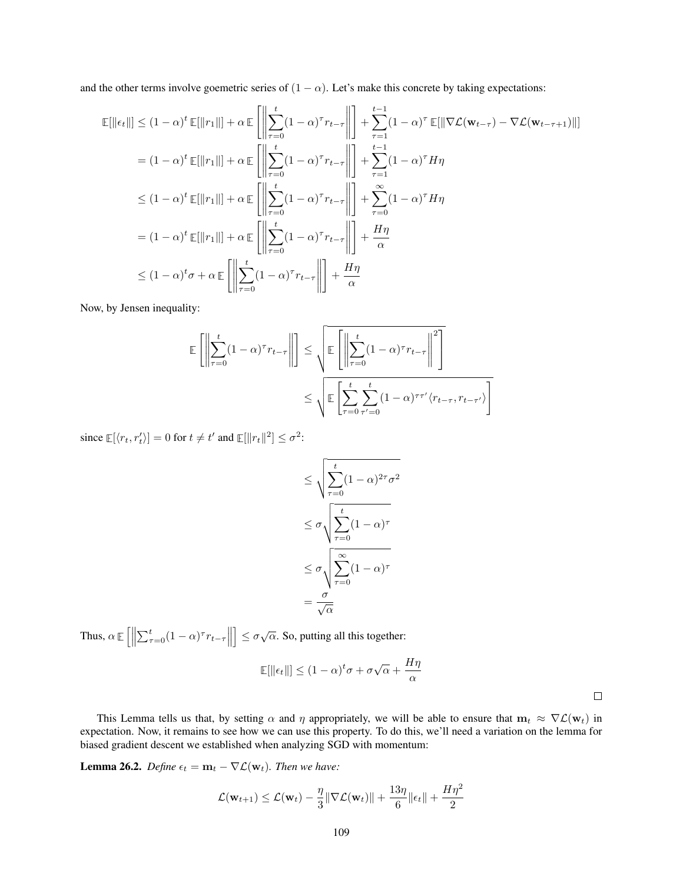and the other terms involve goemetric series of  $(1 - \alpha)$ . Let's make this concrete by taking expectations:

$$
\mathbb{E}[\|\epsilon_t\|] \leq (1-\alpha)^t \mathbb{E}[\|r_1\|] + \alpha \mathbb{E}\left[\left\|\sum_{\tau=0}^t (1-\alpha)^{\tau} r_{t-\tau}\right\| \right] + \sum_{\tau=1}^{t-1} (1-\alpha)^{\tau} \mathbb{E}[\|\nabla \mathcal{L}(\mathbf{w}_{t-\tau}) - \nabla \mathcal{L}(\mathbf{w}_{t-\tau+1})\|]
$$
\n
$$
= (1-\alpha)^t \mathbb{E}[\|r_1\|] + \alpha \mathbb{E}\left[\left\|\sum_{\tau=0}^t (1-\alpha)^{\tau} r_{t-\tau}\right\| \right] + \sum_{\tau=1}^{t-1} (1-\alpha)^{\tau} H\eta
$$
\n
$$
\leq (1-\alpha)^t \mathbb{E}[\|r_1\|] + \alpha \mathbb{E}\left[\left\|\sum_{\tau=0}^t (1-\alpha)^{\tau} r_{t-\tau}\right\| \right] + \sum_{\tau=0}^{\infty} (1-\alpha)^{\tau} H\eta
$$
\n
$$
= (1-\alpha)^t \mathbb{E}[\|r_1\|] + \alpha \mathbb{E}\left[\left\|\sum_{\tau=0}^t (1-\alpha)^{\tau} r_{t-\tau}\right\| \right] + \frac{H\eta}{\alpha}
$$
\n
$$
\leq (1-\alpha)^t \sigma + \alpha \mathbb{E}\left[\left\|\sum_{\tau=0}^t (1-\alpha)^{\tau} r_{t-\tau}\right\| \right] + \frac{H\eta}{\alpha}
$$

Now, by Jensen inequality:

$$
\mathbb{E}\left[\left\|\sum_{\tau=0}^{t} (1-\alpha)^{\tau} r_{t-\tau}\right\|\right] \leq \sqrt{\mathbb{E}\left[\left\|\sum_{\tau=0}^{t} (1-\alpha)^{\tau} r_{t-\tau}\right\|^2\right]}
$$

$$
\leq \sqrt{\mathbb{E}\left[\sum_{\tau=0}^{t} \sum_{\tau'=0}^{t} (1-\alpha)^{\tau\tau'} \langle r_{t-\tau}, r_{t-\tau'}\rangle\right]}
$$

since  $\mathbb{E}[\langle r_t, r'_t \rangle] = 0$  for  $t \neq t'$  and  $\mathbb{E}[\Vert r_t \Vert^2] \leq \sigma^2$ :

$$
\leq \sqrt{\sum_{\tau=0}^{t} (1-\alpha)^{2\tau} \sigma^2}
$$

$$
\leq \sigma \sqrt{\sum_{\tau=0}^{t} (1-\alpha)^{\tau}}
$$

$$
\leq \sigma \sqrt{\sum_{\tau=0}^{\infty} (1-\alpha)^{\tau}}
$$

$$
= \frac{\sigma}{\sqrt{\alpha}}
$$

Thus,  $\alpha \mathbb{E}\left[\left\|\sum_{\tau=0}^t (1-\alpha)^\tau r_{t-\tau}\right\| \right]$  $\left] \leq \sigma \sqrt{\alpha}$ . So, putting all this together:

$$
\mathbb{E}[\|\epsilon_t\|] \le (1-\alpha)^t \sigma + \sigma \sqrt{\alpha} + \frac{H\eta}{\alpha}
$$

 $\Box$ 

This Lemma tells us that, by setting  $\alpha$  and  $\eta$  appropriately, we will be able to ensure that  $m_t \approx \nabla \mathcal{L}(w_t)$  in expectation. Now, it remains to see how we can use this property. To do this, we'll need a variation on the lemma for biased gradient descent we established when analyzing SGD with momentum:

<span id="page-108-0"></span>**Lemma 26.2.** *Define*  $\epsilon_t = \mathbf{m}_t - \nabla \mathcal{L}(\mathbf{w}_t)$ *. Then we have:* 

$$
\mathcal{L}(\mathbf{w}_{t+1}) \leq \mathcal{L}(\mathbf{w}_t) - \frac{\eta}{3} \|\nabla \mathcal{L}(\mathbf{w}_t)\| + \frac{13\eta}{6} \|\epsilon_t\| + \frac{H\eta^2}{2}
$$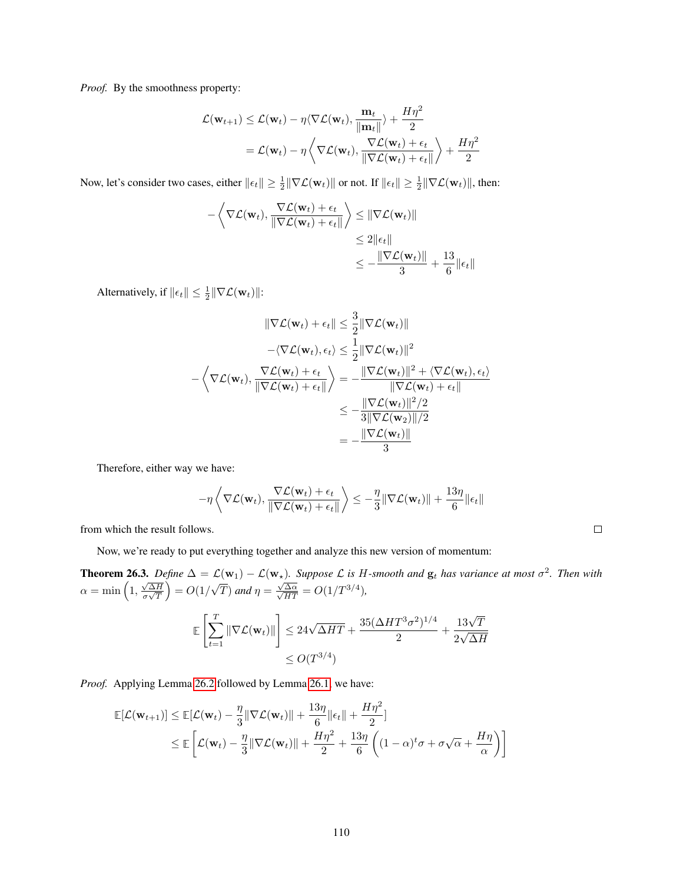*Proof.* By the smoothness property:

$$
\mathcal{L}(\mathbf{w}_{t+1}) \leq \mathcal{L}(\mathbf{w}_t) - \eta \langle \nabla \mathcal{L}(\mathbf{w}_t), \frac{\mathbf{m}_t}{\|\mathbf{m}_t\|} \rangle + \frac{H\eta^2}{2}
$$

$$
= \mathcal{L}(\mathbf{w}_t) - \eta \left\langle \nabla \mathcal{L}(\mathbf{w}_t), \frac{\nabla \mathcal{L}(\mathbf{w}_t) + \epsilon_t}{\|\nabla \mathcal{L}(\mathbf{w}_t) + \epsilon_t\|} \right\rangle + \frac{H\eta^2}{2}
$$

Now, let's consider two cases, either  $\|\epsilon_t\| \geq \frac{1}{2} \|\nabla \mathcal{L}(\mathbf{w}_t)\|$  or not. If  $\|\epsilon_t\| \geq \frac{1}{2} \|\nabla \mathcal{L}(\mathbf{w}_t)\|$ , then:

$$
-\left\langle \nabla \mathcal{L}(\mathbf{w}_t), \frac{\nabla \mathcal{L}(\mathbf{w}_t) + \epsilon_t}{\|\nabla \mathcal{L}(\mathbf{w}_t) + \epsilon_t\|} \right\rangle \leq \|\nabla \mathcal{L}(\mathbf{w}_t)\|
$$
  
\n
$$
\leq 2 \|\epsilon_t\|
$$
  
\n
$$
\leq -\frac{\|\nabla \mathcal{L}(\mathbf{w}_t)\|}{3} + \frac{13}{6} \|\epsilon_t\|
$$

Alternatively, if  $\|\epsilon_t\| \leq \frac{1}{2} \|\nabla \mathcal{L}(\mathbf{w}_t)\|$ :

$$
\|\nabla \mathcal{L}(\mathbf{w}_{t}) + \epsilon_{t}\| \leq \frac{3}{2} \|\nabla \mathcal{L}(\mathbf{w}_{t})\|
$$

$$
-\langle \nabla \mathcal{L}(\mathbf{w}_{t}), \epsilon_{t} \rangle \leq \frac{1}{2} \|\nabla \mathcal{L}(\mathbf{w}_{t})\|^{2}
$$

$$
-\langle \nabla \mathcal{L}(\mathbf{w}_{t}), \frac{\nabla \mathcal{L}(\mathbf{w}_{t}) + \epsilon_{t}}{\|\nabla \mathcal{L}(\mathbf{w}_{t}) + \epsilon_{t}\|}\rangle = -\frac{\|\nabla \mathcal{L}(\mathbf{w}_{t})\|^{2} + \langle \nabla \mathcal{L}(\mathbf{w}_{t}), \epsilon_{t} \rangle}{\|\nabla \mathcal{L}(\mathbf{w}_{t}) + \epsilon_{t}\|}
$$

$$
\leq -\frac{\|\nabla \mathcal{L}(\mathbf{w}_{t})\|^{2}/2}{3\|\nabla \mathcal{L}(\mathbf{w}_{2})\|/2}
$$

$$
= -\frac{\|\nabla \mathcal{L}(\mathbf{w}_{t})\|}{3}
$$

Therefore, either way we have:

$$
-\eta \left\langle \nabla \mathcal{L}(\mathbf{w}_t), \frac{\nabla \mathcal{L}(\mathbf{w}_t) + \epsilon_t}{\|\nabla \mathcal{L}(\mathbf{w}_t) + \epsilon_t\|} \right\rangle \leq -\frac{\eta}{3} \|\nabla \mathcal{L}(\mathbf{w}_t)\| + \frac{13\eta}{6} \|\epsilon_t\|
$$

 $\Box$ 

from which the result follows.

Now, we're ready to put everything together and analyze this new version of momentum:

<span id="page-109-0"></span>**Theorem 26.3.** Define  $\Delta = \mathcal{L}(\mathbf{w}_1) - \mathcal{L}(\mathbf{w}_*)$ . Suppose  $\mathcal{L}$  is H-smooth and  $\mathbf{g}_t$  has variance at most  $\sigma^2$ . Then with  $\alpha = \min\left(1, \frac{\sqrt{\Delta H}}{1/\sqrt{T}}\right)$  $\left(\frac{\sqrt{\Delta H}}{\sigma\sqrt{T}}\right) = O(1/$ √  $\overline{T}$ ) and  $\eta = \frac{\sqrt{2}}{2}$  $\frac{\sqrt{\Delta \alpha}}{\sqrt{HT}} = O(1/T^{3/4}),$ 

$$
\mathbb{E}\left[\sum_{t=1}^T \|\nabla \mathcal{L}(\mathbf{w}_t)\|\right] \le 24\sqrt{\Delta HT} + \frac{35(\Delta HT^3\sigma^2)^{1/4}}{2} + \frac{13\sqrt{T}}{2\sqrt{\Delta H}}\n\le O(T^{3/4})
$$

*Proof.* Applying Lemma [26.2](#page-108-0) followed by Lemma [26.1,](#page-106-0) we have:

$$
\mathbb{E}[\mathcal{L}(\mathbf{w}_{t+1})] \leq \mathbb{E}[\mathcal{L}(\mathbf{w}_t) - \frac{\eta}{3} \|\nabla \mathcal{L}(\mathbf{w}_t)\| + \frac{13\eta}{6} \|\epsilon_t\| + \frac{H\eta^2}{2}]\n\n\leq \mathbb{E}\left[\mathcal{L}(\mathbf{w}_t) - \frac{\eta}{3} \|\nabla \mathcal{L}(\mathbf{w}_t)\| + \frac{H\eta^2}{2} + \frac{13\eta}{6} \left((1-\alpha)^t \sigma + \sigma \sqrt{\alpha} + \frac{H\eta}{\alpha}\right)\right]
$$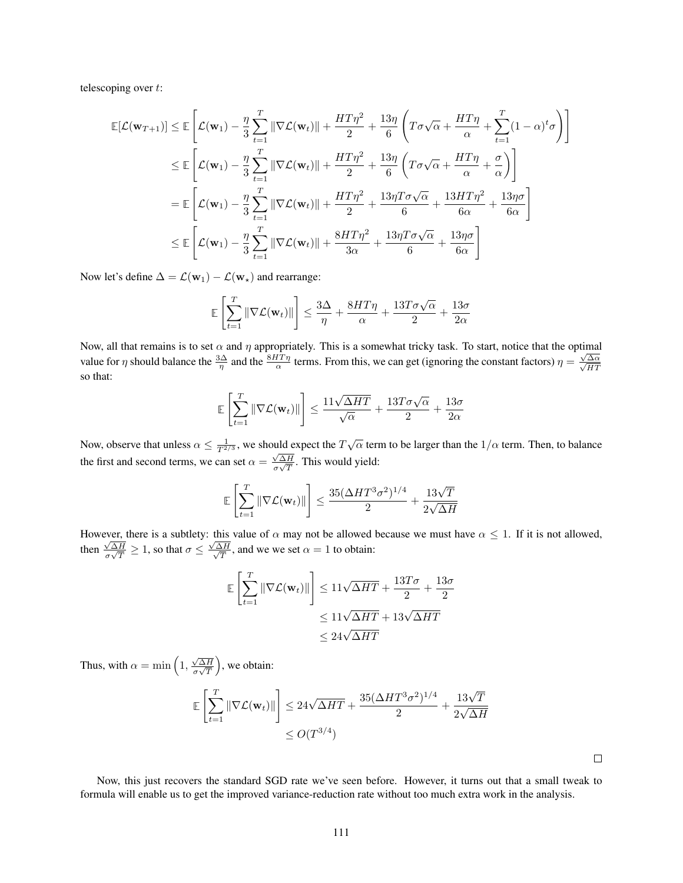telescoping over t:

$$
\mathbb{E}[\mathcal{L}(\mathbf{w}_{T+1})] \leq \mathbb{E}\left[\mathcal{L}(\mathbf{w}_{1}) - \frac{\eta}{3} \sum_{t=1}^{T} \|\nabla \mathcal{L}(\mathbf{w}_{t})\| + \frac{HT\eta^{2}}{2} + \frac{13\eta}{6} \left(T\sigma\sqrt{\alpha} + \frac{HT\eta}{\alpha} + \sum_{t=1}^{T} (1-\alpha)^{t}\sigma\right)\right]
$$
  
\n
$$
\leq \mathbb{E}\left[\mathcal{L}(\mathbf{w}_{1}) - \frac{\eta}{3} \sum_{t=1}^{T} \|\nabla \mathcal{L}(\mathbf{w}_{t})\| + \frac{HT\eta^{2}}{2} + \frac{13\eta}{6} \left(T\sigma\sqrt{\alpha} + \frac{HT\eta}{\alpha} + \frac{\sigma}{\alpha}\right)\right]
$$
  
\n
$$
= \mathbb{E}\left[\mathcal{L}(\mathbf{w}_{1}) - \frac{\eta}{3} \sum_{t=1}^{T} \|\nabla \mathcal{L}(\mathbf{w}_{t})\| + \frac{HT\eta^{2}}{2} + \frac{13\eta T\sigma\sqrt{\alpha}}{6} + \frac{13HT\eta^{2}}{6\alpha} + \frac{13\eta\sigma}{6\alpha}\right]
$$
  
\n
$$
\leq \mathbb{E}\left[\mathcal{L}(\mathbf{w}_{1}) - \frac{\eta}{3} \sum_{t=1}^{T} \|\nabla \mathcal{L}(\mathbf{w}_{t})\| + \frac{8HT\eta^{2}}{3\alpha} + \frac{13\eta T\sigma\sqrt{\alpha}}{6} + \frac{13\eta\sigma}{6\alpha}\right]
$$

Now let's define  $\Delta = \mathcal{L}(\mathbf{w}_1) - \mathcal{L}(\mathbf{w}_*)$  and rearrange:

$$
\mathbb{E}\left[\sum_{t=1}^T \|\nabla \mathcal{L}(\mathbf{w}_t)\|\right] \le \frac{3\Delta}{\eta} + \frac{8HT\eta}{\alpha} + \frac{13T\sigma\sqrt{\alpha}}{2} + \frac{13\sigma}{2\alpha}
$$

Now, all that remains is to set  $\alpha$  and  $\eta$  appropriately. This is a somewhat tricky task. To start, notice that the optimal value for  $\eta$  should balance the  $\frac{3\Delta}{\eta}$  and the  $\frac{8HT}{\alpha}$  terms. From this, we can get (ignoring the constant factors)  $\eta = \frac{\sqrt{}}{\sqrt{}}$  $\frac{\sqrt{\Delta\alpha}}{2}$ HT so that:

$$
\mathbb{E}\left[\sum_{t=1}^T \|\nabla \mathcal{L}(\mathbf{w}_t)\|\right] \le \frac{11\sqrt{\Delta HT}}{\sqrt{\alpha}} + \frac{13T\sigma\sqrt{\alpha}}{2} + \frac{13\sigma}{2\alpha}
$$

Now, observe that unless  $\alpha \le \frac{1}{T^{2/3}}$ , we should expect the  $T\sqrt{\alpha}$  term to be larger than the  $1/\alpha$  term. Then, to balance the first and second terms, we can set  $\alpha = \frac{\sqrt{\Delta H}}{2\sqrt{T}}$  $\frac{\sqrt{\Delta H}}{\sigma \sqrt{T}}$ . This would yield:

$$
\mathbb{E}\left[\sum_{t=1}^T \|\nabla \mathcal{L}(\mathbf{w}_t)\|\right] \le \frac{35(\Delta HT^3\sigma^2)^{1/4}}{2} + \frac{13\sqrt{T}}{2\sqrt{\Delta H}}
$$

However, there is a subtlety: this value of  $\alpha$  may not be allowed because we must have  $\alpha \leq 1$ . If it is not allowed, then  $\frac{\sqrt{\Delta H}}{g\sqrt{T}}$  $\frac{\sqrt{\Delta H}}{\sigma \sqrt{T}} \ge 1$ , so that  $\sigma \le \frac{\sqrt{2}}{\sqrt{2}}$ √ ∆H  $\frac{\Delta H}{T}$ , and we we set  $\alpha = 1$  to obtain:

$$
\mathbb{E}\left[\sum_{t=1}^{T} \|\nabla \mathcal{L}(\mathbf{w}_t)\|\right] \le 11\sqrt{\Delta HT} + \frac{13T\sigma}{2} + \frac{13\sigma}{2}
$$

$$
\le 11\sqrt{\Delta HT} + 13\sqrt{\Delta HT}
$$

$$
\le 24\sqrt{\Delta HT}
$$

Thus, with  $\alpha = \min\left(1, \frac{\sqrt{\Delta H}}{\sigma \sqrt{T}}\right)$  $\left(\frac{\sqrt{\Delta H}}{\sigma\sqrt{T}}\right)$ , we obtain:

$$
\mathbb{E}\left[\sum_{t=1}^{T} \|\nabla \mathcal{L}(\mathbf{w}_t)\|\right] \le 24\sqrt{\Delta HT} + \frac{35(\Delta HT^3\sigma^2)^{1/4}}{2} + \frac{13\sqrt{T}}{2\sqrt{\Delta H}}\n\le O(T^{3/4})
$$

 $\Box$ 

Now, this just recovers the standard SGD rate we've seen before. However, it turns out that a small tweak to formula will enable us to get the improved variance-reduction rate without too much extra work in the analysis.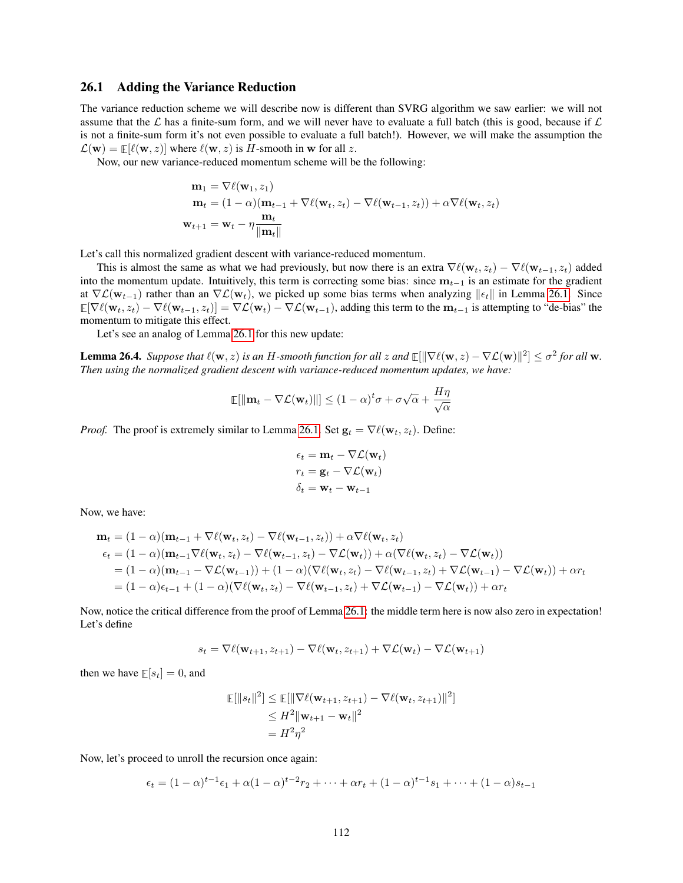#### 26.1 Adding the Variance Reduction

The variance reduction scheme we will describe now is different than SVRG algorithm we saw earlier: we will not assume that the  $\mathcal L$  has a finite-sum form, and we will never have to evaluate a full batch (this is good, because if  $\mathcal L$ is not a finite-sum form it's not even possible to evaluate a full batch!). However, we will make the assumption the  $\mathcal{L}(\mathbf{w}) = \mathbb{E}[\ell(\mathbf{w}, z)]$  where  $\ell(\mathbf{w}, z)$  is H-smooth in w for all z.

Now, our new variance-reduced momentum scheme will be the following:

$$
\mathbf{m}_1 = \nabla \ell(\mathbf{w}_1, z_1)
$$
  
\n
$$
\mathbf{m}_t = (1 - \alpha)(\mathbf{m}_{t-1} + \nabla \ell(\mathbf{w}_t, z_t) - \nabla \ell(\mathbf{w}_{t-1}, z_t)) + \alpha \nabla \ell(\mathbf{w}_t, z_t)
$$
  
\n
$$
\mathbf{w}_{t+1} = \mathbf{w}_t - \eta \frac{\mathbf{m}_t}{\|\mathbf{m}_t\|}
$$

Let's call this normalized gradient descent with variance-reduced momentum.

This is almost the same as what we had previously, but now there is an extra  $\nabla \ell(\mathbf{w}_t, z_t) - \nabla \ell(\mathbf{w}_{t-1}, z_t)$  added into the momentum update. Intuitively, this term is correcting some bias: since  $m_{t-1}$  is an estimate for the gradient at  $\nabla \mathcal{L}(\mathbf{w}_{t-1})$  rather than an  $\nabla \mathcal{L}(\mathbf{w}_t)$ , we picked up some bias terms when analyzing  $\|\epsilon_t\|$  in Lemma [26.1.](#page-106-0) Since  $\mathbb{E}[\nabla \ell(\mathbf{w}_t, z_t) - \nabla \ell(\mathbf{w}_{t-1}, z_t)] = \nabla \mathcal{L}(\mathbf{w}_t) - \nabla \mathcal{L}(\mathbf{w}_{t-1})$ , adding this term to the  $\mathbf{m}_{t-1}$  is attempting to "de-bias" the momentum to mitigate this effect.

Let's see an analog of Lemma [26.1](#page-106-0) for this new update:

**Lemma 26.4.** Suppose that  $\ell(\mathbf{w}, z)$  is an H-smooth function for all z and  $\mathbb{E}[\|\nabla \ell(\mathbf{w}, z) - \nabla \mathcal{L}(\mathbf{w})\|^2] \le \sigma^2$  for all w. *Then using the normalized gradient descent with variance-reduced momentum updates, we have:*

$$
\mathbb{E}[\|\mathbf{m}_t - \nabla \mathcal{L}(\mathbf{w}_t)\|] \le (1 - \alpha)^t \sigma + \sigma \sqrt{\alpha} + \frac{H\eta}{\sqrt{\alpha}}
$$

*Proof.* The proof is extremely similar to Lemma [26.1.](#page-106-0) Set  $\mathbf{g}_t = \nabla \ell(\mathbf{w}_t, z_t)$ . Define:

$$
\epsilon_t = \mathbf{m}_t - \nabla \mathcal{L}(\mathbf{w}_t)
$$

$$
r_t = \mathbf{g}_t - \nabla \mathcal{L}(\mathbf{w}_t)
$$

$$
\delta_t = \mathbf{w}_t - \mathbf{w}_{t-1}
$$

Now, we have:

$$
\mathbf{m}_t = (1 - \alpha)(\mathbf{m}_{t-1} + \nabla \ell(\mathbf{w}_t, z_t) - \nabla \ell(\mathbf{w}_{t-1}, z_t)) + \alpha \nabla \ell(\mathbf{w}_t, z_t)
$$
\n
$$
\epsilon_t = (1 - \alpha)(\mathbf{m}_{t-1} \nabla \ell(\mathbf{w}_t, z_t) - \nabla \ell(\mathbf{w}_{t-1}, z_t) - \nabla \mathcal{L}(\mathbf{w}_t)) + \alpha (\nabla \ell(\mathbf{w}_t, z_t) - \nabla \mathcal{L}(\mathbf{w}_t))
$$
\n
$$
= (1 - \alpha)(\mathbf{m}_{t-1} - \nabla \mathcal{L}(\mathbf{w}_{t-1})) + (1 - \alpha)(\nabla \ell(\mathbf{w}_t, z_t) - \nabla \ell(\mathbf{w}_{t-1}, z_t) + \nabla \mathcal{L}(\mathbf{w}_{t-1}) - \nabla \mathcal{L}(\mathbf{w}_t)) + \alpha r_t
$$
\n
$$
= (1 - \alpha)\epsilon_{t-1} + (1 - \alpha)(\nabla \ell(\mathbf{w}_t, z_t) - \nabla \ell(\mathbf{w}_{t-1}, z_t) + \nabla \mathcal{L}(\mathbf{w}_{t-1}) - \nabla \mathcal{L}(\mathbf{w}_t)) + \alpha r_t
$$

Now, notice the critical difference from the proof of Lemma [26.1:](#page-106-0) the middle term here is now also zero in expectation! Let's define

$$
s_t = \nabla \ell(\mathbf{w}_{t+1}, z_{t+1}) - \nabla \ell(\mathbf{w}_t, z_{t+1}) + \nabla \mathcal{L}(\mathbf{w}_t) - \nabla \mathcal{L}(\mathbf{w}_{t+1})
$$

then we have  $E[s_t] = 0$ , and

$$
\mathbb{E}[\|s_t\|^2] \le \mathbb{E}[\|\nabla \ell(\mathbf{w}_{t+1}, z_{t+1}) - \nabla \ell(\mathbf{w}_t, z_{t+1})\|^2]
$$
  
\n
$$
\le H^2 \|\mathbf{w}_{t+1} - \mathbf{w}_t\|^2
$$
  
\n
$$
= H^2 \eta^2
$$

Now, let's proceed to unroll the recursion once again:

$$
\epsilon_t = (1 - \alpha)^{t-1} \epsilon_1 + \alpha (1 - \alpha)^{t-2} r_2 + \dots + \alpha r_t + (1 - \alpha)^{t-1} s_1 + \dots + (1 - \alpha) s_{t-1}
$$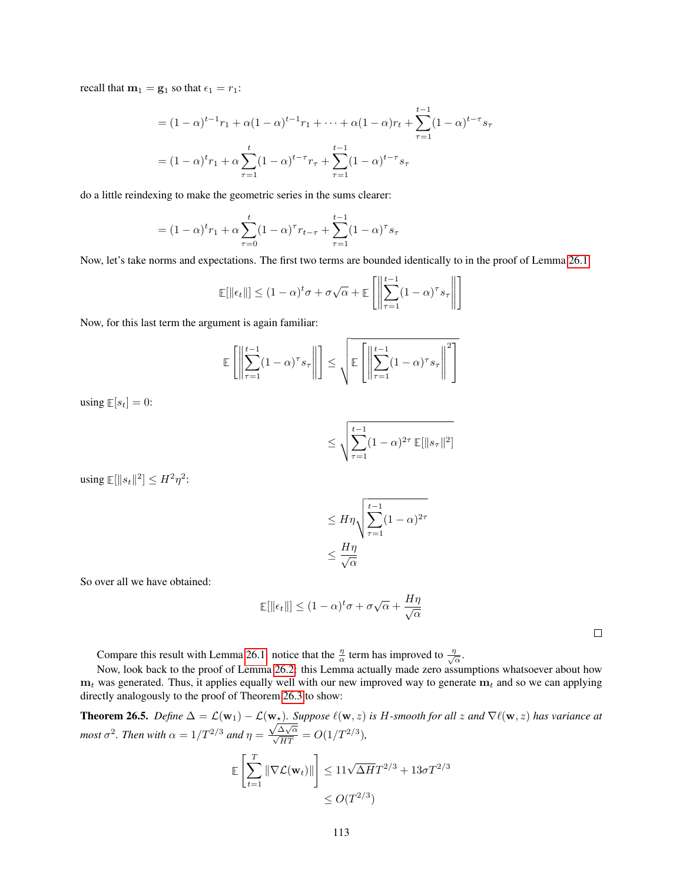recall that  $m_1 = g_1$  so that  $\epsilon_1 = r_1$ :

$$
= (1 - \alpha)^{t-1} r_1 + \alpha (1 - \alpha)^{t-1} r_1 + \dots + \alpha (1 - \alpha) r_t + \sum_{\tau=1}^{t-1} (1 - \alpha)^{t-\tau} s_\tau
$$

$$
= (1 - \alpha)^t r_1 + \alpha \sum_{\tau=1}^t (1 - \alpha)^{t-\tau} r_\tau + \sum_{\tau=1}^{t-1} (1 - \alpha)^{t-\tau} s_\tau
$$

do a little reindexing to make the geometric series in the sums clearer:

$$
= (1 - \alpha)^{t} r_1 + \alpha \sum_{\tau=0}^{t} (1 - \alpha)^{\tau} r_{t-\tau} + \sum_{\tau=1}^{t-1} (1 - \alpha)^{\tau} s_{\tau}
$$

Now, let's take norms and expectations. The first two terms are bounded identically to in the proof of Lemma [26.1.](#page-106-0)

$$
\mathbb{E}[\|\epsilon_t\|] \le (1-\alpha)^t \sigma + \sigma \sqrt{\alpha} + \mathbb{E}\left[\left\|\sum_{\tau=1}^{t-1} (1-\alpha)^{\tau} s_{\tau}\right\|\right]
$$

Now, for this last term the argument is again familiar:

$$
\mathbb{E}\left[\left\|\sum_{\tau=1}^{t-1} (1-\alpha)^{\tau} s_{\tau}\right\|\right] \leq \sqrt{\mathbb{E}\left[\left\|\sum_{\tau=1}^{t-1} (1-\alpha)^{\tau} s_{\tau}\right\|^{2}\right]}
$$

using  $\mathbb{E}[s_t] = 0$ :

$$
\leq \sqrt{\sum_{\tau=1}^{t-1} (1-\alpha)^{2\tau} \mathbb{E}[\|s_{\tau}\|^2]}
$$

using  $\mathbb{E}[\Vert s_t \Vert^2] \leq H^2 \eta^2$ :

$$
\leq H\eta \sqrt{\sum_{\tau=1}^{t-1} (1-\alpha)^{2\tau}}
$$

$$
\leq \frac{H\eta}{\sqrt{\alpha}}
$$

So over all we have obtained:

$$
\mathbb{E}[\|\epsilon_t\|] \le (1-\alpha)^t \sigma + \sigma \sqrt{\alpha} + \frac{H\eta}{\sqrt{\alpha}}
$$

 $\Box$ 

Compare this result with Lemma [26.1:](#page-106-0) notice that the  $\frac{\eta}{\alpha}$  term has improved to  $\frac{\eta}{\sqrt{n}}$  $\frac{l}{\alpha}$ .

Now, look back to the proof of Lemma [26.2:](#page-108-0) this Lemma actually made zero assumptions whatsoever about how  $m_t$  was generated. Thus, it applies equally well with our new improved way to generate  $m_t$  and so we can applying directly analogously to the proof of Theorem [26.3](#page-109-0) to show:

**Theorem 26.5.** *Define*  $\Delta = \mathcal{L}(\mathbf{w}_1) - \mathcal{L}(\mathbf{w}_*)$ . Suppose  $\ell(\mathbf{w}, z)$  is H-smooth for all z and  $\nabla \ell(\mathbf{w}, z)$  has variance at *most*  $\sigma^2$ *. Then with*  $\alpha = 1/T^{2/3}$  *and*  $\eta =$  $\frac{\sqrt{\Delta\sqrt{\alpha}}}{\sqrt{HT}}$  =  $O(1/T^{2/3})$ ,

$$
\mathbb{E}\left[\sum_{t=1}^T \|\nabla \mathcal{L}(\mathbf{w}_t)\|\right] \le 11\sqrt{\Delta H}T^{2/3} + 13\sigma T^{2/3} \le O(T^{2/3})
$$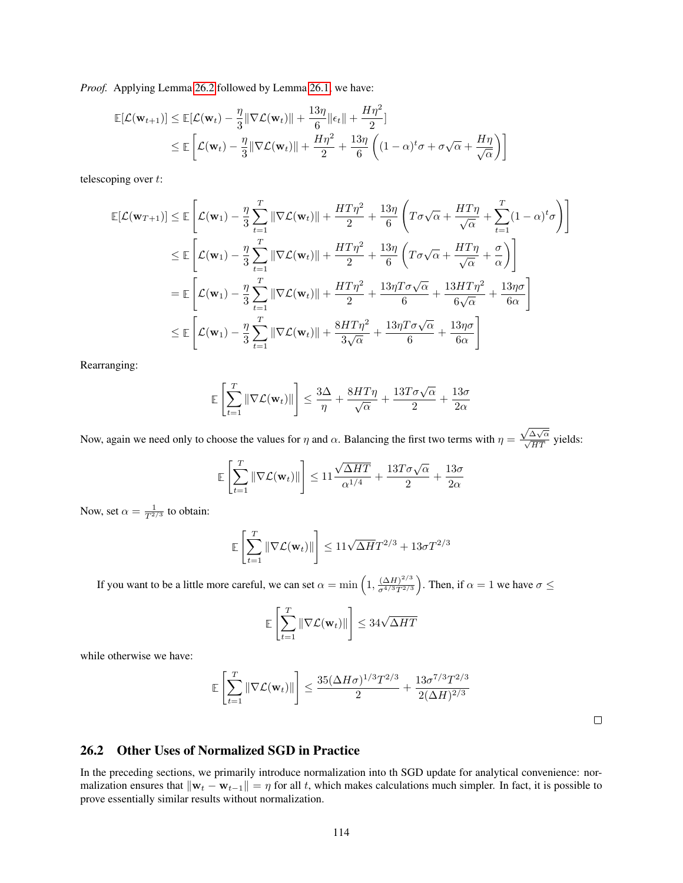*Proof.* Applying Lemma [26.2](#page-108-0) followed by Lemma [26.1,](#page-106-0) we have:

$$
\mathbb{E}[\mathcal{L}(\mathbf{w}_{t+1})] \leq \mathbb{E}[\mathcal{L}(\mathbf{w}_t) - \frac{\eta}{3} \|\nabla \mathcal{L}(\mathbf{w}_t)\| + \frac{13\eta}{6} \|\epsilon_t\| + \frac{H\eta^2}{2}]
$$
  
\n
$$
\leq \mathbb{E}\left[\mathcal{L}(\mathbf{w}_t) - \frac{\eta}{3} \|\nabla \mathcal{L}(\mathbf{w}_t)\| + \frac{H\eta^2}{2} + \frac{13\eta}{6} \left( (1 - \alpha)^t \sigma + \sigma \sqrt{\alpha} + \frac{H\eta}{\sqrt{\alpha}} \right) \right]
$$

telescoping over t:

$$
\mathbb{E}[\mathcal{L}(\mathbf{w}_{T+1})] \leq \mathbb{E}\left[\mathcal{L}(\mathbf{w}_{1}) - \frac{\eta}{3} \sum_{t=1}^{T} \|\nabla \mathcal{L}(\mathbf{w}_{t})\| + \frac{HT\eta^{2}}{2} + \frac{13\eta}{6} \left(T\sigma\sqrt{\alpha} + \frac{HT\eta}{\sqrt{\alpha}} + \sum_{t=1}^{T} (1-\alpha)^{t}\sigma\right)\right]
$$
  
\n
$$
\leq \mathbb{E}\left[\mathcal{L}(\mathbf{w}_{1}) - \frac{\eta}{3} \sum_{t=1}^{T} \|\nabla \mathcal{L}(\mathbf{w}_{t})\| + \frac{HT\eta^{2}}{2} + \frac{13\eta}{6} \left(T\sigma\sqrt{\alpha} + \frac{HT\eta}{\sqrt{\alpha}} + \frac{\sigma}{\alpha}\right)\right]
$$
  
\n
$$
= \mathbb{E}\left[\mathcal{L}(\mathbf{w}_{1}) - \frac{\eta}{3} \sum_{t=1}^{T} \|\nabla \mathcal{L}(\mathbf{w}_{t})\| + \frac{HT\eta^{2}}{2} + \frac{13\eta T\sigma\sqrt{\alpha}}{6} + \frac{13HT\eta^{2}}{6\sqrt{\alpha}} + \frac{13\eta\sigma}{6\alpha}\right]
$$
  
\n
$$
\leq \mathbb{E}\left[\mathcal{L}(\mathbf{w}_{1}) - \frac{\eta}{3} \sum_{t=1}^{T} \|\nabla \mathcal{L}(\mathbf{w}_{t})\| + \frac{8HT\eta^{2}}{3\sqrt{\alpha}} + \frac{13\eta T\sigma\sqrt{\alpha}}{6} + \frac{13\eta\sigma}{6\alpha}\right]
$$

Rearranging:

$$
\mathbb{E}\left[\sum_{t=1}^T\|\nabla \mathcal{L}(\mathbf{w}_t)\|\right] \leq \frac{3\Delta}{\eta} + \frac{8HT\eta}{\sqrt{\alpha}} + \frac{13T\sigma\sqrt{\alpha}}{2} + \frac{13\sigma}{2\alpha}
$$

Now, again we need only to choose the values for  $\eta$  and  $\alpha$ . Balancing the first two terms with  $\eta =$  $\frac{\sqrt{\Delta\sqrt{\alpha}}}{\sqrt{HT}}$  yields:

$$
\mathbb{E}\left[\sum_{t=1}^T\|\nabla \mathcal{L}(\mathbf{w}_t)\|\right] \le 11\frac{\sqrt{\Delta HT}}{\alpha^{1/4}} + \frac{13T\sigma\sqrt{\alpha}}{2} + \frac{13\sigma}{2\alpha}
$$

Now, set  $\alpha = \frac{1}{T^{2/3}}$  to obtain:

$$
\mathbb{E}\left[\sum_{t=1}^T \|\nabla \mathcal{L}(\mathbf{w}_t)\|\right] \le 11\sqrt{\Delta H}T^{2/3} + 13\sigma T^{2/3}
$$

If you want to be a little more careful, we can set  $\alpha = \min\left(1, \frac{(\Delta H)^{2/3}}{\sigma^{4/3}T^{2/3}}\right)$  $\left(\frac{(\Delta H)^{2/3}}{\sigma^{4/3}T^{2/3}}\right)$ . Then, if  $\alpha = 1$  we have  $\sigma \leq$ 

$$
\mathbb{E}\left[\sum_{t=1}^T \|\nabla \mathcal{L}(\mathbf{w}_t)\|\right] \leq 34\sqrt{\Delta HT}
$$

while otherwise we have:

$$
\mathbb{E}\left[\sum_{t=1}^T\|\nabla \mathcal{L}(\mathbf{w}_t)\|\right] \leq \frac{35(\Delta H\sigma)^{1/3}T^{2/3}}{2} + \frac{13\sigma^{7/3}T^{2/3}}{2(\Delta H)^{2/3}}
$$

 $\Box$ 

### 26.2 Other Uses of Normalized SGD in Practice

In the preceding sections, we primarily introduce normalization into th SGD update for analytical convenience: normalization ensures that  $\|\mathbf{w}_t - \mathbf{w}_{t-1}\| = \eta$  for all t, which makes calculations much simpler. In fact, it is possible to prove essentially similar results without normalization.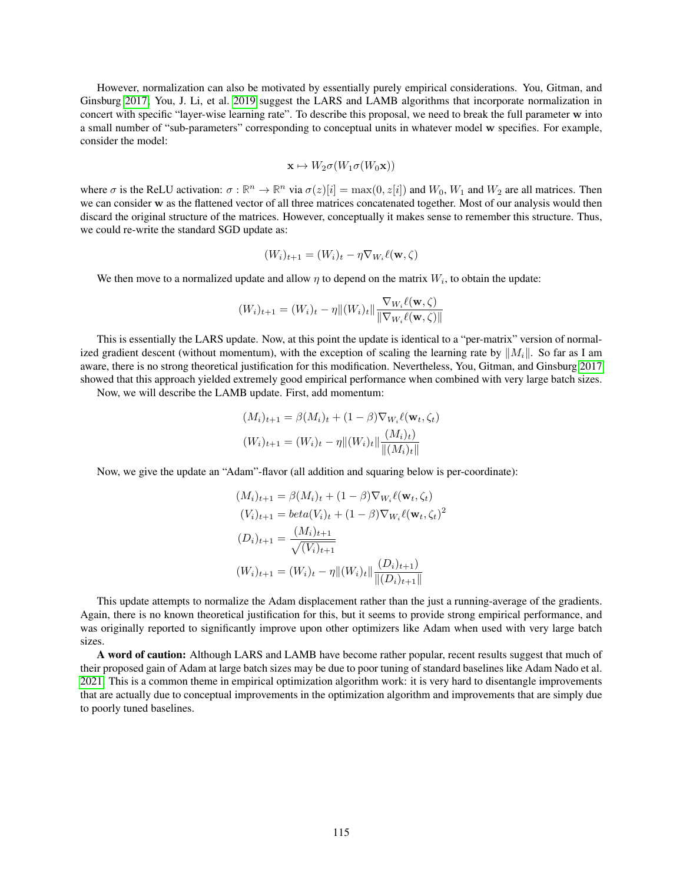However, normalization can also be motivated by essentially purely empirical considerations. You, Gitman, and Ginsburg [2017;](#page-121-0) You, J. Li, et al. [2019](#page-121-1) suggest the LARS and LAMB algorithms that incorporate normalization in concert with specific "layer-wise learning rate". To describe this proposal, we need to break the full parameter w into a small number of "sub-parameters" corresponding to conceptual units in whatever model w specifies. For example, consider the model:

$$
\mathbf{x} \mapsto W_2 \sigma(W_1 \sigma(W_0 \mathbf{x}))
$$

where  $\sigma$  is the ReLU activation:  $\sigma : \mathbb{R}^n \to \mathbb{R}^n$  via  $\sigma(z)[i] = \max(0, z[i])$  and  $W_0$ ,  $W_1$  and  $W_2$  are all matrices. Then we can consider w as the flattened vector of all three matrices concatenated together. Most of our analysis would then discard the original structure of the matrices. However, conceptually it makes sense to remember this structure. Thus, we could re-write the standard SGD update as:

$$
(W_i)_{t+1} = (W_i)_t - \eta \nabla_{W_i} \ell(\mathbf{w}, \zeta)
$$

We then move to a normalized update and allow  $\eta$  to depend on the matrix  $W_i$ , to obtain the update:

$$
(W_i)_{t+1} = (W_i)_t - \eta \|(W_i)_t\| \frac{\nabla_{W_i}\ell(\mathbf{w}, \zeta)}{\|\nabla_{W_i}\ell(\mathbf{w}, \zeta)\|}
$$

This is essentially the LARS update. Now, at this point the update is identical to a "per-matrix" version of normalized gradient descent (without momentum), with the exception of scaling the learning rate by  $||M_i||$ . So far as I am aware, there is no strong theoretical justification for this modification. Nevertheless, You, Gitman, and Ginsburg [2017](#page-121-0) showed that this approach yielded extremely good empirical performance when combined with very large batch sizes.

Now, we will describe the LAMB update. First, add momentum:

$$
(M_i)_{t+1} = \beta(M_i)_t + (1 - \beta) \nabla_{W_i} \ell(\mathbf{w}_t, \zeta_t)
$$

$$
(W_i)_{t+1} = (W_i)_t - \eta \| (W_i)_t \| \frac{(M_i)_t}{\| (M_i)_t \|}
$$

Now, we give the update an "Adam"-flavor (all addition and squaring below is per-coordinate):

$$
(M_i)_{t+1} = \beta(M_i)_t + (1 - \beta) \nabla_{W_i} \ell(\mathbf{w}_t, \zeta_t)
$$
  
\n
$$
(V_i)_{t+1} = beta(V_i)_t + (1 - \beta) \nabla_{W_i} \ell(\mathbf{w}_t, \zeta_t)^2
$$
  
\n
$$
(D_i)_{t+1} = \frac{(M_i)_{t+1}}{\sqrt{(V_i)_{t+1}}}
$$
  
\n
$$
(W_i)_{t+1} = (W_i)_t - \eta \|(W_i)_t\| \frac{(D_i)_{t+1}}{\|(D_i)_{t+1}\|}
$$

This update attempts to normalize the Adam displacement rather than the just a running-average of the gradients. Again, there is no known theoretical justification for this, but it seems to provide strong empirical performance, and was originally reported to significantly improve upon other optimizers like Adam when used with very large batch sizes.

A word of caution: Although LARS and LAMB have become rather popular, recent results suggest that much of their proposed gain of Adam at large batch sizes may be due to poor tuning of standard baselines like Adam Nado et al. [2021.](#page-121-2) This is a common theme in empirical optimization algorithm work: it is very hard to disentangle improvements that are actually due to conceptual improvements in the optimization algorithm and improvements that are simply due to poorly tuned baselines.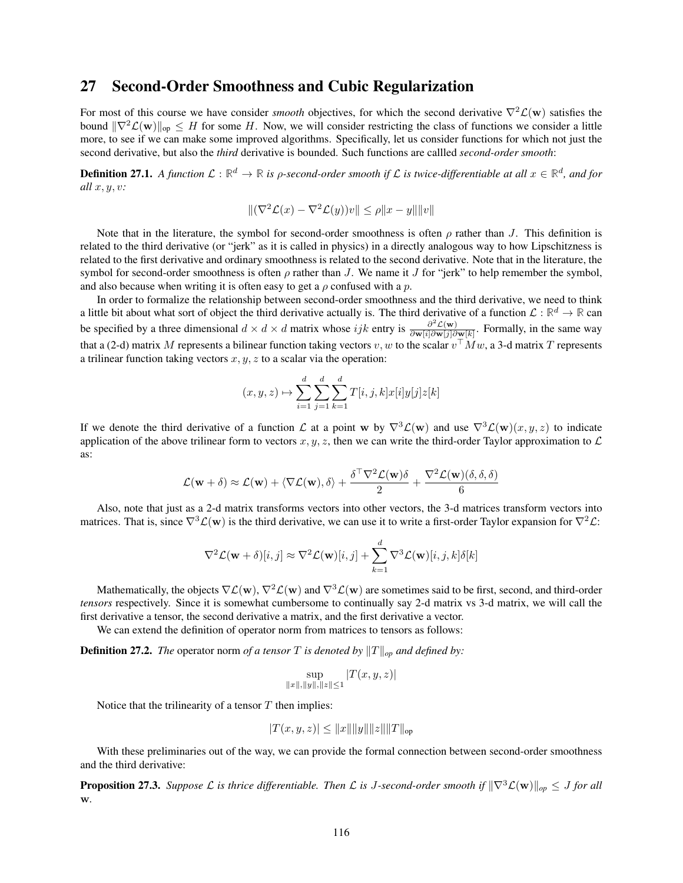### 27 Second-Order Smoothness and Cubic Regularization

For most of this course we have consider *smooth* objectives, for which the second derivative  $\nabla^2 \mathcal{L}(\mathbf{w})$  satisfies the bound  $\|\nabla^2 \mathcal{L}(w)\|_{\infty} \leq H$  for some H. Now, we will consider restricting the class of functions we consider a little more, to see if we can make some improved algorithms. Specifically, let us consider functions for which not just the second derivative, but also the *third* derivative is bounded. Such functions are callled *second-order smooth*:

**Definition 27.1.** A function  $L:\mathbb{R}^d\to\mathbb{R}$  is  $\rho$ -second-order smooth if  $L$  is twice-differentiable at all  $x\in\mathbb{R}^d$ , and for *all* x, y, v*:*

$$
\|(\nabla^2 \mathcal{L}(x) - \nabla^2 \mathcal{L}(y))v\| \le \rho \|x - y\| \|v\|
$$

Note that in the literature, the symbol for second-order smoothness is often  $\rho$  rather than J. This definition is related to the third derivative (or "jerk" as it is called in physics) in a directly analogous way to how Lipschitzness is related to the first derivative and ordinary smoothness is related to the second derivative. Note that in the literature, the symbol for second-order smoothness is often  $\rho$  rather than J. We name it J for "jerk" to help remember the symbol, and also because when writing it is often easy to get a  $\rho$  confused with a  $p$ .

In order to formalize the relationship between second-order smoothness and the third derivative, we need to think a little bit about what sort of object the third derivative actually is. The third derivative of a function  $L:\mathbb{R}^d\to\mathbb{R}$  can be specified by a three dimensional  $d \times d \times d$  matrix whose ijk entry is  $\frac{\partial^2 \mathcal{L}(\mathbf{w})}{\partial \mathbf{w}[i]\partial \mathbf{w}[i]\partial \mathbf{w}}$  $\frac{\partial^2 L(\mathbf{W})}{\partial \mathbf{w}[i] \partial \mathbf{w}[j] \partial \mathbf{w}[k]}$ . Formally, in the same way that a (2-d) matrix M represents a bilinear function taking vectors v, w to the scalar  $v<sup>T</sup>Mw$ , a 3-d matrix T represents a trilinear function taking vectors  $x, y, z$  to a scalar via the operation:

$$
(x, y, z) \mapsto \sum_{i=1}^{d} \sum_{j=1}^{d} \sum_{k=1}^{d} T[i, j, k] x[i] y[j] z[k]
$$

If we denote the third derivative of a function L at a point w by  $\nabla^3 \mathcal{L}(w)$  and use  $\nabla^3 \mathcal{L}(w)(x, y, z)$  to indicate application of the above trilinear form to vectors  $x, y, z$ , then we can write the third-order Taylor approximation to  $\mathcal L$ as:

$$
\mathcal{L}(\mathbf{w} + \delta) \approx \mathcal{L}(\mathbf{w}) + \langle \nabla \mathcal{L}(\mathbf{w}), \delta \rangle + \frac{\delta^{\top} \nabla^{2} \mathcal{L}(\mathbf{w}) \delta}{2} + \frac{\nabla^{2} \mathcal{L}(\mathbf{w}) (\delta, \delta, \delta)}{6}
$$

Also, note that just as a 2-d matrix transforms vectors into other vectors, the 3-d matrices transform vectors into matrices. That is, since  $\nabla^3 \mathcal{L}(\mathbf{w})$  is the third derivative, we can use it to write a first-order Taylor expansion for  $\nabla^2 \mathcal{L}$ :

$$
\nabla^2 \mathcal{L}(\mathbf{w} + \delta)[i, j] \approx \nabla^2 \mathcal{L}(\mathbf{w})[i, j] + \sum_{k=1}^d \nabla^3 \mathcal{L}(\mathbf{w})[i, j, k] \delta[k]
$$

Mathematically, the objects  $\nabla \mathcal{L}(\mathbf{w})$ ,  $\nabla^2 \mathcal{L}(\mathbf{w})$  and  $\nabla^3 \mathcal{L}(\mathbf{w})$  are sometimes said to be first, second, and third-order *tensors* respectively. Since it is somewhat cumbersome to continually say 2-d matrix vs 3-d matrix, we will call the first derivative a tensor, the second derivative a matrix, and the first derivative a vector.

We can extend the definition of operator norm from matrices to tensors as follows:

**Definition 27.2.** *The* operator norm *of a tensor T is denoted by*  $||T||_{op}$  *and defined by:* 

$$
\sup_{\|x\|, \|y\|, \|z\| \le 1} |T(x, y, z)|
$$

Notice that the trilinearity of a tensor  $T$  then implies:

$$
|T(x, y, z)| \leq ||x|| ||y|| ||z|| ||T||_{op}
$$

With these preliminaries out of the way, we can provide the formal connection between second-order smoothness and the third derivative:

**Proposition 27.3.** *Suppose*  $\mathcal L$  *is thrice differentiable. Then*  $\mathcal L$  *is J-second-order smooth if*  $\|\nabla^3 \mathcal L(\mathbf w)\|_{op} \leq J$  *for all* w*.*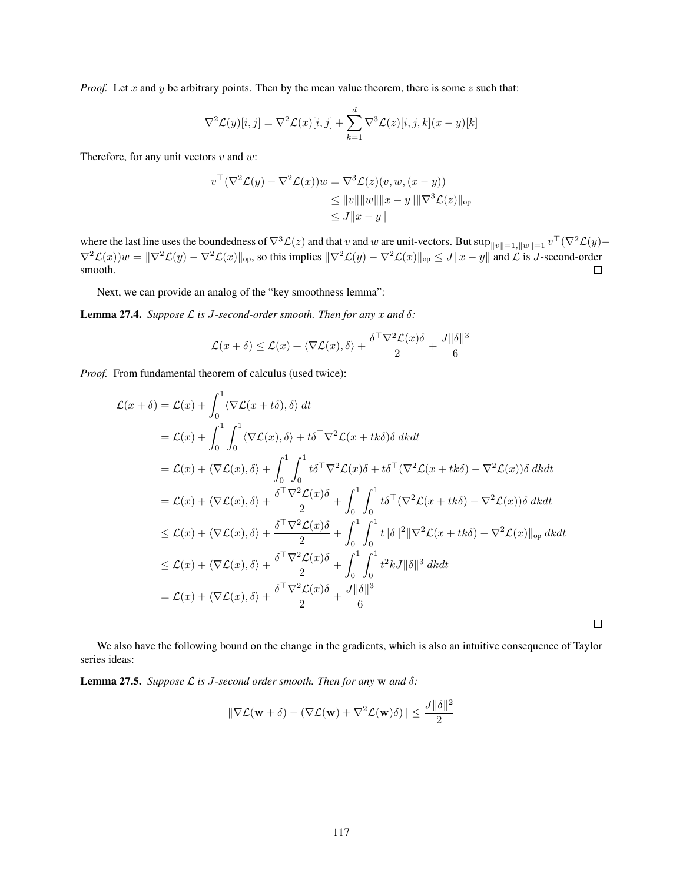*Proof.* Let x and y be arbitrary points. Then by the mean value theorem, there is some z such that:

$$
\nabla^2 \mathcal{L}(y)[i,j] = \nabla^2 \mathcal{L}(x)[i,j] + \sum_{k=1}^d \nabla^3 \mathcal{L}(z)[i,j,k](x-y)[k]
$$

Therefore, for any unit vectors  $v$  and  $w$ :

$$
v^{\top}(\nabla^2 \mathcal{L}(y) - \nabla^2 \mathcal{L}(x))w = \nabla^3 \mathcal{L}(z)(v, w, (x - y))
$$
  
\n
$$
\leq ||v|| ||w|| ||x - y|| ||\nabla^3 \mathcal{L}(z)||_{op}
$$
  
\n
$$
\leq J ||x - y||
$$

where the last line uses the boundedness of  $\nabla^3 \mathcal{L}(z)$  and that  $v$  and  $w$  are unit-vectors. But  $\sup_{\|v\|=1, \|w\|=1} v^\top (\nabla^2 \mathcal{L}(y) \nabla^2 \mathcal{L}(x))w = \|\nabla^2 \mathcal{L}(y) - \nabla^2 \mathcal{L}(x)\|_{\text{op}}$ , so this implies  $\|\nabla^2 \mathcal{L}(y) - \nabla^2 \mathcal{L}(x)\|_{\text{op}} \le J\|x - y\|$  and  $\mathcal{L}$  is J-second-order smooth.  $\Box$ 

Next, we can provide an analog of the "key smoothness lemma":

**Lemma 27.4.** *Suppose*  $\mathcal{L}$  *is J-second-order smooth. Then for any*  $x$  *and*  $\delta$ *:* 

$$
\mathcal{L}(x+\delta) \le \mathcal{L}(x) + \langle \nabla \mathcal{L}(x), \delta \rangle + \frac{\delta^{\top} \nabla^2 \mathcal{L}(x) \delta}{2} + \frac{J ||\delta||^3}{6}
$$

*Proof.* From fundamental theorem of calculus (used twice):

$$
\mathcal{L}(x+\delta) = \mathcal{L}(x) + \int_0^1 \langle \nabla \mathcal{L}(x+t\delta), \delta \rangle dt
$$
  
\n
$$
= \mathcal{L}(x) + \int_0^1 \int_0^1 \langle \nabla \mathcal{L}(x), \delta \rangle + t\delta^\top \nabla^2 \mathcal{L}(x+t\kappa\delta) \delta \, dk dt
$$
  
\n
$$
= \mathcal{L}(x) + \langle \nabla \mathcal{L}(x), \delta \rangle + \int_0^1 \int_0^1 t\delta^\top \nabla^2 \mathcal{L}(x)\delta + t\delta^\top (\nabla^2 \mathcal{L}(x+t\kappa\delta) - \nabla^2 \mathcal{L}(x)) \delta \, dk dt
$$
  
\n
$$
= \mathcal{L}(x) + \langle \nabla \mathcal{L}(x), \delta \rangle + \frac{\delta^\top \nabla^2 \mathcal{L}(x)\delta}{2} + \int_0^1 \int_0^1 t\delta^\top (\nabla^2 \mathcal{L}(x+t\kappa\delta) - \nabla^2 \mathcal{L}(x)) \delta \, dk dt
$$
  
\n
$$
\leq \mathcal{L}(x) + \langle \nabla \mathcal{L}(x), \delta \rangle + \frac{\delta^\top \nabla^2 \mathcal{L}(x)\delta}{2} + \int_0^1 \int_0^1 t\|\delta\|^2 \|\nabla^2 \mathcal{L}(x+t\kappa\delta) - \nabla^2 \mathcal{L}(x)\|_{op} \, dk dt
$$
  
\n
$$
\leq \mathcal{L}(x) + \langle \nabla \mathcal{L}(x), \delta \rangle + \frac{\delta^\top \nabla^2 \mathcal{L}(x)\delta}{2} + \int_0^1 \int_0^1 t^2 k J \|\delta\|^3 \, dk dt
$$
  
\n
$$
= \mathcal{L}(x) + \langle \nabla \mathcal{L}(x), \delta \rangle + \frac{\delta^\top \nabla^2 \mathcal{L}(x)\delta}{2} + \frac{J \|\delta\|^3}{6}
$$

 $\Box$ 

We also have the following bound on the change in the gradients, which is also an intuitive consequence of Taylor series ideas:

<span id="page-116-0"></span>**Lemma 27.5.** *Suppose*  $\mathcal{L}$  *is J-second order smooth. Then for any*  $\bf{w}$  *and*  $\delta$ *:* 

$$
\|\nabla \mathcal{L}(\mathbf{w} + \delta) - (\nabla \mathcal{L}(\mathbf{w}) + \nabla^2 \mathcal{L}(\mathbf{w})\delta)\| \le \frac{J \|\delta\|^2}{2}
$$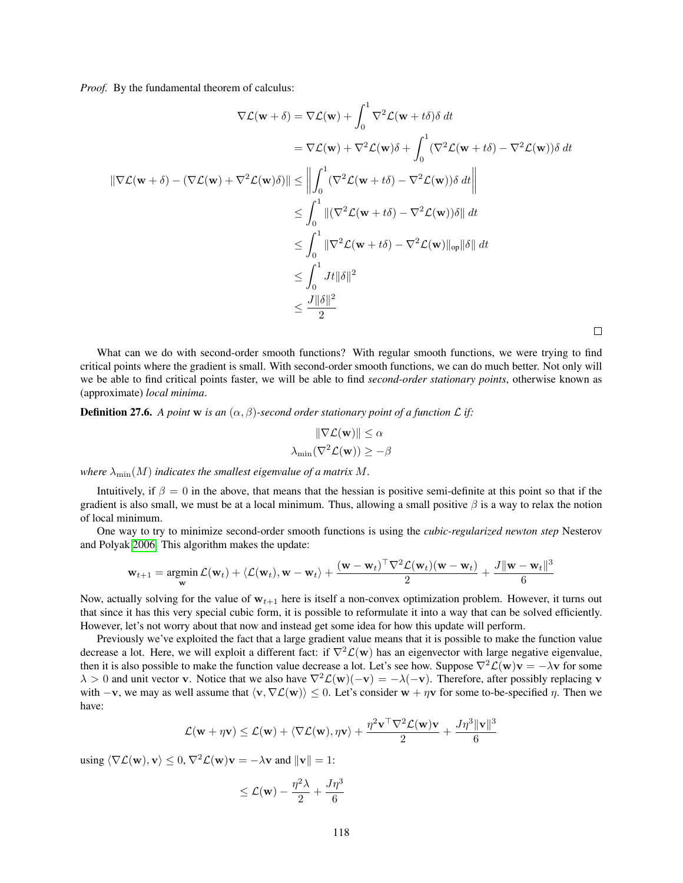*Proof.* By the fundamental theorem of calculus:

$$
\nabla \mathcal{L}(\mathbf{w} + \delta) = \nabla \mathcal{L}(\mathbf{w}) + \int_0^1 \nabla^2 \mathcal{L}(\mathbf{w} + t\delta) \delta \, dt
$$
  
\n
$$
= \nabla \mathcal{L}(\mathbf{w}) + \nabla^2 \mathcal{L}(\mathbf{w}) \delta + \int_0^1 (\nabla^2 \mathcal{L}(\mathbf{w} + t\delta) - \nabla^2 \mathcal{L}(\mathbf{w})) \delta \, dt
$$
  
\n
$$
\|\nabla \mathcal{L}(\mathbf{w} + \delta) - (\nabla \mathcal{L}(\mathbf{w}) + \nabla^2 \mathcal{L}(\mathbf{w}) \delta)\| \le \left\| \int_0^1 (\nabla^2 \mathcal{L}(\mathbf{w} + t\delta) - \nabla^2 \mathcal{L}(\mathbf{w})) \delta \, dt \right\|
$$
  
\n
$$
\le \int_0^1 \|(\nabla^2 \mathcal{L}(\mathbf{w} + t\delta) - \nabla^2 \mathcal{L}(\mathbf{w})) \delta\| \, dt
$$
  
\n
$$
\le \int_0^1 \|\nabla^2 \mathcal{L}(\mathbf{w} + t\delta) - \nabla^2 \mathcal{L}(\mathbf{w})\|_{op} \|\delta\| \, dt
$$
  
\n
$$
\le \int_0^1 Jt \|\delta\|^2
$$
  
\n
$$
\le \frac{J \|\delta\|^2}{2}
$$

What can we do with second-order smooth functions? With regular smooth functions, we were trying to find critical points where the gradient is small. With second-order smooth functions, we can do much better. Not only will we be able to find critical points faster, we will be able to find *second-order stationary points*, otherwise known as (approximate) *local minima*.

 $\Box$ 

**Definition 27.6.** A point w is an  $(\alpha, \beta)$ -second order stationary point of a function L if:

$$
\|\nabla \mathcal{L}(\mathbf{w})\| \le \alpha
$$

$$
\lambda_{\min}(\nabla^2 \mathcal{L}(\mathbf{w})) \ge -\beta
$$

*where*  $\lambda_{\min}(M)$  *indicates the smallest eigenvalue of a matrix* M.

Intuitively, if  $\beta = 0$  in the above, that means that the hessian is positive semi-definite at this point so that if the gradient is also small, we must be at a local minimum. Thus, allowing a small positive  $\beta$  is a way to relax the notion of local minimum.

One way to try to minimize second-order smooth functions is using the *cubic-regularized newton step* Nesterov and Polyak [2006.](#page-121-3) This algorithm makes the update:

$$
\mathbf{w}_{t+1} = \underset{\mathbf{w}}{\text{argmin}} \, \mathcal{L}(\mathbf{w}_t) + \langle \mathcal{L}(\mathbf{w}_t), \mathbf{w} - \mathbf{w}_t \rangle + \frac{(\mathbf{w} - \mathbf{w}_t)^{\top} \nabla^2 \mathcal{L}(\mathbf{w}_t)(\mathbf{w} - \mathbf{w}_t)}{2} + \frac{J \|\mathbf{w} - \mathbf{w}_t\|^3}{6}
$$

Now, actually solving for the value of  $w_{t+1}$  here is itself a non-convex optimization problem. However, it turns out that since it has this very special cubic form, it is possible to reformulate it into a way that can be solved efficiently. However, let's not worry about that now and instead get some idea for how this update will perform.

Previously we've exploited the fact that a large gradient value means that it is possible to make the function value decrease a lot. Here, we will exploit a different fact: if  $\nabla^2 \mathcal{L}(\mathbf{w})$  has an eigenvector with large negative eigenvalue, then it is also possible to make the function value decrease a lot. Let's see how. Suppose  $\nabla^2 \mathcal{L}(\mathbf{w})\mathbf{v} = -\lambda \mathbf{v}$  for some  $\lambda > 0$  and unit vector v. Notice that we also have  $\nabla^2 \mathcal{L}(\mathbf{w})(-\mathbf{v}) = -\lambda(-\mathbf{v})$ . Therefore, after possibly replacing v with  $-\mathbf{v}$ , we may as well assume that  $\langle \mathbf{v}, \nabla \mathcal{L}(\mathbf{w}) \rangle \leq 0$ . Let's consider  $\mathbf{w} + \eta \mathbf{v}$  for some to-be-specified  $\eta$ . Then we have:

$$
\mathcal{L}(\mathbf{w} + \eta \mathbf{v}) \le \mathcal{L}(\mathbf{w}) + \langle \nabla \mathcal{L}(\mathbf{w}), \eta \mathbf{v} \rangle + \frac{\eta^2 \mathbf{v}^\top \nabla^2 \mathcal{L}(\mathbf{w}) \mathbf{v}}{2} + \frac{J\eta^3 \|\mathbf{v}\|^3}{6}
$$

using  $\langle \nabla \mathcal{L}(\mathbf{w}), \mathbf{v} \rangle \leq 0$ ,  $\nabla^2 \mathcal{L}(\mathbf{w})\mathbf{v} = -\lambda \mathbf{v}$  and  $\|\mathbf{v}\| = 1$ :

$$
\leq \mathcal{L}(\mathbf{w}) - \frac{\eta^2 \lambda}{2} + \frac{J \eta^3}{6}
$$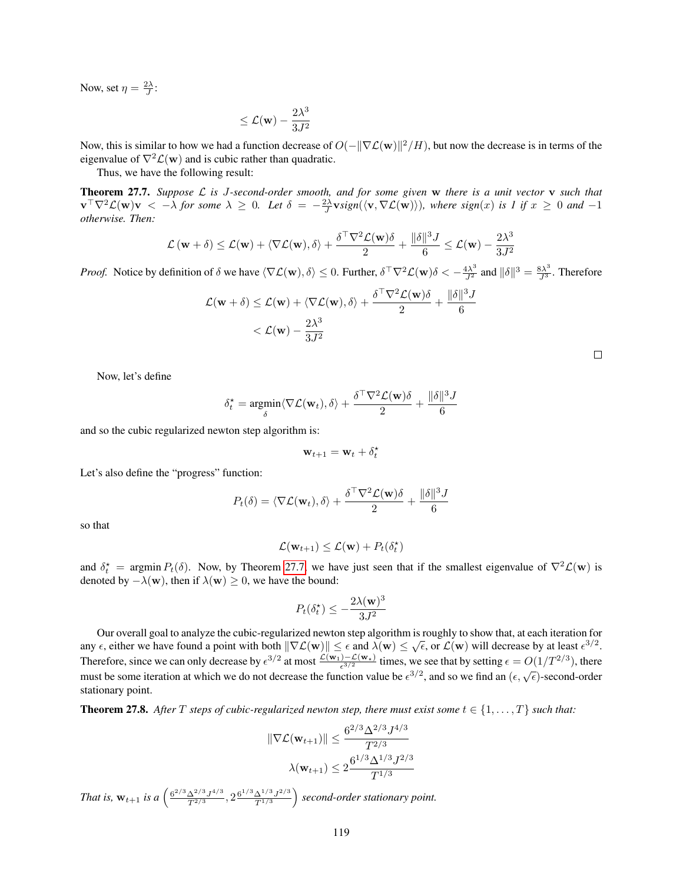Now, set  $\eta = \frac{2\lambda}{J}$ :

$$
\leq \mathcal{L}(\mathbf{w}) - \frac{2\lambda^3}{3J^2}
$$

Now, this is similar to how we had a function decrease of  $O(-\|\nabla \mathcal{L}(w)\|^2/H)$ , but now the decrease is in terms of the eigenvalue of  $\nabla^2 \mathcal{L}(\mathbf{w})$  and is cubic rather than quadratic.

Thus, we have the following result:

<span id="page-118-0"></span>Theorem 27.7. *Suppose* L *is* J*-second-order smooth, and for some given* w *there is a unit vector* v *such that*  $\mathbf{v}^\top \nabla^2 \mathcal{L}(\mathbf{w}) \mathbf{v} < -\lambda$  for some  $\lambda \geq 0$ . Let  $\delta = -\frac{2\lambda}{J} \mathbf{v} sign(\langle \mathbf{v}, \nabla \mathcal{L}(\mathbf{w}) \rangle)$ , where  $sign(x)$  is 1 if  $x \geq 0$  and  $-1$ *otherwise. Then:*

$$
\mathcal{L}(\mathbf{w} + \delta) \le \mathcal{L}(\mathbf{w}) + \langle \nabla \mathcal{L}(\mathbf{w}), \delta \rangle + \frac{\delta^{\top} \nabla^2 \mathcal{L}(\mathbf{w}) \delta}{2} + \frac{\|\delta\|^3 J}{6} \le \mathcal{L}(\mathbf{w}) - \frac{2\lambda^3}{3J^2}
$$

*Proof.* Notice by definition of  $\delta$  we have  $\langle \nabla \mathcal{L}(\mathbf{w}), \delta \rangle \leq 0$ . Further,  $\delta^{\top} \nabla^2 \mathcal{L}(\mathbf{w}) \delta \langle \frac{\partial \mathbf{w}}{\partial \delta} \rangle = \frac{4\lambda^3}{J^2}$  and  $\|\delta\|^3 = \frac{8\lambda^3}{J^3}$ . Therefore

$$
\mathcal{L}(\mathbf{w} + \delta) \le \mathcal{L}(\mathbf{w}) + \langle \nabla \mathcal{L}(\mathbf{w}), \delta \rangle + \frac{\delta^{\top} \nabla^2 \mathcal{L}(\mathbf{w}) \delta}{2} + \frac{\|\delta\|^3 J}{6}
$$

$$
< \mathcal{L}(\mathbf{w}) - \frac{2\lambda^3}{3J^2}
$$

Now, let's define

$$
\delta_t^* = \underset{\delta}{\text{argmin}} \langle \nabla \mathcal{L}(\mathbf{w}_t), \delta \rangle + \frac{\delta^{\top} \nabla^2 \mathcal{L}(\mathbf{w}) \delta}{2} + \frac{\|\delta\|^3 J}{6}
$$

and so the cubic regularized newton step algorithm is:

$$
\mathbf{w}_{t+1} = \mathbf{w}_t + \delta_t^{\star}
$$

Let's also define the "progress" function:

$$
P_t(\delta) = \langle \nabla \mathcal{L}(\mathbf{w}_t), \delta \rangle + \frac{\delta^{\top} \nabla^2 \mathcal{L}(\mathbf{w}) \delta}{2} + \frac{\|\delta\|^3 J}{6}
$$

so that

$$
\mathcal{L}(\mathbf{w}_{t+1}) \leq \mathcal{L}(\mathbf{w}) + P_t(\delta_t^{\star})
$$

and  $\delta_t^* = \argmin P_t(\delta)$ . Now, by Theorem [27.7,](#page-118-0) we have just seen that if the smallest eigenvalue of  $\nabla^2 \mathcal{L}(\mathbf{w})$  is denoted by  $-\lambda(\mathbf{w})$ , then if  $\lambda(\mathbf{w}) \geq 0$ , we have the bound:

$$
P_t(\delta_t^{\star}) \leq -\frac{2\lambda(\mathbf{w})^3}{3J^2}
$$

Our overall goal to analyze the cubic-regularized newton step algorithm is roughly to show that, at each iteration for any  $\epsilon$ , either we have found a point with both  $\|\nabla \mathcal{L}(\mathbf{w})\| \leq \epsilon$  and  $\lambda(\mathbf{w}) \leq \sqrt{\epsilon}$ , or  $\mathcal{L}(\mathbf{w})$  will decrease by at least  $\epsilon^{3/2}$ . Therefore, since we can only decrease by  $\epsilon^{3/2}$  at most  $\frac{\mathcal{L}(\mathbf{w}_1) - \mathcal{L}(\mathbf{w}_*)}{\epsilon^{3/2}}$  times, we see that by setting  $\epsilon = O(1/T^{2/3})$ , there must be some iteration at which we do not decrease the function value be  $\epsilon^{3/2}$ , and so we find an  $(\epsilon, \sqrt{\epsilon})$ -second-order stationary point.

**Theorem 27.8.** After T steps of cubic-regularized newton step, there must exist some  $t \in \{1, \ldots, T\}$  such that:

$$
\|\nabla \mathcal{L}(\mathbf{w}_{t+1})\| \leq \frac{6^{2/3} \Delta^{2/3} J^{4/3}}{T^{2/3}}
$$

$$
\lambda(\mathbf{w}_{t+1}) \leq 2 \frac{6^{1/3} \Delta^{1/3} J^{2/3}}{T^{1/3}}
$$

*That is,*  $w_{t+1}$  *is a*  $\left( \frac{6^{2/3} \Delta^{2/3} J^{4/3}}{T^{2/3}} \right)$  $\frac{\Delta^{2/3}J^{4/3}}{T^{2/3}}, 2\frac{6^{1/3}\Delta^{1/3}J^{2/3}}{T^{1/3}}$  $\frac{\Delta^{1/3} J^{2/3}}{T^{1/3}}$  second-order stationary point.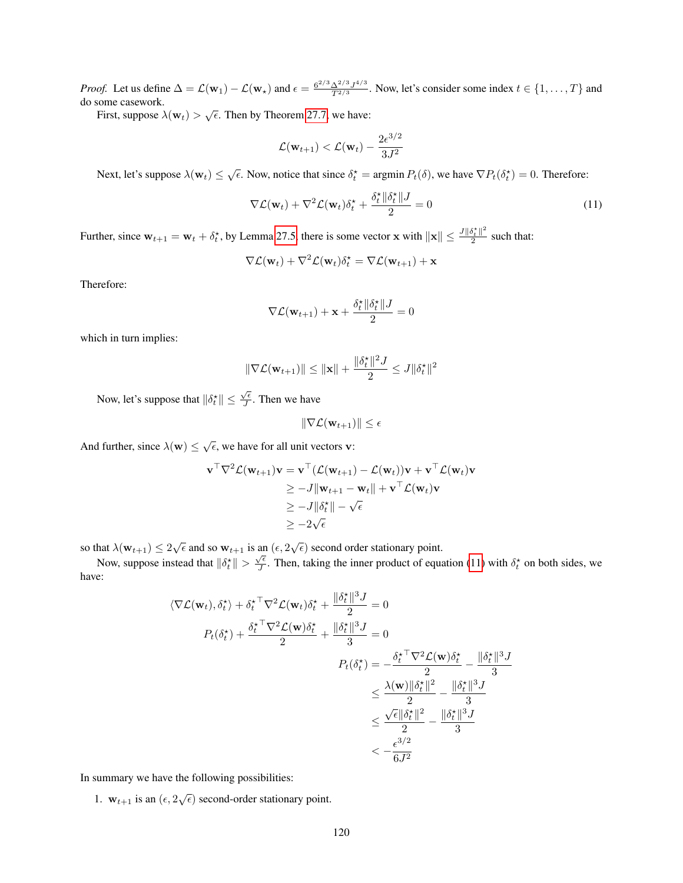*Proof.* Let us define  $\Delta = \mathcal{L}(\mathbf{w}_1) - \mathcal{L}(\mathbf{w}_\star)$  and  $\epsilon = \frac{6^{2/3} \Delta^{2/3} J^{4/3}}{T^{2/3}}$  $\frac{\Delta^{2/3} J^{4/3}}{T^{2/3}}$ . Now, let's consider some index  $t \in \{1, \ldots, T\}$  and do some casework.

First, suppose  $\lambda(\mathbf{w}_t) > \sqrt{\epsilon}$ . Then by Theorem [27.7,](#page-118-0) we have:

<span id="page-119-0"></span>
$$
\mathcal{L}(\mathbf{w}_{t+1}) < \mathcal{L}(\mathbf{w}_t) - \frac{2\epsilon^{3/2}}{3J^2}
$$

Next, let's suppose  $\lambda(\mathbf{w}_t) \leq \sqrt{\epsilon}$ . Now, notice that since  $\delta_t^* = \argmin P_t(\delta)$ , we have  $\nabla P_t(\delta_t^*) = 0$ . Therefore:

$$
\nabla \mathcal{L}(\mathbf{w}_t) + \nabla^2 \mathcal{L}(\mathbf{w}_t) \delta_t^{\star} + \frac{\delta_t^{\star} || \delta_t^{\star} || J}{2} = 0 \tag{11}
$$

Further, since  $\mathbf{w}_{t+1} = \mathbf{w}_t + \delta_t^*$ , by Lemma [27.5,](#page-116-0) there is some vector x with  $\|\mathbf{x}\| \le \frac{J\|\delta_t^*\|^2}{2}$  $rac{p_t}{2}$  such that:

$$
\nabla \mathcal{L}(\mathbf{w}_t) + \nabla^2 \mathcal{L}(\mathbf{w}_t) \delta_t^{\star} = \nabla \mathcal{L}(\mathbf{w}_{t+1}) + \mathbf{x}
$$

Therefore:

$$
\nabla \mathcal{L}(\mathbf{w}_{t+1}) + \mathbf{x} + \frac{\delta_t^* \|\delta_t^*\| J}{2} = 0
$$

which in turn implies:

$$
\|\nabla \mathcal{L}(\mathbf{w}_{t+1})\| \leq \|\mathbf{x}\| + \frac{\|\delta_t^{\star}\|^2 J}{2} \leq J \|\delta_t^{\star}\|^2
$$

Now, let's suppose that  $\|\delta_t^{\star}\| \leq \frac{\sqrt{\epsilon}}{J}$  $\frac{\sqrt{\epsilon}}{J}$ . Then we have

$$
\|\nabla \mathcal{L}(\mathbf{w}_{t+1})\| \leq \epsilon
$$

And further, since  $\lambda(\mathbf{w}) \leq \sqrt{\epsilon}$ , we have for all unit vectors **v**:

$$
\mathbf{v}^{\top} \nabla^2 \mathcal{L}(\mathbf{w}_{t+1}) \mathbf{v} = \mathbf{v}^{\top} (\mathcal{L}(\mathbf{w}_{t+1}) - \mathcal{L}(\mathbf{w}_t)) \mathbf{v} + \mathbf{v}^{\top} \mathcal{L}(\mathbf{w}_t) \mathbf{v}
$$
  
\n
$$
\geq -J \|\mathbf{w}_{t+1} - \mathbf{w}_t\| + \mathbf{v}^{\top} \mathcal{L}(\mathbf{w}_t) \mathbf{v}
$$
  
\n
$$
\geq -J \|\delta_t^{\star}\| - \sqrt{\epsilon}
$$
  
\n
$$
\geq -2\sqrt{\epsilon}
$$

so that  $\lambda(\mathbf{w}_{t+1}) \leq 2\sqrt{\epsilon}$  and so  $\mathbf{w}_{t+1}$  is an  $(\epsilon, 2\sqrt{\epsilon})$  second order stationary point.

Now, suppose instead that  $\|\delta_t^* \| > \frac{\sqrt{\epsilon}}{J}$  $\frac{\sqrt{\epsilon}}{J}$ . Then, taking the inner product of equation [\(11\)](#page-119-0) with  $\delta_t^*$  on both sides, we have:

$$
\langle \nabla \mathcal{L}(\mathbf{w}_{t}), \delta_{t}^{*} \rangle + \delta_{t}^{* \top} \nabla^{2} \mathcal{L}(\mathbf{w}_{t}) \delta_{t}^{*} + \frac{\|\delta_{t}^{*}\|^{3} J}{2} = 0
$$
  
\n
$$
P_{t}(\delta_{t}^{*}) + \frac{\delta_{t}^{* \top} \nabla^{2} \mathcal{L}(\mathbf{w}) \delta_{t}^{*}}{2} + \frac{\|\delta_{t}^{*}\|^{3} J}{3} = 0
$$
  
\n
$$
P_{t}(\delta_{t}^{*}) = -\frac{\delta_{t}^{* \top} \nabla^{2} \mathcal{L}(\mathbf{w}) \delta_{t}^{*}}{2} - \frac{\|\delta_{t}^{*}\|^{3} J}{3}
$$
  
\n
$$
\leq \frac{\lambda(\mathbf{w}) \|\delta_{t}^{*}\|^{2}}{2} - \frac{\|\delta_{t}^{*}\|^{3} J}{3}
$$
  
\n
$$
\leq \frac{\sqrt{\epsilon} \|\delta_{t}^{*}\|^{2}}{2} - \frac{\|\delta_{t}^{*}\|^{3} J}{3}
$$
  
\n
$$
< -\frac{\epsilon^{3/2}}{6 J^{2}}
$$

In summary we have the following possibilities:

1.  $w_{t+1}$  is an  $(\epsilon, 2\sqrt{\epsilon})$  second-order stationary point.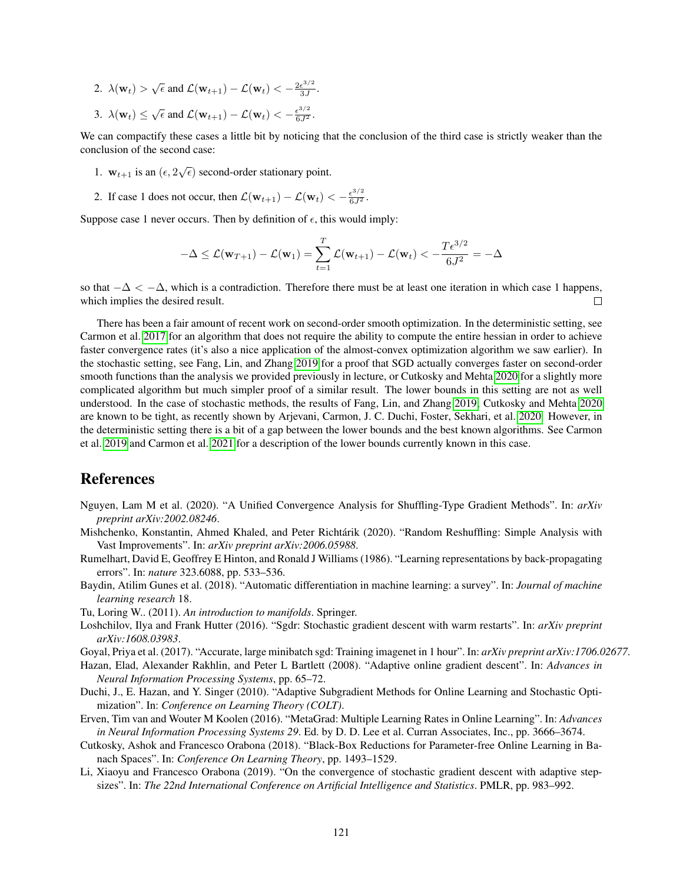- 2.  $\lambda(\mathbf{w}_t) > \sqrt{\epsilon}$  and  $\mathcal{L}(\mathbf{w}_{t+1}) \mathcal{L}(\mathbf{w}_t) < -\frac{2\epsilon^{3/2}}{3J}$  $rac{\epsilon^{3/2}}{3J}$ .
- 3.  $\lambda(\mathbf{w}_t) \leq \sqrt{\epsilon}$  and  $\mathcal{L}(\mathbf{w}_{t+1}) \mathcal{L}(\mathbf{w}_t) < -\frac{\epsilon^{3/2}}{6J^2}$ .

We can compactify these cases a little bit by noticing that the conclusion of the third case is strictly weaker than the conclusion of the second case:

- 1.  $w_{t+1}$  is an  $(\epsilon, 2\sqrt{\epsilon})$  second-order stationary point.
- 2. If case 1 does not occur, then  $\mathcal{L}(\mathbf{w}_{t+1}) \mathcal{L}(\mathbf{w}_t) < -\frac{\epsilon^{3/2}}{6J^2}$ .

Suppose case 1 never occurs. Then by definition of  $\epsilon$ , this would imply:

$$
-\Delta \leq \mathcal{L}(\mathbf{w}_{T+1}) - \mathcal{L}(\mathbf{w}_1) = \sum_{t=1}^T \mathcal{L}(\mathbf{w}_{t+1}) - \mathcal{L}(\mathbf{w}_t) < -\frac{T\epsilon^{3/2}}{6J^2} = -\Delta
$$

so that  $-\Delta < -\Delta$ , which is a contradiction. Therefore there must be at least one iteration in which case 1 happens, which implies the desired result.  $\Box$ 

There has been a fair amount of recent work on second-order smooth optimization. In the deterministic setting, see Carmon et al. [2017](#page-121-4) for an algorithm that does not require the ability to compute the entire hessian in order to achieve faster convergence rates (it's also a nice application of the almost-convex optimization algorithm we saw earlier). In the stochastic setting, see Fang, Lin, and Zhang [2019](#page-121-5) for a proof that SGD actually converges faster on second-order smooth functions than the analysis we provided previously in lecture, or Cutkosky and Mehta [2020](#page-121-6) for a slightly more complicated algorithm but much simpler proof of a similar result. The lower bounds in this setting are not as well understood. In the case of stochastic methods, the results of Fang, Lin, and Zhang [2019;](#page-121-5) Cutkosky and Mehta [2020](#page-121-6) are known to be tight, as recently shown by Arjevani, Carmon, J. C. Duchi, Foster, Sekhari, et al. [2020.](#page-121-7) However, in the deterministic setting there is a bit of a gap between the lower bounds and the best known algorithms. See Carmon et al. [2019](#page-121-8) and Carmon et al. [2021](#page-121-9) for a description of the lower bounds currently known in this case.

## References

- Nguyen, Lam M et al. (2020). "A Unified Convergence Analysis for Shuffling-Type Gradient Methods". In: *arXiv preprint arXiv:2002.08246*.
- Mishchenko, Konstantin, Ahmed Khaled, and Peter Richtarik (2020). "Random Reshuffling: Simple Analysis with ´ Vast Improvements". In: *arXiv preprint arXiv:2006.05988*.
- Rumelhart, David E, Geoffrey E Hinton, and Ronald J Williams (1986). "Learning representations by back-propagating errors". In: *nature* 323.6088, pp. 533–536.
- Baydin, Atilim Gunes et al. (2018). "Automatic differentiation in machine learning: a survey". In: *Journal of machine learning research* 18.

Tu, Loring W.. (2011). *An introduction to manifolds*. Springer.

- Loshchilov, Ilya and Frank Hutter (2016). "Sgdr: Stochastic gradient descent with warm restarts". In: *arXiv preprint arXiv:1608.03983*.
- Goyal, Priya et al. (2017). "Accurate, large minibatch sgd: Training imagenet in 1 hour". In: *arXiv preprint arXiv:1706.02677*.
- Hazan, Elad, Alexander Rakhlin, and Peter L Bartlett (2008). "Adaptive online gradient descent". In: *Advances in Neural Information Processing Systems*, pp. 65–72.
- Duchi, J., E. Hazan, and Y. Singer (2010). "Adaptive Subgradient Methods for Online Learning and Stochastic Optimization". In: *Conference on Learning Theory (COLT)*.
- Erven, Tim van and Wouter M Koolen (2016). "MetaGrad: Multiple Learning Rates in Online Learning". In: *Advances in Neural Information Processing Systems 29*. Ed. by D. D. Lee et al. Curran Associates, Inc., pp. 3666–3674.
- Cutkosky, Ashok and Francesco Orabona (2018). "Black-Box Reductions for Parameter-free Online Learning in Banach Spaces". In: *Conference On Learning Theory*, pp. 1493–1529.
- Li, Xiaoyu and Francesco Orabona (2019). "On the convergence of stochastic gradient descent with adaptive stepsizes". In: *The 22nd International Conference on Artificial Intelligence and Statistics*. PMLR, pp. 983–992.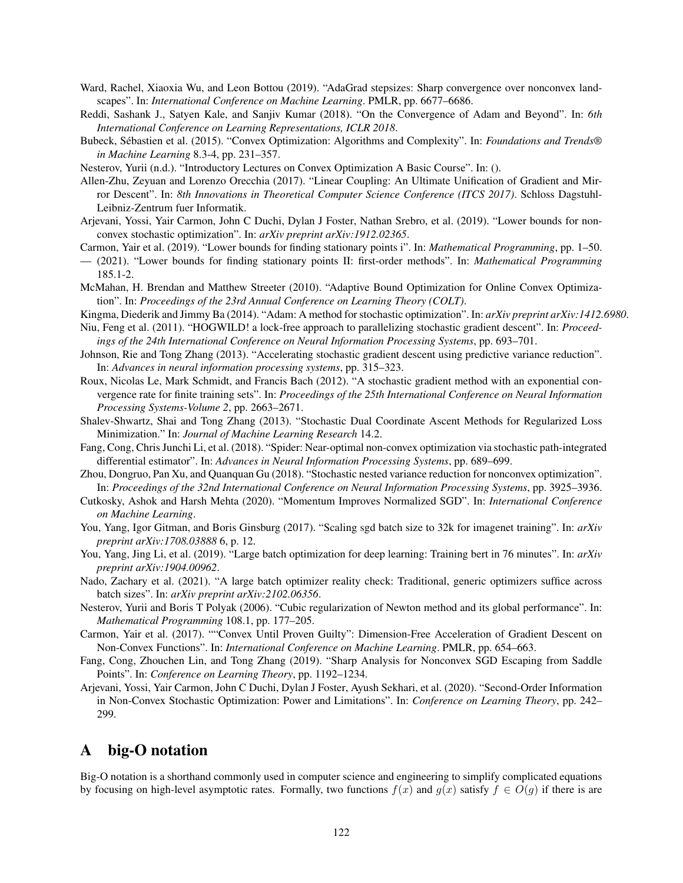- Ward, Rachel, Xiaoxia Wu, and Leon Bottou (2019). "AdaGrad stepsizes: Sharp convergence over nonconvex landscapes". In: *International Conference on Machine Learning*. PMLR, pp. 6677–6686.
- Reddi, Sashank J., Satyen Kale, and Sanjiv Kumar (2018). "On the Convergence of Adam and Beyond". In: *6th International Conference on Learning Representations, ICLR 2018*.
- Bubeck, Sebastien et al. (2015). "Convex Optimization: Algorithms and Complexity". In: ´ *Foundations and Trends® in Machine Learning* 8.3-4, pp. 231–357.
- Nesterov, Yurii (n.d.). "Introductory Lectures on Convex Optimization A Basic Course". In: ().
- Allen-Zhu, Zeyuan and Lorenzo Orecchia (2017). "Linear Coupling: An Ultimate Unification of Gradient and Mirror Descent". In: *8th Innovations in Theoretical Computer Science Conference (ITCS 2017)*. Schloss Dagstuhl-Leibniz-Zentrum fuer Informatik.
- Arjevani, Yossi, Yair Carmon, John C Duchi, Dylan J Foster, Nathan Srebro, et al. (2019). "Lower bounds for nonconvex stochastic optimization". In: *arXiv preprint arXiv:1912.02365*.
- <span id="page-121-8"></span>Carmon, Yair et al. (2019). "Lower bounds for finding stationary points i". In: *Mathematical Programming*, pp. 1–50.
- <span id="page-121-9"></span>— (2021). "Lower bounds for finding stationary points II: first-order methods". In: *Mathematical Programming* 185.1-2.
- McMahan, H. Brendan and Matthew Streeter (2010). "Adaptive Bound Optimization for Online Convex Optimization". In: *Proceedings of the 23rd Annual Conference on Learning Theory (COLT)*.
- Kingma, Diederik and Jimmy Ba (2014). "Adam: A method for stochastic optimization". In: *arXiv preprint arXiv:1412.6980*.
- Niu, Feng et al. (2011). "HOGWILD! a lock-free approach to parallelizing stochastic gradient descent". In: *Proceedings of the 24th International Conference on Neural Information Processing Systems*, pp. 693–701.
- Johnson, Rie and Tong Zhang (2013). "Accelerating stochastic gradient descent using predictive variance reduction". In: *Advances in neural information processing systems*, pp. 315–323.
- Roux, Nicolas Le, Mark Schmidt, and Francis Bach (2012). "A stochastic gradient method with an exponential convergence rate for finite training sets". In: *Proceedings of the 25th International Conference on Neural Information Processing Systems-Volume 2*, pp. 2663–2671.
- Shalev-Shwartz, Shai and Tong Zhang (2013). "Stochastic Dual Coordinate Ascent Methods for Regularized Loss Minimization." In: *Journal of Machine Learning Research* 14.2.
- Fang, Cong, Chris Junchi Li, et al. (2018). "Spider: Near-optimal non-convex optimization via stochastic path-integrated differential estimator". In: *Advances in Neural Information Processing Systems*, pp. 689–699.
- Zhou, Dongruo, Pan Xu, and Quanquan Gu (2018). "Stochastic nested variance reduction for nonconvex optimization". In: *Proceedings of the 32nd International Conference on Neural Information Processing Systems*, pp. 3925–3936.
- <span id="page-121-6"></span>Cutkosky, Ashok and Harsh Mehta (2020). "Momentum Improves Normalized SGD". In: *International Conference on Machine Learning*.
- <span id="page-121-0"></span>You, Yang, Igor Gitman, and Boris Ginsburg (2017). "Scaling sgd batch size to 32k for imagenet training". In: *arXiv preprint arXiv:1708.03888* 6, p. 12.
- <span id="page-121-1"></span>You, Yang, Jing Li, et al. (2019). "Large batch optimization for deep learning: Training bert in 76 minutes". In: *arXiv preprint arXiv:1904.00962*.
- <span id="page-121-2"></span>Nado, Zachary et al. (2021). "A large batch optimizer reality check: Traditional, generic optimizers suffice across batch sizes". In: *arXiv preprint arXiv:2102.06356*.
- <span id="page-121-3"></span>Nesterov, Yurii and Boris T Polyak (2006). "Cubic regularization of Newton method and its global performance". In: *Mathematical Programming* 108.1, pp. 177–205.
- <span id="page-121-4"></span>Carmon, Yair et al. (2017). ""Convex Until Proven Guilty": Dimension-Free Acceleration of Gradient Descent on Non-Convex Functions". In: *International Conference on Machine Learning*. PMLR, pp. 654–663.
- <span id="page-121-5"></span>Fang, Cong, Zhouchen Lin, and Tong Zhang (2019). "Sharp Analysis for Nonconvex SGD Escaping from Saddle Points". In: *Conference on Learning Theory*, pp. 1192–1234.
- <span id="page-121-7"></span>Arjevani, Yossi, Yair Carmon, John C Duchi, Dylan J Foster, Ayush Sekhari, et al. (2020). "Second-Order Information in Non-Convex Stochastic Optimization: Power and Limitations". In: *Conference on Learning Theory*, pp. 242– 299.

# A big-O notation

Big-O notation is a shorthand commonly used in computer science and engineering to simplify complicated equations by focusing on high-level asymptotic rates. Formally, two functions  $f(x)$  and  $g(x)$  satisfy  $f \in O(g)$  if there is are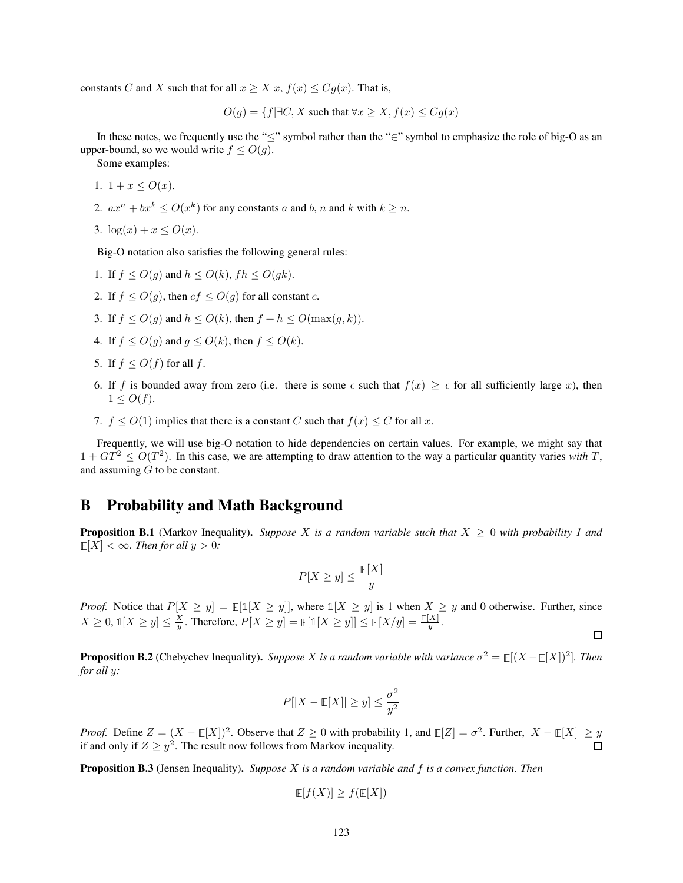constants C and X such that for all  $x \geq X x$ ,  $f(x) \leq Cg(x)$ . That is,

$$
O(g) = \{ f | \exists C, X \text{ such that } \forall x \ge X, f(x) \le Cg(x) \}
$$

In these notes, we frequently use the "≤" symbol rather than the "∈" symbol to emphasize the role of big-O as an upper-bound, so we would write  $f \le O(g)$ .

Some examples:

- 1.  $1 + x \le O(x)$ .
- 2.  $ax^n + bx^k \le O(x^k)$  for any constants a and b, n and k with  $k \ge n$ .
- 3.  $\log(x) + x \le O(x)$ .

Big-O notation also satisfies the following general rules:

- 1. If  $f \le O(q)$  and  $h \le O(k)$ ,  $fh \le O(qk)$ .
- 2. If  $f < O(q)$ , then  $cf < O(q)$  for all constant c.
- 3. If  $f \le O(g)$  and  $h \le O(k)$ , then  $f + h \le O(\max(g, k))$ .
- 4. If  $f \le O(q)$  and  $q \le O(k)$ , then  $f \le O(k)$ .
- 5. If  $f \leq O(f)$  for all f.
- 6. If f is bounded away from zero (i.e. there is some  $\epsilon$  such that  $f(x) \geq \epsilon$  for all sufficiently large x), then  $1 \leq O(f)$ .
- 7.  $f \le O(1)$  implies that there is a constant C such that  $f(x) \le C$  for all x.

Frequently, we will use big-O notation to hide dependencies on certain values. For example, we might say that  $1 + GT^2 \leq O(T^2)$ . In this case, we are attempting to draw attention to the way a particular quantity varies *with* T, and assuming  $G$  to be constant.

### B Probability and Math Background

**Proposition B.1** (Markov Inequality). Suppose X is a random variable such that  $X \geq 0$  with probability 1 and  $E[X] < \infty$ *. Then for all*  $y > 0$ *:* 

$$
P[X \ge y] \le \frac{\mathbb{E}[X]}{y}
$$

*Proof.* Notice that  $P[X \ge y] = \mathbb{E}[\mathbb{1}[X \ge y]]$ , where  $\mathbb{1}[X \ge y]$  is 1 when  $X \ge y$  and 0 otherwise. Further, since  $X \geq 0$ ,  $\mathbb{1}[X \geq y] \leq \frac{X}{y}$ . Therefore,  $P[X \geq y] = \mathbb{E}[\mathbb{1}[X \geq y]] \leq \mathbb{E}[X/y] = \frac{\mathbb{E}[X]}{y}$ .

 $\Box$ 

**Proposition B.2** (Chebychev Inequality). *Suppose X is a random variable with variance*  $\sigma^2 = \mathbb{E}[(X - \mathbb{E}[X])^2]$ . Then *for all* y*:*

$$
P[|X - \mathop{\mathbb{E}}[X]| \ge y] \le \frac{\sigma^2}{y^2}
$$

*Proof.* Define  $Z = (X - \mathbb{E}[X])^2$ . Observe that  $Z \ge 0$  with probability 1, and  $\mathbb{E}[Z] = \sigma^2$ . Further,  $|X - \mathbb{E}[X]| \ge y$ if and only if  $Z \geq y^2$ . The result now follows from Markov inequality.

Proposition B.3 (Jensen Inequality). *Suppose* X *is a random variable and* f *is a convex function. Then*

$$
\mathbb{E}[f(X)] \ge f(\mathbb{E}[X])
$$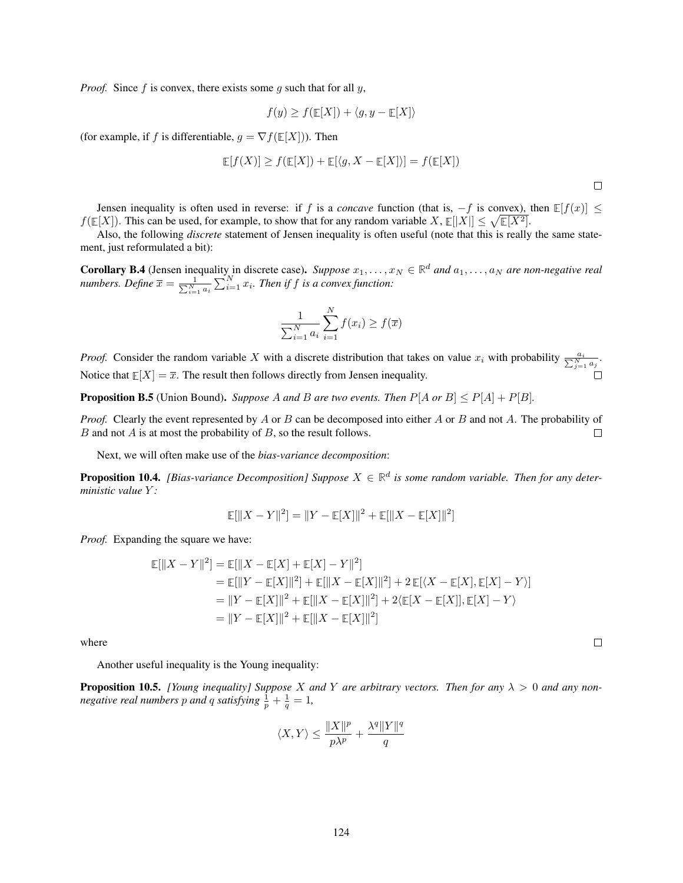*Proof.* Since f is convex, there exists some q such that for all  $y$ ,

$$
f(y) \ge f(\mathbb{E}[X]) + \langle g, y - \mathbb{E}[X] \rangle
$$

(for example, if f is differentiable,  $g = \nabla f(\mathbb{E}[X]))$ . Then

$$
\mathbb{E}[f(X)] \ge f(\mathbb{E}[X]) + \mathbb{E}[\langle g, X - \mathbb{E}[X] \rangle] = f(\mathbb{E}[X])
$$

Jensen inequality is often used in reverse: if f is a *concave* function (that is,  $-f$  is convex), then  $E[f(x)]$  ≤  $f(\mathbb{E}[X])$ . This can be used, for example, to show that for any random variable  $X$ ,  $\mathbb{E}[|X|] \leq \sqrt{\mathbb{E}[X^2]}$ .

Also, the following *discrete* statement of Jensen inequality is often useful (note that this is really the same statement, just reformulated a bit):

**Corollary B.4** (Jensen inequality in discrete case). Suppose  $x_1, \ldots, x_N \in \mathbb{R}^d$  and  $a_1, \ldots, a_N$  are non-negative real *numbers. Define*  $\overline{x} = \frac{1}{\sum_{i=1}^{N} a_i} \sum_{i=1}^{N} x_i$ . *Then if f is a convex function:* 

$$
\frac{1}{\sum_{i=1}^{N} a_i} \sum_{i=1}^{N} f(x_i) \ge f(\overline{x})
$$

*Proof.* Consider the random variable X with a discrete distribution that takes on value  $x_i$  with probability  $\frac{a_i}{\sum_{j=1}^{N} a_j}$ . Notice that  $E[X] = \overline{x}$ . The result then follows directly from Jensen inequality.

**Proposition B.5** (Union Bound). *Suppose A and B are two events. Then*  $P[A \text{ or } B] \leq P[A] + P[B]$ *.* 

*Proof.* Clearly the event represented by A or B can be decomposed into either A or B and not A. The probability of  $B$  and not  $A$  is at most the probability of  $B$ , so the result follows.  $\Box$ 

Next, we will often make use of the *bias-variance decomposition*:

**Proposition 10.4.** [Bias-variance Decomposition] Suppose  $X \in \mathbb{R}^d$  is some random variable. Then for any deter*ministic value* Y *:*

$$
\mathop{\mathbb{E}}[ \| X - Y \|^2 ] = \| Y - \mathop{\mathbb{E}}[X] \|^2 + \mathop{\mathbb{E}}[ \| X - \mathop{\mathbb{E}}[X] \|^2 ]
$$

*Proof.* Expanding the square we have:

$$
\mathbb{E}[\|X - Y\|^2] = \mathbb{E}[\|X - \mathbb{E}[X] + \mathbb{E}[X] - Y\|^2]
$$
  
\n
$$
= \mathbb{E}[\|Y - \mathbb{E}[X]\|^2] + \mathbb{E}[\|X - \mathbb{E}[X]\|^2] + 2\mathbb{E}[\langle X - \mathbb{E}[X], \mathbb{E}[X] - Y\rangle]
$$
  
\n
$$
= \|Y - \mathbb{E}[X]\|^2 + \mathbb{E}[\|X - \mathbb{E}[X]\|^2] + 2\langle \mathbb{E}[X - \mathbb{E}[X]], \mathbb{E}[X] - Y\rangle
$$
  
\n
$$
= \|Y - \mathbb{E}[X]\|^2 + \mathbb{E}[\|X - \mathbb{E}[X]\|^2]
$$

where

Another useful inequality is the Young inequality:

**Proposition 10.5.** *[Young inequality] Suppose X and Y are arbitrary vectors. Then for any*  $\lambda > 0$  *and any nonnegative real numbers*  $p$  *and*  $q$  *satisfying*  $\frac{1}{p} + \frac{1}{q} = 1$ *,* 

$$
\langle X,Y\rangle\leq \frac{\|X\|^p}{p\lambda^p}+\frac{\lambda^q\|Y\|^q}{q}
$$

 $\Box$ 

 $\Box$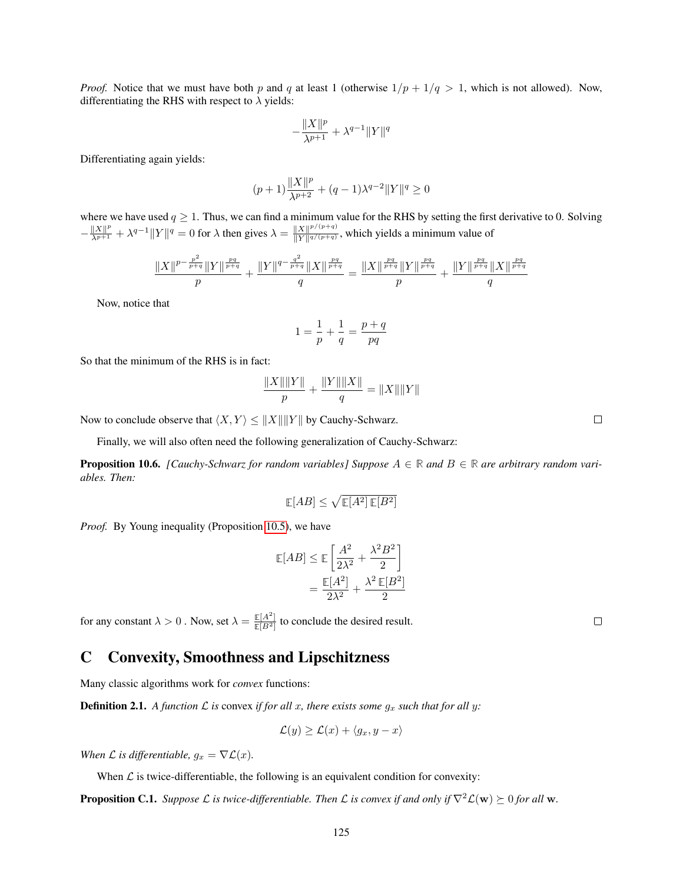*Proof.* Notice that we must have both p and q at least 1 (otherwise  $1/p + 1/q > 1$ , which is not allowed). Now, differentiating the RHS with respect to  $\lambda$  yields:

$$
-\frac{\|X\|^p}{\lambda^{p+1}}+\lambda^{q-1}\|Y\|^q
$$

Differentiating again yields:

$$
(p+1)\frac{\|X\|^p}{\lambda^{p+2}} + (q-1)\lambda^{q-2} \|Y\|^q \ge 0
$$

where we have used  $q \ge 1$ . Thus, we can find a minimum value for the RHS by setting the first derivative to 0. Solving  $-\frac{\|X\|^p}{\lambda^{p+1}} + \lambda^{q-1} \|Y\|^q = 0$  for  $\lambda$  then gives  $\lambda = \frac{\|X\|^{p/(p+q)}}{\|Y\|^{q/(p+q)}}$  $\frac{||X||^{r/(n+1)}}{||Y||^{q/(p+q)}}$ , which yields a minimum value of

$$
\frac{\|X\|^{p-\frac{p^2}{p+q}}\|Y\|^{\frac{pq}{p+q}}}{p} + \frac{\|Y\|^{q-\frac{q^2}{p+q}}\|X\|^{\frac{pq}{p+q}}}{q} = \frac{\|X\|^{\frac{pq}{p+q}}\|Y\|^{\frac{pq}{p+q}}}{p} + \frac{\|Y\|^{\frac{pq}{p+q}}\|X\|^{\frac{pq}{p+q}}}{q}
$$

Now, notice that

$$
1=\frac{1}{p}+\frac{1}{q}=\frac{p+q}{pq}
$$

So that the minimum of the RHS is in fact:

$$
\frac{\|X\| \|Y\|}{p} + \frac{\|Y\| \|X\|}{q} = \|X\| \|Y\|
$$

Now to conclude observe that  $\langle X, Y \rangle \le ||X|| ||Y||$  by Cauchy-Schwarz.

Finally, we will also often need the following generalization of Cauchy-Schwarz:

**Proposition 10.6.** *[Cauchy-Schwarz for random variables] Suppose*  $A \in \mathbb{R}$  and  $B \in \mathbb{R}$  are arbitrary random vari*ables. Then:*

$$
\mathop{\mathbb{E}}[AB] \leq \sqrt{\mathop{\mathbb{E}}[A^2]\,\mathop{\mathbb{E}}[B^2]}
$$

*Proof.* By Young inequality (Proposition [10.5\)](#page-48-0), we have

$$
\mathbb{E}[AB] \leq \mathbb{E}\left[\frac{A^2}{2\lambda^2} + \frac{\lambda^2 B^2}{2}\right]
$$

$$
= \frac{\mathbb{E}[A^2]}{2\lambda^2} + \frac{\lambda^2 \mathbb{E}[B^2]}{2}
$$

for any constant  $\lambda > 0$ . Now, set  $\lambda = \frac{\mathbb{E}[A^2]}{\mathbb{E}[B^2]}$  to conclude the desired result.

## C Convexity, Smoothness and Lipschitzness

Many classic algorithms work for *convex* functions:

**Definition 2.1.** A function L is convex if for all x, there exists some  $g_x$  such that for all y:

$$
\mathcal{L}(y) \ge \mathcal{L}(x) + \langle g_x, y - x \rangle
$$

*When*  $\mathcal L$  *is differentiable,*  $g_x = \nabla \mathcal L(x)$ *.* 

When  $\mathcal L$  is twice-differentiable, the following is an equivalent condition for convexity:

**Proposition C.1.** *Suppose*  $\mathcal{L}$  *is twice-differentiable. Then*  $\mathcal{L}$  *is convex if and only if*  $\nabla^2 \mathcal{L}(\mathbf{w}) \succeq 0$  *for all* w.

 $\Box$ 

 $\Box$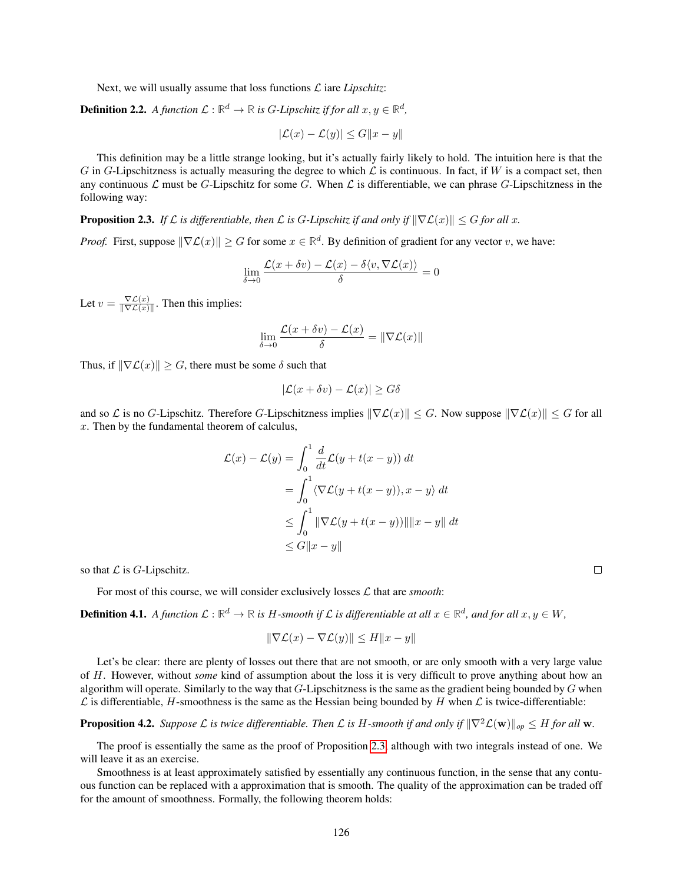Next, we will usually assume that loss functions  $\mathcal{L}$  iare *Lipschitz*:

**Definition 2.2.** A function  $\mathcal{L}: \mathbb{R}^d \to \mathbb{R}$  is G-Lipschitz if for all  $x, y \in \mathbb{R}^d$ ,

$$
|\mathcal{L}(x) - \mathcal{L}(y)| \le G||x - y||
$$

This definition may be a little strange looking, but it's actually fairly likely to hold. The intuition here is that the G in G-Lipschitzness is actually measuring the degree to which  $\mathcal L$  is continuous. In fact, if W is a compact set, then any continuous  $\mathcal L$  must be G-Lipschitz for some G. When  $\mathcal L$  is differentiable, we can phrase G-Lipschitzness in the following way:

**Proposition 2.3.** *If*  $\mathcal L$  *is differentiable, then*  $\mathcal L$  *is G-Lipschitz if and only if*  $\|\nabla \mathcal L(x)\| \leq G$  *for all* x.

*Proof.* First, suppose  $\|\nabla \mathcal{L}(x)\| \geq G$  for some  $x \in \mathbb{R}^d$ . By definition of gradient for any vector v, we have:

$$
\lim_{\delta \to 0} \frac{\mathcal{L}(x + \delta v) - \mathcal{L}(x) - \delta \langle v, \nabla \mathcal{L}(x) \rangle}{\delta} = 0
$$

Let  $v = \frac{\nabla \mathcal{L}(x)}{\|\nabla \mathcal{L}(x)\|}$  $\frac{\nabla L(x)}{\|\nabla L(x)\|}$ . Then this implies:

$$
\lim_{\delta \to 0} \frac{\mathcal{L}(x + \delta v) - \mathcal{L}(x)}{\delta} = \|\nabla \mathcal{L}(x)\|
$$

Thus, if  $\|\nabla \mathcal{L}(x)\| \geq G$ , there must be some  $\delta$  such that

$$
|\mathcal{L}(x+\delta v) - \mathcal{L}(x)| \ge G\delta
$$

and so L is no G-Lipschitz. Therefore G-Lipschitzness implies  $\|\nabla \mathcal{L}(x)\| \leq G$ . Now suppose  $\|\nabla \mathcal{L}(x)\| \leq G$  for all  $x$ . Then by the fundamental theorem of calculus.

$$
\mathcal{L}(x) - \mathcal{L}(y) = \int_0^1 \frac{d}{dt} \mathcal{L}(y + t(x - y)) dt
$$
  
= 
$$
\int_0^1 \langle \nabla \mathcal{L}(y + t(x - y)), x - y \rangle dt
$$
  

$$
\leq \int_0^1 \|\nabla \mathcal{L}(y + t(x - y))\| \|x - y\| dt
$$
  

$$
\leq G \|x - y\|
$$

so that  $\mathcal L$  is  $G$ -Lipschitz.

For most of this course, we will consider exclusively losses  $\mathcal L$  that are *smooth*:

**Definition 4.1.** A function  $\mathcal{L} : \mathbb{R}^d \to \mathbb{R}$  is H-smooth if  $\mathcal{L}$  is differentiable at all  $x \in \mathbb{R}^d$ , and for all  $x, y \in W$ ,

$$
\|\nabla \mathcal{L}(x) - \nabla \mathcal{L}(y)\| \le H\|x - y\|
$$

Let's be clear: there are plenty of losses out there that are not smooth, or are only smooth with a very large value of H. However, without *some* kind of assumption about the loss it is very difficult to prove anything about how an algorithm will operate. Similarly to the way that  $G$ -Lipschitzness is the same as the gradient being bounded by  $G$  when  $\mathcal L$  is differentiable, H-smoothness is the same as the Hessian being bounded by H when  $\mathcal L$  is twice-differentiable:

**Proposition 4.2.** *Suppose*  $\mathcal L$  *is twice differentiable. Then*  $\mathcal L$  *is* H-smooth *if and only if*  $\|\nabla^2 \mathcal L(\mathbf w)\|_{op} \leq H$  *for all* w.

The proof is essentially the same as the proof of Proposition [2.3,](#page-5-0) although with two integrals instead of one. We will leave it as an exercise.

Smoothness is at least approximately satisfied by essentially any continuous function, in the sense that any contuous function can be replaced with a approximation that is smooth. The quality of the approximation can be traded off for the amount of smoothness. Formally, the following theorem holds: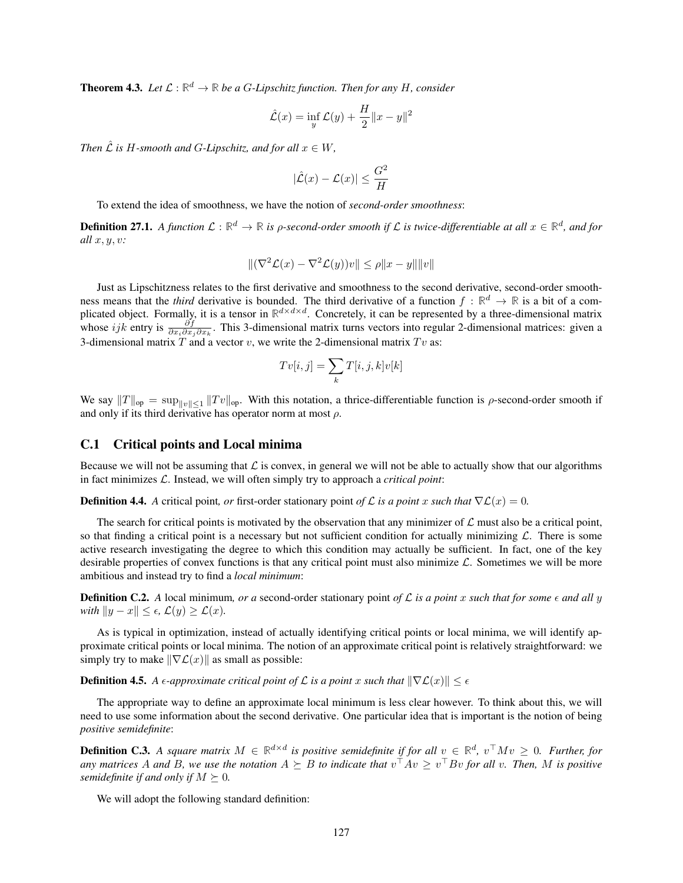**Theorem 4.3.** Let  $\mathcal{L} : \mathbb{R}^d \to \mathbb{R}$  be a G-Lipschitz function. Then for any H, consider

$$
\hat{\mathcal{L}}(x) = \inf_{y} \mathcal{L}(y) + \frac{H}{2} ||x - y||^2
$$

*Then*  $\hat{\mathcal{L}}$  *is H*-smooth and *G*-Lipschitz, and for all  $x \in W$ ,

$$
|\hat{\mathcal{L}}(x) - \mathcal{L}(x)| \le \frac{G^2}{H}
$$

To extend the idea of smoothness, we have the notion of *second-order smoothness*:

**Definition 27.1.** A function  $L:\mathbb{R}^d\to\mathbb{R}$  is  $\rho$ -second-order smooth if  $L$  is twice-differentiable at all  $x\in\mathbb{R}^d$ , and for *all* x, y, v*:*

$$
\|(\nabla^2 \mathcal{L}(x) - \nabla^2 \mathcal{L}(y))v\| \le \rho \|x - y\| \|v\|
$$

Just as Lipschitzness relates to the first derivative and smoothness to the second derivative, second-order smoothness means that the *third* derivative is bounded. The third derivative of a function  $f : \mathbb{R}^d \to \mathbb{R}$  is a bit of a complicated object. Formally, it is a tensor in  $\mathbb{R}^{d \times d \times d}$ . Concretely, it can be represented by a three-dimensional matrix whose ijk entry is  $\frac{\partial f}{\partial x_i \partial x_j \partial x_k}$ . This 3-dimensional matrix turns vectors into regular 2-dimensional matrices: given a 3-dimensional matrix  $T$  and a vector  $v$ , we write the 2-dimensional matrix  $Tv$  as:

$$
Tv[i,j] = \sum_{k} T[i,j,k]v[k]
$$

We say  $||T||_{op} = \sup_{||v|| \le 1} ||Tv||_{op}$ . With this notation, a thrice-differentiable function is  $\rho$ -second-order smooth if and only if its third derivative has operator norm at most  $\rho$ .

### C.1 Critical points and Local minima

Because we will not be assuming that  $\mathcal L$  is convex, in general we will not be able to actually show that our algorithms in fact minimizes L. Instead, we will often simply try to approach a *critical point*:

**Definition 4.4.** *A* critical point, *or* first-order stationary point *of*  $\mathcal L$  *is a point* x *such that*  $\nabla \mathcal L(x) = 0$ *.* 

The search for critical points is motivated by the observation that any minimizer of  $\mathcal L$  must also be a critical point, so that finding a critical point is a necessary but not sufficient condition for actually minimizing  $\mathcal{L}$ . There is some active research investigating the degree to which this condition may actually be sufficient. In fact, one of the key desirable properties of convex functions is that any critical point must also minimize  $\mathcal{L}$ . Sometimes we will be more ambitious and instead try to find a *local minimum*:

**Definition C.2.** A local minimum, or a second-order stationary point of L is a point x such that for some  $\epsilon$  and all y *with*  $||y - x|| \leq \epsilon$ ,  $\mathcal{L}(y) \geq \mathcal{L}(x)$ .

As is typical in optimization, instead of actually identifying critical points or local minima, we will identify approximate critical points or local minima. The notion of an approximate critical point is relatively straightforward: we simply try to make  $\|\nabla \mathcal{L}(x)\|$  as small as possible:

**Definition 4.5.** *A*  $\epsilon$ -approximate critical point of  $\mathcal L$  is a point x such that  $\|\nabla \mathcal L(x)\| \leq \epsilon$ 

The appropriate way to define an approximate local minimum is less clear however. To think about this, we will need to use some information about the second derivative. One particular idea that is important is the notion of being *positive semidefinite*:

**Definition C.3.** A square matrix  $M \in \mathbb{R}^{d \times d}$  is positive semidefinite if for all  $v \in \mathbb{R}^d$ ,  $v^{\top} M v \geq 0$ . Further, for *any matrices* A and B, we use the notation  $A \succeq B$  to indicate that  $v^{\top}Av \geq v^{\top}Bv$  for all v. Then, M is positive *semidefinite if and only if*  $M \succeq 0$ *.* 

We will adopt the following standard definition: